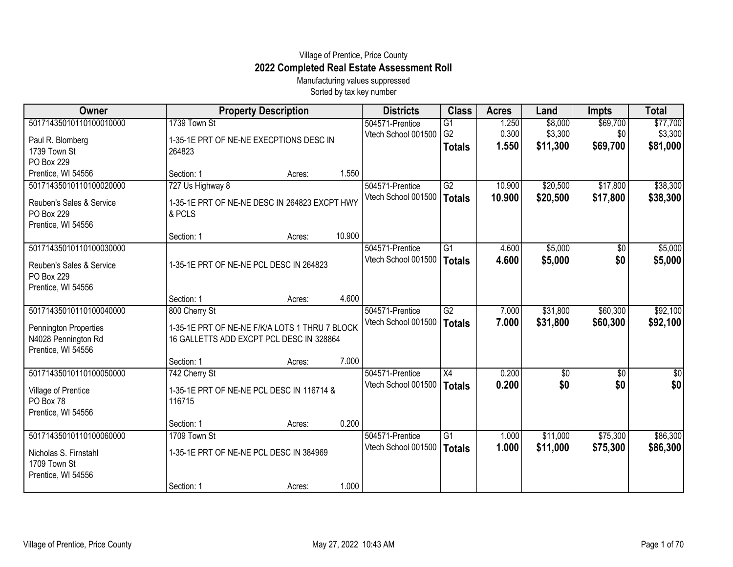## Village of Prentice, Price County **2022 Completed Real Estate Assessment Roll**

Manufacturing values suppressed Sorted by tax key number

| Owner                    |                                                | <b>Property Description</b> |        |                     | <b>Class</b>   | <b>Acres</b> | Land          | <b>Impts</b>    | <b>Total</b> |
|--------------------------|------------------------------------------------|-----------------------------|--------|---------------------|----------------|--------------|---------------|-----------------|--------------|
| 50171435010110100010000  | 1739 Town St                                   |                             |        | 504571-Prentice     | G1             | 1.250        | \$8,000       | \$69,700        | \$77,700     |
| Paul R. Blomberg         | 1-35-1E PRT OF NE-NE EXECPTIONS DESC IN        |                             |        | Vtech School 001500 | G <sub>2</sub> | 0.300        | \$3,300       | \$0             | \$3,300      |
| 1739 Town St             | 264823                                         |                             |        |                     | <b>Totals</b>  | 1.550        | \$11,300      | \$69,700        | \$81,000     |
| PO Box 229               |                                                |                             |        |                     |                |              |               |                 |              |
| Prentice, WI 54556       | Section: 1                                     | Acres:                      | 1.550  |                     |                |              |               |                 |              |
| 50171435010110100020000  | 727 Us Highway 8                               |                             |        | 504571-Prentice     | G2             | 10.900       | \$20,500      | \$17,800        | \$38,300     |
| Reuben's Sales & Service | 1-35-1E PRT OF NE-NE DESC IN 264823 EXCPT HWY  |                             |        | Vtech School 001500 | <b>Totals</b>  | 10.900       | \$20,500      | \$17,800        | \$38,300     |
| PO Box 229               | & PCLS                                         |                             |        |                     |                |              |               |                 |              |
| Prentice, WI 54556       |                                                |                             |        |                     |                |              |               |                 |              |
|                          | Section: 1                                     | Acres:                      | 10.900 |                     |                |              |               |                 |              |
| 50171435010110100030000  |                                                |                             |        | 504571-Prentice     | G1             | 4.600        | \$5,000       | $\overline{50}$ | \$5,000      |
| Reuben's Sales & Service | 1-35-1E PRT OF NE-NE PCL DESC IN 264823        |                             |        | Vtech School 001500 | <b>Totals</b>  | 4.600        | \$5,000       | \$0             | \$5,000      |
| PO Box 229               |                                                |                             |        |                     |                |              |               |                 |              |
| Prentice, WI 54556       |                                                |                             |        |                     |                |              |               |                 |              |
|                          | Section: 1                                     | Acres:                      | 4.600  |                     |                |              |               |                 |              |
| 50171435010110100040000  | 800 Cherry St                                  |                             |        | 504571-Prentice     | G2             | 7.000        | \$31,800      | \$60,300        | \$92,100     |
| Pennington Properties    | 1-35-1E PRT OF NE-NE F/K/A LOTS 1 THRU 7 BLOCK |                             |        | Vtech School 001500 | <b>Totals</b>  | 7.000        | \$31,800      | \$60,300        | \$92,100     |
| N4028 Pennington Rd      | 16 GALLETTS ADD EXCPT PCL DESC IN 328864       |                             |        |                     |                |              |               |                 |              |
| Prentice, WI 54556       |                                                |                             |        |                     |                |              |               |                 |              |
|                          | Section: 1                                     | Acres:                      | 7.000  |                     |                |              |               |                 |              |
| 50171435010110100050000  | 742 Cherry St                                  |                             |        | 504571-Prentice     | X4             | 0.200        | $\sqrt[6]{3}$ | $\sqrt[6]{3}$   | \$0          |
| Village of Prentice      | 1-35-1E PRT OF NE-NE PCL DESC IN 116714 &      |                             |        | Vtech School 001500 | <b>Totals</b>  | 0.200        | \$0           | \$0             | \$0          |
| PO Box 78                | 116715                                         |                             |        |                     |                |              |               |                 |              |
| Prentice, WI 54556       |                                                |                             |        |                     |                |              |               |                 |              |
|                          | Section: 1                                     | Acres:                      | 0.200  |                     |                |              |               |                 |              |
| 50171435010110100060000  | 1709 Town St                                   |                             |        | 504571-Prentice     | G1             | 1.000        | \$11,000      | \$75,300        | \$86,300     |
| Nicholas S. Firnstahl    | 1-35-1E PRT OF NE-NE PCL DESC IN 384969        |                             |        | Vtech School 001500 | <b>Totals</b>  | 1.000        | \$11,000      | \$75,300        | \$86,300     |
| 1709 Town St             |                                                |                             |        |                     |                |              |               |                 |              |
| Prentice, WI 54556       |                                                |                             |        |                     |                |              |               |                 |              |
|                          | Section: 1                                     | Acres:                      | 1.000  |                     |                |              |               |                 |              |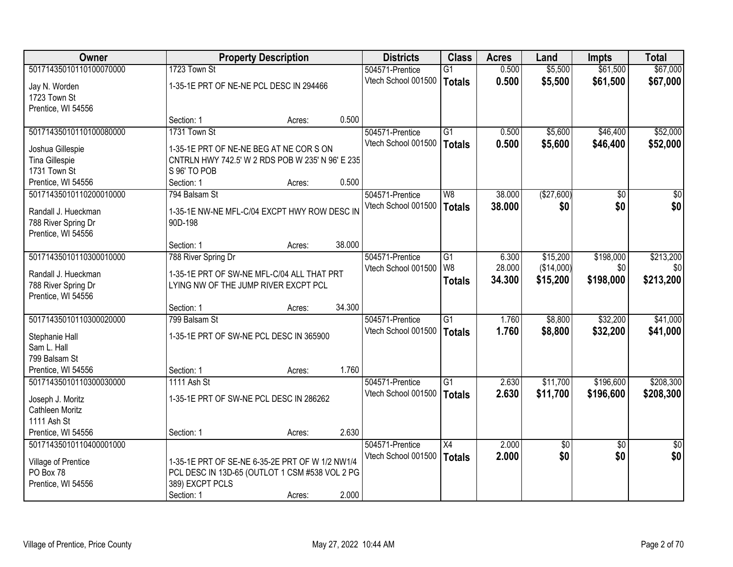| Owner                          |                                                                  | <b>Property Description</b> |        | <b>Districts</b>    | <b>Class</b>    | <b>Acres</b> | Land       | <b>Impts</b>    | <b>Total</b>    |
|--------------------------------|------------------------------------------------------------------|-----------------------------|--------|---------------------|-----------------|--------------|------------|-----------------|-----------------|
| 50171435010110100070000        | 1723 Town St                                                     |                             |        | 504571-Prentice     | $\overline{G1}$ | 0.500        | \$5,500    | \$61,500        | \$67,000        |
| Jay N. Worden                  | 1-35-1E PRT OF NE-NE PCL DESC IN 294466                          |                             |        | Vtech School 001500 | <b>Totals</b>   | 0.500        | \$5,500    | \$61,500        | \$67,000        |
| 1723 Town St                   |                                                                  |                             |        |                     |                 |              |            |                 |                 |
| Prentice, WI 54556             |                                                                  |                             |        |                     |                 |              |            |                 |                 |
|                                | Section: 1                                                       | Acres:                      | 0.500  |                     |                 |              |            |                 |                 |
| 50171435010110100080000        | 1731 Town St                                                     |                             |        | 504571-Prentice     | $\overline{G1}$ | 0.500        | \$5,600    | \$46,400        | \$52,000        |
|                                |                                                                  |                             |        | Vtech School 001500 | <b>Totals</b>   | 0.500        | \$5,600    | \$46,400        | \$52,000        |
| Joshua Gillespie               | 1-35-1E PRT OF NE-NE BEG AT NE COR S ON                          |                             |        |                     |                 |              |            |                 |                 |
| Tina Gillespie<br>1731 Town St | CNTRLN HWY 742.5' W 2 RDS POB W 235' N 96' E 235<br>S 96' TO POB |                             |        |                     |                 |              |            |                 |                 |
| Prentice, WI 54556             | Section: 1                                                       | Acres:                      | 0.500  |                     |                 |              |            |                 |                 |
| 50171435010110200010000        | 794 Balsam St                                                    |                             |        | 504571-Prentice     | W8              | 38.000       | (\$27,600) | $\overline{50}$ | $\overline{50}$ |
|                                |                                                                  |                             |        | Vtech School 001500 |                 |              |            |                 |                 |
| Randall J. Hueckman            | 1-35-1E NW-NE MFL-C/04 EXCPT HWY ROW DESC IN                     |                             |        |                     | <b>Totals</b>   | 38.000       | \$0        | \$0             | \$0             |
| 788 River Spring Dr            | 90D-198                                                          |                             |        |                     |                 |              |            |                 |                 |
| Prentice, WI 54556             |                                                                  |                             |        |                     |                 |              |            |                 |                 |
|                                | Section: 1                                                       | Acres:                      | 38.000 |                     |                 |              |            |                 |                 |
| 50171435010110300010000        | 788 River Spring Dr                                              |                             |        | 504571-Prentice     | G1              | 6.300        | \$15,200   | \$198,000       | \$213,200       |
| Randall J. Hueckman            | 1-35-1E PRT OF SW-NE MFL-C/04 ALL THAT PRT                       |                             |        | Vtech School 001500 | W <sub>8</sub>  | 28.000       | (\$14,000) | \$0             | \$0             |
| 788 River Spring Dr            | LYING NW OF THE JUMP RIVER EXCPT PCL                             |                             |        |                     | <b>Totals</b>   | 34.300       | \$15,200   | \$198,000       | \$213,200       |
| Prentice, WI 54556             |                                                                  |                             |        |                     |                 |              |            |                 |                 |
|                                | Section: 1                                                       | Acres:                      | 34.300 |                     |                 |              |            |                 |                 |
| 50171435010110300020000        | 799 Balsam St                                                    |                             |        | 504571-Prentice     | $\overline{G1}$ | 1.760        | \$8,800    | \$32,200        | \$41,000        |
|                                |                                                                  |                             |        | Vtech School 001500 | <b>Totals</b>   | 1.760        | \$8,800    | \$32,200        | \$41,000        |
| Stephanie Hall                 | 1-35-1E PRT OF SW-NE PCL DESC IN 365900                          |                             |        |                     |                 |              |            |                 |                 |
| Sam L. Hall                    |                                                                  |                             |        |                     |                 |              |            |                 |                 |
| 799 Balsam St                  |                                                                  |                             |        |                     |                 |              |            |                 |                 |
| Prentice, WI 54556             | Section: 1                                                       | Acres:                      | 1.760  |                     |                 |              |            |                 |                 |
| 50171435010110300030000        | 1111 Ash St                                                      |                             |        | 504571-Prentice     | G1              | 2.630        | \$11,700   | \$196,600       | \$208,300       |
| Joseph J. Moritz               | 1-35-1E PRT OF SW-NE PCL DESC IN 286262                          |                             |        | Vtech School 001500 | <b>Totals</b>   | 2.630        | \$11,700   | \$196,600       | \$208,300       |
| Cathleen Moritz                |                                                                  |                             |        |                     |                 |              |            |                 |                 |
| 1111 Ash St                    |                                                                  |                             |        |                     |                 |              |            |                 |                 |
| Prentice, WI 54556             | Section: 1                                                       | Acres:                      | 2.630  |                     |                 |              |            |                 |                 |
| 50171435010110400001000        |                                                                  |                             |        | 504571-Prentice     | X4              | 2.000        | \$0        | $\overline{30}$ | $\overline{50}$ |
|                                |                                                                  |                             |        | Vtech School 001500 | <b>Totals</b>   | 2.000        | \$0        | \$0             | \$0             |
| Village of Prentice            | 1-35-1E PRT OF SE-NE 6-35-2E PRT OF W 1/2 NW1/4                  |                             |        |                     |                 |              |            |                 |                 |
| PO Box 78                      | PCL DESC IN 13D-65 (OUTLOT 1 CSM #538 VOL 2 PG                   |                             |        |                     |                 |              |            |                 |                 |
| Prentice, WI 54556             | 389) EXCPT PCLS                                                  |                             |        |                     |                 |              |            |                 |                 |
|                                | Section: 1                                                       | Acres:                      | 2.000  |                     |                 |              |            |                 |                 |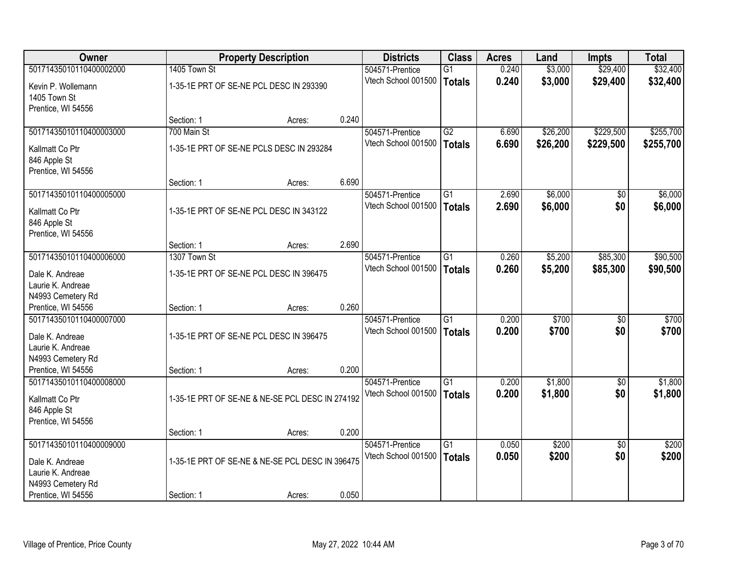| Owner                   |              | <b>Property Description</b>                     |       | <b>Districts</b>    | <b>Class</b>    | <b>Acres</b> | Land     | <b>Impts</b>    | <b>Total</b> |
|-------------------------|--------------|-------------------------------------------------|-------|---------------------|-----------------|--------------|----------|-----------------|--------------|
| 50171435010110400002000 | 1405 Town St |                                                 |       | 504571-Prentice     | $\overline{G1}$ | 0.240        | \$3,000  | \$29,400        | \$32,400     |
| Kevin P. Wollemann      |              | 1-35-1E PRT OF SE-NE PCL DESC IN 293390         |       | Vtech School 001500 | <b>Totals</b>   | 0.240        | \$3,000  | \$29,400        | \$32,400     |
| 1405 Town St            |              |                                                 |       |                     |                 |              |          |                 |              |
| Prentice, WI 54556      |              |                                                 |       |                     |                 |              |          |                 |              |
|                         | Section: 1   | Acres:                                          | 0.240 |                     |                 |              |          |                 |              |
| 50171435010110400003000 | 700 Main St  |                                                 |       | 504571-Prentice     | $\overline{G2}$ | 6.690        | \$26,200 | \$229,500       | \$255,700    |
| Kallmatt Co Ptr         |              | 1-35-1E PRT OF SE-NE PCLS DESC IN 293284        |       | Vtech School 001500 | <b>Totals</b>   | 6.690        | \$26,200 | \$229,500       | \$255,700    |
| 846 Apple St            |              |                                                 |       |                     |                 |              |          |                 |              |
| Prentice, WI 54556      |              |                                                 |       |                     |                 |              |          |                 |              |
|                         | Section: 1   | Acres:                                          | 6.690 |                     |                 |              |          |                 |              |
| 50171435010110400005000 |              |                                                 |       | 504571-Prentice     | $\overline{G1}$ | 2.690        | \$6,000  | $\overline{50}$ | \$6,000      |
| Kallmatt Co Ptr         |              | 1-35-1E PRT OF SE-NE PCL DESC IN 343122         |       | Vtech School 001500 | <b>Totals</b>   | 2.690        | \$6,000  | \$0             | \$6,000      |
| 846 Apple St            |              |                                                 |       |                     |                 |              |          |                 |              |
| Prentice, WI 54556      |              |                                                 |       |                     |                 |              |          |                 |              |
|                         | Section: 1   | Acres:                                          | 2.690 |                     |                 |              |          |                 |              |
| 50171435010110400006000 | 1307 Town St |                                                 |       | 504571-Prentice     | G1              | 0.260        | \$5,200  | \$85,300        | \$90,500     |
| Dale K. Andreae         |              | 1-35-1E PRT OF SE-NE PCL DESC IN 396475         |       | Vtech School 001500 | <b>Totals</b>   | 0.260        | \$5,200  | \$85,300        | \$90,500     |
| Laurie K. Andreae       |              |                                                 |       |                     |                 |              |          |                 |              |
| N4993 Cemetery Rd       |              |                                                 |       |                     |                 |              |          |                 |              |
| Prentice, WI 54556      | Section: 1   | Acres:                                          | 0.260 |                     |                 |              |          |                 |              |
| 50171435010110400007000 |              |                                                 |       | 504571-Prentice     | $\overline{G1}$ | 0.200        | \$700    | $\overline{50}$ | \$700        |
| Dale K. Andreae         |              | 1-35-1E PRT OF SE-NE PCL DESC IN 396475         |       | Vtech School 001500 | <b>Totals</b>   | 0.200        | \$700    | \$0             | \$700        |
| Laurie K. Andreae       |              |                                                 |       |                     |                 |              |          |                 |              |
| N4993 Cemetery Rd       |              |                                                 |       |                     |                 |              |          |                 |              |
| Prentice, WI 54556      | Section: 1   | Acres:                                          | 0.200 |                     |                 |              |          |                 |              |
| 50171435010110400008000 |              |                                                 |       | 504571-Prentice     | $\overline{G1}$ | 0.200        | \$1,800  | $\sqrt{6}$      | \$1,800      |
| Kallmatt Co Ptr         |              | 1-35-1E PRT OF SE-NE & NE-SE PCL DESC IN 274192 |       | Vtech School 001500 | <b>Totals</b>   | 0.200        | \$1,800  | \$0             | \$1,800      |
| 846 Apple St            |              |                                                 |       |                     |                 |              |          |                 |              |
| Prentice, WI 54556      |              |                                                 |       |                     |                 |              |          |                 |              |
|                         | Section: 1   | Acres:                                          | 0.200 |                     |                 |              |          |                 |              |
| 50171435010110400009000 |              |                                                 |       | 504571-Prentice     | $\overline{G1}$ | 0.050        | \$200    | $\overline{30}$ | \$200        |
| Dale K. Andreae         |              | 1-35-1E PRT OF SE-NE & NE-SE PCL DESC IN 396475 |       | Vtech School 001500 | <b>Totals</b>   | 0.050        | \$200    | \$0             | \$200        |
| Laurie K. Andreae       |              |                                                 |       |                     |                 |              |          |                 |              |
| N4993 Cemetery Rd       |              |                                                 |       |                     |                 |              |          |                 |              |
| Prentice, WI 54556      | Section: 1   | Acres:                                          | 0.050 |                     |                 |              |          |                 |              |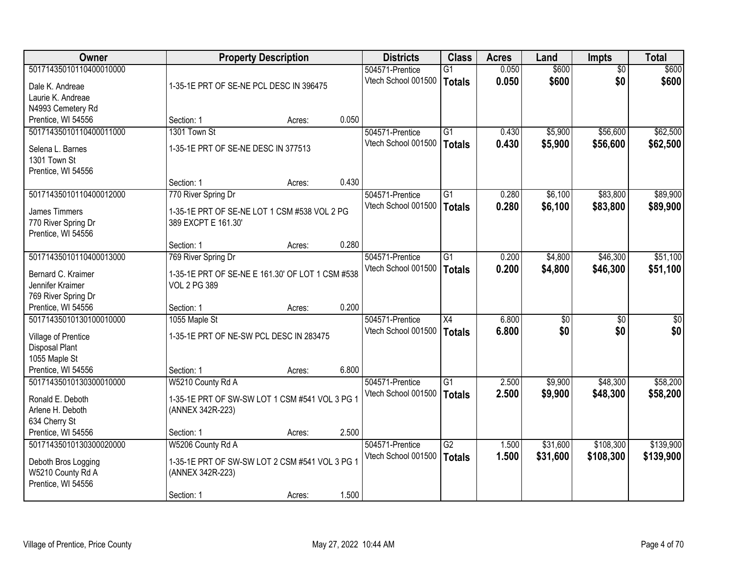| Owner                                         |                                                                     | <b>Property Description</b> |       | <b>Districts</b>                       | <b>Class</b>    | <b>Acres</b>   | Land            | <b>Impts</b>    | <b>Total</b>    |
|-----------------------------------------------|---------------------------------------------------------------------|-----------------------------|-------|----------------------------------------|-----------------|----------------|-----------------|-----------------|-----------------|
| 50171435010110400010000                       |                                                                     |                             |       | 504571-Prentice                        | $\overline{G1}$ | 0.050          | \$600           | $\overline{50}$ | \$600           |
| Dale K. Andreae                               | 1-35-1E PRT OF SE-NE PCL DESC IN 396475                             |                             |       | Vtech School 001500                    | <b>Totals</b>   | 0.050          | \$600           | \$0             | \$600           |
| Laurie K. Andreae                             |                                                                     |                             |       |                                        |                 |                |                 |                 |                 |
| N4993 Cemetery Rd                             |                                                                     |                             |       |                                        |                 |                |                 |                 |                 |
| Prentice, WI 54556                            | Section: 1                                                          | Acres:                      | 0.050 |                                        |                 |                |                 |                 |                 |
| 50171435010110400011000                       | 1301 Town St                                                        |                             |       | 504571-Prentice                        | $\overline{G1}$ | 0.430          | \$5,900         | \$56,600        | \$62,500        |
| Selena L. Barnes                              | 1-35-1E PRT OF SE-NE DESC IN 377513                                 |                             |       | Vtech School 001500                    | <b>Totals</b>   | 0.430          | \$5,900         | \$56,600        | \$62,500        |
| 1301 Town St                                  |                                                                     |                             |       |                                        |                 |                |                 |                 |                 |
| Prentice, WI 54556                            |                                                                     |                             |       |                                        |                 |                |                 |                 |                 |
|                                               | Section: 1                                                          | Acres:                      | 0.430 |                                        |                 |                |                 |                 |                 |
| 50171435010110400012000                       | 770 River Spring Dr                                                 |                             |       | 504571-Prentice                        | G <sub>1</sub>  | 0.280          | \$6,100         | \$83,800        | \$89,900        |
|                                               |                                                                     |                             |       | Vtech School 001500                    | Totals          | 0.280          | \$6,100         | \$83,800        | \$89,900        |
| <b>James Timmers</b><br>770 River Spring Dr   | 1-35-1E PRT OF SE-NE LOT 1 CSM #538 VOL 2 PG<br>389 EXCPT E 161.30' |                             |       |                                        |                 |                |                 |                 |                 |
| Prentice, WI 54556                            |                                                                     |                             |       |                                        |                 |                |                 |                 |                 |
|                                               | Section: 1                                                          | Acres:                      | 0.280 |                                        |                 |                |                 |                 |                 |
| 50171435010110400013000                       | 769 River Spring Dr                                                 |                             |       | 504571-Prentice                        | G1              | 0.200          | \$4,800         | \$46,300        | \$51,100        |
|                                               |                                                                     |                             |       | Vtech School 001500                    | <b>Totals</b>   | 0.200          | \$4,800         | \$46,300        | \$51,100        |
| Bernard C. Kraimer<br>Jennifer Kraimer        | 1-35-1E PRT OF SE-NE E 161.30' OF LOT 1 CSM #538                    |                             |       |                                        |                 |                |                 |                 |                 |
| 769 River Spring Dr                           | <b>VOL 2 PG 389</b>                                                 |                             |       |                                        |                 |                |                 |                 |                 |
| Prentice, WI 54556                            | Section: 1                                                          | Acres:                      | 0.200 |                                        |                 |                |                 |                 |                 |
| 50171435010130100010000                       | 1055 Maple St                                                       |                             |       | 504571-Prentice                        | X4              | 6.800          | $\overline{50}$ | $\overline{50}$ | $\overline{50}$ |
|                                               |                                                                     |                             |       | Vtech School 001500                    | <b>Totals</b>   | 6.800          | \$0             | \$0             | \$0             |
| Village of Prentice                           | 1-35-1E PRT OF NE-SW PCL DESC IN 283475                             |                             |       |                                        |                 |                |                 |                 |                 |
| Disposal Plant                                |                                                                     |                             |       |                                        |                 |                |                 |                 |                 |
| 1055 Maple St<br>Prentice, WI 54556           | Section: 1                                                          |                             | 6.800 |                                        |                 |                |                 |                 |                 |
| 50171435010130300010000                       | W5210 County Rd A                                                   | Acres:                      |       | 504571-Prentice                        | $\overline{G1}$ | 2.500          | \$9,900         | \$48,300        | \$58,200        |
|                                               |                                                                     |                             |       | Vtech School 001500                    | <b>Totals</b>   | 2.500          | \$9,900         | \$48,300        | \$58,200        |
| Ronald E. Deboth                              | 1-35-1E PRT OF SW-SW LOT 1 CSM #541 VOL 3 PG 1                      |                             |       |                                        |                 |                |                 |                 |                 |
| Arlene H. Deboth                              | (ANNEX 342R-223)                                                    |                             |       |                                        |                 |                |                 |                 |                 |
| 634 Cherry St                                 |                                                                     |                             |       |                                        |                 |                |                 |                 |                 |
| Prentice, WI 54556<br>50171435010130300020000 | Section: 1                                                          | Acres:                      | 2.500 |                                        | $\overline{G2}$ |                |                 |                 |                 |
|                                               | W5206 County Rd A                                                   |                             |       | 504571-Prentice<br>Vtech School 001500 |                 | 1.500<br>1.500 | \$31,600        | \$108,300       | \$139,900       |
| Deboth Bros Logging                           | 1-35-1E PRT OF SW-SW LOT 2 CSM #541 VOL 3 PG 1                      |                             |       |                                        | <b>Totals</b>   |                | \$31,600        | \$108,300       | \$139,900       |
| W5210 County Rd A                             | (ANNEX 342R-223)                                                    |                             |       |                                        |                 |                |                 |                 |                 |
| Prentice, WI 54556                            |                                                                     |                             |       |                                        |                 |                |                 |                 |                 |
|                                               | Section: 1                                                          | Acres:                      | 1.500 |                                        |                 |                |                 |                 |                 |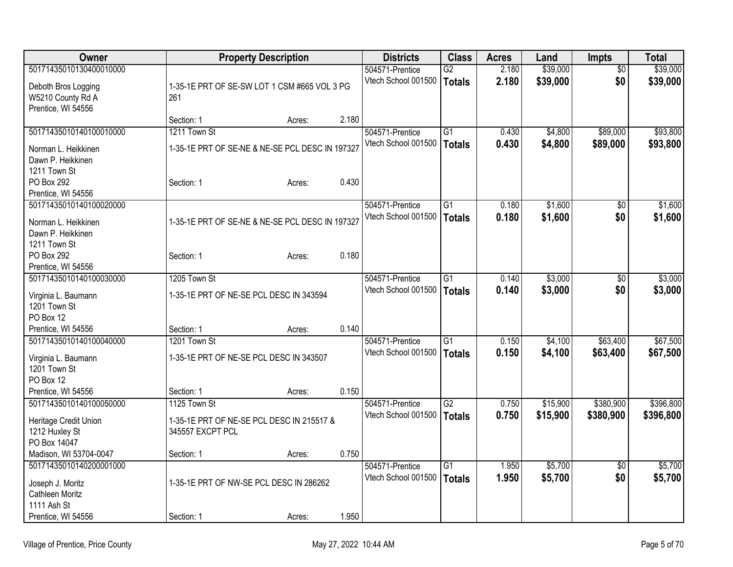| Owner                             | <b>Property Description</b>                     |        | <b>Districts</b> | <b>Class</b>        | <b>Acres</b>    | Land  | <b>Impts</b> | <b>Total</b>    |           |
|-----------------------------------|-------------------------------------------------|--------|------------------|---------------------|-----------------|-------|--------------|-----------------|-----------|
| 50171435010130400010000           |                                                 |        |                  | 504571-Prentice     | $\overline{G2}$ | 2.180 | \$39,000     | $\overline{50}$ | \$39,000  |
| Deboth Bros Logging               | 1-35-1E PRT OF SE-SW LOT 1 CSM #665 VOL 3 PG    |        |                  | Vtech School 001500 | Totals          | 2.180 | \$39,000     | \$0             | \$39,000  |
| W5210 County Rd A                 | 261                                             |        |                  |                     |                 |       |              |                 |           |
| Prentice, WI 54556                |                                                 |        |                  |                     |                 |       |              |                 |           |
|                                   | Section: 1                                      | Acres: | 2.180            |                     |                 |       |              |                 |           |
| 50171435010140100010000           | 1211 Town St                                    |        |                  | 504571-Prentice     | G1              | 0.430 | \$4,800      | \$89,000        | \$93,800  |
| Norman L. Heikkinen               | 1-35-1E PRT OF SE-NE & NE-SE PCL DESC IN 197327 |        |                  | Vtech School 001500 | Totals          | 0.430 | \$4,800      | \$89,000        | \$93,800  |
| Dawn P. Heikkinen                 |                                                 |        |                  |                     |                 |       |              |                 |           |
| 1211 Town St                      |                                                 |        |                  |                     |                 |       |              |                 |           |
| PO Box 292                        | Section: 1                                      | Acres: | 0.430            |                     |                 |       |              |                 |           |
| Prentice, WI 54556                |                                                 |        |                  |                     |                 |       |              |                 |           |
| 50171435010140100020000           |                                                 |        |                  | 504571-Prentice     | $\overline{G1}$ | 0.180 | \$1,600      | \$0             | \$1,600   |
|                                   |                                                 |        |                  | Vtech School 001500 | Totals          | 0.180 | \$1,600      | \$0             | \$1,600   |
| Norman L. Heikkinen               | 1-35-1E PRT OF SE-NE & NE-SE PCL DESC IN 197327 |        |                  |                     |                 |       |              |                 |           |
| Dawn P. Heikkinen<br>1211 Town St |                                                 |        |                  |                     |                 |       |              |                 |           |
| PO Box 292                        | Section: 1                                      | Acres: | 0.180            |                     |                 |       |              |                 |           |
| Prentice, WI 54556                |                                                 |        |                  |                     |                 |       |              |                 |           |
| 50171435010140100030000           | 1205 Town St                                    |        |                  | 504571-Prentice     | G1              | 0.140 | \$3,000      | $\sqrt[6]{}$    | \$3,000   |
|                                   |                                                 |        |                  | Vtech School 001500 | <b>Totals</b>   | 0.140 | \$3,000      | \$0             | \$3,000   |
| Virginia L. Baumann               | 1-35-1E PRT OF NE-SE PCL DESC IN 343594         |        |                  |                     |                 |       |              |                 |           |
| 1201 Town St                      |                                                 |        |                  |                     |                 |       |              |                 |           |
| PO Box 12                         |                                                 |        |                  |                     |                 |       |              |                 |           |
| Prentice, WI 54556                | Section: 1                                      | Acres: | 0.140            |                     |                 |       |              |                 |           |
| 50171435010140100040000           | 1201 Town St                                    |        |                  | 504571-Prentice     | G1              | 0.150 | \$4,100      | \$63,400        | \$67,500  |
| Virginia L. Baumann               | 1-35-1E PRT OF NE-SE PCL DESC IN 343507         |        |                  | Vtech School 001500 | <b>Totals</b>   | 0.150 | \$4,100      | \$63,400        | \$67,500  |
| 1201 Town St                      |                                                 |        |                  |                     |                 |       |              |                 |           |
| PO Box 12                         |                                                 |        |                  |                     |                 |       |              |                 |           |
| Prentice, WI 54556                | Section: 1                                      | Acres: | 0.150            |                     |                 |       |              |                 |           |
| 50171435010140100050000           | 1125 Town St                                    |        |                  | 504571-Prentice     | G2              | 0.750 | \$15,900     | \$380,900       | \$396,800 |
| Heritage Credit Union             | 1-35-1E PRT OF NE-SE PCL DESC IN 215517 &       |        |                  | Vtech School 001500 | <b>Totals</b>   | 0.750 | \$15,900     | \$380,900       | \$396,800 |
| 1212 Huxley St                    | 345557 EXCPT PCL                                |        |                  |                     |                 |       |              |                 |           |
| PO Box 14047                      |                                                 |        |                  |                     |                 |       |              |                 |           |
| Madison, WI 53704-0047            | Section: 1                                      | Acres: | 0.750            |                     |                 |       |              |                 |           |
| 50171435010140200001000           |                                                 |        |                  | 504571-Prentice     | $\overline{G1}$ | 1.950 | \$5,700      | \$0             | \$5,700   |
|                                   |                                                 |        |                  | Vtech School 001500 | <b>Totals</b>   | 1.950 | \$5,700      | \$0             | \$5,700   |
| Joseph J. Moritz                  | 1-35-1E PRT OF NW-SE PCL DESC IN 286262         |        |                  |                     |                 |       |              |                 |           |
| Cathleen Moritz                   |                                                 |        |                  |                     |                 |       |              |                 |           |
| 1111 Ash St                       |                                                 |        | 1.950            |                     |                 |       |              |                 |           |
| Prentice, WI 54556                | Section: 1                                      | Acres: |                  |                     |                 |       |              |                 |           |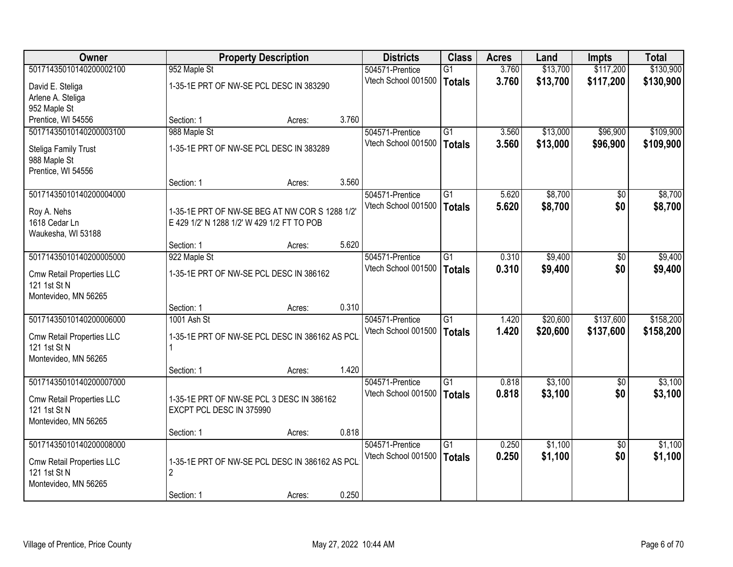| Owner                     |                          | <b>Property Description</b>                    |       | <b>Districts</b>                       | <b>Class</b>    | <b>Acres</b> | Land     | <b>Impts</b>    | <b>Total</b> |
|---------------------------|--------------------------|------------------------------------------------|-------|----------------------------------------|-----------------|--------------|----------|-----------------|--------------|
| 50171435010140200002100   | 952 Maple St             |                                                |       | 504571-Prentice                        | $\overline{G1}$ | 3.760        | \$13,700 | \$117,200       | \$130,900    |
| David E. Steliga          |                          | 1-35-1E PRT OF NW-SE PCL DESC IN 383290        |       | Vtech School 001500                    | <b>Totals</b>   | 3.760        | \$13,700 | \$117,200       | \$130,900    |
| Arlene A. Steliga         |                          |                                                |       |                                        |                 |              |          |                 |              |
| 952 Maple St              |                          |                                                |       |                                        |                 |              |          |                 |              |
| Prentice, WI 54556        | Section: 1               | Acres:                                         | 3.760 |                                        |                 |              |          |                 |              |
| 50171435010140200003100   | 988 Maple St             |                                                |       | 504571-Prentice                        | $\overline{G1}$ | 3.560        | \$13,000 | \$96,900        | \$109,900    |
| Steliga Family Trust      |                          | 1-35-1E PRT OF NW-SE PCL DESC IN 383289        |       | Vtech School 001500                    | <b>Totals</b>   | 3.560        | \$13,000 | \$96,900        | \$109,900    |
| 988 Maple St              |                          |                                                |       |                                        |                 |              |          |                 |              |
| Prentice, WI 54556        |                          |                                                |       |                                        |                 |              |          |                 |              |
|                           | Section: 1               | Acres:                                         | 3.560 |                                        |                 |              |          |                 |              |
| 50171435010140200004000   |                          |                                                |       | 504571-Prentice                        | G1              | 5.620        | \$8,700  | \$0             | \$8,700      |
| Roy A. Nehs               |                          | 1-35-1E PRT OF NW-SE BEG AT NW COR S 1288 1/2' |       | Vtech School 001500                    | <b>Totals</b>   | 5.620        | \$8,700  | \$0             | \$8,700      |
| 1618 Cedar Ln             |                          | E 429 1/2' N 1288 1/2' W 429 1/2 FT TO POB     |       |                                        |                 |              |          |                 |              |
| Waukesha, WI 53188        |                          |                                                |       |                                        |                 |              |          |                 |              |
|                           | Section: 1               | Acres:                                         | 5.620 |                                        |                 |              |          |                 |              |
| 50171435010140200005000   | 922 Maple St             |                                                |       | 504571-Prentice                        | $\overline{G1}$ | 0.310        | \$9,400  | \$0             | \$9,400      |
| Cmw Retail Properties LLC |                          | 1-35-1E PRT OF NW-SE PCL DESC IN 386162        |       | Vtech School 001500                    | <b>Totals</b>   | 0.310        | \$9,400  | \$0             | \$9,400      |
| 121 1st St N              |                          |                                                |       |                                        |                 |              |          |                 |              |
| Montevideo, MN 56265      |                          |                                                |       |                                        |                 |              |          |                 |              |
|                           | Section: 1               | Acres:                                         | 0.310 |                                        |                 |              |          |                 |              |
| 50171435010140200006000   | 1001 Ash St              |                                                |       | 504571-Prentice                        | $\overline{G1}$ | 1.420        | \$20,600 | \$137,600       | \$158,200    |
| Cmw Retail Properties LLC |                          | 1-35-1E PRT OF NW-SE PCL DESC IN 386162 AS PCL |       | Vtech School 001500                    | <b>Totals</b>   | 1.420        | \$20,600 | \$137,600       | \$158,200    |
| 121 1st St N              |                          |                                                |       |                                        |                 |              |          |                 |              |
| Montevideo, MN 56265      |                          |                                                |       |                                        |                 |              |          |                 |              |
|                           | Section: 1               | Acres:                                         | 1.420 |                                        |                 |              |          |                 |              |
| 50171435010140200007000   |                          |                                                |       | 504571-Prentice<br>Vtech School 001500 | $\overline{G1}$ | 0.818        | \$3,100  | $\sqrt{6}$      | \$3,100      |
| Cmw Retail Properties LLC |                          | 1-35-1E PRT OF NW-SE PCL 3 DESC IN 386162      |       |                                        | <b>Totals</b>   | 0.818        | \$3,100  | \$0             | \$3,100      |
| 121 1st St N              | EXCPT PCL DESC IN 375990 |                                                |       |                                        |                 |              |          |                 |              |
| Montevideo, MN 56265      |                          |                                                |       |                                        |                 |              |          |                 |              |
| 50171435010140200008000   | Section: 1               | Acres:                                         | 0.818 | 504571-Prentice                        | $\overline{G1}$ | 0.250        | \$1,100  | $\overline{30}$ | \$1,100      |
|                           |                          |                                                |       | Vtech School 001500                    | <b>Totals</b>   | 0.250        | \$1,100  | \$0             | \$1,100      |
| Cmw Retail Properties LLC |                          | 1-35-1E PRT OF NW-SE PCL DESC IN 386162 AS PCL |       |                                        |                 |              |          |                 |              |
| 121 1st St N              | $\overline{2}$           |                                                |       |                                        |                 |              |          |                 |              |
| Montevideo, MN 56265      |                          |                                                |       |                                        |                 |              |          |                 |              |
|                           | Section: 1               | Acres:                                         | 0.250 |                                        |                 |              |          |                 |              |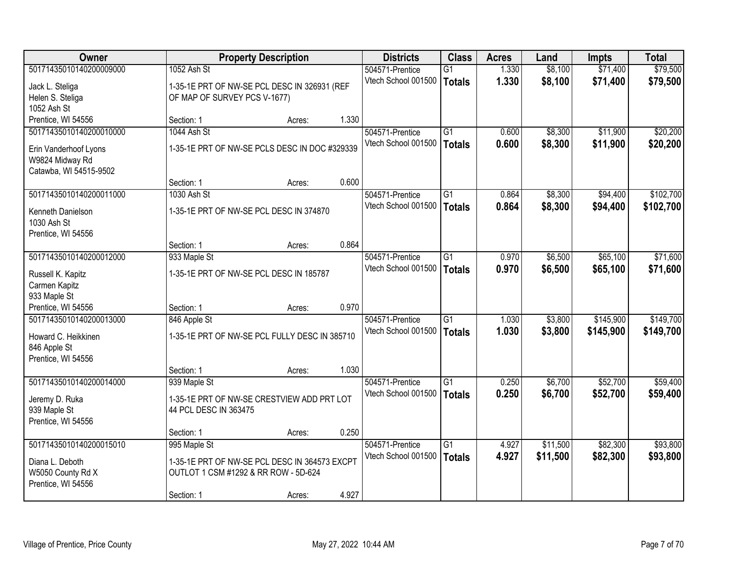| Owner                   |                                               | <b>Property Description</b> |       | <b>Districts</b>    | <b>Class</b>    | <b>Acres</b> | Land     | <b>Impts</b> | <b>Total</b> |
|-------------------------|-----------------------------------------------|-----------------------------|-------|---------------------|-----------------|--------------|----------|--------------|--------------|
| 50171435010140200009000 | 1052 Ash St                                   |                             |       | 504571-Prentice     | $\overline{G1}$ | 1.330        | \$8,100  | \$71,400     | \$79,500     |
| Jack L. Steliga         | 1-35-1E PRT OF NW-SE PCL DESC IN 326931 (REF  |                             |       | Vtech School 001500 | <b>Totals</b>   | 1.330        | \$8,100  | \$71,400     | \$79,500     |
| Helen S. Steliga        | OF MAP OF SURVEY PCS V-1677)                  |                             |       |                     |                 |              |          |              |              |
| 1052 Ash St             |                                               |                             |       |                     |                 |              |          |              |              |
| Prentice, WI 54556      | Section: 1                                    | Acres:                      | 1.330 |                     |                 |              |          |              |              |
| 50171435010140200010000 | 1044 Ash St                                   |                             |       | 504571-Prentice     | $\overline{G1}$ | 0.600        | \$8,300  | \$11,900     | \$20,200     |
| Erin Vanderhoof Lyons   | 1-35-1E PRT OF NW-SE PCLS DESC IN DOC #329339 |                             |       | Vtech School 001500 | <b>Totals</b>   | 0.600        | \$8,300  | \$11,900     | \$20,200     |
| W9824 Midway Rd         |                                               |                             |       |                     |                 |              |          |              |              |
| Catawba, WI 54515-9502  |                                               |                             |       |                     |                 |              |          |              |              |
|                         | Section: 1                                    | Acres:                      | 0.600 |                     |                 |              |          |              |              |
| 50171435010140200011000 | 1030 Ash St                                   |                             |       | 504571-Prentice     | G1              | 0.864        | \$8,300  | \$94,400     | \$102,700    |
| Kenneth Danielson       | 1-35-1E PRT OF NW-SE PCL DESC IN 374870       |                             |       | Vtech School 001500 | <b>Totals</b>   | 0.864        | \$8,300  | \$94,400     | \$102,700    |
| 1030 Ash St             |                                               |                             |       |                     |                 |              |          |              |              |
| Prentice, WI 54556      |                                               |                             |       |                     |                 |              |          |              |              |
|                         | Section: 1                                    | Acres:                      | 0.864 |                     |                 |              |          |              |              |
| 50171435010140200012000 | 933 Maple St                                  |                             |       | 504571-Prentice     | G1              | 0.970        | \$6,500  | \$65,100     | \$71,600     |
| Russell K. Kapitz       | 1-35-1E PRT OF NW-SE PCL DESC IN 185787       |                             |       | Vtech School 001500 | <b>Totals</b>   | 0.970        | \$6,500  | \$65,100     | \$71,600     |
| Carmen Kapitz           |                                               |                             |       |                     |                 |              |          |              |              |
| 933 Maple St            |                                               |                             |       |                     |                 |              |          |              |              |
| Prentice, WI 54556      | Section: 1                                    | Acres:                      | 0.970 |                     |                 |              |          |              |              |
| 50171435010140200013000 | 846 Apple St                                  |                             |       | 504571-Prentice     | $\overline{G1}$ | 1.030        | \$3,800  | \$145,900    | \$149,700    |
| Howard C. Heikkinen     | 1-35-1E PRT OF NW-SE PCL FULLY DESC IN 385710 |                             |       | Vtech School 001500 | <b>Totals</b>   | 1.030        | \$3,800  | \$145,900    | \$149,700    |
| 846 Apple St            |                                               |                             |       |                     |                 |              |          |              |              |
| Prentice, WI 54556      |                                               |                             |       |                     |                 |              |          |              |              |
|                         | Section: 1                                    | Acres:                      | 1.030 |                     |                 |              |          |              |              |
| 50171435010140200014000 | 939 Maple St                                  |                             |       | 504571-Prentice     | $\overline{G1}$ | 0.250        | \$6,700  | \$52,700     | \$59,400     |
| Jeremy D. Ruka          | 1-35-1E PRT OF NW-SE CRESTVIEW ADD PRT LOT    |                             |       | Vtech School 001500 | <b>Totals</b>   | 0.250        | \$6,700  | \$52,700     | \$59,400     |
| 939 Maple St            | 44 PCL DESC IN 363475                         |                             |       |                     |                 |              |          |              |              |
| Prentice, WI 54556      |                                               |                             |       |                     |                 |              |          |              |              |
|                         | Section: 1                                    | Acres:                      | 0.250 |                     |                 |              |          |              |              |
| 50171435010140200015010 | 995 Maple St                                  |                             |       | 504571-Prentice     | $\overline{G1}$ | 4.927        | \$11,500 | \$82,300     | \$93,800     |
| Diana L. Deboth         | 1-35-1E PRT OF NW-SE PCL DESC IN 364573 EXCPT |                             |       | Vtech School 001500 | <b>Totals</b>   | 4.927        | \$11,500 | \$82,300     | \$93,800     |
| W5050 County Rd X       | OUTLOT 1 CSM #1292 & RR ROW - 5D-624          |                             |       |                     |                 |              |          |              |              |
| Prentice, WI 54556      |                                               |                             |       |                     |                 |              |          |              |              |
|                         | Section: 1                                    | Acres:                      | 4.927 |                     |                 |              |          |              |              |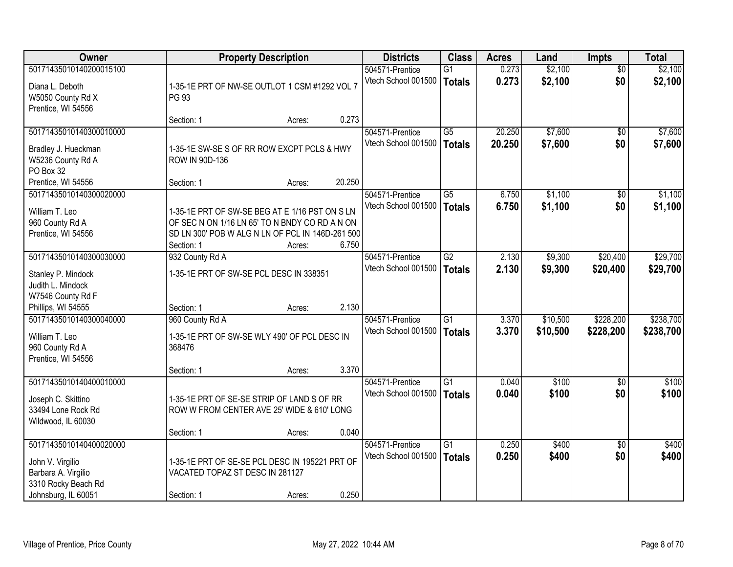| Owner                                                                                                            |                                                                                                                                                                    | <b>Property Description</b> |        | <b>Districts</b>                       | <b>Class</b>                     | <b>Acres</b>     | Land               | Impts                  | <b>Total</b>       |
|------------------------------------------------------------------------------------------------------------------|--------------------------------------------------------------------------------------------------------------------------------------------------------------------|-----------------------------|--------|----------------------------------------|----------------------------------|------------------|--------------------|------------------------|--------------------|
| 50171435010140200015100<br>Diana L. Deboth<br>W5050 County Rd X<br>Prentice, WI 54556                            | 1-35-1E PRT OF NW-SE OUTLOT 1 CSM #1292 VOL 7<br><b>PG 93</b>                                                                                                      |                             |        | 504571-Prentice<br>Vtech School 001500 | G1<br><b>Totals</b>              | 0.273<br>0.273   | \$2,100<br>\$2,100 | $\overline{50}$<br>\$0 | \$2,100<br>\$2,100 |
|                                                                                                                  | Section: 1                                                                                                                                                         | Acres:                      | 0.273  |                                        |                                  |                  |                    |                        |                    |
| 50171435010140300010000<br>Bradley J. Hueckman<br>W5236 County Rd A<br>PO Box 32                                 | 1-35-1E SW-SE S OF RR ROW EXCPT PCLS & HWY<br>ROW IN 90D-136                                                                                                       |                             |        | 504571-Prentice<br>Vtech School 001500 | $\overline{G5}$<br><b>Totals</b> | 20.250<br>20.250 | \$7,600<br>\$7,600 | \$0<br>\$0             | \$7,600<br>\$7,600 |
| Prentice, WI 54556<br>50171435010140300020000                                                                    | Section: 1                                                                                                                                                         | Acres:                      | 20.250 | 504571-Prentice                        | G5                               | 6.750            | \$1,100            | \$0                    | \$1,100            |
| William T. Leo<br>960 County Rd A<br>Prentice, WI 54556                                                          | 1-35-1E PRT OF SW-SE BEG AT E 1/16 PST ON S LN<br>OF SEC N ON 1/16 LN 65' TO N BNDY CO RD A N ON<br>SD LN 300' POB W ALG N LN OF PCL IN 146D-261 500<br>Section: 1 | Acres:                      | 6.750  | Vtech School 001500                    | <b>Totals</b>                    | 6.750            | \$1,100            | \$0                    | \$1,100            |
| 50171435010140300030000                                                                                          | 932 County Rd A                                                                                                                                                    |                             |        | 504571-Prentice                        | $\overline{G2}$                  | 2.130            | \$9,300            | \$20,400               | \$29,700           |
| Stanley P. Mindock<br>Judith L. Mindock<br>W7546 County Rd F<br>Phillips, WI 54555                               | 1-35-1E PRT OF SW-SE PCL DESC IN 338351<br>Section: 1                                                                                                              | Acres:                      | 2.130  | Vtech School 001500                    | <b>Totals</b>                    | 2.130            | \$9,300            | \$20,400               | \$29,700           |
| 50171435010140300040000                                                                                          | 960 County Rd A                                                                                                                                                    |                             |        | 504571-Prentice                        | $\overline{G1}$                  | 3.370            | \$10,500           | \$228,200              | \$238,700          |
| William T. Leo<br>960 County Rd A<br>Prentice, WI 54556                                                          | 1-35-1E PRT OF SW-SE WLY 490' OF PCL DESC IN<br>368476                                                                                                             |                             | 3.370  | Vtech School 001500                    | <b>Totals</b>                    | 3.370            | \$10,500           | \$228,200              | \$238,700          |
| 50171435010140400010000                                                                                          | Section: 1                                                                                                                                                         | Acres:                      |        | 504571-Prentice                        | $\overline{G1}$                  | 0.040            | \$100              | $\overline{50}$        | \$100              |
| Joseph C. Skittino<br>33494 Lone Rock Rd<br>Wildwood, IL 60030                                                   | 1-35-1E PRT OF SE-SE STRIP OF LAND S OF RR<br>ROW W FROM CENTER AVE 25' WIDE & 610' LONG                                                                           |                             |        | Vtech School 001500                    | <b>Totals</b>                    | 0.040            | \$100              | \$0                    | \$100              |
|                                                                                                                  | Section: 1                                                                                                                                                         | Acres:                      | 0.040  |                                        |                                  |                  |                    |                        |                    |
| 50171435010140400020000<br>John V. Virgilio<br>Barbara A. Virgilio<br>3310 Rocky Beach Rd<br>Johnsburg, IL 60051 | 1-35-1E PRT OF SE-SE PCL DESC IN 195221 PRT OF<br>VACATED TOPAZ ST DESC IN 281127<br>Section: 1                                                                    | Acres:                      | 0.250  | 504571-Prentice<br>Vtech School 001500 | $\overline{G1}$<br><b>Totals</b> | 0.250<br>0.250   | \$400<br>\$400     | $\overline{50}$<br>\$0 | \$400<br>\$400     |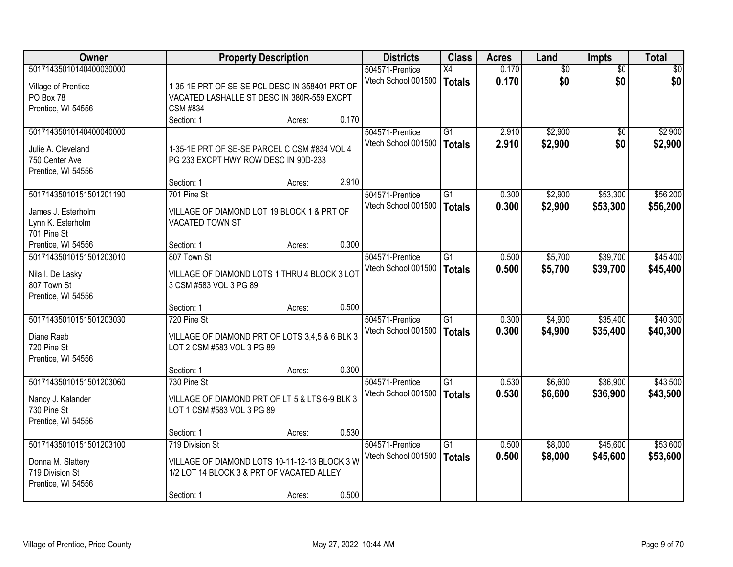| <b>Owner</b>                            |                                                | <b>Property Description</b> |       | <b>Districts</b>    | <b>Class</b>    | <b>Acres</b> | Land            | <b>Impts</b>    | <b>Total</b> |
|-----------------------------------------|------------------------------------------------|-----------------------------|-------|---------------------|-----------------|--------------|-----------------|-----------------|--------------|
| 50171435010140400030000                 |                                                |                             |       | 504571-Prentice     | X4              | 0.170        | $\overline{50}$ | $\overline{50}$ | $\sqrt{30}$  |
| Village of Prentice                     | 1-35-1E PRT OF SE-SE PCL DESC IN 358401 PRT OF |                             |       | Vtech School 001500 | Totals          | 0.170        | \$0             | \$0             | \$0          |
| PO Box 78                               | VACATED LASHALLE ST DESC IN 380R-559 EXCPT     |                             |       |                     |                 |              |                 |                 |              |
| Prentice, WI 54556                      | <b>CSM #834</b>                                |                             |       |                     |                 |              |                 |                 |              |
|                                         | Section: 1                                     | Acres:                      | 0.170 |                     |                 |              |                 |                 |              |
| 50171435010140400040000                 |                                                |                             |       | 504571-Prentice     | $\overline{G1}$ | 2.910        | \$2,900         | $\overline{50}$ | \$2,900      |
| Julie A. Cleveland                      | 1-35-1E PRT OF SE-SE PARCEL C CSM #834 VOL 4   |                             |       | Vtech School 001500 | Totals          | 2.910        | \$2,900         | \$0             | \$2,900      |
| 750 Center Ave                          | PG 233 EXCPT HWY ROW DESC IN 90D-233           |                             |       |                     |                 |              |                 |                 |              |
| Prentice, WI 54556                      |                                                |                             |       |                     |                 |              |                 |                 |              |
|                                         | Section: 1                                     | Acres:                      | 2.910 |                     |                 |              |                 |                 |              |
| 50171435010151501201190                 | 701 Pine St                                    |                             |       | 504571-Prentice     | G1              | 0.300        | \$2,900         | \$53,300        | \$56,200     |
|                                         | VILLAGE OF DIAMOND LOT 19 BLOCK 1 & PRT OF     |                             |       | Vtech School 001500 | <b>Totals</b>   | 0.300        | \$2,900         | \$53,300        | \$56,200     |
| James J. Esterholm<br>Lynn K. Esterholm | VACATED TOWN ST                                |                             |       |                     |                 |              |                 |                 |              |
| 701 Pine St                             |                                                |                             |       |                     |                 |              |                 |                 |              |
| Prentice, WI 54556                      | Section: 1                                     | Acres:                      | 0.300 |                     |                 |              |                 |                 |              |
| 50171435010151501203010                 | 807 Town St                                    |                             |       | 504571-Prentice     | G1              | 0.500        | \$5,700         | \$39,700        | \$45,400     |
|                                         |                                                |                             |       | Vtech School 001500 | Totals          | 0.500        | \$5,700         | \$39,700        | \$45,400     |
| Nila I. De Lasky                        | VILLAGE OF DIAMOND LOTS 1 THRU 4 BLOCK 3 LOT   |                             |       |                     |                 |              |                 |                 |              |
| 807 Town St                             | 3 CSM #583 VOL 3 PG 89                         |                             |       |                     |                 |              |                 |                 |              |
| Prentice, WI 54556                      | Section: 1                                     | Acres:                      | 0.500 |                     |                 |              |                 |                 |              |
| 50171435010151501203030                 | 720 Pine St                                    |                             |       | 504571-Prentice     | $\overline{G1}$ | 0.300        | \$4,900         | \$35,400        | \$40,300     |
|                                         |                                                |                             |       | Vtech School 001500 | Totals          | 0.300        | \$4,900         | \$35,400        | \$40,300     |
| Diane Raab                              | VILLAGE OF DIAMOND PRT OF LOTS 3,4,5 & 6 BLK 3 |                             |       |                     |                 |              |                 |                 |              |
| 720 Pine St                             | LOT 2 CSM #583 VOL 3 PG 89                     |                             |       |                     |                 |              |                 |                 |              |
| Prentice, WI 54556                      |                                                |                             |       |                     |                 |              |                 |                 |              |
|                                         | Section: 1                                     | Acres:                      | 0.300 |                     |                 |              |                 |                 |              |
| 50171435010151501203060                 | 730 Pine St                                    |                             |       | 504571-Prentice     | $\overline{G1}$ | 0.530        | \$6,600         | \$36,900        | \$43,500     |
| Nancy J. Kalander                       | VILLAGE OF DIAMOND PRT OF LT 5 & LTS 6-9 BLK 3 |                             |       | Vtech School 001500 | Totals          | 0.530        | \$6,600         | \$36,900        | \$43,500     |
| 730 Pine St                             | LOT 1 CSM #583 VOL 3 PG 89                     |                             |       |                     |                 |              |                 |                 |              |
| Prentice, WI 54556                      |                                                |                             |       |                     |                 |              |                 |                 |              |
|                                         | Section: 1                                     | Acres:                      | 0.530 |                     |                 |              |                 |                 |              |
| 50171435010151501203100                 | 719 Division St                                |                             |       | 504571-Prentice     | G1              | 0.500        | \$8,000         | \$45,600        | \$53,600     |
| Donna M. Slattery                       | VILLAGE OF DIAMOND LOTS 10-11-12-13 BLOCK 3 W  |                             |       | Vtech School 001500 | Totals          | 0.500        | \$8,000         | \$45,600        | \$53,600     |
| 719 Division St                         | 1/2 LOT 14 BLOCK 3 & PRT OF VACATED ALLEY      |                             |       |                     |                 |              |                 |                 |              |
| Prentice, WI 54556                      |                                                |                             |       |                     |                 |              |                 |                 |              |
|                                         | Section: 1                                     | Acres:                      | 0.500 |                     |                 |              |                 |                 |              |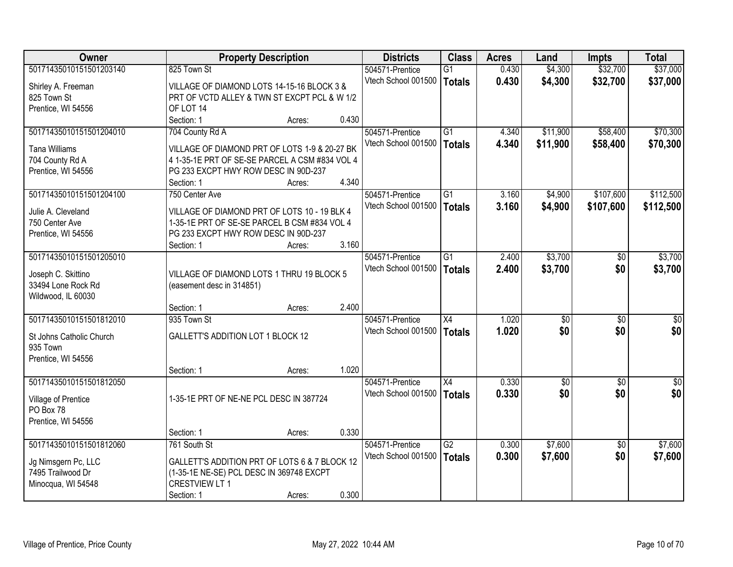| 50171435010151501203140<br>\$32,700<br>\$37,000<br>825 Town St<br>0.430<br>\$4,300<br>504571-Prentice<br>$\overline{G1}$<br>Vtech School 001500<br>0.430<br>\$4,300<br>\$32,700<br>\$37,000<br><b>Totals</b><br>Shirley A. Freeman<br>VILLAGE OF DIAMOND LOTS 14-15-16 BLOCK 3 &<br>PRT OF VCTD ALLEY & TWN ST EXCPT PCL & W 1/2<br>825 Town St<br>Prentice, WI 54556<br>OF LOT 14<br>0.430<br>Section: 1<br>Acres:<br>704 County Rd A<br>\$58,400<br>\$70,300<br>50171435010151501204010<br>504571-Prentice<br>G1<br>4.340<br>\$11,900<br>4.340<br>\$11,900<br>Vtech School 001500<br>\$58,400<br>\$70,300<br><b>Totals</b><br>VILLAGE OF DIAMOND PRT OF LOTS 1-9 & 20-27 BK<br><b>Tana Williams</b><br>704 County Rd A<br>4 1-35-1E PRT OF SE-SE PARCEL A CSM #834 VOL 4<br>PG 233 EXCPT HWY ROW DESC IN 90D-237<br>Prentice, WI 54556<br>4.340<br>Section: 1<br>Acres:<br>50171435010151501204100<br>$\overline{G1}$<br>\$4,900<br>\$107,600<br>\$112,500<br>504571-Prentice<br>3.160<br>750 Center Ave<br>Vtech School 001500<br>3.160<br>\$4,900<br>\$107,600<br>\$112,500<br><b>Totals</b><br>Julie A. Cleveland<br>VILLAGE OF DIAMOND PRT OF LOTS 10 - 19 BLK 4<br>1-35-1E PRT OF SE-SE PARCEL B CSM #834 VOL 4<br>750 Center Ave<br>PG 233 EXCPT HWY ROW DESC IN 90D-237<br>Prentice, WI 54556<br>3.160<br>Section: 1<br>Acres:<br>50171435010151501205010<br>\$3,700<br>$\overline{G1}$<br>2.400<br>504571-Prentice<br>\$0<br>2.400<br>Vtech School 001500<br>\$3,700<br>\$0<br><b>Totals</b><br>Joseph C. Skittino<br>VILLAGE OF DIAMOND LOTS 1 THRU 19 BLOCK 5<br>33494 Lone Rock Rd<br>(easement desc in 314851)<br>Wildwood, IL 60030<br>2.400<br>Section: 1<br>Acres:<br>50171435010151501812010<br>935 Town St<br>X4<br>1.020<br>\$0<br>$\overline{60}$<br>504571-Prentice<br>\$0<br>\$0<br>1.020<br>\$0<br>Vtech School 001500<br><b>Totals</b><br><b>GALLETT'S ADDITION LOT 1 BLOCK 12</b><br>St Johns Catholic Church<br>935 Town<br>Prentice, WI 54556<br>1.020<br>Section: 1<br>Acres:<br>50171435010151501812050<br>$\overline{X4}$<br>0.330<br>$\overline{50}$<br>504571-Prentice<br>$\overline{50}$<br>\$0<br>Vtech School 001500<br>0.330<br>\$0<br><b>Totals</b><br>1-35-1E PRT OF NE-NE PCL DESC IN 387724<br>Village of Prentice<br>PO Box 78<br>Prentice, WI 54556<br>0.330<br>Section: 1<br>Acres:<br>50171435010151501812060<br>$\overline{G2}$<br>\$7,600<br>761 South St<br>0.300<br>$\overline{30}$<br>504571-Prentice<br>Vtech School 001500<br>0.300<br>\$7,600<br>\$0<br><b>Totals</b><br>GALLETT'S ADDITION PRT OF LOTS 6 & 7 BLOCK 12<br>Jg Nimsgern Pc, LLC<br>7495 Trailwood Dr<br>(1-35-1E NE-SE) PCL DESC IN 369748 EXCPT<br><b>CRESTVIEW LT 1</b><br>Minocqua, WI 54548 | Owner |            | <b>Property Description</b> |       | <b>Districts</b> | <b>Class</b> | <b>Acres</b> | Land | <b>Impts</b> | <b>Total</b> |
|--------------------------------------------------------------------------------------------------------------------------------------------------------------------------------------------------------------------------------------------------------------------------------------------------------------------------------------------------------------------------------------------------------------------------------------------------------------------------------------------------------------------------------------------------------------------------------------------------------------------------------------------------------------------------------------------------------------------------------------------------------------------------------------------------------------------------------------------------------------------------------------------------------------------------------------------------------------------------------------------------------------------------------------------------------------------------------------------------------------------------------------------------------------------------------------------------------------------------------------------------------------------------------------------------------------------------------------------------------------------------------------------------------------------------------------------------------------------------------------------------------------------------------------------------------------------------------------------------------------------------------------------------------------------------------------------------------------------------------------------------------------------------------------------------------------------------------------------------------------------------------------------------------------------------------------------------------------------------------------------------------------------------------------------------------------------------------------------------------------------------------------------------------------------------------------------------------------------------------------------------------------------------------------------------------------------------------------------------------------------------------------------------------------------------------------------------------------------------------------------------------------------------------------------------------------------------------------------------------------------------------------------------------------------------------------------------------------------|-------|------------|-----------------------------|-------|------------------|--------------|--------------|------|--------------|--------------|
|                                                                                                                                                                                                                                                                                                                                                                                                                                                                                                                                                                                                                                                                                                                                                                                                                                                                                                                                                                                                                                                                                                                                                                                                                                                                                                                                                                                                                                                                                                                                                                                                                                                                                                                                                                                                                                                                                                                                                                                                                                                                                                                                                                                                                                                                                                                                                                                                                                                                                                                                                                                                                                                                                                                    |       |            |                             |       |                  |              |              |      |              |              |
|                                                                                                                                                                                                                                                                                                                                                                                                                                                                                                                                                                                                                                                                                                                                                                                                                                                                                                                                                                                                                                                                                                                                                                                                                                                                                                                                                                                                                                                                                                                                                                                                                                                                                                                                                                                                                                                                                                                                                                                                                                                                                                                                                                                                                                                                                                                                                                                                                                                                                                                                                                                                                                                                                                                    |       |            |                             |       |                  |              |              |      |              |              |
|                                                                                                                                                                                                                                                                                                                                                                                                                                                                                                                                                                                                                                                                                                                                                                                                                                                                                                                                                                                                                                                                                                                                                                                                                                                                                                                                                                                                                                                                                                                                                                                                                                                                                                                                                                                                                                                                                                                                                                                                                                                                                                                                                                                                                                                                                                                                                                                                                                                                                                                                                                                                                                                                                                                    |       |            |                             |       |                  |              |              |      |              |              |
|                                                                                                                                                                                                                                                                                                                                                                                                                                                                                                                                                                                                                                                                                                                                                                                                                                                                                                                                                                                                                                                                                                                                                                                                                                                                                                                                                                                                                                                                                                                                                                                                                                                                                                                                                                                                                                                                                                                                                                                                                                                                                                                                                                                                                                                                                                                                                                                                                                                                                                                                                                                                                                                                                                                    |       |            |                             |       |                  |              |              |      |              |              |
|                                                                                                                                                                                                                                                                                                                                                                                                                                                                                                                                                                                                                                                                                                                                                                                                                                                                                                                                                                                                                                                                                                                                                                                                                                                                                                                                                                                                                                                                                                                                                                                                                                                                                                                                                                                                                                                                                                                                                                                                                                                                                                                                                                                                                                                                                                                                                                                                                                                                                                                                                                                                                                                                                                                    |       |            |                             |       |                  |              |              |      |              |              |
|                                                                                                                                                                                                                                                                                                                                                                                                                                                                                                                                                                                                                                                                                                                                                                                                                                                                                                                                                                                                                                                                                                                                                                                                                                                                                                                                                                                                                                                                                                                                                                                                                                                                                                                                                                                                                                                                                                                                                                                                                                                                                                                                                                                                                                                                                                                                                                                                                                                                                                                                                                                                                                                                                                                    |       |            |                             |       |                  |              |              |      |              |              |
|                                                                                                                                                                                                                                                                                                                                                                                                                                                                                                                                                                                                                                                                                                                                                                                                                                                                                                                                                                                                                                                                                                                                                                                                                                                                                                                                                                                                                                                                                                                                                                                                                                                                                                                                                                                                                                                                                                                                                                                                                                                                                                                                                                                                                                                                                                                                                                                                                                                                                                                                                                                                                                                                                                                    |       |            |                             |       |                  |              |              |      |              |              |
|                                                                                                                                                                                                                                                                                                                                                                                                                                                                                                                                                                                                                                                                                                                                                                                                                                                                                                                                                                                                                                                                                                                                                                                                                                                                                                                                                                                                                                                                                                                                                                                                                                                                                                                                                                                                                                                                                                                                                                                                                                                                                                                                                                                                                                                                                                                                                                                                                                                                                                                                                                                                                                                                                                                    |       |            |                             |       |                  |              |              |      |              |              |
|                                                                                                                                                                                                                                                                                                                                                                                                                                                                                                                                                                                                                                                                                                                                                                                                                                                                                                                                                                                                                                                                                                                                                                                                                                                                                                                                                                                                                                                                                                                                                                                                                                                                                                                                                                                                                                                                                                                                                                                                                                                                                                                                                                                                                                                                                                                                                                                                                                                                                                                                                                                                                                                                                                                    |       |            |                             |       |                  |              |              |      |              |              |
|                                                                                                                                                                                                                                                                                                                                                                                                                                                                                                                                                                                                                                                                                                                                                                                                                                                                                                                                                                                                                                                                                                                                                                                                                                                                                                                                                                                                                                                                                                                                                                                                                                                                                                                                                                                                                                                                                                                                                                                                                                                                                                                                                                                                                                                                                                                                                                                                                                                                                                                                                                                                                                                                                                                    |       |            |                             |       |                  |              |              |      |              |              |
|                                                                                                                                                                                                                                                                                                                                                                                                                                                                                                                                                                                                                                                                                                                                                                                                                                                                                                                                                                                                                                                                                                                                                                                                                                                                                                                                                                                                                                                                                                                                                                                                                                                                                                                                                                                                                                                                                                                                                                                                                                                                                                                                                                                                                                                                                                                                                                                                                                                                                                                                                                                                                                                                                                                    |       |            |                             |       |                  |              |              |      |              |              |
|                                                                                                                                                                                                                                                                                                                                                                                                                                                                                                                                                                                                                                                                                                                                                                                                                                                                                                                                                                                                                                                                                                                                                                                                                                                                                                                                                                                                                                                                                                                                                                                                                                                                                                                                                                                                                                                                                                                                                                                                                                                                                                                                                                                                                                                                                                                                                                                                                                                                                                                                                                                                                                                                                                                    |       |            |                             |       |                  |              |              |      |              |              |
|                                                                                                                                                                                                                                                                                                                                                                                                                                                                                                                                                                                                                                                                                                                                                                                                                                                                                                                                                                                                                                                                                                                                                                                                                                                                                                                                                                                                                                                                                                                                                                                                                                                                                                                                                                                                                                                                                                                                                                                                                                                                                                                                                                                                                                                                                                                                                                                                                                                                                                                                                                                                                                                                                                                    |       |            |                             |       |                  |              |              |      |              |              |
|                                                                                                                                                                                                                                                                                                                                                                                                                                                                                                                                                                                                                                                                                                                                                                                                                                                                                                                                                                                                                                                                                                                                                                                                                                                                                                                                                                                                                                                                                                                                                                                                                                                                                                                                                                                                                                                                                                                                                                                                                                                                                                                                                                                                                                                                                                                                                                                                                                                                                                                                                                                                                                                                                                                    |       |            |                             |       |                  |              |              |      |              |              |
| \$3,700<br>\$3,700                                                                                                                                                                                                                                                                                                                                                                                                                                                                                                                                                                                                                                                                                                                                                                                                                                                                                                                                                                                                                                                                                                                                                                                                                                                                                                                                                                                                                                                                                                                                                                                                                                                                                                                                                                                                                                                                                                                                                                                                                                                                                                                                                                                                                                                                                                                                                                                                                                                                                                                                                                                                                                                                                                 |       |            |                             |       |                  |              |              |      |              |              |
|                                                                                                                                                                                                                                                                                                                                                                                                                                                                                                                                                                                                                                                                                                                                                                                                                                                                                                                                                                                                                                                                                                                                                                                                                                                                                                                                                                                                                                                                                                                                                                                                                                                                                                                                                                                                                                                                                                                                                                                                                                                                                                                                                                                                                                                                                                                                                                                                                                                                                                                                                                                                                                                                                                                    |       |            |                             |       |                  |              |              |      |              |              |
|                                                                                                                                                                                                                                                                                                                                                                                                                                                                                                                                                                                                                                                                                                                                                                                                                                                                                                                                                                                                                                                                                                                                                                                                                                                                                                                                                                                                                                                                                                                                                                                                                                                                                                                                                                                                                                                                                                                                                                                                                                                                                                                                                                                                                                                                                                                                                                                                                                                                                                                                                                                                                                                                                                                    |       |            |                             |       |                  |              |              |      |              |              |
|                                                                                                                                                                                                                                                                                                                                                                                                                                                                                                                                                                                                                                                                                                                                                                                                                                                                                                                                                                                                                                                                                                                                                                                                                                                                                                                                                                                                                                                                                                                                                                                                                                                                                                                                                                                                                                                                                                                                                                                                                                                                                                                                                                                                                                                                                                                                                                                                                                                                                                                                                                                                                                                                                                                    |       |            |                             |       |                  |              |              |      |              |              |
|                                                                                                                                                                                                                                                                                                                                                                                                                                                                                                                                                                                                                                                                                                                                                                                                                                                                                                                                                                                                                                                                                                                                                                                                                                                                                                                                                                                                                                                                                                                                                                                                                                                                                                                                                                                                                                                                                                                                                                                                                                                                                                                                                                                                                                                                                                                                                                                                                                                                                                                                                                                                                                                                                                                    |       |            |                             |       |                  |              |              |      |              |              |
| \$0<br>\$0<br>\$0<br>\$7,600<br>\$7,600                                                                                                                                                                                                                                                                                                                                                                                                                                                                                                                                                                                                                                                                                                                                                                                                                                                                                                                                                                                                                                                                                                                                                                                                                                                                                                                                                                                                                                                                                                                                                                                                                                                                                                                                                                                                                                                                                                                                                                                                                                                                                                                                                                                                                                                                                                                                                                                                                                                                                                                                                                                                                                                                            |       |            |                             |       |                  |              |              |      |              |              |
|                                                                                                                                                                                                                                                                                                                                                                                                                                                                                                                                                                                                                                                                                                                                                                                                                                                                                                                                                                                                                                                                                                                                                                                                                                                                                                                                                                                                                                                                                                                                                                                                                                                                                                                                                                                                                                                                                                                                                                                                                                                                                                                                                                                                                                                                                                                                                                                                                                                                                                                                                                                                                                                                                                                    |       |            |                             |       |                  |              |              |      |              |              |
|                                                                                                                                                                                                                                                                                                                                                                                                                                                                                                                                                                                                                                                                                                                                                                                                                                                                                                                                                                                                                                                                                                                                                                                                                                                                                                                                                                                                                                                                                                                                                                                                                                                                                                                                                                                                                                                                                                                                                                                                                                                                                                                                                                                                                                                                                                                                                                                                                                                                                                                                                                                                                                                                                                                    |       |            |                             |       |                  |              |              |      |              |              |
|                                                                                                                                                                                                                                                                                                                                                                                                                                                                                                                                                                                                                                                                                                                                                                                                                                                                                                                                                                                                                                                                                                                                                                                                                                                                                                                                                                                                                                                                                                                                                                                                                                                                                                                                                                                                                                                                                                                                                                                                                                                                                                                                                                                                                                                                                                                                                                                                                                                                                                                                                                                                                                                                                                                    |       |            |                             |       |                  |              |              |      |              |              |
|                                                                                                                                                                                                                                                                                                                                                                                                                                                                                                                                                                                                                                                                                                                                                                                                                                                                                                                                                                                                                                                                                                                                                                                                                                                                                                                                                                                                                                                                                                                                                                                                                                                                                                                                                                                                                                                                                                                                                                                                                                                                                                                                                                                                                                                                                                                                                                                                                                                                                                                                                                                                                                                                                                                    |       |            |                             |       |                  |              |              |      |              |              |
|                                                                                                                                                                                                                                                                                                                                                                                                                                                                                                                                                                                                                                                                                                                                                                                                                                                                                                                                                                                                                                                                                                                                                                                                                                                                                                                                                                                                                                                                                                                                                                                                                                                                                                                                                                                                                                                                                                                                                                                                                                                                                                                                                                                                                                                                                                                                                                                                                                                                                                                                                                                                                                                                                                                    |       |            |                             |       |                  |              |              |      |              |              |
|                                                                                                                                                                                                                                                                                                                                                                                                                                                                                                                                                                                                                                                                                                                                                                                                                                                                                                                                                                                                                                                                                                                                                                                                                                                                                                                                                                                                                                                                                                                                                                                                                                                                                                                                                                                                                                                                                                                                                                                                                                                                                                                                                                                                                                                                                                                                                                                                                                                                                                                                                                                                                                                                                                                    |       |            |                             |       |                  |              |              |      |              |              |
|                                                                                                                                                                                                                                                                                                                                                                                                                                                                                                                                                                                                                                                                                                                                                                                                                                                                                                                                                                                                                                                                                                                                                                                                                                                                                                                                                                                                                                                                                                                                                                                                                                                                                                                                                                                                                                                                                                                                                                                                                                                                                                                                                                                                                                                                                                                                                                                                                                                                                                                                                                                                                                                                                                                    |       |            |                             |       |                  |              |              |      |              |              |
|                                                                                                                                                                                                                                                                                                                                                                                                                                                                                                                                                                                                                                                                                                                                                                                                                                                                                                                                                                                                                                                                                                                                                                                                                                                                                                                                                                                                                                                                                                                                                                                                                                                                                                                                                                                                                                                                                                                                                                                                                                                                                                                                                                                                                                                                                                                                                                                                                                                                                                                                                                                                                                                                                                                    |       |            |                             |       |                  |              |              |      |              |              |
|                                                                                                                                                                                                                                                                                                                                                                                                                                                                                                                                                                                                                                                                                                                                                                                                                                                                                                                                                                                                                                                                                                                                                                                                                                                                                                                                                                                                                                                                                                                                                                                                                                                                                                                                                                                                                                                                                                                                                                                                                                                                                                                                                                                                                                                                                                                                                                                                                                                                                                                                                                                                                                                                                                                    |       |            |                             |       |                  |              |              |      |              |              |
|                                                                                                                                                                                                                                                                                                                                                                                                                                                                                                                                                                                                                                                                                                                                                                                                                                                                                                                                                                                                                                                                                                                                                                                                                                                                                                                                                                                                                                                                                                                                                                                                                                                                                                                                                                                                                                                                                                                                                                                                                                                                                                                                                                                                                                                                                                                                                                                                                                                                                                                                                                                                                                                                                                                    |       |            |                             |       |                  |              |              |      |              |              |
|                                                                                                                                                                                                                                                                                                                                                                                                                                                                                                                                                                                                                                                                                                                                                                                                                                                                                                                                                                                                                                                                                                                                                                                                                                                                                                                                                                                                                                                                                                                                                                                                                                                                                                                                                                                                                                                                                                                                                                                                                                                                                                                                                                                                                                                                                                                                                                                                                                                                                                                                                                                                                                                                                                                    |       |            |                             |       |                  |              |              |      |              |              |
|                                                                                                                                                                                                                                                                                                                                                                                                                                                                                                                                                                                                                                                                                                                                                                                                                                                                                                                                                                                                                                                                                                                                                                                                                                                                                                                                                                                                                                                                                                                                                                                                                                                                                                                                                                                                                                                                                                                                                                                                                                                                                                                                                                                                                                                                                                                                                                                                                                                                                                                                                                                                                                                                                                                    |       |            |                             |       |                  |              |              |      |              |              |
|                                                                                                                                                                                                                                                                                                                                                                                                                                                                                                                                                                                                                                                                                                                                                                                                                                                                                                                                                                                                                                                                                                                                                                                                                                                                                                                                                                                                                                                                                                                                                                                                                                                                                                                                                                                                                                                                                                                                                                                                                                                                                                                                                                                                                                                                                                                                                                                                                                                                                                                                                                                                                                                                                                                    |       |            |                             |       |                  |              |              |      |              |              |
|                                                                                                                                                                                                                                                                                                                                                                                                                                                                                                                                                                                                                                                                                                                                                                                                                                                                                                                                                                                                                                                                                                                                                                                                                                                                                                                                                                                                                                                                                                                                                                                                                                                                                                                                                                                                                                                                                                                                                                                                                                                                                                                                                                                                                                                                                                                                                                                                                                                                                                                                                                                                                                                                                                                    |       |            |                             |       |                  |              |              |      |              |              |
|                                                                                                                                                                                                                                                                                                                                                                                                                                                                                                                                                                                                                                                                                                                                                                                                                                                                                                                                                                                                                                                                                                                                                                                                                                                                                                                                                                                                                                                                                                                                                                                                                                                                                                                                                                                                                                                                                                                                                                                                                                                                                                                                                                                                                                                                                                                                                                                                                                                                                                                                                                                                                                                                                                                    |       |            |                             |       |                  |              |              |      |              |              |
|                                                                                                                                                                                                                                                                                                                                                                                                                                                                                                                                                                                                                                                                                                                                                                                                                                                                                                                                                                                                                                                                                                                                                                                                                                                                                                                                                                                                                                                                                                                                                                                                                                                                                                                                                                                                                                                                                                                                                                                                                                                                                                                                                                                                                                                                                                                                                                                                                                                                                                                                                                                                                                                                                                                    |       | Section: 1 | Acres:                      | 0.300 |                  |              |              |      |              |              |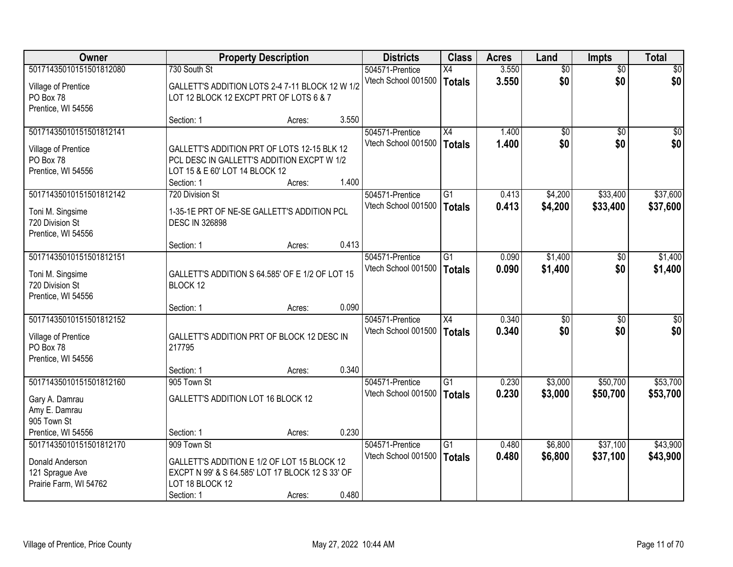| <b>Owner</b>            |                                                                     | <b>Property Description</b> |       | <b>Districts</b>                       | <b>Class</b>    | <b>Acres</b> | Land            | <b>Impts</b>    | <b>Total</b>    |
|-------------------------|---------------------------------------------------------------------|-----------------------------|-------|----------------------------------------|-----------------|--------------|-----------------|-----------------|-----------------|
| 50171435010151501812080 | 730 South St                                                        |                             |       | 504571-Prentice                        | X4              | 3.550        | $\overline{50}$ | $\overline{50}$ | $\sqrt{30}$     |
| Village of Prentice     | GALLETT'S ADDITION LOTS 2-4 7-11 BLOCK 12 W 1/2                     |                             |       | Vtech School 001500                    | Totals          | 3.550        | \$0             | \$0             | \$0             |
| PO Box 78               | LOT 12 BLOCK 12 EXCPT PRT OF LOTS 6 & 7                             |                             |       |                                        |                 |              |                 |                 |                 |
| Prentice, WI 54556      |                                                                     |                             |       |                                        |                 |              |                 |                 |                 |
|                         | Section: 1                                                          | Acres:                      | 3.550 |                                        |                 |              |                 |                 |                 |
| 50171435010151501812141 |                                                                     |                             |       | 504571-Prentice                        | $\overline{X4}$ | 1.400        | $\overline{50}$ | $\overline{50}$ | $\sqrt{50}$     |
| Village of Prentice     | GALLETT'S ADDITION PRT OF LOTS 12-15 BLK 12                         |                             |       | Vtech School 001500                    | Totals          | 1.400        | \$0             | \$0             | \$0             |
| PO Box 78               | PCL DESC IN GALLETT'S ADDITION EXCPT W 1/2                          |                             |       |                                        |                 |              |                 |                 |                 |
| Prentice, WI 54556      | LOT 15 & E 60' LOT 14 BLOCK 12                                      |                             |       |                                        |                 |              |                 |                 |                 |
|                         | Section: 1                                                          | Acres:                      | 1.400 |                                        |                 |              |                 |                 |                 |
| 50171435010151501812142 | 720 Division St                                                     |                             |       | 504571-Prentice                        | $\overline{G1}$ | 0.413        | \$4,200         | \$33,400        | \$37,600        |
|                         |                                                                     |                             |       | Vtech School 001500                    | Totals          | 0.413        | \$4,200         | \$33,400        | \$37,600        |
| Toni M. Singsime        | 1-35-1E PRT OF NE-SE GALLETT'S ADDITION PCL                         |                             |       |                                        |                 |              |                 |                 |                 |
| 720 Division St         | <b>DESC IN 326898</b>                                               |                             |       |                                        |                 |              |                 |                 |                 |
| Prentice, WI 54556      |                                                                     |                             |       |                                        |                 |              |                 |                 |                 |
| 50171435010151501812151 | Section: 1                                                          | Acres:                      | 0.413 |                                        |                 |              |                 |                 |                 |
|                         |                                                                     |                             |       | 504571-Prentice<br>Vtech School 001500 | G1              | 0.090        | \$1,400         | \$0             | \$1,400         |
| Toni M. Singsime        | GALLETT'S ADDITION S 64.585' OF E 1/2 OF LOT 15                     |                             |       |                                        | Totals          | 0.090        | \$1,400         | \$0             | \$1,400         |
| 720 Division St         | BLOCK 12                                                            |                             |       |                                        |                 |              |                 |                 |                 |
| Prentice, WI 54556      |                                                                     |                             |       |                                        |                 |              |                 |                 |                 |
|                         | Section: 1                                                          | Acres:                      | 0.090 |                                        |                 |              |                 |                 |                 |
| 50171435010151501812152 |                                                                     |                             |       | 504571-Prentice                        | $\overline{X4}$ | 0.340        | $\overline{30}$ | $\overline{30}$ | $\overline{30}$ |
| Village of Prentice     | GALLETT'S ADDITION PRT OF BLOCK 12 DESC IN                          |                             |       | Vtech School 001500                    | <b>Totals</b>   | 0.340        | \$0             | \$0             | \$0             |
| PO Box 78               | 217795                                                              |                             |       |                                        |                 |              |                 |                 |                 |
| Prentice, WI 54556      |                                                                     |                             |       |                                        |                 |              |                 |                 |                 |
|                         | Section: 1                                                          | Acres:                      | 0.340 |                                        |                 |              |                 |                 |                 |
| 50171435010151501812160 | 905 Town St                                                         |                             |       | 504571-Prentice                        | $\overline{G1}$ | 0.230        | \$3,000         | \$50,700        | \$53,700        |
| Gary A. Damrau          | GALLETT'S ADDITION LOT 16 BLOCK 12                                  |                             |       | Vtech School 001500                    | Totals          | 0.230        | \$3,000         | \$50,700        | \$53,700        |
| Amy E. Damrau           |                                                                     |                             |       |                                        |                 |              |                 |                 |                 |
| 905 Town St             |                                                                     |                             |       |                                        |                 |              |                 |                 |                 |
| Prentice, WI 54556      | Section: 1                                                          | Acres:                      | 0.230 |                                        |                 |              |                 |                 |                 |
| 50171435010151501812170 | 909 Town St                                                         |                             |       | 504571-Prentice                        | G1              | 0.480        | \$6,800         | \$37,100        | \$43,900        |
|                         |                                                                     |                             |       | Vtech School 001500                    | Totals          | 0.480        | \$6,800         | \$37,100        | \$43,900        |
| Donald Anderson         | GALLETT'S ADDITION E 1/2 OF LOT 15 BLOCK 12                         |                             |       |                                        |                 |              |                 |                 |                 |
| 121 Sprague Ave         | EXCPT N 99' & S 64.585' LOT 17 BLOCK 12 S 33' OF<br>LOT 18 BLOCK 12 |                             |       |                                        |                 |              |                 |                 |                 |
| Prairie Farm, WI 54762  | Section: 1                                                          | Acres:                      | 0.480 |                                        |                 |              |                 |                 |                 |
|                         |                                                                     |                             |       |                                        |                 |              |                 |                 |                 |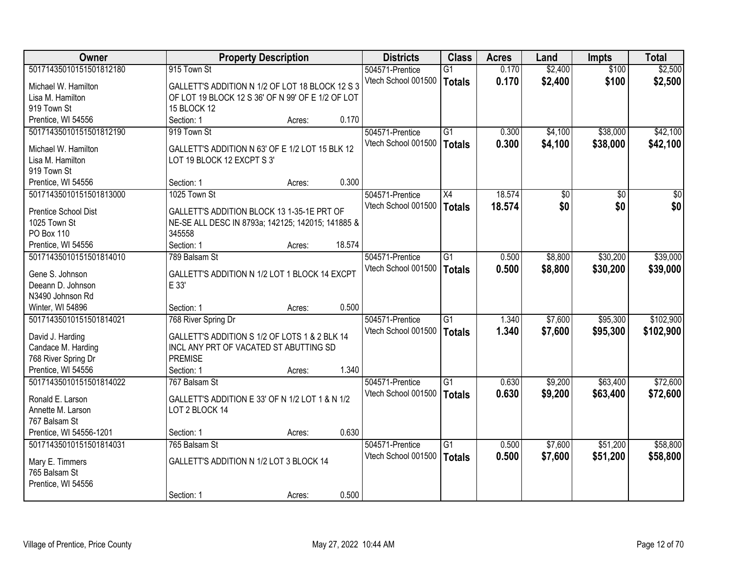| Owner                   | <b>Property Description</b>                       |        |        | <b>Districts</b>    | <b>Class</b>    | <b>Acres</b> | Land    | <b>Impts</b> | <b>Total</b>    |
|-------------------------|---------------------------------------------------|--------|--------|---------------------|-----------------|--------------|---------|--------------|-----------------|
| 50171435010151501812180 | 915 Town St                                       |        |        | 504571-Prentice     | G1              | 0.170        | \$2,400 | \$100        | \$2,500         |
| Michael W. Hamilton     | GALLETT'S ADDITION N 1/2 OF LOT 18 BLOCK 12 S 3   |        |        | Vtech School 001500 | <b>Totals</b>   | 0.170        | \$2,400 | \$100        | \$2,500         |
| Lisa M. Hamilton        | OF LOT 19 BLOCK 12 S 36' OF N 99' OF E 1/2 OF LOT |        |        |                     |                 |              |         |              |                 |
| 919 Town St             | <b>15 BLOCK 12</b>                                |        |        |                     |                 |              |         |              |                 |
| Prentice, WI 54556      | Section: 1                                        | Acres: | 0.170  |                     |                 |              |         |              |                 |
| 50171435010151501812190 | 919 Town St                                       |        |        | 504571-Prentice     | $\overline{G1}$ | 0.300        | \$4,100 | \$38,000     | \$42,100        |
|                         |                                                   |        |        | Vtech School 001500 | <b>Totals</b>   | 0.300        | \$4,100 | \$38,000     | \$42,100        |
| Michael W. Hamilton     | GALLETT'S ADDITION N 63' OF E 1/2 LOT 15 BLK 12   |        |        |                     |                 |              |         |              |                 |
| Lisa M. Hamilton        | LOT 19 BLOCK 12 EXCPT S 3'                        |        |        |                     |                 |              |         |              |                 |
| 919 Town St             |                                                   |        |        |                     |                 |              |         |              |                 |
| Prentice, WI 54556      | Section: 1                                        | Acres: | 0.300  |                     |                 |              |         |              |                 |
| 50171435010151501813000 | 1025 Town St                                      |        |        | 504571-Prentice     | X4              | 18.574       | \$0     | \$0          | $\overline{30}$ |
| Prentice School Dist    | GALLETT'S ADDITION BLOCK 13 1-35-1E PRT OF        |        |        | Vtech School 001500 | Totals          | 18.574       | \$0     | \$0          | \$0             |
| 1025 Town St            | NE-SE ALL DESC IN 8793a; 142125; 142015; 141885 & |        |        |                     |                 |              |         |              |                 |
| <b>PO Box 110</b>       | 345558                                            |        |        |                     |                 |              |         |              |                 |
| Prentice, WI 54556      | Section: 1                                        | Acres: | 18.574 |                     |                 |              |         |              |                 |
| 50171435010151501814010 | 789 Balsam St                                     |        |        | 504571-Prentice     | $\overline{G1}$ | 0.500        | \$8,800 | \$30,200     | \$39,000        |
|                         |                                                   |        |        | Vtech School 001500 | <b>Totals</b>   | 0.500        | \$8,800 | \$30,200     | \$39,000        |
| Gene S. Johnson         | GALLETT'S ADDITION N 1/2 LOT 1 BLOCK 14 EXCPT     |        |        |                     |                 |              |         |              |                 |
| Deeann D. Johnson       | E 33'                                             |        |        |                     |                 |              |         |              |                 |
| N3490 Johnson Rd        |                                                   |        |        |                     |                 |              |         |              |                 |
| Winter, WI 54896        | Section: 1                                        | Acres: | 0.500  |                     |                 |              |         |              |                 |
| 50171435010151501814021 | 768 River Spring Dr                               |        |        | 504571-Prentice     | G1              | 1.340        | \$7,600 | \$95,300     | \$102,900       |
| David J. Harding        | GALLETT'S ADDITION S 1/2 OF LOTS 1 & 2 BLK 14     |        |        | Vtech School 001500 | <b>Totals</b>   | 1.340        | \$7,600 | \$95,300     | \$102,900       |
| Candace M. Harding      | INCL ANY PRT OF VACATED ST ABUTTING SD            |        |        |                     |                 |              |         |              |                 |
| 768 River Spring Dr     | <b>PREMISE</b>                                    |        |        |                     |                 |              |         |              |                 |
| Prentice, WI 54556      | Section: 1                                        | Acres: | 1.340  |                     |                 |              |         |              |                 |
| 50171435010151501814022 | 767 Balsam St                                     |        |        | 504571-Prentice     | G1              | 0.630        | \$9,200 | \$63,400     | \$72,600        |
|                         |                                                   |        |        | Vtech School 001500 | <b>Totals</b>   | 0.630        | \$9,200 | \$63,400     | \$72,600        |
| Ronald E. Larson        | GALLETT'S ADDITION E 33' OF N 1/2 LOT 1 & N 1/2   |        |        |                     |                 |              |         |              |                 |
| Annette M. Larson       | LOT 2 BLOCK 14                                    |        |        |                     |                 |              |         |              |                 |
| 767 Balsam St           |                                                   |        |        |                     |                 |              |         |              |                 |
| Prentice, WI 54556-1201 | Section: 1                                        | Acres: | 0.630  |                     |                 |              |         |              |                 |
| 50171435010151501814031 | 765 Balsam St                                     |        |        | 504571-Prentice     | G1              | 0.500        | \$7,600 | \$51,200     | \$58,800        |
| Mary E. Timmers         | GALLETT'S ADDITION N 1/2 LOT 3 BLOCK 14           |        |        | Vtech School 001500 | <b>Totals</b>   | 0.500        | \$7,600 | \$51,200     | \$58,800        |
| 765 Balsam St           |                                                   |        |        |                     |                 |              |         |              |                 |
| Prentice, WI 54556      |                                                   |        |        |                     |                 |              |         |              |                 |
|                         | Section: 1                                        | Acres: | 0.500  |                     |                 |              |         |              |                 |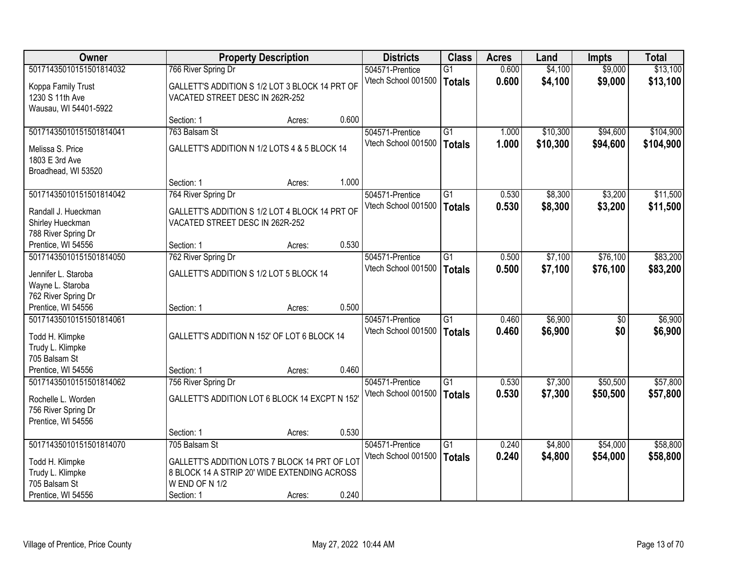| <b>Owner</b>            |                                                | <b>Property Description</b> |       | <b>Districts</b>    | <b>Class</b>    | <b>Acres</b> | Land     | <b>Impts</b>    | <b>Total</b> |
|-------------------------|------------------------------------------------|-----------------------------|-------|---------------------|-----------------|--------------|----------|-----------------|--------------|
| 50171435010151501814032 | 766 River Spring Dr                            |                             |       | 504571-Prentice     | $\overline{G1}$ | 0.600        | \$4,100  | \$9,000         | \$13,100     |
| Koppa Family Trust      | GALLETT'S ADDITION S 1/2 LOT 3 BLOCK 14 PRT OF |                             |       | Vtech School 001500 | <b>Totals</b>   | 0.600        | \$4,100  | \$9,000         | \$13,100     |
| 1230 S 11th Ave         | VACATED STREET DESC IN 262R-252                |                             |       |                     |                 |              |          |                 |              |
| Wausau, WI 54401-5922   |                                                |                             |       |                     |                 |              |          |                 |              |
|                         | Section: 1                                     | Acres:                      | 0.600 |                     |                 |              |          |                 |              |
| 50171435010151501814041 | 763 Balsam St                                  |                             |       | 504571-Prentice     | G1              | 1.000        | \$10,300 | \$94,600        | \$104,900    |
| Melissa S. Price        | GALLETT'S ADDITION N 1/2 LOTS 4 & 5 BLOCK 14   |                             |       | Vtech School 001500 | <b>Totals</b>   | 1.000        | \$10,300 | \$94,600        | \$104,900    |
| 1803 E 3rd Ave          |                                                |                             |       |                     |                 |              |          |                 |              |
| Broadhead, WI 53520     |                                                |                             |       |                     |                 |              |          |                 |              |
|                         | Section: 1                                     | Acres:                      | 1.000 |                     |                 |              |          |                 |              |
| 50171435010151501814042 | 764 River Spring Dr                            |                             |       | 504571-Prentice     | G1              | 0.530        | \$8,300  | \$3,200         | \$11,500     |
| Randall J. Hueckman     | GALLETT'S ADDITION S 1/2 LOT 4 BLOCK 14 PRT OF |                             |       | Vtech School 001500 | <b>Totals</b>   | 0.530        | \$8,300  | \$3,200         | \$11,500     |
| Shirley Hueckman        | VACATED STREET DESC IN 262R-252                |                             |       |                     |                 |              |          |                 |              |
| 788 River Spring Dr     |                                                |                             |       |                     |                 |              |          |                 |              |
| Prentice, WI 54556      | Section: 1                                     | Acres:                      | 0.530 |                     |                 |              |          |                 |              |
| 50171435010151501814050 | 762 River Spring Dr                            |                             |       | 504571-Prentice     | G1              | 0.500        | \$7,100  | \$76,100        | \$83,200     |
| Jennifer L. Staroba     | GALLETT'S ADDITION S 1/2 LOT 5 BLOCK 14        |                             |       | Vtech School 001500 | <b>Totals</b>   | 0.500        | \$7,100  | \$76,100        | \$83,200     |
| Wayne L. Staroba        |                                                |                             |       |                     |                 |              |          |                 |              |
| 762 River Spring Dr     |                                                |                             |       |                     |                 |              |          |                 |              |
| Prentice, WI 54556      | Section: 1                                     | Acres:                      | 0.500 |                     |                 |              |          |                 |              |
| 50171435010151501814061 |                                                |                             |       | 504571-Prentice     | $\overline{G1}$ | 0.460        | \$6,900  | $\overline{50}$ | \$6,900      |
| Todd H. Klimpke         | GALLETT'S ADDITION N 152' OF LOT 6 BLOCK 14    |                             |       | Vtech School 001500 | <b>Totals</b>   | 0.460        | \$6,900  | \$0             | \$6,900      |
| Trudy L. Klimpke        |                                                |                             |       |                     |                 |              |          |                 |              |
| 705 Balsam St           |                                                |                             |       |                     |                 |              |          |                 |              |
| Prentice, WI 54556      | Section: 1                                     | Acres:                      | 0.460 |                     |                 |              |          |                 |              |
| 50171435010151501814062 | 756 River Spring Dr                            |                             |       | 504571-Prentice     | $\overline{G1}$ | 0.530        | \$7,300  | \$50,500        | \$57,800     |
| Rochelle L. Worden      | GALLETT'S ADDITION LOT 6 BLOCK 14 EXCPT N 152  |                             |       | Vtech School 001500 | <b>Totals</b>   | 0.530        | \$7,300  | \$50,500        | \$57,800     |
| 756 River Spring Dr     |                                                |                             |       |                     |                 |              |          |                 |              |
| Prentice, WI 54556      |                                                |                             |       |                     |                 |              |          |                 |              |
|                         | Section: 1                                     | Acres:                      | 0.530 |                     |                 |              |          |                 |              |
| 50171435010151501814070 | 705 Balsam St                                  |                             |       | 504571-Prentice     | $\overline{G1}$ | 0.240        | \$4,800  | \$54,000        | \$58,800     |
| Todd H. Klimpke         | GALLETT'S ADDITION LOTS 7 BLOCK 14 PRT OF LOT  |                             |       | Vtech School 001500 | <b>Totals</b>   | 0.240        | \$4,800  | \$54,000        | \$58,800     |
| Trudy L. Klimpke        | 8 BLOCK 14 A STRIP 20' WIDE EXTENDING ACROSS   |                             |       |                     |                 |              |          |                 |              |
| 705 Balsam St           | W END OF N 1/2                                 |                             |       |                     |                 |              |          |                 |              |
| Prentice, WI 54556      | Section: 1                                     | Acres:                      | 0.240 |                     |                 |              |          |                 |              |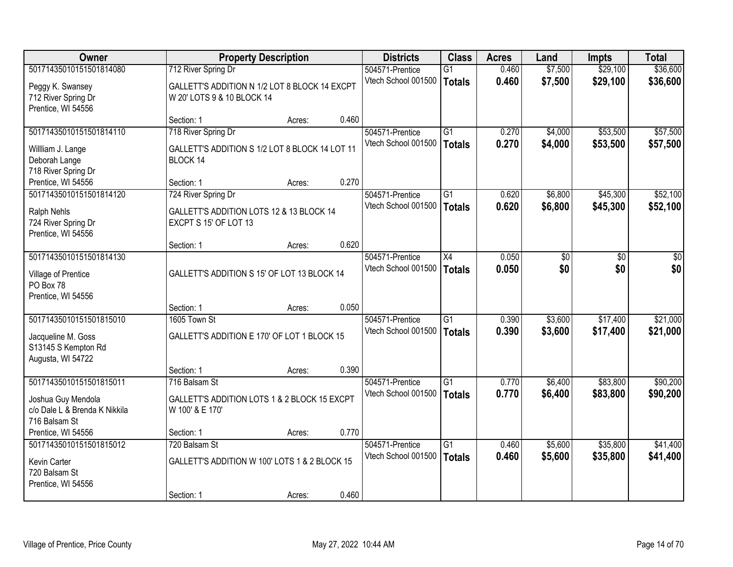| <b>Owner</b>                              |                                                                             | <b>Property Description</b> |       | <b>Districts</b>    | <b>Class</b>    | <b>Acres</b> | Land               | Impts           | <b>Total</b>    |
|-------------------------------------------|-----------------------------------------------------------------------------|-----------------------------|-------|---------------------|-----------------|--------------|--------------------|-----------------|-----------------|
| 50171435010151501814080                   | 712 River Spring Dr                                                         |                             |       | 504571-Prentice     | $\overline{G1}$ | 0.460        | \$7,500            | \$29,100        | \$36,600        |
| Peggy K. Swansey<br>712 River Spring Dr   | GALLETT'S ADDITION N 1/2 LOT 8 BLOCK 14 EXCPT<br>W 20' LOTS 9 & 10 BLOCK 14 |                             |       | Vtech School 001500 | <b>Totals</b>   | 0.460        | \$7,500            | \$29,100        | \$36,600        |
| Prentice, WI 54556                        |                                                                             |                             |       |                     |                 |              |                    |                 |                 |
| 50171435010151501814110                   | Section: 1                                                                  | Acres:                      | 0.460 | 504571-Prentice     | $\overline{G1}$ | 0.270        |                    | \$53,500        | \$57,500        |
|                                           | 718 River Spring Dr                                                         |                             |       | Vtech School 001500 |                 | 0.270        | \$4,000<br>\$4,000 | \$53,500        |                 |
| Willliam J. Lange                         | GALLETT'S ADDITION S 1/2 LOT 8 BLOCK 14 LOT 11                              |                             |       |                     | <b>Totals</b>   |              |                    |                 | \$57,500        |
| Deborah Lange                             | BLOCK 14                                                                    |                             |       |                     |                 |              |                    |                 |                 |
| 718 River Spring Dr<br>Prentice, WI 54556 | Section: 1                                                                  | Acres:                      | 0.270 |                     |                 |              |                    |                 |                 |
| 50171435010151501814120                   | 724 River Spring Dr                                                         |                             |       | 504571-Prentice     | $\overline{G1}$ | 0.620        | \$6,800            | \$45,300        | \$52,100        |
|                                           |                                                                             |                             |       | Vtech School 001500 | <b>Totals</b>   | 0.620        | \$6,800            | \$45,300        | \$52,100        |
| Ralph Nehls                               | GALLETT'S ADDITION LOTS 12 & 13 BLOCK 14                                    |                             |       |                     |                 |              |                    |                 |                 |
| 724 River Spring Dr<br>Prentice, WI 54556 | EXCPT S 15' OF LOT 13                                                       |                             |       |                     |                 |              |                    |                 |                 |
|                                           | Section: 1                                                                  | Acres:                      | 0.620 |                     |                 |              |                    |                 |                 |
| 50171435010151501814130                   |                                                                             |                             |       | 504571-Prentice     | $\overline{X4}$ | 0.050        | $\overline{50}$    | $\overline{30}$ | $\overline{30}$ |
|                                           |                                                                             |                             |       | Vtech School 001500 | <b>Totals</b>   | 0.050        | \$0                | \$0             | \$0             |
| Village of Prentice<br>PO Box 78          | GALLETT'S ADDITION S 15' OF LOT 13 BLOCK 14                                 |                             |       |                     |                 |              |                    |                 |                 |
| Prentice, WI 54556                        |                                                                             |                             |       |                     |                 |              |                    |                 |                 |
|                                           | Section: 1                                                                  | Acres:                      | 0.050 |                     |                 |              |                    |                 |                 |
| 50171435010151501815010                   | 1605 Town St                                                                |                             |       | 504571-Prentice     | $\overline{G1}$ | 0.390        | \$3,600            | \$17,400        | \$21,000        |
| Jacqueline M. Goss                        | GALLETT'S ADDITION E 170' OF LOT 1 BLOCK 15                                 |                             |       | Vtech School 001500 | <b>Totals</b>   | 0.390        | \$3,600            | \$17,400        | \$21,000        |
| S13145 S Kempton Rd                       |                                                                             |                             |       |                     |                 |              |                    |                 |                 |
| Augusta, WI 54722                         |                                                                             |                             |       |                     |                 |              |                    |                 |                 |
|                                           | Section: 1                                                                  | Acres:                      | 0.390 |                     |                 |              |                    |                 |                 |
| 50171435010151501815011                   | 716 Balsam St                                                               |                             |       | 504571-Prentice     | $\overline{G1}$ | 0.770        | \$6,400            | \$83,800        | \$90,200        |
| Joshua Guy Mendola                        | GALLETT'S ADDITION LOTS 1 & 2 BLOCK 15 EXCPT                                |                             |       | Vtech School 001500 | <b>Totals</b>   | 0.770        | \$6,400            | \$83,800        | \$90,200        |
| c/o Dale L & Brenda K Nikkila             | W 100' & E 170'                                                             |                             |       |                     |                 |              |                    |                 |                 |
| 716 Balsam St                             |                                                                             |                             |       |                     |                 |              |                    |                 |                 |
| Prentice, WI 54556                        | Section: 1                                                                  | Acres:                      | 0.770 |                     |                 |              |                    |                 |                 |
| 50171435010151501815012                   | 720 Balsam St                                                               |                             |       | 504571-Prentice     | $\overline{G1}$ | 0.460        | \$5,600            | \$35,800        | \$41,400        |
| Kevin Carter                              | GALLETT'S ADDITION W 100' LOTS 1 & 2 BLOCK 15                               |                             |       | Vtech School 001500 | <b>Totals</b>   | 0.460        | \$5,600            | \$35,800        | \$41,400        |
| 720 Balsam St                             |                                                                             |                             |       |                     |                 |              |                    |                 |                 |
| Prentice, WI 54556                        |                                                                             |                             |       |                     |                 |              |                    |                 |                 |
|                                           | Section: 1                                                                  | Acres:                      | 0.460 |                     |                 |              |                    |                 |                 |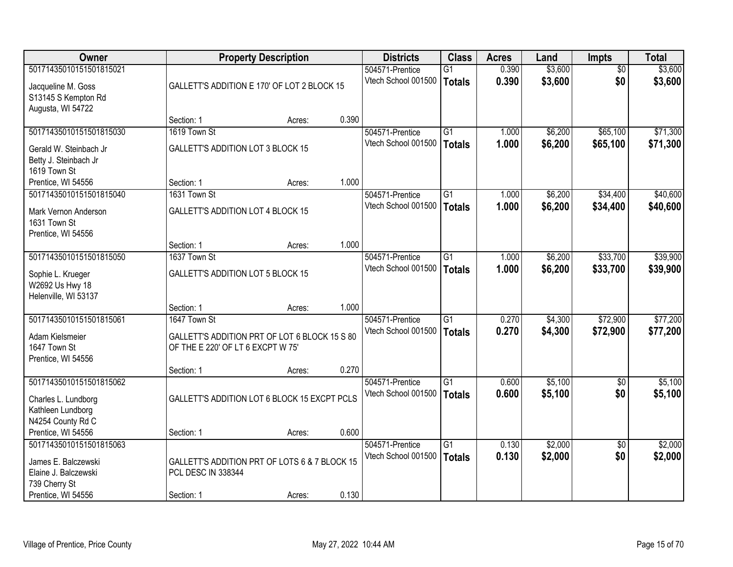| Owner                   |                                               | <b>Property Description</b> |       | <b>Districts</b>    | <b>Class</b>    | <b>Acres</b> | Land    | Impts           | <b>Total</b> |
|-------------------------|-----------------------------------------------|-----------------------------|-------|---------------------|-----------------|--------------|---------|-----------------|--------------|
| 50171435010151501815021 |                                               |                             |       | 504571-Prentice     | $\overline{G1}$ | 0.390        | \$3,600 | $\overline{50}$ | \$3,600      |
| Jacqueline M. Goss      | GALLETT'S ADDITION E 170' OF LOT 2 BLOCK 15   |                             |       | Vtech School 001500 | <b>Totals</b>   | 0.390        | \$3,600 | \$0             | \$3,600      |
| S13145 S Kempton Rd     |                                               |                             |       |                     |                 |              |         |                 |              |
| Augusta, WI 54722       |                                               |                             |       |                     |                 |              |         |                 |              |
|                         | Section: 1                                    | Acres:                      | 0.390 |                     |                 |              |         |                 |              |
| 50171435010151501815030 | 1619 Town St                                  |                             |       | 504571-Prentice     | $\overline{G1}$ | 1.000        | \$6,200 | \$65,100        | \$71,300     |
| Gerald W. Steinbach Jr  | <b>GALLETT'S ADDITION LOT 3 BLOCK 15</b>      |                             |       | Vtech School 001500 | <b>Totals</b>   | 1.000        | \$6,200 | \$65,100        | \$71,300     |
| Betty J. Steinbach Jr   |                                               |                             |       |                     |                 |              |         |                 |              |
| 1619 Town St            |                                               |                             |       |                     |                 |              |         |                 |              |
| Prentice, WI 54556      | Section: 1                                    | Acres:                      | 1.000 |                     |                 |              |         |                 |              |
| 50171435010151501815040 | 1631 Town St                                  |                             |       | 504571-Prentice     | $\overline{G1}$ | 1.000        | \$6,200 | \$34,400        | \$40,600     |
| Mark Vernon Anderson    | <b>GALLETT'S ADDITION LOT 4 BLOCK 15</b>      |                             |       | Vtech School 001500 | <b>Totals</b>   | 1.000        | \$6,200 | \$34,400        | \$40,600     |
| 1631 Town St            |                                               |                             |       |                     |                 |              |         |                 |              |
| Prentice, WI 54556      |                                               |                             |       |                     |                 |              |         |                 |              |
|                         | Section: 1                                    | Acres:                      | 1.000 |                     |                 |              |         |                 |              |
| 50171435010151501815050 | 1637 Town St                                  |                             |       | 504571-Prentice     | G1              | 1.000        | \$6,200 | \$33,700        | \$39,900     |
| Sophie L. Krueger       | <b>GALLETT'S ADDITION LOT 5 BLOCK 15</b>      |                             |       | Vtech School 001500 | <b>Totals</b>   | 1.000        | \$6,200 | \$33,700        | \$39,900     |
| W2692 Us Hwy 18         |                                               |                             |       |                     |                 |              |         |                 |              |
| Helenville, WI 53137    |                                               |                             |       |                     |                 |              |         |                 |              |
|                         | Section: 1                                    | Acres:                      | 1.000 |                     |                 |              |         |                 |              |
| 50171435010151501815061 | 1647 Town St                                  |                             |       | 504571-Prentice     | $\overline{G1}$ | 0.270        | \$4,300 | \$72,900        | \$77,200     |
| Adam Kielsmeier         | GALLETT'S ADDITION PRT OF LOT 6 BLOCK 15 S 80 |                             |       | Vtech School 001500 | <b>Totals</b>   | 0.270        | \$4,300 | \$72,900        | \$77,200     |
| 1647 Town St            | OF THE E 220' OF LT 6 EXCPT W 75'             |                             |       |                     |                 |              |         |                 |              |
| Prentice, WI 54556      |                                               |                             |       |                     |                 |              |         |                 |              |
|                         | Section: 1                                    | Acres:                      | 0.270 |                     |                 |              |         |                 |              |
| 50171435010151501815062 |                                               |                             |       | 504571-Prentice     | G1              | 0.600        | \$5,100 | $\sqrt{6}$      | \$5,100      |
| Charles L. Lundborg     | GALLETT'S ADDITION LOT 6 BLOCK 15 EXCPT PCLS  |                             |       | Vtech School 001500 | <b>Totals</b>   | 0.600        | \$5,100 | \$0             | \$5,100      |
| Kathleen Lundborg       |                                               |                             |       |                     |                 |              |         |                 |              |
| N4254 County Rd C       |                                               |                             |       |                     |                 |              |         |                 |              |
| Prentice, WI 54556      | Section: 1                                    | Acres:                      | 0.600 |                     |                 |              |         |                 |              |
| 50171435010151501815063 |                                               |                             |       | 504571-Prentice     | G1              | 0.130        | \$2,000 | $\overline{30}$ | \$2,000      |
| James E. Balczewski     | GALLETT'S ADDITION PRT OF LOTS 6 & 7 BLOCK 15 |                             |       | Vtech School 001500 | <b>Totals</b>   | 0.130        | \$2,000 | \$0             | \$2,000      |
| Elaine J. Balczewski    | <b>PCL DESC IN 338344</b>                     |                             |       |                     |                 |              |         |                 |              |
| 739 Cherry St           |                                               |                             |       |                     |                 |              |         |                 |              |
| Prentice, WI 54556      | Section: 1                                    | Acres:                      | 0.130 |                     |                 |              |         |                 |              |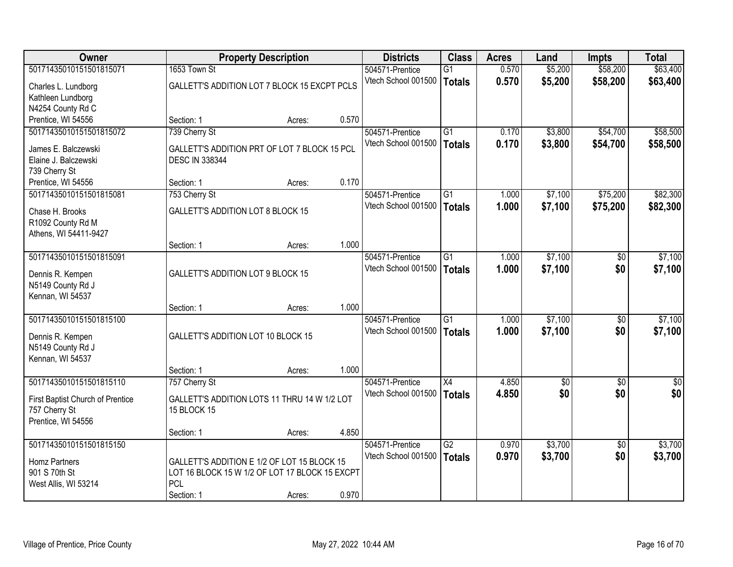| Owner                            |                                                | <b>Property Description</b> |       | <b>Districts</b>    | <b>Class</b>    | <b>Acres</b> | Land            | <b>Impts</b>    | <b>Total</b> |
|----------------------------------|------------------------------------------------|-----------------------------|-------|---------------------|-----------------|--------------|-----------------|-----------------|--------------|
| 50171435010151501815071          | 1653 Town St                                   |                             |       | 504571-Prentice     | $\overline{G1}$ | 0.570        | \$5,200         | \$58,200        | \$63,400     |
| Charles L. Lundborg              | GALLETT'S ADDITION LOT 7 BLOCK 15 EXCPT PCLS   |                             |       | Vtech School 001500 | <b>Totals</b>   | 0.570        | \$5,200         | \$58,200        | \$63,400     |
| Kathleen Lundborg                |                                                |                             |       |                     |                 |              |                 |                 |              |
| N4254 County Rd C                |                                                |                             |       |                     |                 |              |                 |                 |              |
| Prentice, WI 54556               | Section: 1                                     | Acres:                      | 0.570 |                     |                 |              |                 |                 |              |
| 50171435010151501815072          | 739 Cherry St                                  |                             |       | 504571-Prentice     | $\overline{G1}$ | 0.170        | \$3,800         | \$54,700        | \$58,500     |
| James E. Balczewski              | GALLETT'S ADDITION PRT OF LOT 7 BLOCK 15 PCL   |                             |       | Vtech School 001500 | <b>Totals</b>   | 0.170        | \$3,800         | \$54,700        | \$58,500     |
| Elaine J. Balczewski             | <b>DESC IN 338344</b>                          |                             |       |                     |                 |              |                 |                 |              |
| 739 Cherry St                    |                                                |                             |       |                     |                 |              |                 |                 |              |
| Prentice, WI 54556               | Section: 1                                     | Acres:                      | 0.170 |                     |                 |              |                 |                 |              |
| 50171435010151501815081          | 753 Cherry St                                  |                             |       | 504571-Prentice     | $\overline{G1}$ | 1.000        | \$7,100         | \$75,200        | \$82,300     |
| Chase H. Brooks                  | <b>GALLETT'S ADDITION LOT 8 BLOCK 15</b>       |                             |       | Vtech School 001500 | <b>Totals</b>   | 1.000        | \$7,100         | \$75,200        | \$82,300     |
| R1092 County Rd M                |                                                |                             |       |                     |                 |              |                 |                 |              |
| Athens, WI 54411-9427            |                                                |                             |       |                     |                 |              |                 |                 |              |
|                                  | Section: 1                                     | Acres:                      | 1.000 |                     |                 |              |                 |                 |              |
| 50171435010151501815091          |                                                |                             |       | 504571-Prentice     | $\overline{G1}$ | 1.000        | \$7,100         | \$0             | \$7,100      |
| Dennis R. Kempen                 | <b>GALLETT'S ADDITION LOT 9 BLOCK 15</b>       |                             |       | Vtech School 001500 | <b>Totals</b>   | 1.000        | \$7,100         | \$0             | \$7,100      |
| N5149 County Rd J                |                                                |                             |       |                     |                 |              |                 |                 |              |
| Kennan, WI 54537                 |                                                |                             |       |                     |                 |              |                 |                 |              |
|                                  | Section: 1                                     | Acres:                      | 1.000 |                     |                 |              |                 |                 |              |
| 50171435010151501815100          |                                                |                             |       | 504571-Prentice     | $\overline{G1}$ | 1.000        | \$7,100         | \$0             | \$7,100      |
| Dennis R. Kempen                 | GALLETT'S ADDITION LOT 10 BLOCK 15             |                             |       | Vtech School 001500 | <b>Totals</b>   | 1.000        | \$7,100         | \$0             | \$7,100      |
| N5149 County Rd J                |                                                |                             |       |                     |                 |              |                 |                 |              |
| Kennan, WI 54537                 |                                                |                             |       |                     |                 |              |                 |                 |              |
|                                  | Section: 1                                     | Acres:                      | 1.000 |                     |                 |              |                 |                 |              |
| 50171435010151501815110          | 757 Cherry St                                  |                             |       | 504571-Prentice     | $\overline{X4}$ | 4.850        | $\overline{50}$ | $\sqrt{6}$      | \$0          |
| First Baptist Church of Prentice | GALLETT'S ADDITION LOTS 11 THRU 14 W 1/2 LOT   |                             |       | Vtech School 001500 | <b>Totals</b>   | 4.850        | \$0             | \$0             | \$0          |
| 757 Cherry St                    | <b>15 BLOCK 15</b>                             |                             |       |                     |                 |              |                 |                 |              |
| Prentice, WI 54556               |                                                |                             |       |                     |                 |              |                 |                 |              |
|                                  | Section: 1                                     | Acres:                      | 4.850 |                     |                 |              |                 |                 |              |
| 50171435010151501815150          |                                                |                             |       | 504571-Prentice     | $\overline{G2}$ | 0.970        | \$3,700         | $\overline{30}$ | \$3,700      |
| Homz Partners                    | GALLETT'S ADDITION E 1/2 OF LOT 15 BLOCK 15    |                             |       | Vtech School 001500 | <b>Totals</b>   | 0.970        | \$3,700         | \$0             | \$3,700      |
| 901 S 70th St                    | LOT 16 BLOCK 15 W 1/2 OF LOT 17 BLOCK 15 EXCPT |                             |       |                     |                 |              |                 |                 |              |
| West Allis, WI 53214             | <b>PCL</b>                                     |                             |       |                     |                 |              |                 |                 |              |
|                                  | Section: 1                                     | Acres:                      | 0.970 |                     |                 |              |                 |                 |              |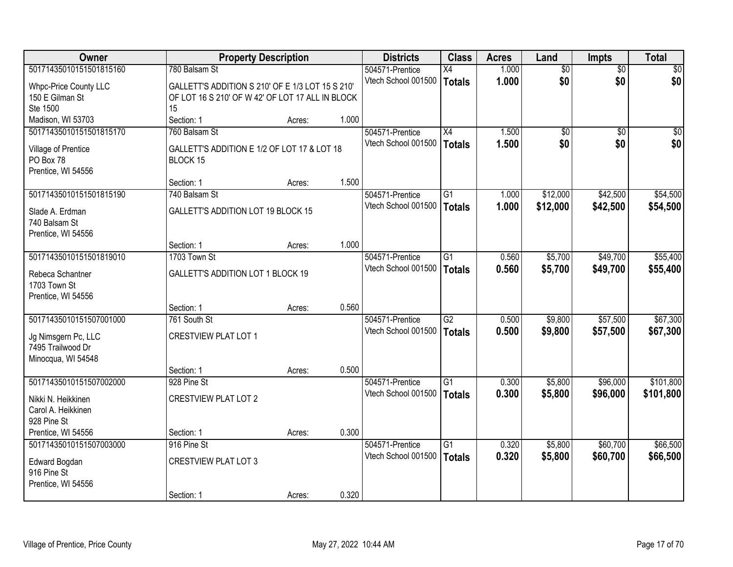| Owner                   | <b>Property Description</b>                      |        |       | <b>Districts</b>    | <b>Class</b>    | <b>Acres</b> | Land            | <b>Impts</b>    | <b>Total</b> |
|-------------------------|--------------------------------------------------|--------|-------|---------------------|-----------------|--------------|-----------------|-----------------|--------------|
| 50171435010151501815160 | 780 Balsam St                                    |        |       | 504571-Prentice     | X4              | 1.000        | $\overline{60}$ | $\overline{50}$ | \$0          |
| Whpc-Price County LLC   | GALLETT'S ADDITION S 210' OF E 1/3 LOT 15 S 210' |        |       | Vtech School 001500 | <b>Totals</b>   | 1.000        | \$0             | \$0             | \$0          |
| 150 E Gilman St         | OF LOT 16 S 210' OF W 42' OF LOT 17 ALL IN BLOCK |        |       |                     |                 |              |                 |                 |              |
| Ste 1500                | 15                                               |        |       |                     |                 |              |                 |                 |              |
| Madison, WI 53703       | Section: 1                                       | Acres: | 1.000 |                     |                 |              |                 |                 |              |
| 50171435010151501815170 | 760 Balsam St                                    |        |       | 504571-Prentice     | $\overline{X4}$ | 1.500        | $\overline{50}$ | $\overline{50}$ | $\sqrt{50}$  |
| Village of Prentice     | GALLETT'S ADDITION E 1/2 OF LOT 17 & LOT 18      |        |       | Vtech School 001500 | <b>Totals</b>   | 1.500        | \$0             | \$0             | \$0          |
| PO Box 78               | BLOCK 15                                         |        |       |                     |                 |              |                 |                 |              |
| Prentice, WI 54556      |                                                  |        |       |                     |                 |              |                 |                 |              |
|                         | Section: 1                                       | Acres: | 1.500 |                     |                 |              |                 |                 |              |
| 50171435010151501815190 | 740 Balsam St                                    |        |       | 504571-Prentice     | G1              | 1.000        | \$12,000        | \$42,500        | \$54,500     |
| Slade A. Erdman         | <b>GALLETT'S ADDITION LOT 19 BLOCK 15</b>        |        |       | Vtech School 001500 | <b>Totals</b>   | 1.000        | \$12,000        | \$42,500        | \$54,500     |
| 740 Balsam St           |                                                  |        |       |                     |                 |              |                 |                 |              |
| Prentice, WI 54556      |                                                  |        |       |                     |                 |              |                 |                 |              |
|                         | Section: 1                                       | Acres: | 1.000 |                     |                 |              |                 |                 |              |
| 50171435010151501819010 | 1703 Town St                                     |        |       | 504571-Prentice     | G1              | 0.560        | \$5,700         | \$49,700        | \$55,400     |
| Rebeca Schantner        | GALLETT'S ADDITION LOT 1 BLOCK 19                |        |       | Vtech School 001500 | <b>Totals</b>   | 0.560        | \$5,700         | \$49,700        | \$55,400     |
| 1703 Town St            |                                                  |        |       |                     |                 |              |                 |                 |              |
| Prentice, WI 54556      |                                                  |        |       |                     |                 |              |                 |                 |              |
|                         | Section: 1                                       | Acres: | 0.560 |                     |                 |              |                 |                 |              |
| 50171435010151507001000 | 761 South St                                     |        |       | 504571-Prentice     | $\overline{G2}$ | 0.500        | \$9,800         | \$57,500        | \$67,300     |
| Jg Nimsgern Pc, LLC     | <b>CRESTVIEW PLAT LOT 1</b>                      |        |       | Vtech School 001500 | <b>Totals</b>   | 0.500        | \$9,800         | \$57,500        | \$67,300     |
| 7495 Trailwood Dr       |                                                  |        |       |                     |                 |              |                 |                 |              |
| Minocqua, WI 54548      |                                                  |        |       |                     |                 |              |                 |                 |              |
|                         | Section: 1                                       | Acres: | 0.500 |                     |                 |              |                 |                 |              |
| 50171435010151507002000 | 928 Pine St                                      |        |       | 504571-Prentice     | $\overline{G1}$ | 0.300        | \$5,800         | \$96,000        | \$101,800    |
| Nikki N. Heikkinen      | <b>CRESTVIEW PLAT LOT 2</b>                      |        |       | Vtech School 001500 | <b>Totals</b>   | 0.300        | \$5,800         | \$96,000        | \$101,800    |
| Carol A. Heikkinen      |                                                  |        |       |                     |                 |              |                 |                 |              |
| 928 Pine St             |                                                  |        |       |                     |                 |              |                 |                 |              |
| Prentice, WI 54556      | Section: 1                                       | Acres: | 0.300 |                     |                 |              |                 |                 |              |
| 50171435010151507003000 | 916 Pine St                                      |        |       | 504571-Prentice     | $\overline{G1}$ | 0.320        | \$5,800         | \$60,700        | \$66,500     |
| Edward Bogdan           | <b>CRESTVIEW PLAT LOT 3</b>                      |        |       | Vtech School 001500 | <b>Totals</b>   | 0.320        | \$5,800         | \$60,700        | \$66,500     |
| 916 Pine St             |                                                  |        |       |                     |                 |              |                 |                 |              |
| Prentice, WI 54556      |                                                  |        |       |                     |                 |              |                 |                 |              |
|                         | Section: 1                                       | Acres: | 0.320 |                     |                 |              |                 |                 |              |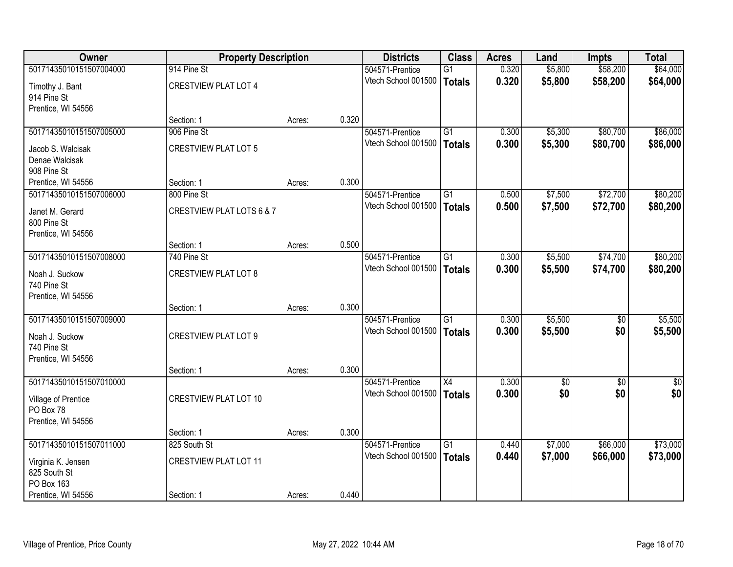| Owner                      | <b>Property Description</b>  |        |       | <b>Districts</b>                       | <b>Class</b>    | <b>Acres</b> | Land            | <b>Impts</b> | <b>Total</b> |
|----------------------------|------------------------------|--------|-------|----------------------------------------|-----------------|--------------|-----------------|--------------|--------------|
| 50171435010151507004000    | 914 Pine St                  |        |       | 504571-Prentice                        | $\overline{G1}$ | 0.320        | \$5,800         | \$58,200     | \$64,000     |
| Timothy J. Bant            | <b>CRESTVIEW PLAT LOT 4</b>  |        |       | Vtech School 001500                    | <b>Totals</b>   | 0.320        | \$5,800         | \$58,200     | \$64,000     |
| 914 Pine St                |                              |        |       |                                        |                 |              |                 |              |              |
| Prentice, WI 54556         |                              |        |       |                                        |                 |              |                 |              |              |
|                            | Section: 1                   | Acres: | 0.320 |                                        |                 |              |                 |              |              |
| 50171435010151507005000    | 906 Pine St                  |        |       | 504571-Prentice                        | G1              | 0.300        | \$5,300         | \$80,700     | \$86,000     |
| Jacob S. Walcisak          | <b>CRESTVIEW PLAT LOT 5</b>  |        |       | Vtech School 001500                    | <b>Totals</b>   | 0.300        | \$5,300         | \$80,700     | \$86,000     |
| Denae Walcisak             |                              |        |       |                                        |                 |              |                 |              |              |
| 908 Pine St                |                              |        |       |                                        |                 |              |                 |              |              |
| Prentice, WI 54556         | Section: 1                   | Acres: | 0.300 |                                        |                 |              |                 |              |              |
| 50171435010151507006000    | 800 Pine St                  |        |       | 504571-Prentice                        | G1              | 0.500        | \$7,500         | \$72,700     | \$80,200     |
| Janet M. Gerard            | CRESTVIEW PLAT LOTS 6 & 7    |        |       | Vtech School 001500                    | <b>Totals</b>   | 0.500        | \$7,500         | \$72,700     | \$80,200     |
| 800 Pine St                |                              |        |       |                                        |                 |              |                 |              |              |
| Prentice, WI 54556         |                              |        |       |                                        |                 |              |                 |              |              |
|                            | Section: 1                   | Acres: | 0.500 |                                        |                 |              |                 |              |              |
| 50171435010151507008000    | 740 Pine St                  |        |       | 504571-Prentice<br>Vtech School 001500 | $\overline{G1}$ | 0.300        | \$5,500         | \$74,700     | \$80,200     |
| Noah J. Suckow             | <b>CRESTVIEW PLAT LOT 8</b>  |        |       |                                        | <b>Totals</b>   | 0.300        | \$5,500         | \$74,700     | \$80,200     |
| 740 Pine St                |                              |        |       |                                        |                 |              |                 |              |              |
| Prentice, WI 54556         |                              |        |       |                                        |                 |              |                 |              |              |
| 50171435010151507009000    | Section: 1                   | Acres: | 0.300 | 504571-Prentice                        | $\overline{G1}$ | 0.300        | \$5,500         | \$0          | \$5,500      |
|                            |                              |        |       | Vtech School 001500                    |                 | 0.300        | \$5,500         | \$0          | \$5,500      |
| Noah J. Suckow             | <b>CRESTVIEW PLAT LOT 9</b>  |        |       |                                        | <b>Totals</b>   |              |                 |              |              |
| 740 Pine St                |                              |        |       |                                        |                 |              |                 |              |              |
| Prentice, WI 54556         | Section: 1                   |        | 0.300 |                                        |                 |              |                 |              |              |
| 50171435010151507010000    |                              | Acres: |       | 504571-Prentice                        | X4              | 0.300        | $\overline{60}$ | $\sqrt{6}$   | \$0          |
|                            |                              |        |       | Vtech School 001500                    | <b>Totals</b>   | 0.300        | \$0             | \$0          | \$0          |
| Village of Prentice        | <b>CRESTVIEW PLAT LOT 10</b> |        |       |                                        |                 |              |                 |              |              |
| PO Box 78                  |                              |        |       |                                        |                 |              |                 |              |              |
| Prentice, WI 54556         | Section: 1                   | Acres: | 0.300 |                                        |                 |              |                 |              |              |
| 50171435010151507011000    | 825 South St                 |        |       | 504571-Prentice                        | $\overline{G1}$ | 0.440        | \$7,000         | \$66,000     | \$73,000     |
|                            |                              |        |       | Vtech School 001500                    | <b>Totals</b>   | 0.440        | \$7,000         | \$66,000     | \$73,000     |
| Virginia K. Jensen         | <b>CRESTVIEW PLAT LOT 11</b> |        |       |                                        |                 |              |                 |              |              |
| 825 South St<br>PO Box 163 |                              |        |       |                                        |                 |              |                 |              |              |
| Prentice, WI 54556         | Section: 1                   | Acres: | 0.440 |                                        |                 |              |                 |              |              |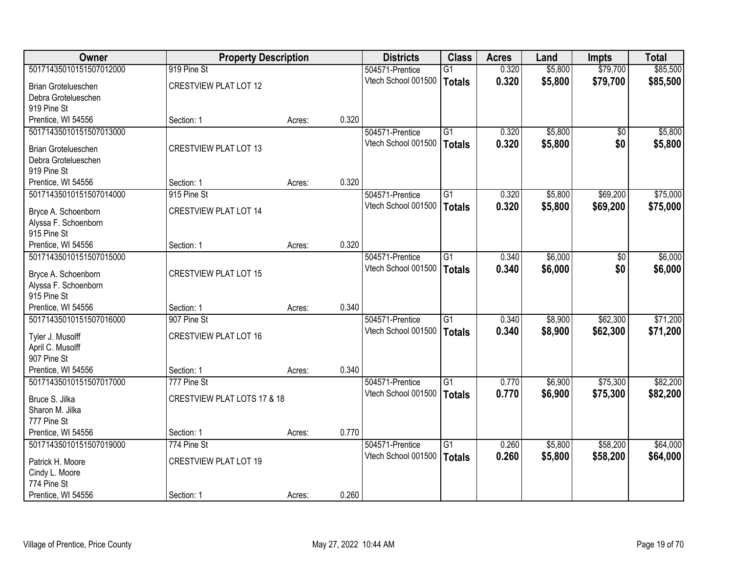| Owner                                | <b>Property Description</b>  |        |       | <b>Districts</b>    | <b>Class</b>    | <b>Acres</b> | Land    | <b>Impts</b> | <b>Total</b> |
|--------------------------------------|------------------------------|--------|-------|---------------------|-----------------|--------------|---------|--------------|--------------|
| 50171435010151507012000              | 919 Pine St                  |        |       | 504571-Prentice     | $\overline{G1}$ | 0.320        | \$5,800 | \$79,700     | \$85,500     |
| Brian Grotelueschen                  | <b>CRESTVIEW PLAT LOT 12</b> |        |       | Vtech School 001500 | <b>Totals</b>   | 0.320        | \$5,800 | \$79,700     | \$85,500     |
| Debra Grotelueschen                  |                              |        |       |                     |                 |              |         |              |              |
| 919 Pine St                          |                              |        |       |                     |                 |              |         |              |              |
| Prentice, WI 54556                   | Section: 1                   | Acres: | 0.320 |                     |                 |              |         |              |              |
| 50171435010151507013000              |                              |        |       | 504571-Prentice     | G1              | 0.320        | \$5,800 | \$0          | \$5,800      |
| <b>Brian Grotelueschen</b>           | <b>CRESTVIEW PLAT LOT 13</b> |        |       | Vtech School 001500 | <b>Totals</b>   | 0.320        | \$5,800 | \$0          | \$5,800      |
| Debra Grotelueschen                  |                              |        |       |                     |                 |              |         |              |              |
| 919 Pine St                          |                              |        |       |                     |                 |              |         |              |              |
| Prentice, WI 54556                   | Section: 1                   | Acres: | 0.320 |                     |                 |              |         |              |              |
| 50171435010151507014000              | 915 Pine St                  |        |       | 504571-Prentice     | G1              | 0.320        | \$5,800 | \$69,200     | \$75,000     |
| Bryce A. Schoenborn                  | <b>CRESTVIEW PLAT LOT 14</b> |        |       | Vtech School 001500 | <b>Totals</b>   | 0.320        | \$5,800 | \$69,200     | \$75,000     |
| Alyssa F. Schoenborn                 |                              |        |       |                     |                 |              |         |              |              |
| 915 Pine St                          |                              |        |       |                     |                 |              |         |              |              |
| Prentice, WI 54556                   | Section: 1                   | Acres: | 0.320 |                     |                 |              |         |              |              |
| 50171435010151507015000              |                              |        |       | 504571-Prentice     | G1              | 0.340        | \$6,000 | \$0          | \$6,000      |
| Bryce A. Schoenborn                  | <b>CRESTVIEW PLAT LOT 15</b> |        |       | Vtech School 001500 | <b>Totals</b>   | 0.340        | \$6,000 | \$0          | \$6,000      |
| Alyssa F. Schoenborn                 |                              |        |       |                     |                 |              |         |              |              |
| 915 Pine St                          |                              |        |       |                     |                 |              |         |              |              |
| Prentice, WI 54556                   | Section: 1                   | Acres: | 0.340 |                     |                 |              |         |              |              |
| 50171435010151507016000              | 907 Pine St                  |        |       | 504571-Prentice     | G1              | 0.340        | \$8,900 | \$62,300     | \$71,200     |
|                                      | <b>CRESTVIEW PLAT LOT 16</b> |        |       | Vtech School 001500 | <b>Totals</b>   | 0.340        | \$8,900 | \$62,300     | \$71,200     |
| Tyler J. Musolff<br>April C. Musolff |                              |        |       |                     |                 |              |         |              |              |
| 907 Pine St                          |                              |        |       |                     |                 |              |         |              |              |
| Prentice, WI 54556                   | Section: 1                   | Acres: | 0.340 |                     |                 |              |         |              |              |
| 50171435010151507017000              | 777 Pine St                  |        |       | 504571-Prentice     | $\overline{G1}$ | 0.770        | \$6,900 | \$75,300     | \$82,200     |
| Bruce S. Jilka                       | CRESTVIEW PLAT LOTS 17 & 18  |        |       | Vtech School 001500 | <b>Totals</b>   | 0.770        | \$6,900 | \$75,300     | \$82,200     |
| Sharon M. Jilka                      |                              |        |       |                     |                 |              |         |              |              |
| 777 Pine St                          |                              |        |       |                     |                 |              |         |              |              |
| Prentice, WI 54556                   | Section: 1                   | Acres: | 0.770 |                     |                 |              |         |              |              |
| 50171435010151507019000              | 774 Pine St                  |        |       | 504571-Prentice     | $\overline{G1}$ | 0.260        | \$5,800 | \$58,200     | \$64,000     |
| Patrick H. Moore                     | <b>CRESTVIEW PLAT LOT 19</b> |        |       | Vtech School 001500 | Totals          | 0.260        | \$5,800 | \$58,200     | \$64,000     |
| Cindy L. Moore                       |                              |        |       |                     |                 |              |         |              |              |
| 774 Pine St                          |                              |        |       |                     |                 |              |         |              |              |
| Prentice, WI 54556                   | Section: 1                   | Acres: | 0.260 |                     |                 |              |         |              |              |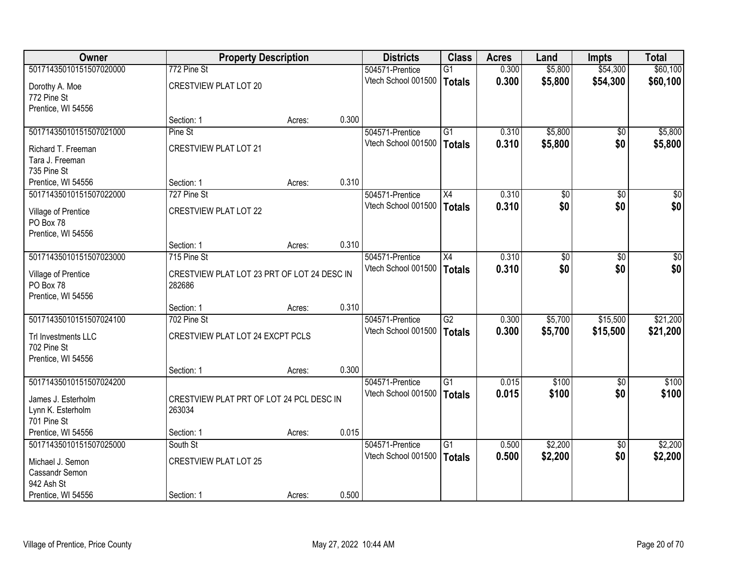| <b>Owner</b>            | <b>Property Description</b>                 |        |       | <b>Districts</b>    | <b>Class</b>    | <b>Acres</b> | Land            | <b>Impts</b>    | <b>Total</b>     |
|-------------------------|---------------------------------------------|--------|-------|---------------------|-----------------|--------------|-----------------|-----------------|------------------|
| 50171435010151507020000 | 772 Pine St                                 |        |       | 504571-Prentice     | G1              | 0.300        | \$5,800         | \$54,300        | \$60,100         |
| Dorothy A. Moe          | <b>CRESTVIEW PLAT LOT 20</b>                |        |       | Vtech School 001500 | Totals          | 0.300        | \$5,800         | \$54,300        | \$60,100         |
| 772 Pine St             |                                             |        |       |                     |                 |              |                 |                 |                  |
| Prentice, WI 54556      |                                             |        |       |                     |                 |              |                 |                 |                  |
|                         | Section: 1                                  | Acres: | 0.300 |                     |                 |              |                 |                 |                  |
| 50171435010151507021000 | Pine St                                     |        |       | 504571-Prentice     | G1              | 0.310        | \$5,800         | $\overline{50}$ | \$5,800          |
| Richard T. Freeman      | <b>CRESTVIEW PLAT LOT 21</b>                |        |       | Vtech School 001500 | Totals          | 0.310        | \$5,800         | \$0             | \$5,800          |
| Tara J. Freeman         |                                             |        |       |                     |                 |              |                 |                 |                  |
| 735 Pine St             |                                             |        |       |                     |                 |              |                 |                 |                  |
| Prentice, WI 54556      | Section: 1                                  | Acres: | 0.310 |                     |                 |              |                 |                 |                  |
| 50171435010151507022000 | 727 Pine St                                 |        |       | 504571-Prentice     | X4              | 0.310        | $\overline{60}$ | \$0             | $\overline{\$0}$ |
| Village of Prentice     | <b>CRESTVIEW PLAT LOT 22</b>                |        |       | Vtech School 001500 | Totals          | 0.310        | \$0             | \$0             | \$0              |
| PO Box 78               |                                             |        |       |                     |                 |              |                 |                 |                  |
| Prentice, WI 54556      |                                             |        |       |                     |                 |              |                 |                 |                  |
|                         | Section: 1                                  | Acres: | 0.310 |                     |                 |              |                 |                 |                  |
| 50171435010151507023000 | 715 Pine St                                 |        |       | 504571-Prentice     | X4              | 0.310        | $\overline{30}$ | \$0             | $\overline{50}$  |
| Village of Prentice     | CRESTVIEW PLAT LOT 23 PRT OF LOT 24 DESC IN |        |       | Vtech School 001500 | <b>Totals</b>   | 0.310        | \$0             | \$0             | \$0              |
| PO Box 78               | 282686                                      |        |       |                     |                 |              |                 |                 |                  |
| Prentice, WI 54556      |                                             |        |       |                     |                 |              |                 |                 |                  |
|                         | Section: 1                                  | Acres: | 0.310 |                     |                 |              |                 |                 |                  |
| 50171435010151507024100 | 702 Pine St                                 |        |       | 504571-Prentice     | $\overline{G2}$ | 0.300        | \$5,700         | \$15,500        | \$21,200         |
| Trl Investments LLC     | CRESTVIEW PLAT LOT 24 EXCPT PCLS            |        |       | Vtech School 001500 | Totals          | 0.300        | \$5,700         | \$15,500        | \$21,200         |
| 702 Pine St             |                                             |        |       |                     |                 |              |                 |                 |                  |
| Prentice, WI 54556      |                                             |        |       |                     |                 |              |                 |                 |                  |
|                         | Section: 1                                  | Acres: | 0.300 |                     |                 |              |                 |                 |                  |
| 50171435010151507024200 |                                             |        |       | 504571-Prentice     | G1              | 0.015        | \$100           | $\overline{50}$ | \$100            |
| James J. Esterholm      | CRESTVIEW PLAT PRT OF LOT 24 PCL DESC IN    |        |       | Vtech School 001500 | Totals          | 0.015        | \$100           | \$0             | \$100            |
| Lynn K. Esterholm       | 263034                                      |        |       |                     |                 |              |                 |                 |                  |
| 701 Pine St             |                                             |        |       |                     |                 |              |                 |                 |                  |
| Prentice, WI 54556      | Section: 1                                  | Acres: | 0.015 |                     |                 |              |                 |                 |                  |
| 50171435010151507025000 | South St                                    |        |       | 504571-Prentice     | $\overline{G1}$ | 0.500        | \$2,200         | $\overline{50}$ | \$2,200          |
| Michael J. Semon        | <b>CRESTVIEW PLAT LOT 25</b>                |        |       | Vtech School 001500 | Totals          | 0.500        | \$2,200         | \$0             | \$2,200          |
| Cassandr Semon          |                                             |        |       |                     |                 |              |                 |                 |                  |
| 942 Ash St              |                                             |        |       |                     |                 |              |                 |                 |                  |
| Prentice, WI 54556      | Section: 1                                  | Acres: | 0.500 |                     |                 |              |                 |                 |                  |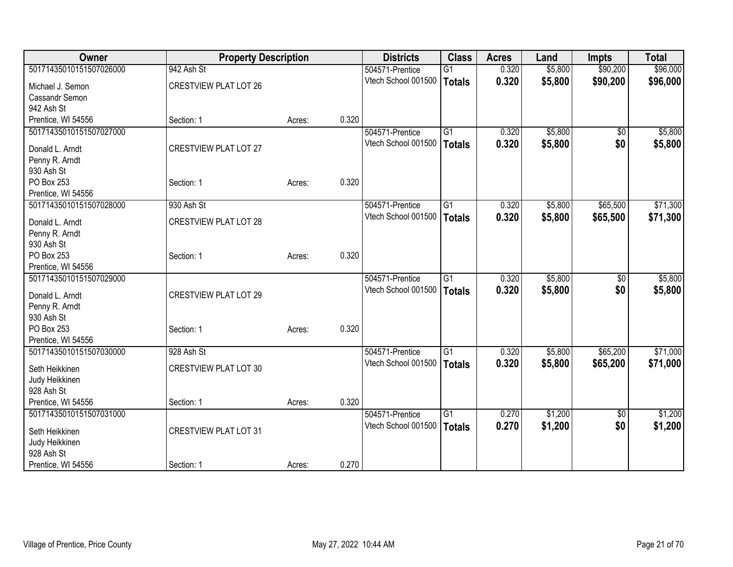| Owner                                         | <b>Property Description</b>  |        |       | <b>Districts</b>    | <b>Class</b>    | <b>Acres</b> | Land    | <b>Impts</b>    | <b>Total</b> |
|-----------------------------------------------|------------------------------|--------|-------|---------------------|-----------------|--------------|---------|-----------------|--------------|
| 50171435010151507026000                       | 942 Ash St                   |        |       | 504571-Prentice     | $\overline{G1}$ | 0.320        | \$5,800 | \$90,200        | \$96,000     |
| Michael J. Semon                              | <b>CRESTVIEW PLAT LOT 26</b> |        |       | Vtech School 001500 | Totals          | 0.320        | \$5,800 | \$90,200        | \$96,000     |
| Cassandr Semon                                |                              |        |       |                     |                 |              |         |                 |              |
| 942 Ash St                                    |                              |        |       |                     |                 |              |         |                 |              |
| Prentice, WI 54556                            | Section: 1                   | Acres: | 0.320 |                     |                 |              |         |                 |              |
| 50171435010151507027000                       |                              |        |       | 504571-Prentice     | $\overline{G1}$ | 0.320        | \$5,800 | $\overline{50}$ | \$5,800      |
|                                               |                              |        |       | Vtech School 001500 | Totals          | 0.320        | \$5,800 | \$0             | \$5,800      |
| Donald L. Arndt                               | <b>CRESTVIEW PLAT LOT 27</b> |        |       |                     |                 |              |         |                 |              |
| Penny R. Arndt                                |                              |        |       |                     |                 |              |         |                 |              |
| 930 Ash St                                    |                              |        |       |                     |                 |              |         |                 |              |
| PO Box 253                                    | Section: 1                   | Acres: | 0.320 |                     |                 |              |         |                 |              |
| Prentice, WI 54556<br>50171435010151507028000 | 930 Ash St                   |        |       |                     | $\overline{G1}$ | 0.320        | \$5,800 | \$65,500        | \$71,300     |
|                                               |                              |        |       | 504571-Prentice     |                 |              |         |                 |              |
| Donald L. Arndt                               | <b>CRESTVIEW PLAT LOT 28</b> |        |       | Vtech School 001500 | Totals          | 0.320        | \$5,800 | \$65,500        | \$71,300     |
| Penny R. Arndt                                |                              |        |       |                     |                 |              |         |                 |              |
| 930 Ash St                                    |                              |        |       |                     |                 |              |         |                 |              |
| PO Box 253                                    | Section: 1                   | Acres: | 0.320 |                     |                 |              |         |                 |              |
| Prentice, WI 54556                            |                              |        |       |                     |                 |              |         |                 |              |
| 50171435010151507029000                       |                              |        |       | 504571-Prentice     | $\overline{G1}$ | 0.320        | \$5,800 | \$0             | \$5,800      |
| Donald L. Arndt                               | <b>CRESTVIEW PLAT LOT 29</b> |        |       | Vtech School 001500 | Totals          | 0.320        | \$5,800 | \$0             | \$5,800      |
| Penny R. Arndt                                |                              |        |       |                     |                 |              |         |                 |              |
| 930 Ash St                                    |                              |        |       |                     |                 |              |         |                 |              |
| PO Box 253                                    | Section: 1                   | Acres: | 0.320 |                     |                 |              |         |                 |              |
| Prentice, WI 54556                            |                              |        |       |                     |                 |              |         |                 |              |
| 50171435010151507030000                       | 928 Ash St                   |        |       | 504571-Prentice     | G <sub>1</sub>  | 0.320        | \$5,800 | \$65,200        | \$71,000     |
| Seth Heikkinen                                | <b>CRESTVIEW PLAT LOT 30</b> |        |       | Vtech School 001500 | <b>Totals</b>   | 0.320        | \$5,800 | \$65,200        | \$71,000     |
| Judy Heikkinen                                |                              |        |       |                     |                 |              |         |                 |              |
| 928 Ash St                                    |                              |        |       |                     |                 |              |         |                 |              |
| Prentice, WI 54556                            | Section: 1                   | Acres: | 0.320 |                     |                 |              |         |                 |              |
| 50171435010151507031000                       |                              |        |       | 504571-Prentice     | G <sub>1</sub>  | 0.270        | \$1,200 | \$0             | \$1,200      |
|                                               |                              |        |       | Vtech School 001500 | Totals          | 0.270        | \$1,200 | \$0             | \$1,200      |
| Seth Heikkinen                                | <b>CRESTVIEW PLAT LOT 31</b> |        |       |                     |                 |              |         |                 |              |
| Judy Heikkinen                                |                              |        |       |                     |                 |              |         |                 |              |
| 928 Ash St                                    |                              |        |       |                     |                 |              |         |                 |              |
| Prentice, WI 54556                            | Section: 1                   | Acres: | 0.270 |                     |                 |              |         |                 |              |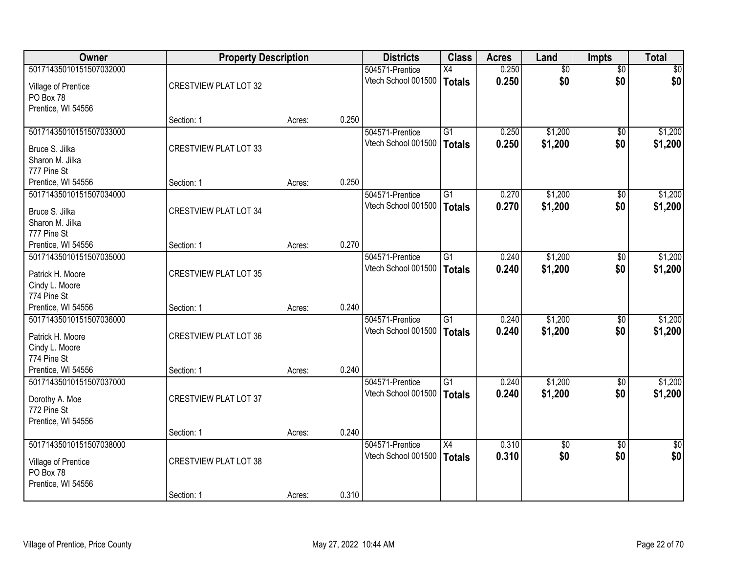| Owner                   | <b>Property Description</b>  |        |       | <b>Districts</b>    | <b>Class</b>    | <b>Acres</b> | Land    | <b>Impts</b>    | <b>Total</b> |
|-------------------------|------------------------------|--------|-------|---------------------|-----------------|--------------|---------|-----------------|--------------|
| 50171435010151507032000 |                              |        |       | 504571-Prentice     | X4              | 0.250        | \$0     | $\overline{50}$ | \$0          |
| Village of Prentice     | <b>CRESTVIEW PLAT LOT 32</b> |        |       | Vtech School 001500 | <b>Totals</b>   | 0.250        | \$0     | \$0             | \$0          |
| PO Box 78               |                              |        |       |                     |                 |              |         |                 |              |
| Prentice, WI 54556      |                              |        |       |                     |                 |              |         |                 |              |
|                         | Section: 1                   | Acres: | 0.250 |                     |                 |              |         |                 |              |
| 50171435010151507033000 |                              |        |       | 504571-Prentice     | $\overline{G1}$ | 0.250        | \$1,200 | $\overline{50}$ | \$1,200      |
| Bruce S. Jilka          | <b>CRESTVIEW PLAT LOT 33</b> |        |       | Vtech School 001500 | <b>Totals</b>   | 0.250        | \$1,200 | \$0             | \$1,200      |
| Sharon M. Jilka         |                              |        |       |                     |                 |              |         |                 |              |
| 777 Pine St             |                              |        |       |                     |                 |              |         |                 |              |
| Prentice, WI 54556      | Section: 1                   | Acres: | 0.250 |                     |                 |              |         |                 |              |
| 50171435010151507034000 |                              |        |       | 504571-Prentice     | G1              | 0.270        | \$1,200 | \$0             | \$1,200      |
| Bruce S. Jilka          | <b>CRESTVIEW PLAT LOT 34</b> |        |       | Vtech School 001500 | <b>Totals</b>   | 0.270        | \$1,200 | \$0             | \$1,200      |
| Sharon M. Jilka         |                              |        |       |                     |                 |              |         |                 |              |
| 777 Pine St             |                              |        |       |                     |                 |              |         |                 |              |
| Prentice, WI 54556      | Section: 1                   | Acres: | 0.270 |                     |                 |              |         |                 |              |
| 50171435010151507035000 |                              |        |       | 504571-Prentice     | G1              | 0.240        | \$1,200 | \$0             | \$1,200      |
| Patrick H. Moore        | <b>CRESTVIEW PLAT LOT 35</b> |        |       | Vtech School 001500 | <b>Totals</b>   | 0.240        | \$1,200 | \$0             | \$1,200      |
| Cindy L. Moore          |                              |        |       |                     |                 |              |         |                 |              |
| 774 Pine St             |                              |        |       |                     |                 |              |         |                 |              |
| Prentice, WI 54556      | Section: 1                   | Acres: | 0.240 |                     |                 |              |         |                 |              |
| 50171435010151507036000 |                              |        |       | 504571-Prentice     | $\overline{G1}$ | 0.240        | \$1,200 | $\overline{50}$ | \$1,200      |
| Patrick H. Moore        | <b>CRESTVIEW PLAT LOT 36</b> |        |       | Vtech School 001500 | <b>Totals</b>   | 0.240        | \$1,200 | \$0             | \$1,200      |
| Cindy L. Moore          |                              |        |       |                     |                 |              |         |                 |              |
| 774 Pine St             |                              |        |       |                     |                 |              |         |                 |              |
| Prentice, WI 54556      | Section: 1                   | Acres: | 0.240 |                     |                 |              |         |                 |              |
| 50171435010151507037000 |                              |        |       | 504571-Prentice     | $\overline{G1}$ | 0.240        | \$1,200 | \$0             | \$1,200      |
| Dorothy A. Moe          | <b>CRESTVIEW PLAT LOT 37</b> |        |       | Vtech School 001500 | <b>Totals</b>   | 0.240        | \$1,200 | \$0             | \$1,200      |
| 772 Pine St             |                              |        |       |                     |                 |              |         |                 |              |
| Prentice, WI 54556      |                              |        |       |                     |                 |              |         |                 |              |
|                         | Section: 1                   | Acres: | 0.240 |                     |                 |              |         |                 |              |
| 50171435010151507038000 |                              |        |       | 504571-Prentice     | X4              | 0.310        | \$0     | $\overline{50}$ | $\sqrt{50}$  |
| Village of Prentice     | <b>CRESTVIEW PLAT LOT 38</b> |        |       | Vtech School 001500 | <b>Totals</b>   | 0.310        | \$0     | \$0             | \$0          |
| PO Box 78               |                              |        |       |                     |                 |              |         |                 |              |
| Prentice, WI 54556      |                              |        |       |                     |                 |              |         |                 |              |
|                         | Section: 1                   | Acres: | 0.310 |                     |                 |              |         |                 |              |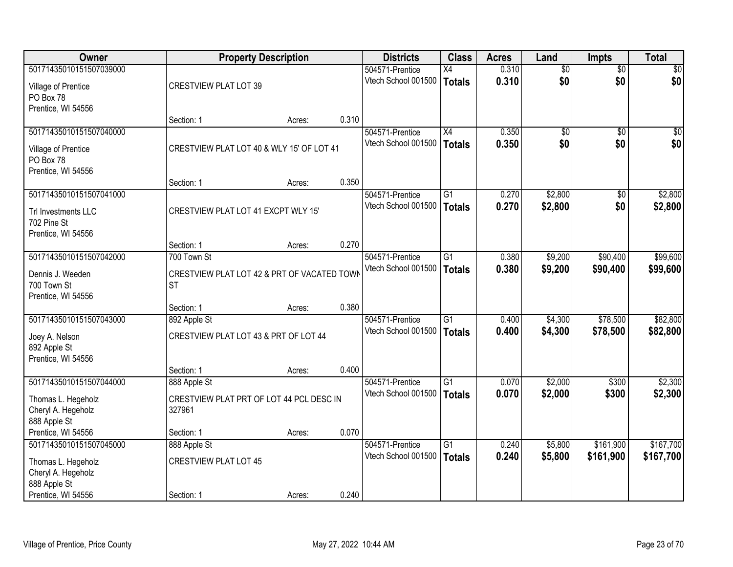| Owner                   |                                             | <b>Property Description</b> |       | <b>Districts</b>    | <b>Class</b>    | <b>Acres</b> | Land            | <b>Impts</b>    | <b>Total</b>    |
|-------------------------|---------------------------------------------|-----------------------------|-------|---------------------|-----------------|--------------|-----------------|-----------------|-----------------|
| 50171435010151507039000 |                                             |                             |       | 504571-Prentice     | $\overline{X4}$ | 0.310        | $\overline{50}$ | $\overline{50}$ | $\overline{30}$ |
| Village of Prentice     | <b>CRESTVIEW PLAT LOT 39</b>                |                             |       | Vtech School 001500 | <b>Totals</b>   | 0.310        | \$0             | \$0             | \$0             |
| PO Box 78               |                                             |                             |       |                     |                 |              |                 |                 |                 |
| Prentice, WI 54556      |                                             |                             |       |                     |                 |              |                 |                 |                 |
|                         | Section: 1                                  | Acres:                      | 0.310 |                     |                 |              |                 |                 |                 |
| 50171435010151507040000 |                                             |                             |       | 504571-Prentice     | $\overline{X4}$ | 0.350        | \$0             | $\overline{50}$ | \$0             |
| Village of Prentice     | CRESTVIEW PLAT LOT 40 & WLY 15' OF LOT 41   |                             |       | Vtech School 001500 | <b>Totals</b>   | 0.350        | \$0             | \$0             | \$0             |
| PO Box 78               |                                             |                             |       |                     |                 |              |                 |                 |                 |
| Prentice, WI 54556      |                                             |                             |       |                     |                 |              |                 |                 |                 |
|                         | Section: 1                                  | Acres:                      | 0.350 |                     |                 |              |                 |                 |                 |
| 50171435010151507041000 |                                             |                             |       | 504571-Prentice     | $\overline{G1}$ | 0.270        | \$2,800         | \$0             | \$2,800         |
| Trl Investments LLC     | CRESTVIEW PLAT LOT 41 EXCPT WLY 15'         |                             |       | Vtech School 001500 | <b>Totals</b>   | 0.270        | \$2,800         | \$0             | \$2,800         |
| 702 Pine St             |                                             |                             |       |                     |                 |              |                 |                 |                 |
| Prentice, WI 54556      |                                             |                             |       |                     |                 |              |                 |                 |                 |
|                         | Section: 1                                  | Acres:                      | 0.270 |                     |                 |              |                 |                 |                 |
| 50171435010151507042000 | 700 Town St                                 |                             |       | 504571-Prentice     | G1              | 0.380        | \$9,200         | \$90,400        | \$99,600        |
| Dennis J. Weeden        | CRESTVIEW PLAT LOT 42 & PRT OF VACATED TOWN |                             |       | Vtech School 001500 | <b>Totals</b>   | 0.380        | \$9,200         | \$90,400        | \$99,600        |
| 700 Town St             | <b>ST</b>                                   |                             |       |                     |                 |              |                 |                 |                 |
| Prentice, WI 54556      |                                             |                             |       |                     |                 |              |                 |                 |                 |
|                         | Section: 1                                  | Acres:                      | 0.380 |                     |                 |              |                 |                 |                 |
| 50171435010151507043000 | 892 Apple St                                |                             |       | 504571-Prentice     | $\overline{G1}$ | 0.400        | \$4,300         | \$78,500        | \$82,800        |
| Joey A. Nelson          | CRESTVIEW PLAT LOT 43 & PRT OF LOT 44       |                             |       | Vtech School 001500 | <b>Totals</b>   | 0.400        | \$4,300         | \$78,500        | \$82,800        |
| 892 Apple St            |                                             |                             |       |                     |                 |              |                 |                 |                 |
| Prentice, WI 54556      |                                             |                             |       |                     |                 |              |                 |                 |                 |
|                         | Section: 1                                  | Acres:                      | 0.400 |                     |                 |              |                 |                 |                 |
| 50171435010151507044000 | 888 Apple St                                |                             |       | 504571-Prentice     | $\overline{G1}$ | 0.070        | \$2,000         | \$300           | \$2,300         |
| Thomas L. Hegeholz      | CRESTVIEW PLAT PRT OF LOT 44 PCL DESC IN    |                             |       | Vtech School 001500 | <b>Totals</b>   | 0.070        | \$2,000         | \$300           | \$2,300         |
| Cheryl A. Hegeholz      | 327961                                      |                             |       |                     |                 |              |                 |                 |                 |
| 888 Apple St            |                                             |                             |       |                     |                 |              |                 |                 |                 |
| Prentice, WI 54556      | Section: 1                                  | Acres:                      | 0.070 |                     |                 |              |                 |                 |                 |
| 50171435010151507045000 | 888 Apple St                                |                             |       | 504571-Prentice     | $\overline{G1}$ | 0.240        | \$5,800         | \$161,900       | \$167,700       |
| Thomas L. Hegeholz      | <b>CRESTVIEW PLAT LOT 45</b>                |                             |       | Vtech School 001500 | <b>Totals</b>   | 0.240        | \$5,800         | \$161,900       | \$167,700       |
| Cheryl A. Hegeholz      |                                             |                             |       |                     |                 |              |                 |                 |                 |
| 888 Apple St            |                                             |                             |       |                     |                 |              |                 |                 |                 |
| Prentice, WI 54556      | Section: 1                                  | Acres:                      | 0.240 |                     |                 |              |                 |                 |                 |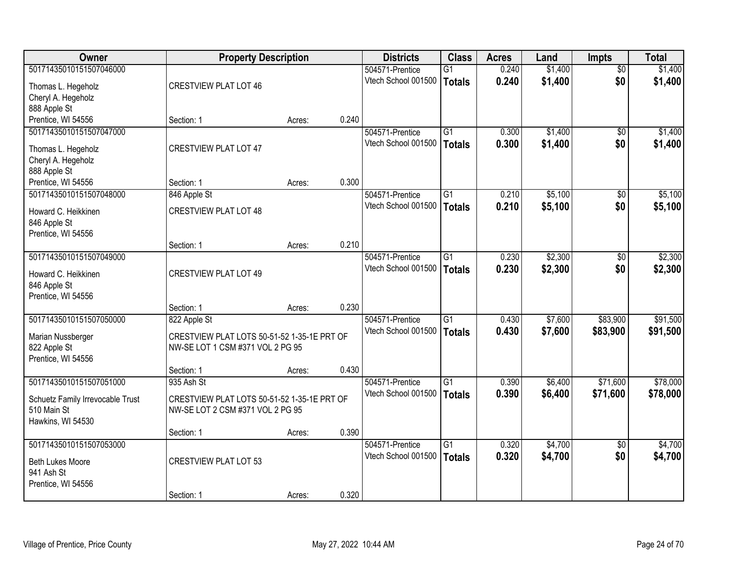| <b>Owner</b>                     |                                             | <b>Property Description</b> |       | <b>Districts</b>    | <b>Class</b>    | <b>Acres</b> | Land    | Impts           | <b>Total</b> |
|----------------------------------|---------------------------------------------|-----------------------------|-------|---------------------|-----------------|--------------|---------|-----------------|--------------|
| 50171435010151507046000          |                                             |                             |       | 504571-Prentice     | $\overline{G1}$ | 0.240        | \$1,400 | $\overline{50}$ | \$1,400      |
| Thomas L. Hegeholz               | <b>CRESTVIEW PLAT LOT 46</b>                |                             |       | Vtech School 001500 | <b>Totals</b>   | 0.240        | \$1,400 | \$0             | \$1,400      |
| Cheryl A. Hegeholz               |                                             |                             |       |                     |                 |              |         |                 |              |
| 888 Apple St                     |                                             |                             |       |                     |                 |              |         |                 |              |
| Prentice, WI 54556               | Section: 1                                  | Acres:                      | 0.240 |                     |                 |              |         |                 |              |
| 50171435010151507047000          |                                             |                             |       | 504571-Prentice     | $\overline{G1}$ | 0.300        | \$1,400 | \$0             | \$1,400      |
| Thomas L. Hegeholz               | <b>CRESTVIEW PLAT LOT 47</b>                |                             |       | Vtech School 001500 | <b>Totals</b>   | 0.300        | \$1,400 | \$0             | \$1,400      |
| Cheryl A. Hegeholz               |                                             |                             |       |                     |                 |              |         |                 |              |
| 888 Apple St                     |                                             |                             |       |                     |                 |              |         |                 |              |
| Prentice, WI 54556               | Section: 1                                  | Acres:                      | 0.300 |                     |                 |              |         |                 |              |
| 50171435010151507048000          | 846 Apple St                                |                             |       | 504571-Prentice     | $\overline{G1}$ | 0.210        | \$5,100 | $\overline{50}$ | \$5,100      |
| Howard C. Heikkinen              | <b>CRESTVIEW PLAT LOT 48</b>                |                             |       | Vtech School 001500 | <b>Totals</b>   | 0.210        | \$5,100 | \$0             | \$5,100      |
| 846 Apple St                     |                                             |                             |       |                     |                 |              |         |                 |              |
| Prentice, WI 54556               |                                             |                             |       |                     |                 |              |         |                 |              |
|                                  | Section: 1                                  | Acres:                      | 0.210 |                     |                 |              |         |                 |              |
| 50171435010151507049000          |                                             |                             |       | 504571-Prentice     | $\overline{G1}$ | 0.230        | \$2,300 | $\overline{30}$ | \$2,300      |
| Howard C. Heikkinen              | <b>CRESTVIEW PLAT LOT 49</b>                |                             |       | Vtech School 001500 | <b>Totals</b>   | 0.230        | \$2,300 | \$0             | \$2,300      |
| 846 Apple St                     |                                             |                             |       |                     |                 |              |         |                 |              |
| Prentice, WI 54556               |                                             |                             |       |                     |                 |              |         |                 |              |
|                                  | Section: 1                                  | Acres:                      | 0.230 |                     |                 |              |         |                 |              |
| 50171435010151507050000          | 822 Apple St                                |                             |       | 504571-Prentice     | $\overline{G1}$ | 0.430        | \$7,600 | \$83,900        | \$91,500     |
| Marian Nussberger                | CRESTVIEW PLAT LOTS 50-51-52 1-35-1E PRT OF |                             |       | Vtech School 001500 | <b>Totals</b>   | 0.430        | \$7,600 | \$83,900        | \$91,500     |
| 822 Apple St                     | NW-SE LOT 1 CSM #371 VOL 2 PG 95            |                             |       |                     |                 |              |         |                 |              |
| Prentice, WI 54556               |                                             |                             |       |                     |                 |              |         |                 |              |
|                                  | Section: 1                                  | Acres:                      | 0.430 |                     |                 |              |         |                 |              |
| 50171435010151507051000          | 935 Ash St                                  |                             |       | 504571-Prentice     | $\overline{G1}$ | 0.390        | \$6,400 | \$71,600        | \$78,000     |
| Schuetz Family Irrevocable Trust | CRESTVIEW PLAT LOTS 50-51-52 1-35-1E PRT OF |                             |       | Vtech School 001500 | <b>Totals</b>   | 0.390        | \$6,400 | \$71,600        | \$78,000     |
| 510 Main St                      | NW-SE LOT 2 CSM #371 VOL 2 PG 95            |                             |       |                     |                 |              |         |                 |              |
| Hawkins, WI 54530                |                                             |                             |       |                     |                 |              |         |                 |              |
|                                  | Section: 1                                  | Acres:                      | 0.390 |                     |                 |              |         |                 |              |
| 50171435010151507053000          |                                             |                             |       | 504571-Prentice     | $\overline{G1}$ | 0.320        | \$4,700 | $\overline{50}$ | \$4,700      |
| Beth Lukes Moore                 | <b>CRESTVIEW PLAT LOT 53</b>                |                             |       | Vtech School 001500 | <b>Totals</b>   | 0.320        | \$4,700 | \$0             | \$4,700      |
| 941 Ash St                       |                                             |                             |       |                     |                 |              |         |                 |              |
| Prentice, WI 54556               |                                             |                             |       |                     |                 |              |         |                 |              |
|                                  | Section: 1                                  | Acres:                      | 0.320 |                     |                 |              |         |                 |              |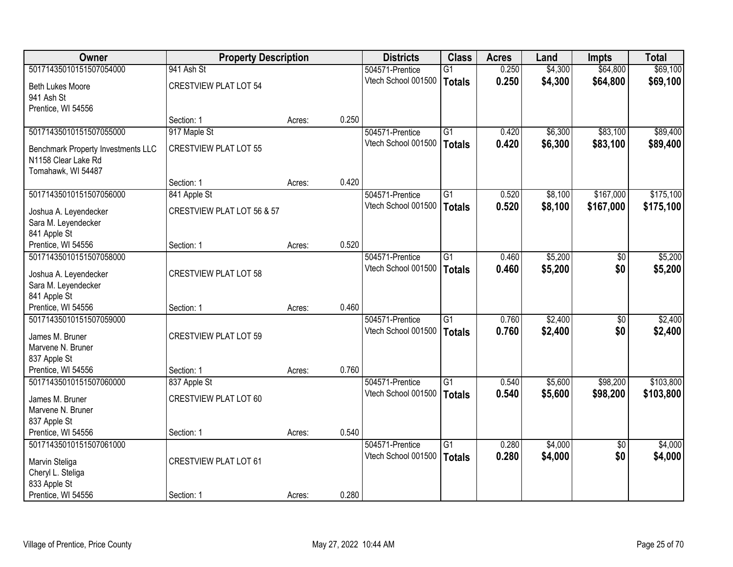| Owner                                     | <b>Property Description</b>  |        |       | <b>Districts</b>    | <b>Class</b>    | <b>Acres</b> | Land    | <b>Impts</b>    | <b>Total</b> |
|-------------------------------------------|------------------------------|--------|-------|---------------------|-----------------|--------------|---------|-----------------|--------------|
| 50171435010151507054000                   | 941 Ash St                   |        |       | 504571-Prentice     | $\overline{G1}$ | 0.250        | \$4,300 | \$64,800        | \$69,100     |
| <b>Beth Lukes Moore</b>                   | <b>CRESTVIEW PLAT LOT 54</b> |        |       | Vtech School 001500 | <b>Totals</b>   | 0.250        | \$4,300 | \$64,800        | \$69,100     |
| 941 Ash St                                |                              |        |       |                     |                 |              |         |                 |              |
| Prentice, WI 54556                        |                              |        |       |                     |                 |              |         |                 |              |
|                                           | Section: 1                   | Acres: | 0.250 |                     |                 |              |         |                 |              |
| 50171435010151507055000                   | 917 Maple St                 |        |       | 504571-Prentice     | $\overline{G1}$ | 0.420        | \$6,300 | \$83,100        | \$89,400     |
| <b>Benchmark Property Investments LLC</b> | <b>CRESTVIEW PLAT LOT 55</b> |        |       | Vtech School 001500 | <b>Totals</b>   | 0.420        | \$6,300 | \$83,100        | \$89,400     |
| N1158 Clear Lake Rd                       |                              |        |       |                     |                 |              |         |                 |              |
| Tomahawk, WI 54487                        |                              |        |       |                     |                 |              |         |                 |              |
|                                           | Section: 1                   | Acres: | 0.420 |                     |                 |              |         |                 |              |
| 50171435010151507056000                   | 841 Apple St                 |        |       | 504571-Prentice     | $\overline{G1}$ | 0.520        | \$8,100 | \$167,000       | \$175,100    |
| Joshua A. Leyendecker                     | CRESTVIEW PLAT LOT 56 & 57   |        |       | Vtech School 001500 | <b>Totals</b>   | 0.520        | \$8,100 | \$167,000       | \$175,100    |
| Sara M. Leyendecker                       |                              |        |       |                     |                 |              |         |                 |              |
| 841 Apple St                              |                              |        |       |                     |                 |              |         |                 |              |
| Prentice, WI 54556                        | Section: 1                   | Acres: | 0.520 |                     |                 |              |         |                 |              |
| 50171435010151507058000                   |                              |        |       | 504571-Prentice     | G1              | 0.460        | \$5,200 | $\frac{1}{20}$  | \$5,200      |
| Joshua A. Leyendecker                     | <b>CRESTVIEW PLAT LOT 58</b> |        |       | Vtech School 001500 | <b>Totals</b>   | 0.460        | \$5,200 | \$0             | \$5,200      |
| Sara M. Leyendecker                       |                              |        |       |                     |                 |              |         |                 |              |
| 841 Apple St                              |                              |        |       |                     |                 |              |         |                 |              |
| Prentice, WI 54556                        | Section: 1                   | Acres: | 0.460 |                     |                 |              |         |                 |              |
| 50171435010151507059000                   |                              |        |       | 504571-Prentice     | $\overline{G1}$ | 0.760        | \$2,400 | $\overline{50}$ | \$2,400      |
| James M. Bruner                           | <b>CRESTVIEW PLAT LOT 59</b> |        |       | Vtech School 001500 | <b>Totals</b>   | 0.760        | \$2,400 | \$0             | \$2,400      |
| Marvene N. Bruner                         |                              |        |       |                     |                 |              |         |                 |              |
| 837 Apple St                              |                              |        |       |                     |                 |              |         |                 |              |
| Prentice, WI 54556                        | Section: 1                   | Acres: | 0.760 |                     |                 |              |         |                 |              |
| 50171435010151507060000                   | 837 Apple St                 |        |       | 504571-Prentice     | $\overline{G1}$ | 0.540        | \$5,600 | \$98,200        | \$103,800    |
| James M. Bruner                           | <b>CRESTVIEW PLAT LOT 60</b> |        |       | Vtech School 001500 | <b>Totals</b>   | 0.540        | \$5,600 | \$98,200        | \$103,800    |
| Marvene N. Bruner                         |                              |        |       |                     |                 |              |         |                 |              |
| 837 Apple St                              |                              |        |       |                     |                 |              |         |                 |              |
| Prentice, WI 54556                        | Section: 1                   | Acres: | 0.540 |                     |                 |              |         |                 |              |
| 50171435010151507061000                   |                              |        |       | 504571-Prentice     | $\overline{G1}$ | 0.280        | \$4,000 | $\overline{50}$ | \$4,000      |
|                                           | <b>CRESTVIEW PLAT LOT 61</b> |        |       | Vtech School 001500 | <b>Totals</b>   | 0.280        | \$4,000 | \$0             | \$4,000      |
| Marvin Steliga<br>Cheryl L. Steliga       |                              |        |       |                     |                 |              |         |                 |              |
| 833 Apple St                              |                              |        |       |                     |                 |              |         |                 |              |
| Prentice, WI 54556                        | Section: 1                   | Acres: | 0.280 |                     |                 |              |         |                 |              |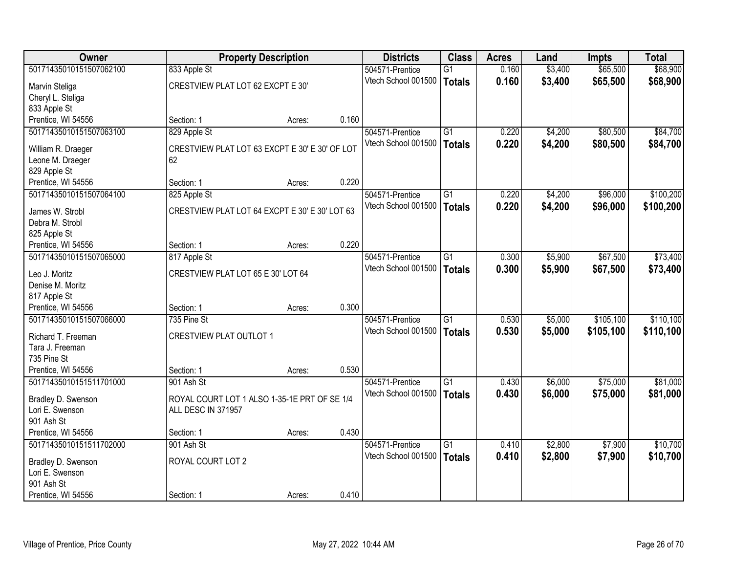| Owner                             |                                                | <b>Property Description</b> |       | <b>Districts</b>    | <b>Class</b>    | <b>Acres</b> | Land    | <b>Impts</b> | <b>Total</b> |
|-----------------------------------|------------------------------------------------|-----------------------------|-------|---------------------|-----------------|--------------|---------|--------------|--------------|
| 50171435010151507062100           | 833 Apple St                                   |                             |       | 504571-Prentice     | $\overline{G1}$ | 0.160        | \$3,400 | \$65,500     | \$68,900     |
| Marvin Steliga                    | CRESTVIEW PLAT LOT 62 EXCPT E 30'              |                             |       | Vtech School 001500 | <b>Totals</b>   | 0.160        | \$3,400 | \$65,500     | \$68,900     |
| Cheryl L. Steliga                 |                                                |                             |       |                     |                 |              |         |              |              |
| 833 Apple St                      |                                                |                             |       |                     |                 |              |         |              |              |
| Prentice, WI 54556                | Section: 1                                     | Acres:                      | 0.160 |                     |                 |              |         |              |              |
| 50171435010151507063100           | 829 Apple St                                   |                             |       | 504571-Prentice     | $\overline{G1}$ | 0.220        | \$4,200 | \$80,500     | \$84,700     |
|                                   |                                                |                             |       | Vtech School 001500 | <b>Totals</b>   | 0.220        | \$4,200 | \$80,500     | \$84,700     |
| William R. Draeger                | CRESTVIEW PLAT LOT 63 EXCPT E 30' E 30' OF LOT |                             |       |                     |                 |              |         |              |              |
| Leone M. Draeger                  | 62                                             |                             |       |                     |                 |              |         |              |              |
| 829 Apple St                      |                                                |                             |       |                     |                 |              |         |              |              |
| Prentice, WI 54556                | Section: 1                                     | Acres:                      | 0.220 |                     |                 |              |         |              |              |
| 50171435010151507064100           | 825 Apple St                                   |                             |       | 504571-Prentice     | G1              | 0.220        | \$4,200 | \$96,000     | \$100,200    |
| James W. Strobl                   | CRESTVIEW PLAT LOT 64 EXCPT E 30' E 30' LOT 63 |                             |       | Vtech School 001500 | <b>Totals</b>   | 0.220        | \$4,200 | \$96,000     | \$100,200    |
| Debra M. Strobl                   |                                                |                             |       |                     |                 |              |         |              |              |
| 825 Apple St                      |                                                |                             |       |                     |                 |              |         |              |              |
| Prentice, WI 54556                | Section: 1                                     | Acres:                      | 0.220 |                     |                 |              |         |              |              |
| 50171435010151507065000           | 817 Apple St                                   |                             |       | 504571-Prentice     | G1              | 0.300        | \$5,900 | \$67,500     | \$73,400     |
|                                   | CRESTVIEW PLAT LOT 65 E 30' LOT 64             |                             |       | Vtech School 001500 | <b>Totals</b>   | 0.300        | \$5,900 | \$67,500     | \$73,400     |
| Leo J. Moritz<br>Denise M. Moritz |                                                |                             |       |                     |                 |              |         |              |              |
| 817 Apple St                      |                                                |                             |       |                     |                 |              |         |              |              |
| Prentice, WI 54556                | Section: 1                                     | Acres:                      | 0.300 |                     |                 |              |         |              |              |
| 50171435010151507066000           | 735 Pine St                                    |                             |       | 504571-Prentice     | $\overline{G1}$ | 0.530        | \$5,000 | \$105,100    | \$110,100    |
|                                   |                                                |                             |       | Vtech School 001500 |                 | 0.530        | \$5,000 | \$105,100    | \$110,100    |
| Richard T. Freeman                | <b>CRESTVIEW PLAT OUTLOT 1</b>                 |                             |       |                     | <b>Totals</b>   |              |         |              |              |
| Tara J. Freeman                   |                                                |                             |       |                     |                 |              |         |              |              |
| 735 Pine St                       |                                                |                             |       |                     |                 |              |         |              |              |
| Prentice, WI 54556                | Section: 1                                     | Acres:                      | 0.530 |                     |                 |              |         |              |              |
| 50171435010151511701000           | 901 Ash St                                     |                             |       | 504571-Prentice     | $\overline{G1}$ | 0.430        | \$6,000 | \$75,000     | \$81,000     |
| Bradley D. Swenson                | ROYAL COURT LOT 1 ALSO 1-35-1E PRT OF SE 1/4   |                             |       | Vtech School 001500 | <b>Totals</b>   | 0.430        | \$6,000 | \$75,000     | \$81,000     |
| Lori E. Swenson                   | ALL DESC IN 371957                             |                             |       |                     |                 |              |         |              |              |
| 901 Ash St                        |                                                |                             |       |                     |                 |              |         |              |              |
| Prentice, WI 54556                | Section: 1                                     | Acres:                      | 0.430 |                     |                 |              |         |              |              |
| 50171435010151511702000           | 901 Ash St                                     |                             |       | 504571-Prentice     | G1              | 0.410        | \$2,800 | \$7,900      | \$10,700     |
|                                   |                                                |                             |       | Vtech School 001500 | <b>Totals</b>   | 0.410        | \$2,800 | \$7,900      | \$10,700     |
| Bradley D. Swenson                | ROYAL COURT LOT 2                              |                             |       |                     |                 |              |         |              |              |
| Lori E. Swenson                   |                                                |                             |       |                     |                 |              |         |              |              |
| 901 Ash St                        |                                                |                             |       |                     |                 |              |         |              |              |
| Prentice, WI 54556                | Section: 1                                     | Acres:                      | 0.410 |                     |                 |              |         |              |              |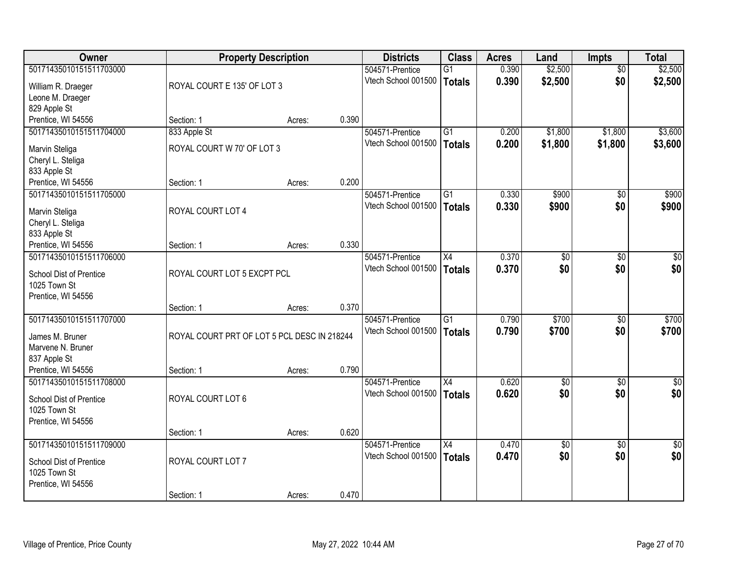| <b>Owner</b>            | <b>Property Description</b>                 |        |       | <b>Districts</b>    | <b>Class</b>    | <b>Acres</b> | Land            | <b>Impts</b>    | <b>Total</b>     |
|-------------------------|---------------------------------------------|--------|-------|---------------------|-----------------|--------------|-----------------|-----------------|------------------|
| 50171435010151511703000 |                                             |        |       | 504571-Prentice     | $\overline{G1}$ | 0.390        | \$2,500         | \$0             | \$2,500          |
| William R. Draeger      | ROYAL COURT E 135' OF LOT 3                 |        |       | Vtech School 001500 | <b>Totals</b>   | 0.390        | \$2,500         | \$0             | \$2,500          |
| Leone M. Draeger        |                                             |        |       |                     |                 |              |                 |                 |                  |
| 829 Apple St            |                                             |        |       |                     |                 |              |                 |                 |                  |
| Prentice, WI 54556      | Section: 1                                  | Acres: | 0.390 |                     |                 |              |                 |                 |                  |
| 50171435010151511704000 | 833 Apple St                                |        |       | 504571-Prentice     | $\overline{G1}$ | 0.200        | \$1,800         | \$1,800         | \$3,600          |
| Marvin Steliga          | ROYAL COURT W 70' OF LOT 3                  |        |       | Vtech School 001500 | <b>Totals</b>   | 0.200        | \$1,800         | \$1,800         | \$3,600          |
| Cheryl L. Steliga       |                                             |        |       |                     |                 |              |                 |                 |                  |
| 833 Apple St            |                                             |        |       |                     |                 |              |                 |                 |                  |
| Prentice, WI 54556      | Section: 1                                  | Acres: | 0.200 |                     |                 |              |                 |                 |                  |
| 50171435010151511705000 |                                             |        |       | 504571-Prentice     | $\overline{G1}$ | 0.330        | \$900           | \$0             | \$900            |
| Marvin Steliga          | ROYAL COURT LOT 4                           |        |       | Vtech School 001500 | Totals          | 0.330        | \$900           | \$0             | \$900            |
| Cheryl L. Steliga       |                                             |        |       |                     |                 |              |                 |                 |                  |
| 833 Apple St            |                                             |        |       |                     |                 |              |                 |                 |                  |
| Prentice, WI 54556      | Section: 1                                  | Acres: | 0.330 |                     |                 |              |                 |                 |                  |
| 50171435010151511706000 |                                             |        |       | 504571-Prentice     | X4              | 0.370        | \$0             | \$0             | $\sqrt{50}$      |
| School Dist of Prentice | ROYAL COURT LOT 5 EXCPT PCL                 |        |       | Vtech School 001500 | <b>Totals</b>   | 0.370        | \$0             | \$0             | \$0              |
| 1025 Town St            |                                             |        |       |                     |                 |              |                 |                 |                  |
| Prentice, WI 54556      |                                             |        |       |                     |                 |              |                 |                 |                  |
|                         | Section: 1                                  | Acres: | 0.370 |                     |                 |              |                 |                 |                  |
| 50171435010151511707000 |                                             |        |       | 504571-Prentice     | $\overline{G1}$ | 0.790        | \$700           | $\overline{50}$ | \$700            |
| James M. Bruner         | ROYAL COURT PRT OF LOT 5 PCL DESC IN 218244 |        |       | Vtech School 001500 | Totals          | 0.790        | \$700           | \$0             | \$700            |
| Marvene N. Bruner       |                                             |        |       |                     |                 |              |                 |                 |                  |
| 837 Apple St            |                                             |        |       |                     |                 |              |                 |                 |                  |
| Prentice, WI 54556      | Section: 1                                  | Acres: | 0.790 |                     |                 |              |                 |                 |                  |
| 50171435010151511708000 |                                             |        |       | 504571-Prentice     | X4              | 0.620        | $\overline{60}$ | \$0             | $\overline{\$0}$ |
| School Dist of Prentice | ROYAL COURT LOT 6                           |        |       | Vtech School 001500 | <b>Totals</b>   | 0.620        | \$0             | \$0             | \$0              |
| 1025 Town St            |                                             |        |       |                     |                 |              |                 |                 |                  |
| Prentice, WI 54556      |                                             |        |       |                     |                 |              |                 |                 |                  |
|                         | Section: 1                                  | Acres: | 0.620 |                     |                 |              |                 |                 |                  |
| 50171435010151511709000 |                                             |        |       | 504571-Prentice     | X4              | 0.470        | $\overline{60}$ | $\overline{50}$ | $\sqrt{30}$      |
| School Dist of Prentice | ROYAL COURT LOT 7                           |        |       | Vtech School 001500 | Totals          | 0.470        | \$0             | \$0             | \$0              |
| 1025 Town St            |                                             |        |       |                     |                 |              |                 |                 |                  |
| Prentice, WI 54556      |                                             |        |       |                     |                 |              |                 |                 |                  |
|                         | Section: 1                                  | Acres: | 0.470 |                     |                 |              |                 |                 |                  |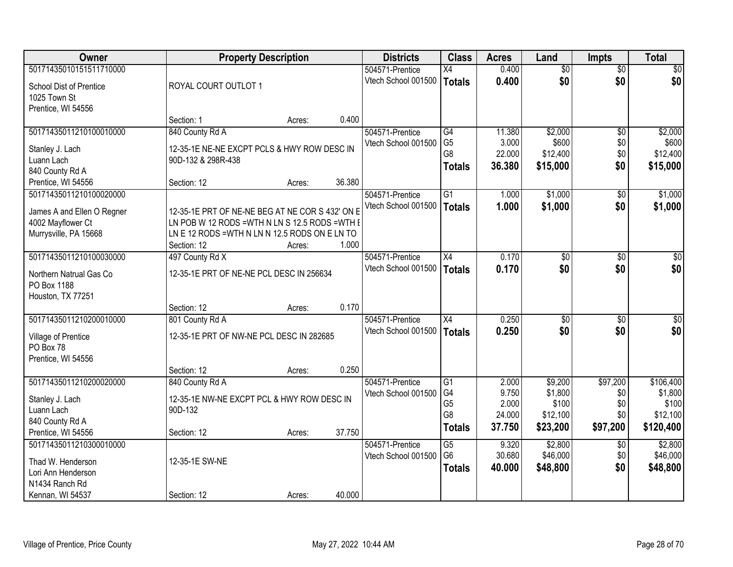| Owner                      |                                                 | <b>Property Description</b> |        | <b>Districts</b>    | <b>Class</b>    | <b>Acres</b> | Land            | <b>Impts</b>    | <b>Total</b>    |
|----------------------------|-------------------------------------------------|-----------------------------|--------|---------------------|-----------------|--------------|-----------------|-----------------|-----------------|
| 50171435010151511710000    |                                                 |                             |        | 504571-Prentice     | $\overline{X4}$ | 0.400        | $\overline{50}$ | $\overline{50}$ | \$0             |
| School Dist of Prentice    | ROYAL COURT OUTLOT 1                            |                             |        | Vtech School 001500 | Totals          | 0.400        | \$0             | \$0             | \$0             |
| 1025 Town St               |                                                 |                             |        |                     |                 |              |                 |                 |                 |
| Prentice, WI 54556         |                                                 |                             |        |                     |                 |              |                 |                 |                 |
|                            | Section: 1                                      | Acres:                      | 0.400  |                     |                 |              |                 |                 |                 |
| 50171435011210100010000    | 840 County Rd A                                 |                             |        | 504571-Prentice     | G4              | 11.380       | \$2,000         | $\overline{50}$ | \$2,000         |
| Stanley J. Lach            | 12-35-1E NE-NE EXCPT PCLS & HWY ROW DESC IN     |                             |        | Vtech School 001500 | G <sub>5</sub>  | 3.000        | \$600           | \$0             | \$600           |
| Luann Lach                 | 90D-132 & 298R-438                              |                             |        |                     | G8              | 22.000       | \$12,400        | \$0             | \$12,400        |
| 840 County Rd A            |                                                 |                             |        |                     | <b>Totals</b>   | 36.380       | \$15,000        | \$0             | \$15,000        |
| Prentice, WI 54556         | Section: 12                                     | Acres:                      | 36.380 |                     |                 |              |                 |                 |                 |
| 50171435011210100020000    |                                                 |                             |        | 504571-Prentice     | G1              | 1.000        | \$1,000         | \$0             | \$1,000         |
| James A and Ellen O Regner | 12-35-1E PRT OF NE-NE BEG AT NE COR S 432' ON E |                             |        | Vtech School 001500 | Totals          | 1.000        | \$1,000         | \$0             | \$1,000         |
| 4002 Mayflower Ct          | LN POB W 12 RODS = WTH N LN S 12.5 RODS = WTH E |                             |        |                     |                 |              |                 |                 |                 |
| Murrysville, PA 15668      | LN E 12 RODS = WTH N LN N 12.5 RODS ON E LN TO  |                             |        |                     |                 |              |                 |                 |                 |
|                            | Section: 12                                     | Acres:                      | 1.000  |                     |                 |              |                 |                 |                 |
| 50171435011210100030000    | 497 County Rd X                                 |                             |        | 504571-Prentice     | X4              | 0.170        | \$0             | $\sqrt{6}$      | $\sqrt{50}$     |
| Northern Natrual Gas Co    | 12-35-1E PRT OF NE-NE PCL DESC IN 256634        |                             |        | Vtech School 001500 | Totals          | 0.170        | \$0             | \$0             | \$0             |
| PO Box 1188                |                                                 |                             |        |                     |                 |              |                 |                 |                 |
| Houston, TX 77251          |                                                 |                             |        |                     |                 |              |                 |                 |                 |
|                            | Section: 12                                     | Acres:                      | 0.170  |                     |                 |              |                 |                 |                 |
| 50171435011210200010000    | 801 County Rd A                                 |                             |        | 504571-Prentice     | $\overline{X4}$ | 0.250        | $\overline{50}$ | $\overline{50}$ | $\overline{50}$ |
| Village of Prentice        | 12-35-1E PRT OF NW-NE PCL DESC IN 282685        |                             |        | Vtech School 001500 | Totals          | 0.250        | \$0             | \$0             | \$0             |
| PO Box 78                  |                                                 |                             |        |                     |                 |              |                 |                 |                 |
| Prentice, WI 54556         |                                                 |                             |        |                     |                 |              |                 |                 |                 |
|                            | Section: 12                                     | Acres:                      | 0.250  |                     |                 |              |                 |                 |                 |
| 50171435011210200020000    | 840 County Rd A                                 |                             |        | 504571-Prentice     | G1              | 2.000        | \$9,200         | \$97,200        | \$106,400       |
| Stanley J. Lach            | 12-35-1E NW-NE EXCPT PCL & HWY ROW DESC IN      |                             |        | Vtech School 001500 | G4              | 9.750        | \$1,800         | \$0             | \$1,800         |
| Luann Lach                 | 90D-132                                         |                             |        |                     | G <sub>5</sub>  | 2.000        | \$100           | \$0             | \$100           |
| 840 County Rd A            |                                                 |                             |        |                     | G <sub>8</sub>  | 24.000       | \$12,100        | \$0             | \$12,100        |
| Prentice, WI 54556         | Section: 12                                     | Acres:                      | 37.750 |                     | <b>Totals</b>   | 37.750       | \$23,200        | \$97,200        | \$120,400       |
| 50171435011210300010000    |                                                 |                             |        | 504571-Prentice     | G5              | 9.320        | \$2,800         | $\overline{50}$ | \$2,800         |
| Thad W. Henderson          | 12-35-1E SW-NE                                  |                             |        | Vtech School 001500 | G <sub>6</sub>  | 30.680       | \$46,000        | \$0             | \$46,000        |
| Lori Ann Henderson         |                                                 |                             |        |                     | <b>Totals</b>   | 40.000       | \$48,800        | \$0             | \$48,800        |
| N1434 Ranch Rd             |                                                 |                             |        |                     |                 |              |                 |                 |                 |
| Kennan, WI 54537           | Section: 12                                     | Acres:                      | 40.000 |                     |                 |              |                 |                 |                 |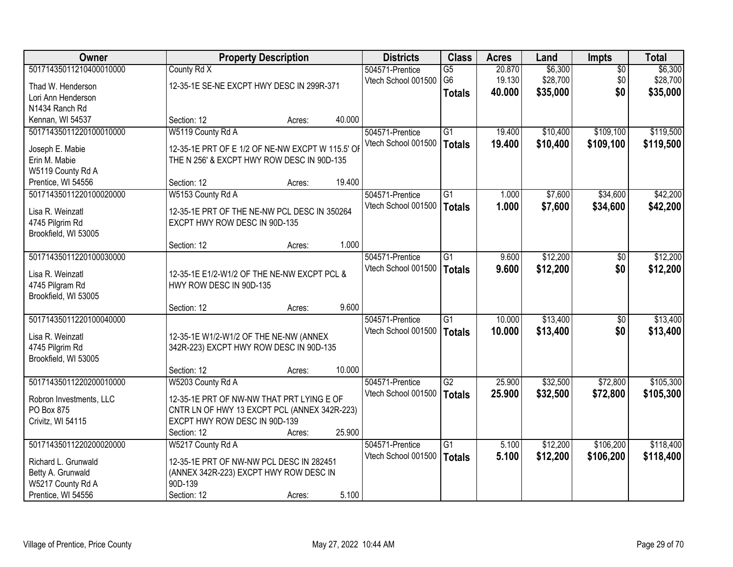| Owner                            |                                                  | <b>Property Description</b> |        | <b>Districts</b>    | <b>Class</b>    | <b>Acres</b> | Land     | Impts           | <b>Total</b> |
|----------------------------------|--------------------------------------------------|-----------------------------|--------|---------------------|-----------------|--------------|----------|-----------------|--------------|
| 50171435011210400010000          | County Rd X                                      |                             |        | 504571-Prentice     | $\overline{G5}$ | 20.870       | \$6,300  | $\overline{50}$ | \$6,300      |
| Thad W. Henderson                | 12-35-1E SE-NE EXCPT HWY DESC IN 299R-371        |                             |        | Vtech School 001500 | G <sub>6</sub>  | 19.130       | \$28,700 | \$0             | \$28,700     |
| Lori Ann Henderson               |                                                  |                             |        |                     | <b>Totals</b>   | 40.000       | \$35,000 | \$0             | \$35,000     |
| N1434 Ranch Rd                   |                                                  |                             |        |                     |                 |              |          |                 |              |
| Kennan, WI 54537                 | Section: 12                                      | Acres:                      | 40.000 |                     |                 |              |          |                 |              |
| 50171435011220100010000          | W5119 County Rd A                                |                             |        | 504571-Prentice     | $\overline{G1}$ | 19.400       | \$10,400 | \$109,100       | \$119,500    |
|                                  |                                                  |                             |        | Vtech School 001500 | <b>Totals</b>   | 19.400       | \$10,400 | \$109,100       | \$119,500    |
| Joseph E. Mabie<br>Erin M. Mabie | 12-35-1E PRT OF E 1/2 OF NE-NW EXCPT W 115.5' OF |                             |        |                     |                 |              |          |                 |              |
| W5119 County Rd A                | THE N 256' & EXCPT HWY ROW DESC IN 90D-135       |                             |        |                     |                 |              |          |                 |              |
| Prentice, WI 54556               | Section: 12                                      | Acres:                      | 19.400 |                     |                 |              |          |                 |              |
| 50171435011220100020000          | W5153 County Rd A                                |                             |        | 504571-Prentice     | G1              | 1.000        | \$7,600  | \$34,600        | \$42,200     |
|                                  |                                                  |                             |        | Vtech School 001500 | <b>Totals</b>   | 1.000        | \$7,600  | \$34,600        | \$42,200     |
| Lisa R. Weinzatl                 | 12-35-1E PRT OF THE NE-NW PCL DESC IN 350264     |                             |        |                     |                 |              |          |                 |              |
| 4745 Pilgrim Rd                  | EXCPT HWY ROW DESC IN 90D-135                    |                             |        |                     |                 |              |          |                 |              |
| Brookfield, WI 53005             |                                                  |                             |        |                     |                 |              |          |                 |              |
|                                  | Section: 12                                      | Acres:                      | 1.000  |                     |                 |              |          |                 |              |
| 50171435011220100030000          |                                                  |                             |        | 504571-Prentice     | G1              | 9.600        | \$12,200 | \$0             | \$12,200     |
| Lisa R. Weinzatl                 | 12-35-1E E1/2-W1/2 OF THE NE-NW EXCPT PCL &      |                             |        | Vtech School 001500 | <b>Totals</b>   | 9.600        | \$12,200 | \$0             | \$12,200     |
| 4745 Pilgram Rd                  | HWY ROW DESC IN 90D-135                          |                             |        |                     |                 |              |          |                 |              |
| Brookfield, WI 53005             |                                                  |                             |        |                     |                 |              |          |                 |              |
|                                  | Section: 12                                      | Acres:                      | 9.600  |                     |                 |              |          |                 |              |
| 50171435011220100040000          |                                                  |                             |        | 504571-Prentice     | $\overline{G1}$ | 10.000       | \$13,400 | $\overline{50}$ | \$13,400     |
| Lisa R. Weinzatl                 | 12-35-1E W1/2-W1/2 OF THE NE-NW (ANNEX           |                             |        | Vtech School 001500 | <b>Totals</b>   | 10.000       | \$13,400 | \$0             | \$13,400     |
| 4745 Pilgrim Rd                  | 342R-223) EXCPT HWY ROW DESC IN 90D-135          |                             |        |                     |                 |              |          |                 |              |
| Brookfield, WI 53005             |                                                  |                             |        |                     |                 |              |          |                 |              |
|                                  | Section: 12                                      | Acres:                      | 10.000 |                     |                 |              |          |                 |              |
| 50171435011220200010000          | W5203 County Rd A                                |                             |        | 504571-Prentice     | $\overline{G2}$ | 25.900       | \$32,500 | \$72,800        | \$105,300    |
| Robron Investments, LLC          | 12-35-1E PRT OF NW-NW THAT PRT LYING E OF        |                             |        | Vtech School 001500 | <b>Totals</b>   | 25.900       | \$32,500 | \$72,800        | \$105,300    |
| PO Box 875                       | CNTR LN OF HWY 13 EXCPT PCL (ANNEX 342R-223)     |                             |        |                     |                 |              |          |                 |              |
| Crivitz, WI 54115                | EXCPT HWY ROW DESC IN 90D-139                    |                             |        |                     |                 |              |          |                 |              |
|                                  | Section: 12                                      | Acres:                      | 25.900 |                     |                 |              |          |                 |              |
| 50171435011220200020000          | W5217 County Rd A                                |                             |        | 504571-Prentice     | G1              | 5.100        | \$12,200 | \$106,200       | \$118,400    |
| Richard L. Grunwald              | 12-35-1E PRT OF NW-NW PCL DESC IN 282451         |                             |        | Vtech School 001500 | <b>Totals</b>   | 5.100        | \$12,200 | \$106,200       | \$118,400    |
| Betty A. Grunwald                | (ANNEX 342R-223) EXCPT HWY ROW DESC IN           |                             |        |                     |                 |              |          |                 |              |
| W5217 County Rd A                | 90D-139                                          |                             |        |                     |                 |              |          |                 |              |
| Prentice, WI 54556               | Section: 12                                      | Acres:                      | 5.100  |                     |                 |              |          |                 |              |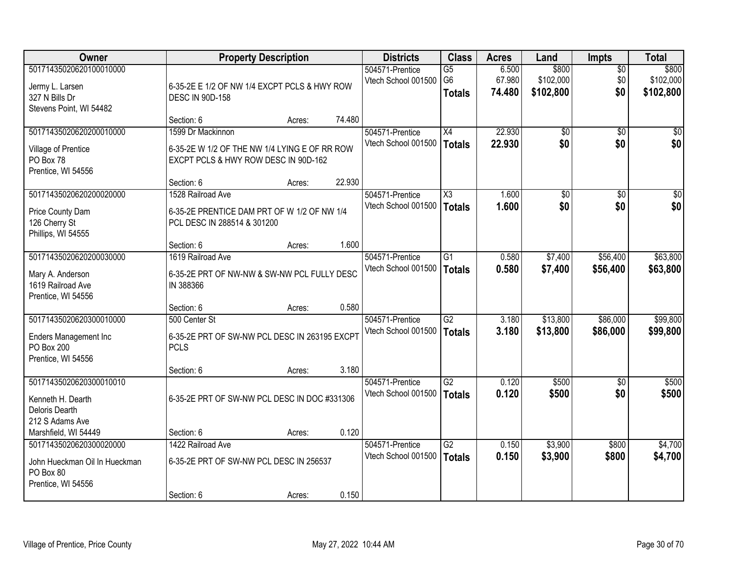| Owner                                                                                       |                                                                                                            | <b>Property Description</b> |        | <b>Districts</b>                       | <b>Class</b>                                       | <b>Acres</b>              | Land                            | <b>Impts</b>                  | <b>Total</b>                    |
|---------------------------------------------------------------------------------------------|------------------------------------------------------------------------------------------------------------|-----------------------------|--------|----------------------------------------|----------------------------------------------------|---------------------------|---------------------------------|-------------------------------|---------------------------------|
| 50171435020620100010000<br>Jermy L. Larsen<br>327 N Bills Dr<br>Stevens Point, WI 54482     | 6-35-2E E 1/2 OF NW 1/4 EXCPT PCLS & HWY ROW<br><b>DESC IN 90D-158</b>                                     |                             |        | 504571-Prentice<br>Vtech School 001500 | $\overline{G5}$<br>G <sub>6</sub><br><b>Totals</b> | 6.500<br>67.980<br>74.480 | \$800<br>\$102,000<br>\$102,800 | $\overline{50}$<br>\$0<br>\$0 | \$800<br>\$102,000<br>\$102,800 |
|                                                                                             | Section: 6                                                                                                 | Acres:                      | 74.480 |                                        |                                                    |                           |                                 |                               |                                 |
| 50171435020620200010000<br>Village of Prentice<br>PO Box 78<br>Prentice, WI 54556           | 1599 Dr Mackinnon<br>6-35-2E W 1/2 OF THE NW 1/4 LYING E OF RR ROW<br>EXCPT PCLS & HWY ROW DESC IN 90D-162 |                             |        | 504571-Prentice<br>Vtech School 001500 | $\overline{X4}$<br><b>Totals</b>                   | 22.930<br>22.930          | \$0<br>\$0                      | $\overline{50}$<br>\$0        | \$0<br>\$0                      |
| 50171435020620200020000                                                                     | Section: 6<br>1528 Railroad Ave                                                                            | Acres:                      | 22.930 | 504571-Prentice                        | $\overline{\text{X3}}$                             | 1.600                     | \$0                             | $\overline{50}$               | $\overline{50}$                 |
| Price County Dam<br>126 Cherry St<br>Phillips, WI 54555                                     | 6-35-2E PRENTICE DAM PRT OF W 1/2 OF NW 1/4<br>PCL DESC IN 288514 & 301200                                 |                             |        | Vtech School 001500                    | <b>Totals</b>                                      | 1.600                     | \$0                             | \$0                           | \$0                             |
|                                                                                             | Section: 6                                                                                                 | Acres:                      | 1.600  |                                        |                                                    |                           |                                 |                               |                                 |
| 50171435020620200030000<br>Mary A. Anderson<br>1619 Railroad Ave<br>Prentice, WI 54556      | 1619 Railroad Ave<br>6-35-2E PRT OF NW-NW & SW-NW PCL FULLY DESC<br>IN 388366                              |                             |        | 504571-Prentice<br>Vtech School 001500 | $\overline{G1}$<br><b>Totals</b>                   | 0.580<br>0.580            | \$7,400<br>\$7,400              | \$56,400<br>\$56,400          | \$63,800<br>\$63,800            |
|                                                                                             | Section: 6                                                                                                 | Acres:                      | 0.580  |                                        |                                                    |                           |                                 |                               |                                 |
| 50171435020620300010000<br><b>Enders Management Inc</b><br>PO Box 200<br>Prentice, WI 54556 | 500 Center St<br>6-35-2E PRT OF SW-NW PCL DESC IN 263195 EXCPT<br><b>PCLS</b>                              |                             |        | 504571-Prentice<br>Vtech School 001500 | $\overline{G2}$<br><b>Totals</b>                   | 3.180<br>3.180            | \$13,800<br>\$13,800            | \$86,000<br>\$86,000          | \$99,800<br>\$99,800            |
|                                                                                             | Section: 6                                                                                                 | Acres:                      | 3.180  |                                        |                                                    |                           |                                 |                               |                                 |
| 50171435020620300010010<br>Kenneth H. Dearth<br>Deloris Dearth<br>212 S Adams Ave           | 6-35-2E PRT OF SW-NW PCL DESC IN DOC #331306                                                               |                             |        | 504571-Prentice<br>Vtech School 001500 | G2<br><b>Totals</b>                                | 0.120<br>0.120            | \$500<br>\$500                  | $\overline{50}$<br>\$0        | \$500<br>\$500                  |
| Marshfield, WI 54449                                                                        | Section: 6                                                                                                 | Acres:                      | 0.120  |                                        |                                                    |                           |                                 |                               |                                 |
| 50171435020620300020000<br>John Hueckman Oil In Hueckman<br>PO Box 80<br>Prentice, WI 54556 | 1422 Railroad Ave<br>6-35-2E PRT OF SW-NW PCL DESC IN 256537<br>Section: 6                                 | Acres:                      | 0.150  | 504571-Prentice<br>Vtech School 001500 | $\overline{G2}$<br><b>Totals</b>                   | 0.150<br>0.150            | \$3,900<br>\$3,900              | \$800<br>\$800                | \$4,700<br>\$4,700              |
|                                                                                             |                                                                                                            |                             |        |                                        |                                                    |                           |                                 |                               |                                 |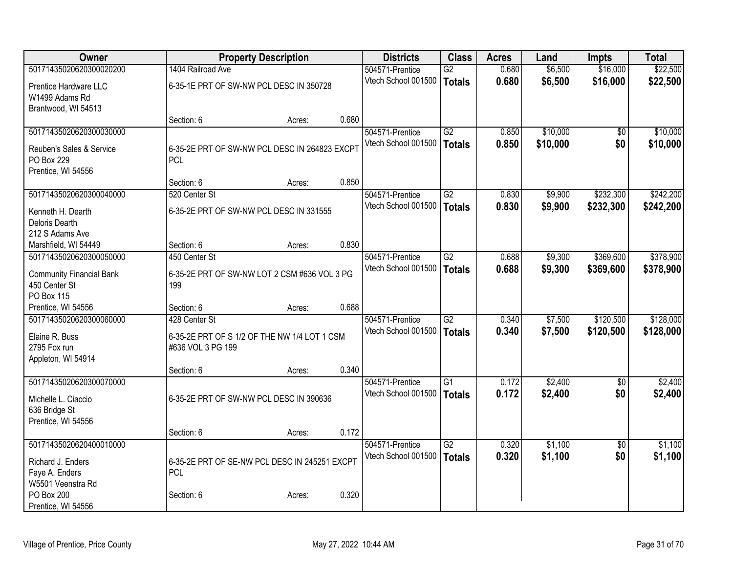| Owner                                   |                                               | <b>Property Description</b> |       |                                        | <b>Class</b>    | <b>Acres</b> | Land     | <b>Impts</b>    | <b>Total</b> |
|-----------------------------------------|-----------------------------------------------|-----------------------------|-------|----------------------------------------|-----------------|--------------|----------|-----------------|--------------|
| 50171435020620300020200                 | 1404 Railroad Ave                             |                             |       | 504571-Prentice                        | $\overline{G2}$ | 0.680        | \$6,500  | \$16,000        | \$22,500     |
| Prentice Hardware LLC                   | 6-35-1E PRT OF SW-NW PCL DESC IN 350728       |                             |       | Vtech School 001500                    | <b>Totals</b>   | 0.680        | \$6,500  | \$16,000        | \$22,500     |
| W1499 Adams Rd                          |                                               |                             |       |                                        |                 |              |          |                 |              |
| Brantwood, WI 54513                     |                                               |                             |       |                                        |                 |              |          |                 |              |
|                                         | Section: 6                                    | Acres:                      | 0.680 |                                        |                 |              |          |                 |              |
| 50171435020620300030000                 |                                               |                             |       | 504571-Prentice<br>Vtech School 001500 | $\overline{G2}$ | 0.850        | \$10,000 | \$0<br>\$0      | \$10,000     |
| Reuben's Sales & Service                | 6-35-2E PRT OF SW-NW PCL DESC IN 264823 EXCPT |                             |       |                                        | <b>Totals</b>   | 0.850        | \$10,000 |                 | \$10,000     |
| PO Box 229                              | <b>PCL</b>                                    |                             |       |                                        |                 |              |          |                 |              |
| Prentice, WI 54556                      |                                               |                             | 0.850 |                                        |                 |              |          |                 |              |
| 50171435020620300040000                 | Section: 6<br>520 Center St                   | Acres:                      |       | 504571-Prentice                        | $\overline{G2}$ | 0.830        | \$9,900  | \$232,300       | \$242,200    |
|                                         |                                               |                             |       | Vtech School 001500                    | <b>Totals</b>   | 0.830        | \$9,900  | \$232,300       | \$242,200    |
| Kenneth H. Dearth                       | 6-35-2E PRT OF SW-NW PCL DESC IN 331555       |                             |       |                                        |                 |              |          |                 |              |
| Deloris Dearth                          |                                               |                             |       |                                        |                 |              |          |                 |              |
| 212 S Adams Ave<br>Marshfield, WI 54449 | Section: 6                                    | Acres:                      | 0.830 |                                        |                 |              |          |                 |              |
| 50171435020620300050000                 | 450 Center St                                 |                             |       | 504571-Prentice                        | $\overline{G2}$ | 0.688        | \$9,300  | \$369,600       | \$378,900    |
|                                         |                                               |                             |       | Vtech School 001500                    | <b>Totals</b>   | 0.688        | \$9,300  | \$369,600       | \$378,900    |
| <b>Community Financial Bank</b>         | 6-35-2E PRT OF SW-NW LOT 2 CSM #636 VOL 3 PG  |                             |       |                                        |                 |              |          |                 |              |
| 450 Center St<br>PO Box 115             | 199                                           |                             |       |                                        |                 |              |          |                 |              |
| Prentice, WI 54556                      | Section: 6                                    | Acres:                      | 0.688 |                                        |                 |              |          |                 |              |
| 50171435020620300060000                 | 428 Center St                                 |                             |       | 504571-Prentice                        | $\overline{G2}$ | 0.340        | \$7,500  | \$120,500       | \$128,000    |
| Elaine R. Buss                          | 6-35-2E PRT OF S 1/2 OF THE NW 1/4 LOT 1 CSM  |                             |       | Vtech School 001500                    | <b>Totals</b>   | 0.340        | \$7,500  | \$120,500       | \$128,000    |
| 2795 Fox run                            | #636 VOL 3 PG 199                             |                             |       |                                        |                 |              |          |                 |              |
| Appleton, WI 54914                      |                                               |                             |       |                                        |                 |              |          |                 |              |
|                                         | Section: 6                                    | Acres:                      | 0.340 |                                        |                 |              |          |                 |              |
| 50171435020620300070000                 |                                               |                             |       | 504571-Prentice                        | $\overline{G1}$ | 0.172        | \$2,400  | $\overline{50}$ | \$2,400      |
| Michelle L. Ciaccio                     | 6-35-2E PRT OF SW-NW PCL DESC IN 390636       |                             |       | Vtech School 001500                    | <b>Totals</b>   | 0.172        | \$2,400  | \$0             | \$2,400      |
| 636 Bridge St                           |                                               |                             |       |                                        |                 |              |          |                 |              |
| Prentice, WI 54556                      |                                               |                             |       |                                        |                 |              |          |                 |              |
|                                         | Section: 6                                    | Acres:                      | 0.172 |                                        |                 |              |          |                 |              |
| 50171435020620400010000                 |                                               |                             |       | 504571-Prentice                        | G2              | 0.320        | \$1,100  | $\overline{50}$ | \$1,100      |
| Richard J. Enders                       | 6-35-2E PRT OF SE-NW PCL DESC IN 245251 EXCPT |                             |       | Vtech School 001500                    | <b>Totals</b>   | 0.320        | \$1,100  | \$0             | \$1,100      |
| Faye A. Enders                          | <b>PCL</b>                                    |                             |       |                                        |                 |              |          |                 |              |
| W5501 Veenstra Rd                       |                                               |                             |       |                                        |                 |              |          |                 |              |
| PO Box 200                              | Section: 6                                    | Acres:                      | 0.320 |                                        |                 |              |          |                 |              |
| Prentice, WI 54556                      |                                               |                             |       |                                        |                 |              |          |                 |              |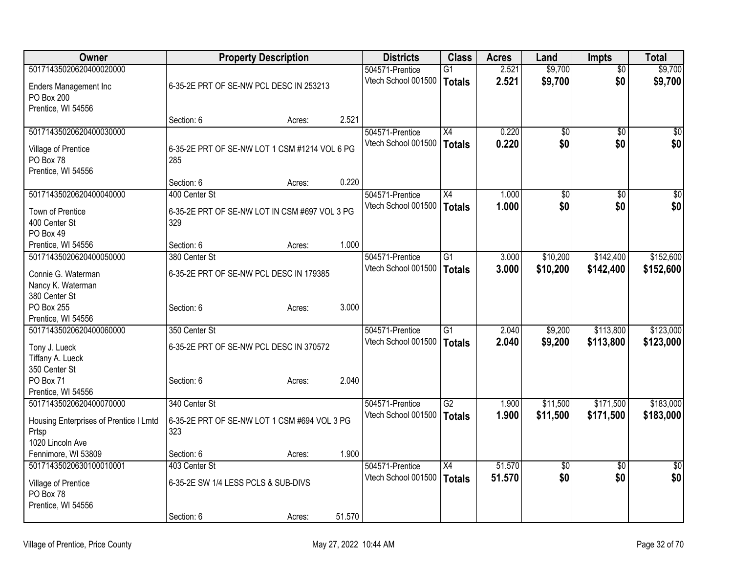| Owner                                  |                                               | <b>Property Description</b> |        | <b>Districts</b>    | <b>Class</b>    | <b>Acres</b> | Land            | <b>Impts</b>    | <b>Total</b>    |
|----------------------------------------|-----------------------------------------------|-----------------------------|--------|---------------------|-----------------|--------------|-----------------|-----------------|-----------------|
| 50171435020620400020000                |                                               |                             |        | 504571-Prentice     | G1              | 2.521        | \$9,700         | \$0             | \$9,700         |
| <b>Enders Management Inc</b>           | 6-35-2E PRT OF SE-NW PCL DESC IN 253213       |                             |        | Vtech School 001500 | Totals          | 2.521        | \$9,700         | \$0             | \$9,700         |
| PO Box 200                             |                                               |                             |        |                     |                 |              |                 |                 |                 |
| Prentice, WI 54556                     |                                               |                             |        |                     |                 |              |                 |                 |                 |
|                                        | Section: 6                                    | Acres:                      | 2.521  |                     |                 |              |                 |                 |                 |
| 50171435020620400030000                |                                               |                             |        | 504571-Prentice     | X4              | 0.220        | $\overline{50}$ | \$0             | \$0             |
| Village of Prentice                    | 6-35-2E PRT OF SE-NW LOT 1 CSM #1214 VOL 6 PG |                             |        | Vtech School 001500 | Totals          | 0.220        | \$0             | \$0             | \$0             |
| PO Box 78                              | 285                                           |                             |        |                     |                 |              |                 |                 |                 |
| Prentice, WI 54556                     |                                               |                             |        |                     |                 |              |                 |                 |                 |
|                                        | Section: 6                                    | Acres:                      | 0.220  |                     |                 |              |                 |                 |                 |
| 50171435020620400040000                | 400 Center St                                 |                             |        | 504571-Prentice     | X4              | 1.000        | $\overline{50}$ | $\overline{50}$ | $\overline{50}$ |
|                                        |                                               |                             |        | Vtech School 001500 | Totals          | 1.000        | \$0             | \$0             | \$0             |
| Town of Prentice                       | 6-35-2E PRT OF SE-NW LOT IN CSM #697 VOL 3 PG |                             |        |                     |                 |              |                 |                 |                 |
| 400 Center St                          | 329                                           |                             |        |                     |                 |              |                 |                 |                 |
| PO Box 49<br>Prentice, WI 54556        | Section: 6                                    |                             | 1.000  |                     |                 |              |                 |                 |                 |
| 50171435020620400050000                | 380 Center St                                 | Acres:                      |        | 504571-Prentice     | $\overline{G1}$ | 3.000        | \$10,200        | \$142,400       | \$152,600       |
|                                        |                                               |                             |        | Vtech School 001500 |                 | 3.000        |                 |                 |                 |
| Connie G. Waterman                     | 6-35-2E PRT OF SE-NW PCL DESC IN 179385       |                             |        |                     | <b>Totals</b>   |              | \$10,200        | \$142,400       | \$152,600       |
| Nancy K. Waterman                      |                                               |                             |        |                     |                 |              |                 |                 |                 |
| 380 Center St                          |                                               |                             |        |                     |                 |              |                 |                 |                 |
| PO Box 255                             | Section: 6                                    | Acres:                      | 3.000  |                     |                 |              |                 |                 |                 |
| Prentice, WI 54556                     |                                               |                             |        |                     |                 |              |                 |                 |                 |
| 50171435020620400060000                | 350 Center St                                 |                             |        | 504571-Prentice     | G1              | 2.040        | \$9,200         | \$113,800       | \$123,000       |
| Tony J. Lueck                          | 6-35-2E PRT OF SE-NW PCL DESC IN 370572       |                             |        | Vtech School 001500 | <b>Totals</b>   | 2.040        | \$9,200         | \$113,800       | \$123,000       |
| Tiffany A. Lueck                       |                                               |                             |        |                     |                 |              |                 |                 |                 |
| 350 Center St                          |                                               |                             |        |                     |                 |              |                 |                 |                 |
| PO Box 71                              | Section: 6                                    | Acres:                      | 2.040  |                     |                 |              |                 |                 |                 |
| Prentice, WI 54556                     |                                               |                             |        |                     |                 |              |                 |                 |                 |
| 50171435020620400070000                | 340 Center St                                 |                             |        | 504571-Prentice     | $\overline{G2}$ | 1.900        | \$11,500        | \$171,500       | \$183,000       |
| Housing Enterprises of Prentice I Lmtd | 6-35-2E PRT OF SE-NW LOT 1 CSM #694 VOL 3 PG  |                             |        | Vtech School 001500 | <b>Totals</b>   | 1.900        | \$11,500        | \$171,500       | \$183,000       |
| Prtsp                                  | 323                                           |                             |        |                     |                 |              |                 |                 |                 |
| 1020 Lincoln Ave                       |                                               |                             |        |                     |                 |              |                 |                 |                 |
| Fennimore, WI 53809                    | Section: 6                                    | Acres:                      | 1.900  |                     |                 |              |                 |                 |                 |
| 50171435020630100010001                | 403 Center St                                 |                             |        | 504571-Prentice     | X4              | 51.570       | $\sqrt{6}$      | $\sqrt{6}$      | \$0             |
| Village of Prentice                    | 6-35-2E SW 1/4 LESS PCLS & SUB-DIVS           |                             |        | Vtech School 001500 | <b>Totals</b>   | 51.570       | \$0             | \$0             | \$0             |
| PO Box 78                              |                                               |                             |        |                     |                 |              |                 |                 |                 |
| Prentice, WI 54556                     |                                               |                             |        |                     |                 |              |                 |                 |                 |
|                                        | Section: 6                                    | Acres:                      | 51.570 |                     |                 |              |                 |                 |                 |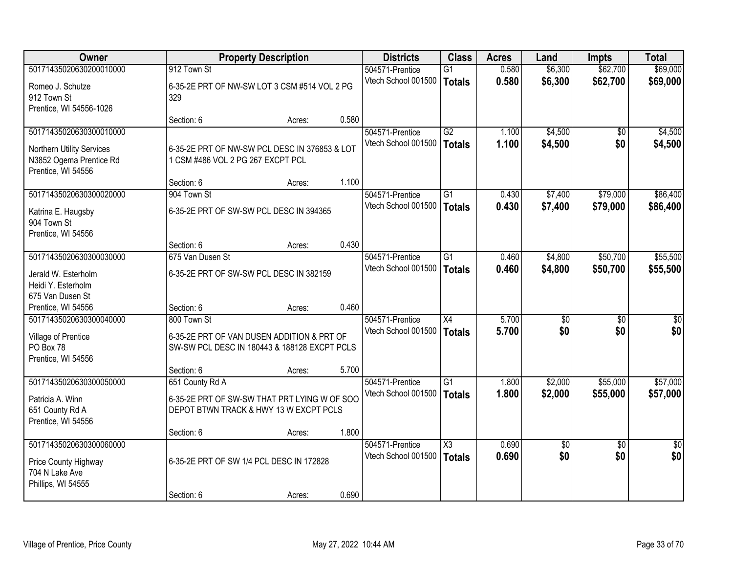| Owner                     |                                               | <b>Property Description</b> |       | <b>Districts</b>                       | <b>Class</b>           | <b>Acres</b>   | Land       | <b>Impts</b>           | <b>Total</b>           |
|---------------------------|-----------------------------------------------|-----------------------------|-------|----------------------------------------|------------------------|----------------|------------|------------------------|------------------------|
| 50171435020630200010000   | 912 Town St                                   |                             |       | 504571-Prentice                        | $\overline{G1}$        | 0.580          | \$6,300    | \$62,700               | \$69,000               |
| Romeo J. Schutze          | 6-35-2E PRT OF NW-SW LOT 3 CSM #514 VOL 2 PG  |                             |       | Vtech School 001500                    | <b>Totals</b>          | 0.580          | \$6,300    | \$62,700               | \$69,000               |
| 912 Town St               | 329                                           |                             |       |                                        |                        |                |            |                        |                        |
| Prentice, WI 54556-1026   |                                               |                             |       |                                        |                        |                |            |                        |                        |
|                           | Section: 6                                    | Acres:                      | 0.580 |                                        |                        |                |            |                        |                        |
| 50171435020630300010000   |                                               |                             |       | 504571-Prentice                        | G2                     | 1.100          | \$4,500    | \$0                    | \$4,500                |
| Northern Utility Services | 6-35-2E PRT OF NW-SW PCL DESC IN 376853 & LOT |                             |       | Vtech School 001500                    | <b>Totals</b>          | 1.100          | \$4,500    | \$0                    | \$4,500                |
| N3852 Ogema Prentice Rd   | 1 CSM #486 VOL 2 PG 267 EXCPT PCL             |                             |       |                                        |                        |                |            |                        |                        |
| Prentice, WI 54556        |                                               |                             |       |                                        |                        |                |            |                        |                        |
|                           | Section: 6                                    | Acres:                      | 1.100 |                                        |                        |                |            |                        |                        |
| 50171435020630300020000   | 904 Town St                                   |                             |       | 504571-Prentice                        | $\overline{G1}$        | 0.430          | \$7,400    | \$79,000               | \$86,400               |
| Katrina E. Haugsby        | 6-35-2E PRT OF SW-SW PCL DESC IN 394365       |                             |       | Vtech School 001500                    | <b>Totals</b>          | 0.430          | \$7,400    | \$79,000               | \$86,400               |
| 904 Town St               |                                               |                             |       |                                        |                        |                |            |                        |                        |
| Prentice, WI 54556        |                                               |                             |       |                                        |                        |                |            |                        |                        |
|                           | Section: 6                                    | Acres:                      | 0.430 |                                        |                        |                |            |                        |                        |
| 50171435020630300030000   | 675 Van Dusen St                              |                             |       | 504571-Prentice                        | $\overline{G1}$        | 0.460          | \$4,800    | \$50,700               | \$55,500               |
| Jerald W. Esterholm       | 6-35-2E PRT OF SW-SW PCL DESC IN 382159       |                             |       | Vtech School 001500                    | <b>Totals</b>          | 0.460          | \$4,800    | \$50,700               | \$55,500               |
| Heidi Y. Esterholm        |                                               |                             |       |                                        |                        |                |            |                        |                        |
| 675 Van Dusen St          |                                               |                             |       |                                        |                        |                |            |                        |                        |
| Prentice, WI 54556        | Section: 6                                    | Acres:                      | 0.460 |                                        |                        |                |            |                        |                        |
| 50171435020630300040000   | 800 Town St                                   |                             |       | 504571-Prentice                        | $\overline{X4}$        | 5.700          | \$0        | $\overline{50}$        | $\overline{50}$        |
| Village of Prentice       | 6-35-2E PRT OF VAN DUSEN ADDITION & PRT OF    |                             |       | Vtech School 001500                    | <b>Totals</b>          | 5.700          | \$0        | \$0                    | \$0                    |
| PO Box 78                 | SW-SW PCL DESC IN 180443 & 188128 EXCPT PCLS  |                             |       |                                        |                        |                |            |                        |                        |
| Prentice, WI 54556        |                                               |                             |       |                                        |                        |                |            |                        |                        |
|                           | Section: 6                                    | Acres:                      | 5.700 |                                        |                        |                |            |                        |                        |
| 50171435020630300050000   | 651 County Rd A                               |                             |       | 504571-Prentice                        | G1                     | 1.800          | \$2,000    | \$55,000               | \$57,000               |
| Patricia A. Winn          | 6-35-2E PRT OF SW-SW THAT PRT LYING W OF SOO  |                             |       | Vtech School 001500                    | <b>Totals</b>          | 1.800          | \$2,000    | \$55,000               | \$57,000               |
| 651 County Rd A           | DEPOT BTWN TRACK & HWY 13 W EXCPT PCLS        |                             |       |                                        |                        |                |            |                        |                        |
| Prentice, WI 54556        |                                               |                             |       |                                        |                        |                |            |                        |                        |
|                           | Section: 6                                    | Acres:                      | 1.800 |                                        |                        |                |            |                        |                        |
| 50171435020630300060000   |                                               |                             |       | 504571-Prentice<br>Vtech School 001500 | $\overline{\text{X3}}$ | 0.690<br>0.690 | \$0<br>\$0 | $\overline{30}$<br>\$0 | $\overline{50}$<br>\$0 |
| Price County Highway      | 6-35-2E PRT OF SW 1/4 PCL DESC IN 172828      |                             |       |                                        | <b>Totals</b>          |                |            |                        |                        |
| 704 N Lake Ave            |                                               |                             |       |                                        |                        |                |            |                        |                        |
| Phillips, WI 54555        |                                               |                             |       |                                        |                        |                |            |                        |                        |
|                           | Section: 6                                    | Acres:                      | 0.690 |                                        |                        |                |            |                        |                        |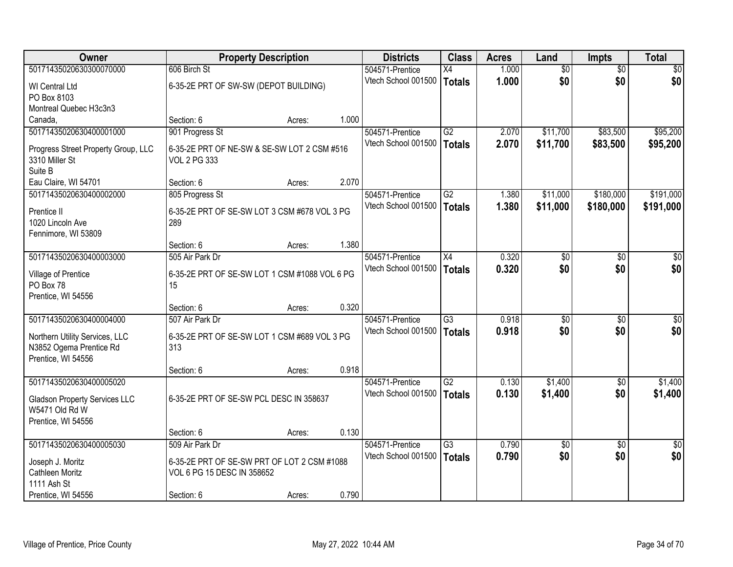| <b>Owner</b>                                              |                                                                           | <b>Property Description</b> |       | <b>Districts</b>    | <b>Class</b>    | <b>Acres</b> | Land            | <b>Impts</b>    | <b>Total</b>    |
|-----------------------------------------------------------|---------------------------------------------------------------------------|-----------------------------|-------|---------------------|-----------------|--------------|-----------------|-----------------|-----------------|
| 50171435020630300070000                                   | 606 Birch St                                                              |                             |       | 504571-Prentice     | $\overline{X4}$ | 1.000        | $\overline{60}$ | $\overline{50}$ | \$0             |
| <b>WI</b> Central Ltd                                     | 6-35-2E PRT OF SW-SW (DEPOT BUILDING)                                     |                             |       | Vtech School 001500 | <b>Totals</b>   | 1.000        | \$0             | \$0             | \$0             |
| PO Box 8103                                               |                                                                           |                             |       |                     |                 |              |                 |                 |                 |
| Montreal Quebec H3c3n3                                    |                                                                           |                             |       |                     |                 |              |                 |                 |                 |
| Canada,                                                   | Section: 6                                                                | Acres:                      | 1.000 |                     |                 |              |                 |                 |                 |
| 50171435020630400001000                                   | 901 Progress St                                                           |                             |       | 504571-Prentice     | $\overline{G2}$ | 2.070        | \$11,700        | \$83,500        | \$95,200        |
| Progress Street Property Group, LLC                       | 6-35-2E PRT OF NE-SW & SE-SW LOT 2 CSM #516                               |                             |       | Vtech School 001500 | <b>Totals</b>   | 2.070        | \$11,700        | \$83,500        | \$95,200        |
| 3310 Miller St                                            | <b>VOL 2 PG 333</b>                                                       |                             |       |                     |                 |              |                 |                 |                 |
| Suite B                                                   |                                                                           |                             |       |                     |                 |              |                 |                 |                 |
| Eau Claire, WI 54701                                      | Section: 6                                                                | Acres:                      | 2.070 |                     |                 |              |                 |                 |                 |
| 50171435020630400002000                                   | 805 Progress St                                                           |                             |       | 504571-Prentice     | G2              | 1.380        | \$11,000        | \$180,000       | \$191,000       |
| Prentice II                                               | 6-35-2E PRT OF SE-SW LOT 3 CSM #678 VOL 3 PG                              |                             |       | Vtech School 001500 | <b>Totals</b>   | 1.380        | \$11,000        | \$180,000       | \$191,000       |
| 1020 Lincoln Ave                                          | 289                                                                       |                             |       |                     |                 |              |                 |                 |                 |
| Fennimore, WI 53809                                       |                                                                           |                             |       |                     |                 |              |                 |                 |                 |
|                                                           | Section: 6                                                                | Acres:                      | 1.380 |                     |                 |              |                 |                 |                 |
| 50171435020630400003000                                   | 505 Air Park Dr                                                           |                             |       | 504571-Prentice     | X4              | 0.320        | \$0             | \$0             | \$0             |
| Village of Prentice                                       | 6-35-2E PRT OF SE-SW LOT 1 CSM #1088 VOL 6 PG                             |                             |       | Vtech School 001500 | <b>Totals</b>   | 0.320        | \$0             | \$0             | \$0             |
| PO Box 78                                                 | 15                                                                        |                             |       |                     |                 |              |                 |                 |                 |
| Prentice, WI 54556                                        |                                                                           |                             |       |                     |                 |              |                 |                 |                 |
|                                                           | Section: 6                                                                | Acres:                      | 0.320 |                     |                 |              |                 |                 |                 |
| 50171435020630400004000                                   | 507 Air Park Dr                                                           |                             |       | 504571-Prentice     | $\overline{G3}$ | 0.918        | $\overline{50}$ | $\overline{50}$ | \$0             |
|                                                           |                                                                           |                             |       | Vtech School 001500 | <b>Totals</b>   | 0.918        | \$0             | \$0             | \$0             |
| Northern Utility Services, LLC<br>N3852 Ogema Prentice Rd | 6-35-2E PRT OF SE-SW LOT 1 CSM #689 VOL 3 PG<br>313                       |                             |       |                     |                 |              |                 |                 |                 |
| Prentice, WI 54556                                        |                                                                           |                             |       |                     |                 |              |                 |                 |                 |
|                                                           | Section: 6                                                                | Acres:                      | 0.918 |                     |                 |              |                 |                 |                 |
| 50171435020630400005020                                   |                                                                           |                             |       | 504571-Prentice     | $\overline{G2}$ | 0.130        | \$1,400         | $\overline{60}$ | \$1,400         |
|                                                           | 6-35-2E PRT OF SE-SW PCL DESC IN 358637                                   |                             |       | Vtech School 001500 | <b>Totals</b>   | 0.130        | \$1,400         | \$0             | \$1,400         |
| <b>Gladson Property Services LLC</b><br>W5471 Old Rd W    |                                                                           |                             |       |                     |                 |              |                 |                 |                 |
| Prentice, WI 54556                                        |                                                                           |                             |       |                     |                 |              |                 |                 |                 |
|                                                           | Section: 6                                                                | Acres:                      | 0.130 |                     |                 |              |                 |                 |                 |
| 50171435020630400005030                                   | 509 Air Park Dr                                                           |                             |       | 504571-Prentice     | $\overline{G3}$ | 0.790        | \$0             | $\overline{50}$ | $\overline{50}$ |
|                                                           |                                                                           |                             |       | Vtech School 001500 | <b>Totals</b>   | 0.790        | \$0             | \$0             | \$0             |
| Joseph J. Moritz<br>Cathleen Moritz                       | 6-35-2E PRT OF SE-SW PRT OF LOT 2 CSM #1088<br>VOL 6 PG 15 DESC IN 358652 |                             |       |                     |                 |              |                 |                 |                 |
| 1111 Ash St                                               |                                                                           |                             |       |                     |                 |              |                 |                 |                 |
| Prentice, WI 54556                                        | Section: 6                                                                | Acres:                      | 0.790 |                     |                 |              |                 |                 |                 |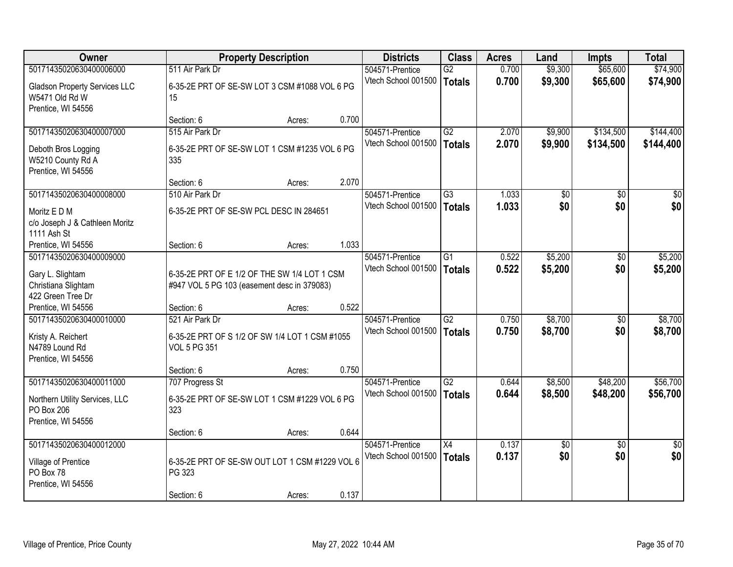| <b>Owner</b>                                                                                  |                                                                                             | <b>Property Description</b> |       | <b>Districts</b>                       | <b>Class</b>                     | <b>Acres</b>   | Land                   | <b>Impts</b>           | <b>Total</b>           |
|-----------------------------------------------------------------------------------------------|---------------------------------------------------------------------------------------------|-----------------------------|-------|----------------------------------------|----------------------------------|----------------|------------------------|------------------------|------------------------|
| 50171435020630400006000                                                                       | 511 Air Park Dr                                                                             |                             |       | 504571-Prentice                        | $\overline{G2}$                  | 0.700          | \$9,300                | \$65,600               | \$74,900               |
| <b>Gladson Property Services LLC</b><br>W5471 Old Rd W<br>Prentice, WI 54556                  | 6-35-2E PRT OF SE-SW LOT 3 CSM #1088 VOL 6 PG<br>15                                         |                             |       | Vtech School 001500                    | <b>Totals</b>                    | 0.700          | \$9,300                | \$65,600               | \$74,900               |
|                                                                                               | Section: 6                                                                                  | Acres:                      | 0.700 |                                        |                                  |                |                        |                        |                        |
| 50171435020630400007000                                                                       | 515 Air Park Dr                                                                             |                             |       | 504571-Prentice                        | $\overline{G2}$                  | 2.070          | \$9,900                | \$134,500              | \$144,400              |
| Deboth Bros Logging<br>W5210 County Rd A<br>Prentice, WI 54556                                | 6-35-2E PRT OF SE-SW LOT 1 CSM #1235 VOL 6 PG<br>335                                        |                             |       | Vtech School 001500                    | <b>Totals</b>                    | 2.070          | \$9,900                | \$134,500              | \$144,400              |
|                                                                                               | Section: 6                                                                                  | Acres:                      | 2.070 |                                        |                                  |                |                        |                        |                        |
| 50171435020630400008000                                                                       | 510 Air Park Dr                                                                             |                             |       | 504571-Prentice                        | $\overline{G3}$                  | 1.033          | \$0                    | \$0                    | \$0                    |
| Moritz E D M<br>c/o Joseph J & Cathleen Moritz<br>1111 Ash St                                 | 6-35-2E PRT OF SE-SW PCL DESC IN 284651                                                     |                             |       | Vtech School 001500                    | Totals                           | 1.033          | \$0                    | \$0                    | \$0                    |
| Prentice, WI 54556                                                                            | Section: 6                                                                                  | Acres:                      | 1.033 |                                        |                                  |                |                        |                        |                        |
| 50171435020630400009000                                                                       |                                                                                             |                             |       | 504571-Prentice                        | $\overline{G1}$                  | 0.522          | \$5,200                | \$0                    | \$5,200                |
| Gary L. Slightam<br>Christiana Slightam<br>422 Green Tree Dr                                  | 6-35-2E PRT OF E 1/2 OF THE SW 1/4 LOT 1 CSM<br>#947 VOL 5 PG 103 (easement desc in 379083) |                             |       | Vtech School 001500                    | <b>Totals</b>                    | 0.522          | \$5,200                | \$0                    | \$5,200                |
| Prentice, WI 54556                                                                            | Section: 6                                                                                  | Acres:                      | 0.522 |                                        |                                  |                |                        |                        |                        |
| 50171435020630400010000<br>Kristy A. Reichert<br>N4789 Lound Rd<br>Prentice, WI 54556         | 521 Air Park Dr<br>6-35-2E PRT OF S 1/2 OF SW 1/4 LOT 1 CSM #1055<br><b>VOL 5 PG 351</b>    |                             |       | 504571-Prentice<br>Vtech School 001500 | $\overline{G2}$<br><b>Totals</b> | 0.750<br>0.750 | \$8,700<br>\$8,700     | \$0<br>\$0             | \$8,700<br>\$8,700     |
|                                                                                               | Section: 6                                                                                  | Acres:                      | 0.750 |                                        |                                  |                |                        |                        |                        |
| 50171435020630400011000<br>Northern Utility Services, LLC<br>PO Box 206<br>Prentice, WI 54556 | 707 Progress St<br>6-35-2E PRT OF SE-SW LOT 1 CSM #1229 VOL 6 PG<br>323                     |                             |       | 504571-Prentice<br>Vtech School 001500 | $\overline{G2}$<br><b>Totals</b> | 0.644<br>0.644 | \$8,500<br>\$8,500     | \$48,200<br>\$48,200   | \$56,700<br>\$56,700   |
|                                                                                               | Section: 6                                                                                  | Acres:                      | 0.644 |                                        |                                  |                |                        |                        |                        |
| 50171435020630400012000<br>Village of Prentice<br>PO Box 78<br>Prentice, WI 54556             | 6-35-2E PRT OF SE-SW OUT LOT 1 CSM #1229 VOL 6<br>PG 323<br>Section: 6                      |                             | 0.137 | 504571-Prentice<br>Vtech School 001500 | $\overline{X4}$<br>Totals        | 0.137<br>0.137 | $\overline{50}$<br>\$0 | $\overline{30}$<br>\$0 | $\overline{30}$<br>\$0 |
|                                                                                               |                                                                                             | Acres:                      |       |                                        |                                  |                |                        |                        |                        |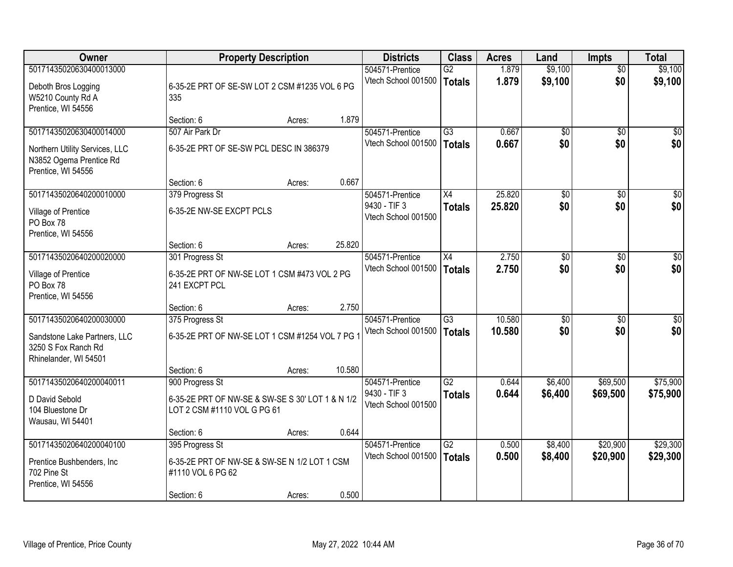| <b>Owner</b>                   |                                                  | <b>Property Description</b> |        | <b>Districts</b>                       | <b>Class</b>    | <b>Acres</b>   | Land            | <b>Impts</b>      | <b>Total</b>       |
|--------------------------------|--------------------------------------------------|-----------------------------|--------|----------------------------------------|-----------------|----------------|-----------------|-------------------|--------------------|
| 50171435020630400013000        |                                                  |                             |        | 504571-Prentice                        | G2              | 1.879          | \$9,100         | $\overline{50}$   | \$9,100            |
| Deboth Bros Logging            | 6-35-2E PRT OF SE-SW LOT 2 CSM #1235 VOL 6 PG    |                             |        | Vtech School 001500                    | <b>Totals</b>   | 1.879          | \$9,100         | \$0               | \$9,100            |
| W5210 County Rd A              | 335                                              |                             |        |                                        |                 |                |                 |                   |                    |
| Prentice, WI 54556             |                                                  |                             |        |                                        |                 |                |                 |                   |                    |
|                                | Section: 6                                       | Acres:                      | 1.879  |                                        |                 |                |                 |                   |                    |
| 50171435020630400014000        | 507 Air Park Dr                                  |                             |        | 504571-Prentice                        | $\overline{G3}$ | 0.667          | $\overline{50}$ | $\overline{50}$   | \$0                |
| Northern Utility Services, LLC | 6-35-2E PRT OF SE-SW PCL DESC IN 386379          |                             |        | Vtech School 001500                    | <b>Totals</b>   | 0.667          | \$0             | \$0               | \$0                |
| N3852 Ogema Prentice Rd        |                                                  |                             |        |                                        |                 |                |                 |                   |                    |
| Prentice, WI 54556             |                                                  |                             |        |                                        |                 |                |                 |                   |                    |
|                                | Section: 6                                       | Acres:                      | 0.667  |                                        |                 |                |                 |                   |                    |
| 50171435020640200010000        | 379 Progress St                                  |                             |        | 504571-Prentice<br>9430 - TIF 3        | X4              | 25.820         | \$0             | \$0               | $\overline{50}$    |
| Village of Prentice            | 6-35-2E NW-SE EXCPT PCLS                         |                             |        | Vtech School 001500                    | <b>Totals</b>   | 25.820         | \$0             | \$0               | \$0                |
| PO Box 78                      |                                                  |                             |        |                                        |                 |                |                 |                   |                    |
| Prentice, WI 54556             |                                                  |                             |        |                                        |                 |                |                 |                   |                    |
| 50171435020640200020000        | Section: 6                                       | Acres:                      | 25.820 |                                        |                 |                |                 |                   |                    |
|                                | 301 Progress St                                  |                             |        | 504571-Prentice<br>Vtech School 001500 | X4              | 2.750<br>2.750 | \$0<br>\$0      | $\sqrt{6}$<br>\$0 | $\sqrt{50}$<br>\$0 |
| Village of Prentice            | 6-35-2E PRT OF NW-SE LOT 1 CSM #473 VOL 2 PG     |                             |        |                                        | <b>Totals</b>   |                |                 |                   |                    |
| PO Box 78                      | 241 EXCPT PCL                                    |                             |        |                                        |                 |                |                 |                   |                    |
| Prentice, WI 54556             |                                                  |                             |        |                                        |                 |                |                 |                   |                    |
| 50171435020640200030000        | Section: 6                                       | Acres:                      | 2.750  | 504571-Prentice                        | $\overline{G3}$ | 10.580         | $\overline{50}$ | $\overline{30}$   | $\overline{50}$    |
|                                | 375 Progress St                                  |                             |        | Vtech School 001500                    |                 | 10.580         | \$0             | \$0               | \$0                |
| Sandstone Lake Partners, LLC   | 6-35-2E PRT OF NW-SE LOT 1 CSM #1254 VOL 7 PG    |                             |        |                                        | <b>Totals</b>   |                |                 |                   |                    |
| 3250 S Fox Ranch Rd            |                                                  |                             |        |                                        |                 |                |                 |                   |                    |
| Rhinelander, WI 54501          |                                                  |                             |        |                                        |                 |                |                 |                   |                    |
| 50171435020640200040011        | Section: 6<br>900 Progress St                    | Acres:                      | 10.580 | 504571-Prentice                        | $\overline{G2}$ | 0.644          | \$6,400         | \$69,500          | \$75,900           |
|                                |                                                  |                             |        | 9430 - TIF 3                           | <b>Totals</b>   | 0.644          | \$6,400         | \$69,500          | \$75,900           |
| D David Sebold                 | 6-35-2E PRT OF NW-SE & SW-SE S 30' LOT 1 & N 1/2 |                             |        | Vtech School 001500                    |                 |                |                 |                   |                    |
| 104 Bluestone Dr               | LOT 2 CSM #1110 VOL G PG 61                      |                             |        |                                        |                 |                |                 |                   |                    |
| Wausau, WI 54401               |                                                  |                             | 0.644  |                                        |                 |                |                 |                   |                    |
| 50171435020640200040100        | Section: 6<br>395 Progress St                    | Acres:                      |        | 504571-Prentice                        | $\overline{G2}$ | 0.500          | \$8,400         | \$20,900          | \$29,300           |
|                                |                                                  |                             |        | Vtech School 001500                    | <b>Totals</b>   | 0.500          | \$8,400         | \$20,900          | \$29,300           |
| Prentice Bushbenders, Inc      | 6-35-2E PRT OF NW-SE & SW-SE N 1/2 LOT 1 CSM     |                             |        |                                        |                 |                |                 |                   |                    |
| 702 Pine St                    | #1110 VOL 6 PG 62                                |                             |        |                                        |                 |                |                 |                   |                    |
| Prentice, WI 54556             | Section: 6                                       | Acres:                      | 0.500  |                                        |                 |                |                 |                   |                    |
|                                |                                                  |                             |        |                                        |                 |                |                 |                   |                    |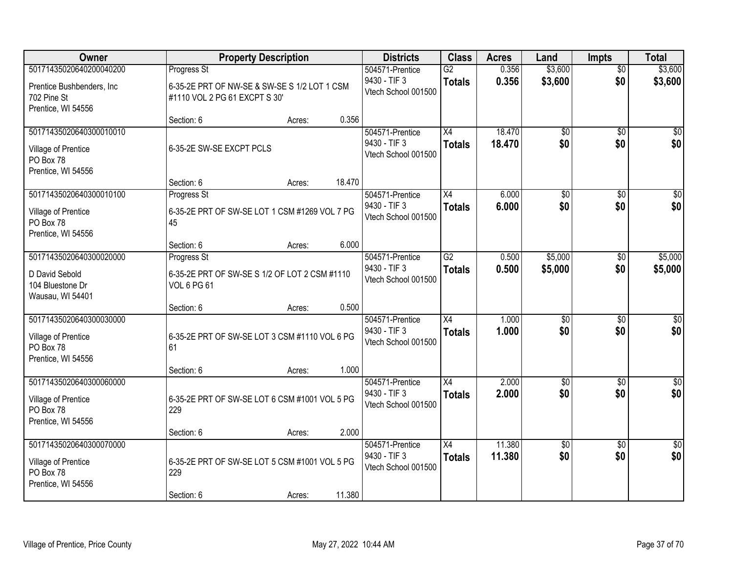| <b>Owner</b>                                                                      | <b>Property Description</b>                                                            | <b>Districts</b>                                       | <b>Class</b>                     | <b>Acres</b>     | Land                   | <b>Impts</b>           | <b>Total</b>           |
|-----------------------------------------------------------------------------------|----------------------------------------------------------------------------------------|--------------------------------------------------------|----------------------------------|------------------|------------------------|------------------------|------------------------|
| 50171435020640200040200                                                           | Progress St                                                                            | 504571-Prentice                                        | $\overline{G2}$                  | 0.356            | \$3,600                | $\overline{50}$        | \$3,600                |
| Prentice Bushbenders, Inc.<br>702 Pine St<br>Prentice, WI 54556                   | 6-35-2E PRT OF NW-SE & SW-SE S 1/2 LOT 1 CSM<br>#1110 VOL 2 PG 61 EXCPT S 30'          | 9430 - TIF 3<br>Vtech School 001500                    | <b>Totals</b>                    | 0.356            | \$3,600                | \$0                    | \$3,600                |
|                                                                                   | 0.356<br>Section: 6<br>Acres:                                                          |                                                        |                                  |                  |                        |                        |                        |
| 50171435020640300010010<br>Village of Prentice<br>PO Box 78<br>Prentice, WI 54556 | 6-35-2E SW-SE EXCPT PCLS                                                               | 504571-Prentice<br>9430 - TIF 3<br>Vtech School 001500 | $\overline{X4}$<br><b>Totals</b> | 18.470<br>18.470 | $\overline{50}$<br>\$0 | $\overline{50}$<br>\$0 | \$0<br>\$0             |
|                                                                                   | 18.470<br>Section: 6<br>Acres:                                                         |                                                        |                                  |                  |                        |                        |                        |
| 50171435020640300010100<br>Village of Prentice<br>PO Box 78<br>Prentice, WI 54556 | Progress St<br>6-35-2E PRT OF SW-SE LOT 1 CSM #1269 VOL 7 PG<br>45                     | 504571-Prentice<br>9430 - TIF 3<br>Vtech School 001500 | X4<br><b>Totals</b>              | 6.000<br>6.000   | $\overline{50}$<br>\$0 | \$0<br>\$0             | \$0<br>\$0             |
|                                                                                   | 6.000<br>Section: 6<br>Acres:                                                          |                                                        |                                  |                  |                        |                        |                        |
| 50171435020640300020000                                                           | Progress St                                                                            | 504571-Prentice                                        | $\overline{G2}$                  | 0.500            | \$5,000                | $\sqrt[6]{3}$          | \$5,000                |
| D David Sebold<br>104 Bluestone Dr<br>Wausau, WI 54401                            | 6-35-2E PRT OF SW-SE S 1/2 OF LOT 2 CSM #1110<br><b>VOL 6 PG 61</b>                    | 9430 - TIF 3<br>Vtech School 001500                    | <b>Totals</b>                    | 0.500            | \$5,000                | \$0                    | \$5,000                |
|                                                                                   | 0.500<br>Section: 6<br>Acres:                                                          |                                                        |                                  |                  |                        |                        |                        |
| 50171435020640300030000<br>Village of Prentice<br>PO Box 78<br>Prentice, WI 54556 | 6-35-2E PRT OF SW-SE LOT 3 CSM #1110 VOL 6 PG<br>61                                    | 504571-Prentice<br>9430 - TIF 3<br>Vtech School 001500 | $\overline{X4}$<br><b>Totals</b> | 1.000<br>1.000   | $\overline{50}$<br>\$0 | $\overline{50}$<br>\$0 | $\overline{50}$<br>\$0 |
|                                                                                   | 1.000<br>Section: 6<br>Acres:                                                          |                                                        |                                  |                  |                        |                        |                        |
| 50171435020640300060000<br>Village of Prentice<br>PO Box 78<br>Prentice, WI 54556 | 6-35-2E PRT OF SW-SE LOT 6 CSM #1001 VOL 5 PG<br>229                                   | 504571-Prentice<br>9430 - TIF 3<br>Vtech School 001500 | $\overline{X4}$<br><b>Totals</b> | 2.000<br>2.000   | $\overline{50}$<br>\$0 | $\overline{50}$<br>\$0 | $\overline{50}$<br>\$0 |
|                                                                                   | 2.000<br>Section: 6<br>Acres:                                                          |                                                        |                                  |                  |                        |                        |                        |
| 50171435020640300070000<br>Village of Prentice<br>PO Box 78<br>Prentice, WI 54556 | 6-35-2E PRT OF SW-SE LOT 5 CSM #1001 VOL 5 PG<br>229<br>11.380<br>Section: 6<br>Acres: | 504571-Prentice<br>9430 - TIF 3<br>Vtech School 001500 | $\overline{X4}$<br><b>Totals</b> | 11.380<br>11.380 | $\overline{50}$<br>\$0 | $\overline{30}$<br>\$0 | $\sqrt{30}$<br>\$0     |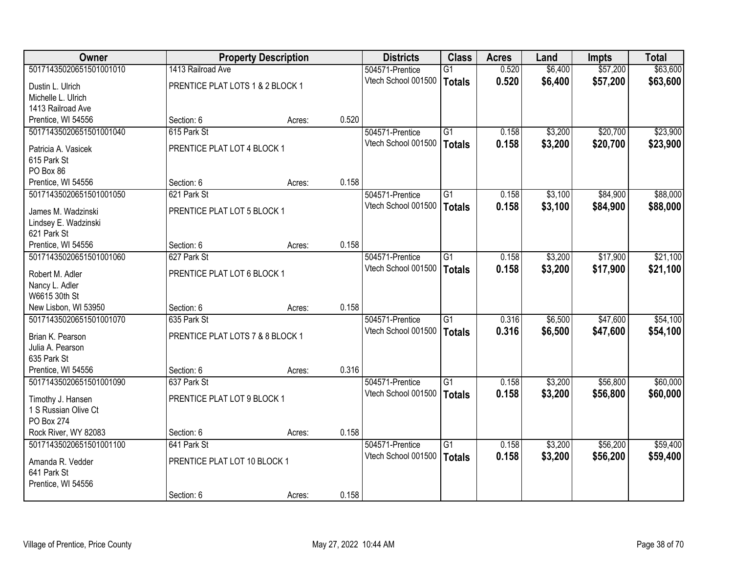| <b>Owner</b>                       |                                  | <b>Property Description</b> |       | <b>Districts</b>    | <b>Class</b>    | <b>Acres</b> | Land    | <b>Impts</b> | <b>Total</b> |
|------------------------------------|----------------------------------|-----------------------------|-------|---------------------|-----------------|--------------|---------|--------------|--------------|
| 50171435020651501001010            | 1413 Railroad Ave                |                             |       | 504571-Prentice     | $\overline{G1}$ | 0.520        | \$6,400 | \$57,200     | \$63,600     |
| Dustin L. Ulrich                   | PRENTICE PLAT LOTS 1 & 2 BLOCK 1 |                             |       | Vtech School 001500 | Totals          | 0.520        | \$6,400 | \$57,200     | \$63,600     |
| Michelle L. Ulrich                 |                                  |                             |       |                     |                 |              |         |              |              |
| 1413 Railroad Ave                  |                                  |                             |       |                     |                 |              |         |              |              |
| Prentice, WI 54556                 | Section: 6                       | Acres:                      | 0.520 |                     |                 |              |         |              |              |
| 50171435020651501001040            | 615 Park St                      |                             |       | 504571-Prentice     | $\overline{G1}$ | 0.158        | \$3,200 | \$20,700     | \$23,900     |
| Patricia A. Vasicek                | PRENTICE PLAT LOT 4 BLOCK 1      |                             |       | Vtech School 001500 | <b>Totals</b>   | 0.158        | \$3,200 | \$20,700     | \$23,900     |
| 615 Park St                        |                                  |                             |       |                     |                 |              |         |              |              |
| PO Box 86                          |                                  |                             |       |                     |                 |              |         |              |              |
| Prentice, WI 54556                 | Section: 6                       | Acres:                      | 0.158 |                     |                 |              |         |              |              |
| 50171435020651501001050            | 621 Park St                      |                             |       | 504571-Prentice     | G1              | 0.158        | \$3,100 | \$84,900     | \$88,000     |
| James M. Wadzinski                 | PRENTICE PLAT LOT 5 BLOCK 1      |                             |       | Vtech School 001500 | Totals          | 0.158        | \$3,100 | \$84,900     | \$88,000     |
| Lindsey E. Wadzinski               |                                  |                             |       |                     |                 |              |         |              |              |
| 621 Park St                        |                                  |                             |       |                     |                 |              |         |              |              |
| Prentice, WI 54556                 | Section: 6                       | Acres:                      | 0.158 |                     |                 |              |         |              |              |
| 50171435020651501001060            | 627 Park St                      |                             |       | 504571-Prentice     | $\overline{G1}$ | 0.158        | \$3,200 | \$17,900     | \$21,100     |
|                                    | PRENTICE PLAT LOT 6 BLOCK 1      |                             |       | Vtech School 001500 | <b>Totals</b>   | 0.158        | \$3,200 | \$17,900     | \$21,100     |
| Robert M. Adler<br>Nancy L. Adler  |                                  |                             |       |                     |                 |              |         |              |              |
| W6615 30th St                      |                                  |                             |       |                     |                 |              |         |              |              |
| New Lisbon, WI 53950               | Section: 6                       | Acres:                      | 0.158 |                     |                 |              |         |              |              |
| 50171435020651501001070            | 635 Park St                      |                             |       | 504571-Prentice     | $\overline{G1}$ | 0.316        | \$6,500 | \$47,600     | \$54,100     |
|                                    |                                  |                             |       | Vtech School 001500 | Totals          | 0.316        | \$6,500 | \$47,600     | \$54,100     |
| Brian K. Pearson                   | PRENTICE PLAT LOTS 7 & 8 BLOCK 1 |                             |       |                     |                 |              |         |              |              |
| Julia A. Pearson<br>635 Park St    |                                  |                             |       |                     |                 |              |         |              |              |
| Prentice, WI 54556                 | Section: 6                       | Acres:                      | 0.316 |                     |                 |              |         |              |              |
| 50171435020651501001090            | 637 Park St                      |                             |       | 504571-Prentice     | $\overline{G1}$ | 0.158        | \$3,200 | \$56,800     | \$60,000     |
|                                    |                                  |                             |       | Vtech School 001500 | Totals          | 0.158        | \$3,200 | \$56,800     | \$60,000     |
| Timothy J. Hansen                  | PRENTICE PLAT LOT 9 BLOCK 1      |                             |       |                     |                 |              |         |              |              |
| 1 S Russian Olive Ct               |                                  |                             |       |                     |                 |              |         |              |              |
| PO Box 274<br>Rock River, WY 82083 | Section: 6                       | Acres:                      | 0.158 |                     |                 |              |         |              |              |
| 50171435020651501001100            | 641 Park St                      |                             |       | 504571-Prentice     | $\overline{G1}$ | 0.158        | \$3,200 | \$56,200     | \$59,400     |
|                                    |                                  |                             |       | Vtech School 001500 | Totals          | 0.158        | \$3,200 | \$56,200     | \$59,400     |
| Amanda R. Vedder                   | PRENTICE PLAT LOT 10 BLOCK 1     |                             |       |                     |                 |              |         |              |              |
| 641 Park St                        |                                  |                             |       |                     |                 |              |         |              |              |
| Prentice, WI 54556                 |                                  |                             |       |                     |                 |              |         |              |              |
|                                    | Section: 6                       | Acres:                      | 0.158 |                     |                 |              |         |              |              |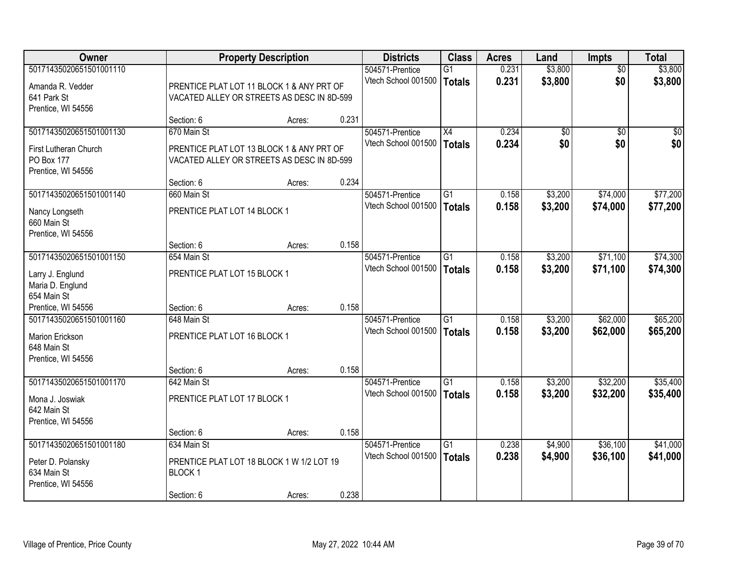| Owner                   |                                            | <b>Property Description</b> |       | <b>Districts</b>    | <b>Class</b>    | <b>Acres</b> | Land            | <b>Impts</b>    | <b>Total</b> |
|-------------------------|--------------------------------------------|-----------------------------|-------|---------------------|-----------------|--------------|-----------------|-----------------|--------------|
| 50171435020651501001110 |                                            |                             |       | 504571-Prentice     | $\overline{G1}$ | 0.231        | \$3,800         | $\overline{50}$ | \$3,800      |
| Amanda R. Vedder        | PRENTICE PLAT LOT 11 BLOCK 1 & ANY PRT OF  |                             |       | Vtech School 001500 | Totals          | 0.231        | \$3,800         | \$0             | \$3,800      |
| 641 Park St             | VACATED ALLEY OR STREETS AS DESC IN 8D-599 |                             |       |                     |                 |              |                 |                 |              |
| Prentice, WI 54556      |                                            |                             |       |                     |                 |              |                 |                 |              |
|                         | Section: 6                                 | Acres:                      | 0.231 |                     |                 |              |                 |                 |              |
| 50171435020651501001130 | 670 Main St                                |                             |       | 504571-Prentice     | X4              | 0.234        | $\overline{50}$ | $\overline{50}$ | $\sqrt{50}$  |
| First Lutheran Church   | PRENTICE PLAT LOT 13 BLOCK 1 & ANY PRT OF  |                             |       | Vtech School 001500 | Totals          | 0.234        | \$0             | \$0             | \$0          |
| PO Box 177              | VACATED ALLEY OR STREETS AS DESC IN 8D-599 |                             |       |                     |                 |              |                 |                 |              |
| Prentice, WI 54556      |                                            |                             |       |                     |                 |              |                 |                 |              |
|                         | Section: 6                                 | Acres:                      | 0.234 |                     |                 |              |                 |                 |              |
| 50171435020651501001140 | 660 Main St                                |                             |       | 504571-Prentice     | G1              | 0.158        | \$3,200         | \$74,000        | \$77,200     |
| Nancy Longseth          | PRENTICE PLAT LOT 14 BLOCK 1               |                             |       | Vtech School 001500 | <b>Totals</b>   | 0.158        | \$3,200         | \$74,000        | \$77,200     |
| 660 Main St             |                                            |                             |       |                     |                 |              |                 |                 |              |
| Prentice, WI 54556      |                                            |                             |       |                     |                 |              |                 |                 |              |
|                         | Section: 6                                 | Acres:                      | 0.158 |                     |                 |              |                 |                 |              |
| 50171435020651501001150 | 654 Main St                                |                             |       | 504571-Prentice     | G1              | 0.158        | \$3,200         | \$71,100        | \$74,300     |
| Larry J. Englund        | PRENTICE PLAT LOT 15 BLOCK 1               |                             |       | Vtech School 001500 | Totals          | 0.158        | \$3,200         | \$71,100        | \$74,300     |
| Maria D. Englund        |                                            |                             |       |                     |                 |              |                 |                 |              |
| 654 Main St             |                                            |                             |       |                     |                 |              |                 |                 |              |
| Prentice, WI 54556      | Section: 6                                 | Acres:                      | 0.158 |                     |                 |              |                 |                 |              |
| 50171435020651501001160 | 648 Main St                                |                             |       | 504571-Prentice     | $\overline{G1}$ | 0.158        | \$3,200         | \$62,000        | \$65,200     |
| Marion Erickson         | PRENTICE PLAT LOT 16 BLOCK 1               |                             |       | Vtech School 001500 | Totals          | 0.158        | \$3,200         | \$62,000        | \$65,200     |
| 648 Main St             |                                            |                             |       |                     |                 |              |                 |                 |              |
| Prentice, WI 54556      |                                            |                             |       |                     |                 |              |                 |                 |              |
|                         | Section: 6                                 | Acres:                      | 0.158 |                     |                 |              |                 |                 |              |
| 50171435020651501001170 | 642 Main St                                |                             |       | 504571-Prentice     | $\overline{G1}$ | 0.158        | \$3,200         | \$32,200        | \$35,400     |
| Mona J. Joswiak         | PRENTICE PLAT LOT 17 BLOCK 1               |                             |       | Vtech School 001500 | <b>Totals</b>   | 0.158        | \$3,200         | \$32,200        | \$35,400     |
| 642 Main St             |                                            |                             |       |                     |                 |              |                 |                 |              |
| Prentice, WI 54556      |                                            |                             |       |                     |                 |              |                 |                 |              |
|                         | Section: 6                                 | Acres:                      | 0.158 |                     |                 |              |                 |                 |              |
| 50171435020651501001180 | 634 Main St                                |                             |       | 504571-Prentice     | $\overline{G1}$ | 0.238        | \$4,900         | \$36,100        | \$41,000     |
| Peter D. Polansky       | PRENTICE PLAT LOT 18 BLOCK 1 W 1/2 LOT 19  |                             |       | Vtech School 001500 | Totals          | 0.238        | \$4,900         | \$36,100        | \$41,000     |
| 634 Main St             | BLOCK <sub>1</sub>                         |                             |       |                     |                 |              |                 |                 |              |
| Prentice, WI 54556      |                                            |                             |       |                     |                 |              |                 |                 |              |
|                         | Section: 6                                 | Acres:                      | 0.238 |                     |                 |              |                 |                 |              |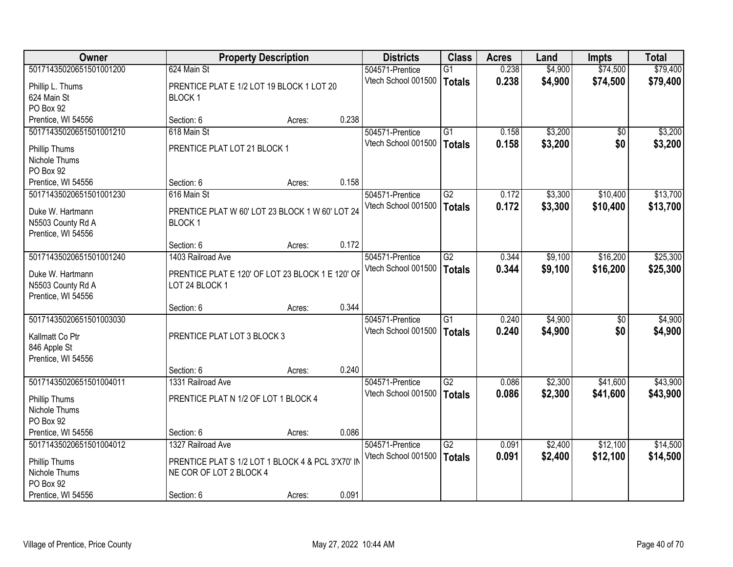| <b>Owner</b>            |                                                   | <b>Property Description</b> |       | <b>Districts</b>    | <b>Class</b>    | <b>Acres</b> | Land    | <b>Impts</b>    | <b>Total</b> |
|-------------------------|---------------------------------------------------|-----------------------------|-------|---------------------|-----------------|--------------|---------|-----------------|--------------|
| 50171435020651501001200 | 624 Main St                                       |                             |       | 504571-Prentice     | $\overline{G1}$ | 0.238        | \$4,900 | \$74,500        | \$79,400     |
| Phillip L. Thums        | PRENTICE PLAT E 1/2 LOT 19 BLOCK 1 LOT 20         |                             |       | Vtech School 001500 | <b>Totals</b>   | 0.238        | \$4,900 | \$74,500        | \$79,400     |
| 624 Main St             | BLOCK <sub>1</sub>                                |                             |       |                     |                 |              |         |                 |              |
| PO Box 92               |                                                   |                             |       |                     |                 |              |         |                 |              |
| Prentice, WI 54556      | Section: 6                                        | Acres:                      | 0.238 |                     |                 |              |         |                 |              |
| 50171435020651501001210 | 618 Main St                                       |                             |       | 504571-Prentice     | $\overline{G1}$ | 0.158        | \$3,200 | $\overline{30}$ | \$3,200      |
| Phillip Thums           | PRENTICE PLAT LOT 21 BLOCK 1                      |                             |       | Vtech School 001500 | <b>Totals</b>   | 0.158        | \$3,200 | \$0             | \$3,200      |
| Nichole Thums           |                                                   |                             |       |                     |                 |              |         |                 |              |
| PO Box 92               |                                                   |                             |       |                     |                 |              |         |                 |              |
| Prentice, WI 54556      | Section: 6                                        | Acres:                      | 0.158 |                     |                 |              |         |                 |              |
| 50171435020651501001230 | 616 Main St                                       |                             |       | 504571-Prentice     | G2              | 0.172        | \$3,300 | \$10,400        | \$13,700     |
| Duke W. Hartmann        | PRENTICE PLAT W 60' LOT 23 BLOCK 1 W 60' LOT 24   |                             |       | Vtech School 001500 | Totals          | 0.172        | \$3,300 | \$10,400        | \$13,700     |
| N5503 County Rd A       | BLOCK <sub>1</sub>                                |                             |       |                     |                 |              |         |                 |              |
| Prentice, WI 54556      |                                                   |                             |       |                     |                 |              |         |                 |              |
|                         | Section: 6                                        | Acres:                      | 0.172 |                     |                 |              |         |                 |              |
| 50171435020651501001240 | 1403 Railroad Ave                                 |                             |       | 504571-Prentice     | $\overline{G2}$ | 0.344        | \$9,100 | \$16,200        | \$25,300     |
| Duke W. Hartmann        | PRENTICE PLAT E 120' OF LOT 23 BLOCK 1 E 120' OF  |                             |       | Vtech School 001500 | Totals          | 0.344        | \$9,100 | \$16,200        | \$25,300     |
| N5503 County Rd A       | LOT 24 BLOCK 1                                    |                             |       |                     |                 |              |         |                 |              |
| Prentice, WI 54556      |                                                   |                             |       |                     |                 |              |         |                 |              |
|                         | Section: 6                                        | Acres:                      | 0.344 |                     |                 |              |         |                 |              |
| 50171435020651501003030 |                                                   |                             |       | 504571-Prentice     | $\overline{G1}$ | 0.240        | \$4,900 | \$0             | \$4,900      |
| Kallmatt Co Ptr         | PRENTICE PLAT LOT 3 BLOCK 3                       |                             |       | Vtech School 001500 | Totals          | 0.240        | \$4,900 | \$0             | \$4,900      |
| 846 Apple St            |                                                   |                             |       |                     |                 |              |         |                 |              |
| Prentice, WI 54556      |                                                   |                             |       |                     |                 |              |         |                 |              |
|                         | Section: 6                                        | Acres:                      | 0.240 |                     |                 |              |         |                 |              |
| 50171435020651501004011 | 1331 Railroad Ave                                 |                             |       | 504571-Prentice     | $\overline{G2}$ | 0.086        | \$2,300 | \$41,600        | \$43,900     |
| Phillip Thums           | PRENTICE PLAT N 1/2 OF LOT 1 BLOCK 4              |                             |       | Vtech School 001500 | Totals          | 0.086        | \$2,300 | \$41,600        | \$43,900     |
| Nichole Thums           |                                                   |                             |       |                     |                 |              |         |                 |              |
| PO Box 92               |                                                   |                             |       |                     |                 |              |         |                 |              |
| Prentice, WI 54556      | Section: 6                                        | Acres:                      | 0.086 |                     |                 |              |         |                 |              |
| 50171435020651501004012 | 1327 Railroad Ave                                 |                             |       | 504571-Prentice     | $\overline{G2}$ | 0.091        | \$2,400 | \$12,100        | \$14,500     |
| Phillip Thums           | PRENTICE PLAT S 1/2 LOT 1 BLOCK 4 & PCL 3'X70' IN |                             |       | Vtech School 001500 | Totals          | 0.091        | \$2,400 | \$12,100        | \$14,500     |
| Nichole Thums           | NE COR OF LOT 2 BLOCK 4                           |                             |       |                     |                 |              |         |                 |              |
| PO Box 92               |                                                   |                             |       |                     |                 |              |         |                 |              |
| Prentice, WI 54556      | Section: 6                                        | Acres:                      | 0.091 |                     |                 |              |         |                 |              |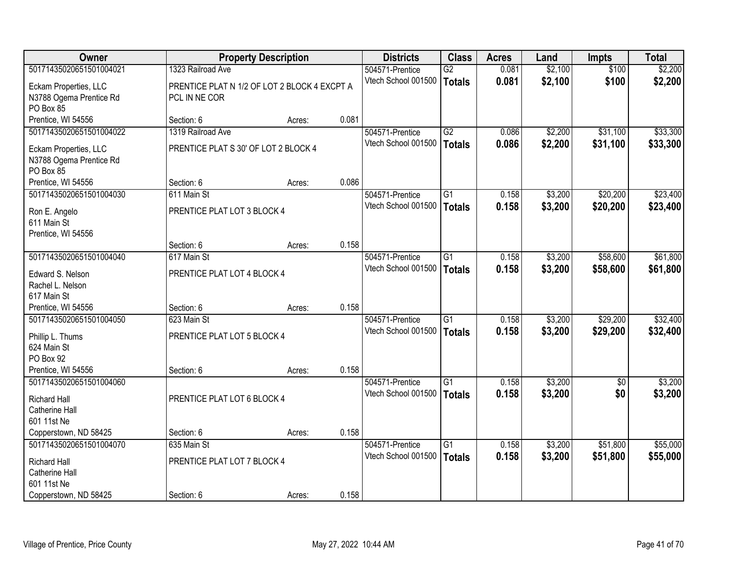| <b>Owner</b>            |                                              | <b>Property Description</b> |       | <b>Districts</b>    | <b>Class</b>    | <b>Acres</b> | Land    | <b>Impts</b> | <b>Total</b> |
|-------------------------|----------------------------------------------|-----------------------------|-------|---------------------|-----------------|--------------|---------|--------------|--------------|
| 50171435020651501004021 | 1323 Railroad Ave                            |                             |       | 504571-Prentice     | $\overline{G2}$ | 0.081        | \$2,100 | \$100        | \$2,200      |
| Eckam Properties, LLC   | PRENTICE PLAT N 1/2 OF LOT 2 BLOCK 4 EXCPT A |                             |       | Vtech School 001500 | <b>Totals</b>   | 0.081        | \$2,100 | \$100        | \$2,200      |
| N3788 Ogema Prentice Rd | PCL IN NE COR                                |                             |       |                     |                 |              |         |              |              |
| PO Box 85               |                                              |                             |       |                     |                 |              |         |              |              |
| Prentice, WI 54556      | Section: 6                                   | Acres:                      | 0.081 |                     |                 |              |         |              |              |
| 50171435020651501004022 | 1319 Railroad Ave                            |                             |       | 504571-Prentice     | $\overline{G2}$ | 0.086        | \$2,200 | \$31,100     | \$33,300     |
| Eckam Properties, LLC   | PRENTICE PLAT S 30' OF LOT 2 BLOCK 4         |                             |       | Vtech School 001500 | <b>Totals</b>   | 0.086        | \$2,200 | \$31,100     | \$33,300     |
| N3788 Ogema Prentice Rd |                                              |                             |       |                     |                 |              |         |              |              |
| PO Box 85               |                                              |                             |       |                     |                 |              |         |              |              |
| Prentice, WI 54556      | Section: 6                                   | Acres:                      | 0.086 |                     |                 |              |         |              |              |
| 50171435020651501004030 | 611 Main St                                  |                             |       | 504571-Prentice     | G1              | 0.158        | \$3,200 | \$20,200     | \$23,400     |
| Ron E. Angelo           | PRENTICE PLAT LOT 3 BLOCK 4                  |                             |       | Vtech School 001500 | <b>Totals</b>   | 0.158        | \$3,200 | \$20,200     | \$23,400     |
| 611 Main St             |                                              |                             |       |                     |                 |              |         |              |              |
| Prentice, WI 54556      |                                              |                             |       |                     |                 |              |         |              |              |
|                         | Section: 6                                   | Acres:                      | 0.158 |                     |                 |              |         |              |              |
| 50171435020651501004040 | 617 Main St                                  |                             |       | 504571-Prentice     | $\overline{G1}$ | 0.158        | \$3,200 | \$58,600     | \$61,800     |
| Edward S. Nelson        | PRENTICE PLAT LOT 4 BLOCK 4                  |                             |       | Vtech School 001500 | <b>Totals</b>   | 0.158        | \$3,200 | \$58,600     | \$61,800     |
| Rachel L. Nelson        |                                              |                             |       |                     |                 |              |         |              |              |
| 617 Main St             |                                              |                             |       |                     |                 |              |         |              |              |
| Prentice, WI 54556      | Section: 6                                   | Acres:                      | 0.158 |                     |                 |              |         |              |              |
| 50171435020651501004050 | 623 Main St                                  |                             |       | 504571-Prentice     | $\overline{G1}$ | 0.158        | \$3,200 | \$29,200     | \$32,400     |
| Phillip L. Thums        | PRENTICE PLAT LOT 5 BLOCK 4                  |                             |       | Vtech School 001500 | Totals          | 0.158        | \$3,200 | \$29,200     | \$32,400     |
| 624 Main St             |                                              |                             |       |                     |                 |              |         |              |              |
| PO Box 92               |                                              |                             |       |                     |                 |              |         |              |              |
| Prentice, WI 54556      | Section: 6                                   | Acres:                      | 0.158 |                     |                 |              |         |              |              |
| 50171435020651501004060 |                                              |                             |       | 504571-Prentice     | G1              | 0.158        | \$3,200 | \$0          | \$3,200      |
| <b>Richard Hall</b>     | PRENTICE PLAT LOT 6 BLOCK 4                  |                             |       | Vtech School 001500 | <b>Totals</b>   | 0.158        | \$3,200 | \$0          | \$3,200      |
| Catherine Hall          |                                              |                             |       |                     |                 |              |         |              |              |
| 601 11st Ne             |                                              |                             |       |                     |                 |              |         |              |              |
| Copperstown, ND 58425   | Section: 6                                   | Acres:                      | 0.158 |                     |                 |              |         |              |              |
| 50171435020651501004070 | 635 Main St                                  |                             |       | 504571-Prentice     | $\overline{G1}$ | 0.158        | \$3,200 | \$51,800     | \$55,000     |
| <b>Richard Hall</b>     | PRENTICE PLAT LOT 7 BLOCK 4                  |                             |       | Vtech School 001500 | <b>Totals</b>   | 0.158        | \$3,200 | \$51,800     | \$55,000     |
| Catherine Hall          |                                              |                             |       |                     |                 |              |         |              |              |
| 601 11st Ne             |                                              |                             |       |                     |                 |              |         |              |              |
| Copperstown, ND 58425   | Section: 6                                   | Acres:                      | 0.158 |                     |                 |              |         |              |              |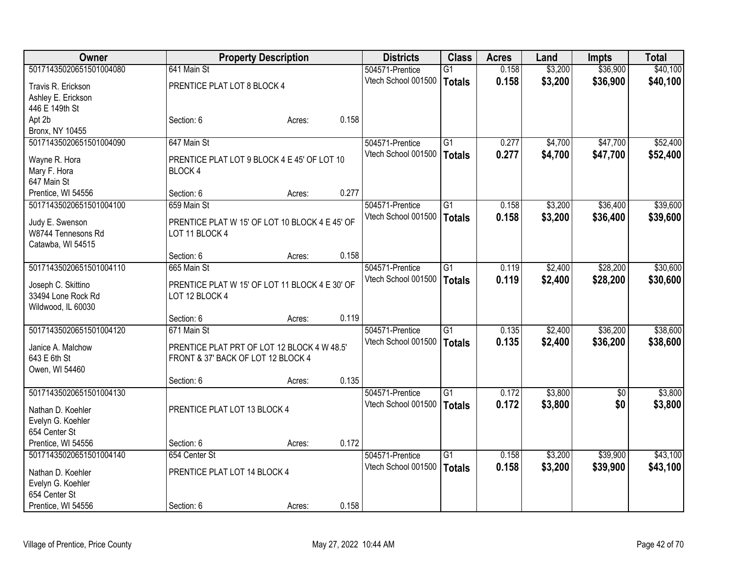| Owner                                 |                                                                  | <b>Property Description</b> |       | <b>Districts</b>    | <b>Class</b>    | <b>Acres</b> | Land    | <b>Impts</b>    | <b>Total</b> |
|---------------------------------------|------------------------------------------------------------------|-----------------------------|-------|---------------------|-----------------|--------------|---------|-----------------|--------------|
| 50171435020651501004080               | 641 Main St                                                      |                             |       | 504571-Prentice     | G1              | 0.158        | \$3,200 | \$36,900        | \$40,100     |
| Travis R. Erickson                    | PRENTICE PLAT LOT 8 BLOCK 4                                      |                             |       | Vtech School 001500 | <b>Totals</b>   | 0.158        | \$3,200 | \$36,900        | \$40,100     |
| Ashley E. Erickson                    |                                                                  |                             |       |                     |                 |              |         |                 |              |
| 446 E 149th St                        |                                                                  |                             |       |                     |                 |              |         |                 |              |
| Apt 2b                                | Section: 6                                                       | Acres:                      | 0.158 |                     |                 |              |         |                 |              |
| Bronx, NY 10455                       |                                                                  |                             |       |                     |                 |              |         |                 |              |
| 50171435020651501004090               | 647 Main St                                                      |                             |       | 504571-Prentice     | $\overline{G1}$ | 0.277        | \$4,700 | \$47,700        | \$52,400     |
| Wayne R. Hora                         | PRENTICE PLAT LOT 9 BLOCK 4 E 45' OF LOT 10                      |                             |       | Vtech School 001500 | <b>Totals</b>   | 0.277        | \$4,700 | \$47,700        | \$52,400     |
| Mary F. Hora                          | BLOCK 4                                                          |                             |       |                     |                 |              |         |                 |              |
| 647 Main St                           |                                                                  |                             |       |                     |                 |              |         |                 |              |
| Prentice, WI 54556                    | Section: 6                                                       | Acres:                      | 0.277 |                     |                 |              |         |                 |              |
| 50171435020651501004100               | 659 Main St                                                      |                             |       | 504571-Prentice     | G1              | 0.158        | \$3,200 | \$36,400        | \$39,600     |
|                                       |                                                                  |                             |       | Vtech School 001500 | <b>Totals</b>   | 0.158        | \$3,200 | \$36,400        | \$39,600     |
| Judy E. Swenson<br>W8744 Tennesons Rd | PRENTICE PLAT W 15' OF LOT 10 BLOCK 4 E 45' OF<br>LOT 11 BLOCK 4 |                             |       |                     |                 |              |         |                 |              |
| Catawba, WI 54515                     |                                                                  |                             |       |                     |                 |              |         |                 |              |
|                                       | Section: 6                                                       | Acres:                      | 0.158 |                     |                 |              |         |                 |              |
| 50171435020651501004110               | 665 Main St                                                      |                             |       | 504571-Prentice     | $\overline{G1}$ | 0.119        | \$2,400 | \$28,200        | \$30,600     |
|                                       |                                                                  |                             |       | Vtech School 001500 | <b>Totals</b>   | 0.119        | \$2,400 | \$28,200        | \$30,600     |
| Joseph C. Skittino                    | PRENTICE PLAT W 15' OF LOT 11 BLOCK 4 E 30' OF                   |                             |       |                     |                 |              |         |                 |              |
| 33494 Lone Rock Rd                    | LOT 12 BLOCK 4                                                   |                             |       |                     |                 |              |         |                 |              |
| Wildwood, IL 60030                    |                                                                  |                             |       |                     |                 |              |         |                 |              |
|                                       | Section: 6                                                       | Acres:                      | 0.119 |                     |                 |              |         |                 |              |
| 50171435020651501004120               | 671 Main St                                                      |                             |       | 504571-Prentice     | G1              | 0.135        | \$2,400 | \$36,200        | \$38,600     |
| Janice A. Malchow                     | PRENTICE PLAT PRT OF LOT 12 BLOCK 4 W 48.5'                      |                             |       | Vtech School 001500 | <b>Totals</b>   | 0.135        | \$2,400 | \$36,200        | \$38,600     |
| 643 E 6th St                          | FRONT & 37' BACK OF LOT 12 BLOCK 4                               |                             |       |                     |                 |              |         |                 |              |
| Owen, WI 54460                        |                                                                  |                             |       |                     |                 |              |         |                 |              |
|                                       | Section: 6                                                       | Acres:                      | 0.135 |                     |                 |              |         |                 |              |
| 50171435020651501004130               |                                                                  |                             |       | 504571-Prentice     | $\overline{G1}$ | 0.172        | \$3,800 | $\overline{50}$ | \$3,800      |
| Nathan D. Koehler                     | PRENTICE PLAT LOT 13 BLOCK 4                                     |                             |       | Vtech School 001500 | <b>Totals</b>   | 0.172        | \$3,800 | \$0             | \$3,800      |
| Evelyn G. Koehler                     |                                                                  |                             |       |                     |                 |              |         |                 |              |
| 654 Center St                         |                                                                  |                             |       |                     |                 |              |         |                 |              |
| Prentice, WI 54556                    | Section: 6                                                       | Acres:                      | 0.172 |                     |                 |              |         |                 |              |
| 50171435020651501004140               | 654 Center St                                                    |                             |       | 504571-Prentice     | $\overline{G1}$ | 0.158        | \$3,200 | \$39,900        | \$43,100     |
| Nathan D. Koehler                     | PRENTICE PLAT LOT 14 BLOCK 4                                     |                             |       | Vtech School 001500 | <b>Totals</b>   | 0.158        | \$3,200 | \$39,900        | \$43,100     |
| Evelyn G. Koehler                     |                                                                  |                             |       |                     |                 |              |         |                 |              |
| 654 Center St                         |                                                                  |                             |       |                     |                 |              |         |                 |              |
| Prentice, WI 54556                    | Section: 6                                                       | Acres:                      | 0.158 |                     |                 |              |         |                 |              |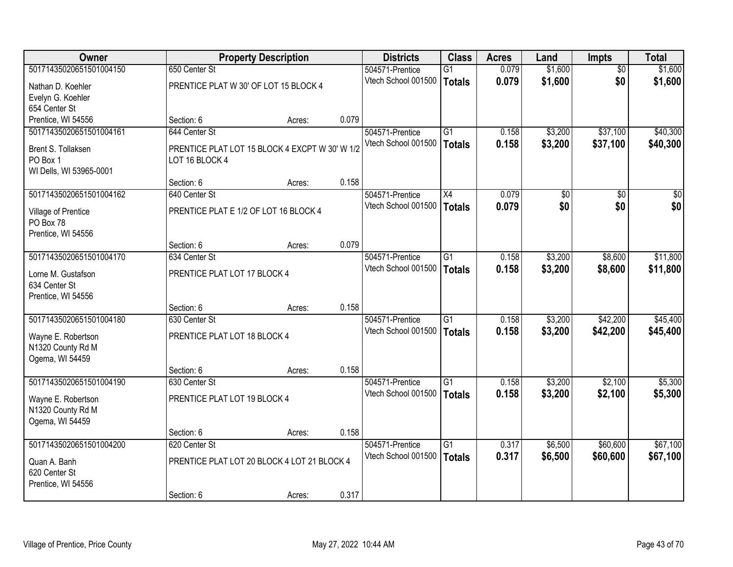| <b>Owner</b>            |                                                | <b>Property Description</b> |       | <b>Districts</b>    | <b>Class</b>    | <b>Acres</b> | Land            | <b>Impts</b> | <b>Total</b> |
|-------------------------|------------------------------------------------|-----------------------------|-------|---------------------|-----------------|--------------|-----------------|--------------|--------------|
| 50171435020651501004150 | 650 Center St                                  |                             |       | 504571-Prentice     | $\overline{G1}$ | 0.079        | \$1,600         | \$0          | \$1,600      |
| Nathan D. Koehler       | PRENTICE PLAT W 30' OF LOT 15 BLOCK 4          |                             |       | Vtech School 001500 | <b>Totals</b>   | 0.079        | \$1,600         | \$0          | \$1,600      |
| Evelyn G. Koehler       |                                                |                             |       |                     |                 |              |                 |              |              |
| 654 Center St           |                                                |                             |       |                     |                 |              |                 |              |              |
| Prentice, WI 54556      | Section: 6                                     | Acres:                      | 0.079 |                     |                 |              |                 |              |              |
| 50171435020651501004161 | 644 Center St                                  |                             |       | 504571-Prentice     | $\overline{G1}$ | 0.158        | \$3,200         | \$37,100     | \$40,300     |
| Brent S. Tollaksen      | PRENTICE PLAT LOT 15 BLOCK 4 EXCPT W 30' W 1/2 |                             |       | Vtech School 001500 | <b>Totals</b>   | 0.158        | \$3,200         | \$37,100     | \$40,300     |
| PO Box 1                | LOT 16 BLOCK 4                                 |                             |       |                     |                 |              |                 |              |              |
| WI Dells, WI 53965-0001 |                                                |                             |       |                     |                 |              |                 |              |              |
|                         | Section: 6                                     | Acres:                      | 0.158 |                     |                 |              |                 |              |              |
| 50171435020651501004162 | 640 Center St                                  |                             |       | 504571-Prentice     | X4              | 0.079        | $\overline{50}$ | \$0          | $\sqrt{50}$  |
| Village of Prentice     | PRENTICE PLAT E 1/2 OF LOT 16 BLOCK 4          |                             |       | Vtech School 001500 | Totals          | 0.079        | \$0             | \$0          | \$0          |
| PO Box 78               |                                                |                             |       |                     |                 |              |                 |              |              |
| Prentice, WI 54556      |                                                |                             |       |                     |                 |              |                 |              |              |
|                         | Section: 6                                     | Acres:                      | 0.079 |                     |                 |              |                 |              |              |
| 50171435020651501004170 | 634 Center St                                  |                             |       | 504571-Prentice     | $\overline{G1}$ | 0.158        | \$3,200         | \$8,600      | \$11,800     |
| Lorne M. Gustafson      | PRENTICE PLAT LOT 17 BLOCK 4                   |                             |       | Vtech School 001500 | <b>Totals</b>   | 0.158        | \$3,200         | \$8,600      | \$11,800     |
| 634 Center St           |                                                |                             |       |                     |                 |              |                 |              |              |
| Prentice, WI 54556      |                                                |                             |       |                     |                 |              |                 |              |              |
|                         | Section: 6                                     | Acres:                      | 0.158 |                     |                 |              |                 |              |              |
| 50171435020651501004180 | 630 Center St                                  |                             |       | 504571-Prentice     | $\overline{G1}$ | 0.158        | \$3,200         | \$42,200     | \$45,400     |
| Wayne E. Robertson      | PRENTICE PLAT LOT 18 BLOCK 4                   |                             |       | Vtech School 001500 | Totals          | 0.158        | \$3,200         | \$42,200     | \$45,400     |
| N1320 County Rd M       |                                                |                             |       |                     |                 |              |                 |              |              |
| Ogema, WI 54459         |                                                |                             |       |                     |                 |              |                 |              |              |
|                         | Section: 6                                     | Acres:                      | 0.158 |                     |                 |              |                 |              |              |
| 50171435020651501004190 | 630 Center St                                  |                             |       | 504571-Prentice     | G1              | 0.158        | \$3,200         | \$2,100      | \$5,300      |
| Wayne E. Robertson      | PRENTICE PLAT LOT 19 BLOCK 4                   |                             |       | Vtech School 001500 | <b>Totals</b>   | 0.158        | \$3,200         | \$2,100      | \$5,300      |
| N1320 County Rd M       |                                                |                             |       |                     |                 |              |                 |              |              |
| Ogema, WI 54459         |                                                |                             |       |                     |                 |              |                 |              |              |
|                         | Section: 6                                     | Acres:                      | 0.158 |                     |                 |              |                 |              |              |
| 50171435020651501004200 | 620 Center St                                  |                             |       | 504571-Prentice     | $\overline{G1}$ | 0.317        | \$6,500         | \$60,600     | \$67,100     |
| Quan A. Banh            | PRENTICE PLAT LOT 20 BLOCK 4 LOT 21 BLOCK 4    |                             |       | Vtech School 001500 | <b>Totals</b>   | 0.317        | \$6,500         | \$60,600     | \$67,100     |
| 620 Center St           |                                                |                             |       |                     |                 |              |                 |              |              |
| Prentice, WI 54556      |                                                |                             |       |                     |                 |              |                 |              |              |
|                         | Section: 6                                     | Acres:                      | 0.317 |                     |                 |              |                 |              |              |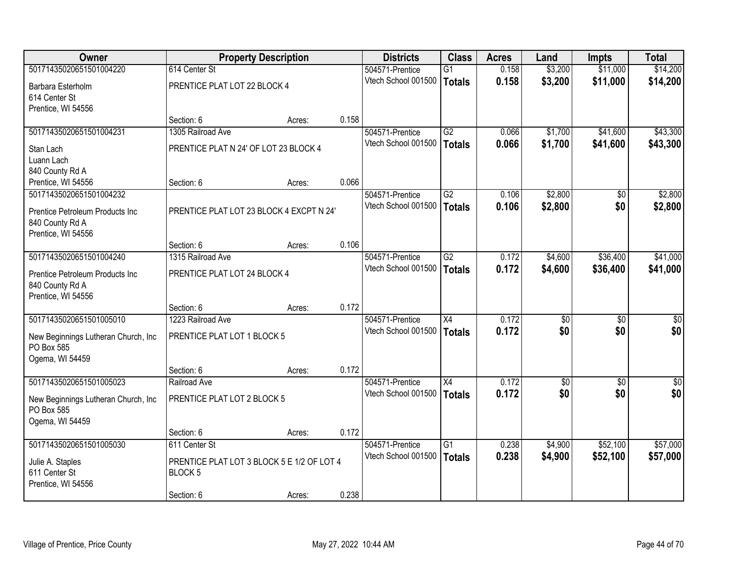| <b>Owner</b>                        |                                            | <b>Property Description</b> |       | <b>Districts</b>    | <b>Class</b>    | <b>Acres</b> | Land            | Impts           | <b>Total</b>     |
|-------------------------------------|--------------------------------------------|-----------------------------|-------|---------------------|-----------------|--------------|-----------------|-----------------|------------------|
| 50171435020651501004220             | 614 Center St                              |                             |       | 504571-Prentice     | G1              | 0.158        | \$3,200         | \$11,000        | \$14,200         |
| Barbara Esterholm                   | PRENTICE PLAT LOT 22 BLOCK 4               |                             |       | Vtech School 001500 | Totals          | 0.158        | \$3,200         | \$11,000        | \$14,200         |
| 614 Center St                       |                                            |                             |       |                     |                 |              |                 |                 |                  |
| Prentice, WI 54556                  |                                            |                             |       |                     |                 |              |                 |                 |                  |
|                                     | Section: 6                                 | Acres:                      | 0.158 |                     |                 |              |                 |                 |                  |
| 50171435020651501004231             | 1305 Railroad Ave                          |                             |       | 504571-Prentice     | $\overline{G2}$ | 0.066        | \$1,700         | \$41,600        | \$43,300         |
| Stan Lach                           | PRENTICE PLAT N 24' OF LOT 23 BLOCK 4      |                             |       | Vtech School 001500 | <b>Totals</b>   | 0.066        | \$1,700         | \$41,600        | \$43,300         |
| Luann Lach                          |                                            |                             |       |                     |                 |              |                 |                 |                  |
| 840 County Rd A                     |                                            |                             |       |                     |                 |              |                 |                 |                  |
| Prentice, WI 54556                  | Section: 6                                 | Acres:                      | 0.066 |                     |                 |              |                 |                 |                  |
| 50171435020651501004232             |                                            |                             |       | 504571-Prentice     | G2              | 0.106        | \$2,800         | \$0             | \$2,800          |
| Prentice Petroleum Products Inc     | PRENTICE PLAT LOT 23 BLOCK 4 EXCPT N 24'   |                             |       | Vtech School 001500 | Totals          | 0.106        | \$2,800         | \$0             | \$2,800          |
| 840 County Rd A                     |                                            |                             |       |                     |                 |              |                 |                 |                  |
| Prentice, WI 54556                  |                                            |                             |       |                     |                 |              |                 |                 |                  |
|                                     | Section: 6                                 | Acres:                      | 0.106 |                     |                 |              |                 |                 |                  |
| 50171435020651501004240             | 1315 Railroad Ave                          |                             |       | 504571-Prentice     | $\overline{G2}$ | 0.172        | \$4,600         | \$36,400        | \$41,000         |
| Prentice Petroleum Products Inc     | PRENTICE PLAT LOT 24 BLOCK 4               |                             |       | Vtech School 001500 | Totals          | 0.172        | \$4,600         | \$36,400        | \$41,000         |
| 840 County Rd A                     |                                            |                             |       |                     |                 |              |                 |                 |                  |
| Prentice, WI 54556                  |                                            |                             |       |                     |                 |              |                 |                 |                  |
|                                     | Section: 6                                 | Acres:                      | 0.172 |                     |                 |              |                 |                 |                  |
| 50171435020651501005010             | 1223 Railroad Ave                          |                             |       | 504571-Prentice     | $\overline{X4}$ | 0.172        | $\overline{50}$ | \$0             | $\overline{\$0}$ |
| New Beginnings Lutheran Church, Inc | PRENTICE PLAT LOT 1 BLOCK 5                |                             |       | Vtech School 001500 | Totals          | 0.172        | \$0             | \$0             | \$0              |
| PO Box 585                          |                                            |                             |       |                     |                 |              |                 |                 |                  |
| Ogema, WI 54459                     |                                            |                             |       |                     |                 |              |                 |                 |                  |
|                                     | Section: 6                                 | Acres:                      | 0.172 |                     |                 |              |                 |                 |                  |
| 50171435020651501005023             | Railroad Ave                               |                             |       | 504571-Prentice     | X4              | 0.172        | $\overline{50}$ | $\overline{50}$ | $\sqrt{50}$      |
| New Beginnings Lutheran Church, Inc | PRENTICE PLAT LOT 2 BLOCK 5                |                             |       | Vtech School 001500 | Totals          | 0.172        | \$0             | \$0             | \$0              |
| PO Box 585                          |                                            |                             |       |                     |                 |              |                 |                 |                  |
| Ogema, WI 54459                     |                                            |                             |       |                     |                 |              |                 |                 |                  |
|                                     | Section: 6                                 | Acres:                      | 0.172 |                     |                 |              |                 |                 |                  |
| 50171435020651501005030             | 611 Center St                              |                             |       | 504571-Prentice     | $\overline{G1}$ | 0.238        | \$4,900         | \$52,100        | \$57,000         |
| Julie A. Staples                    | PRENTICE PLAT LOT 3 BLOCK 5 E 1/2 OF LOT 4 |                             |       | Vtech School 001500 | Totals          | 0.238        | \$4,900         | \$52,100        | \$57,000         |
| 611 Center St                       | <b>BLOCK 5</b>                             |                             |       |                     |                 |              |                 |                 |                  |
| Prentice, WI 54556                  |                                            |                             |       |                     |                 |              |                 |                 |                  |
|                                     | Section: 6                                 | Acres:                      | 0.238 |                     |                 |              |                 |                 |                  |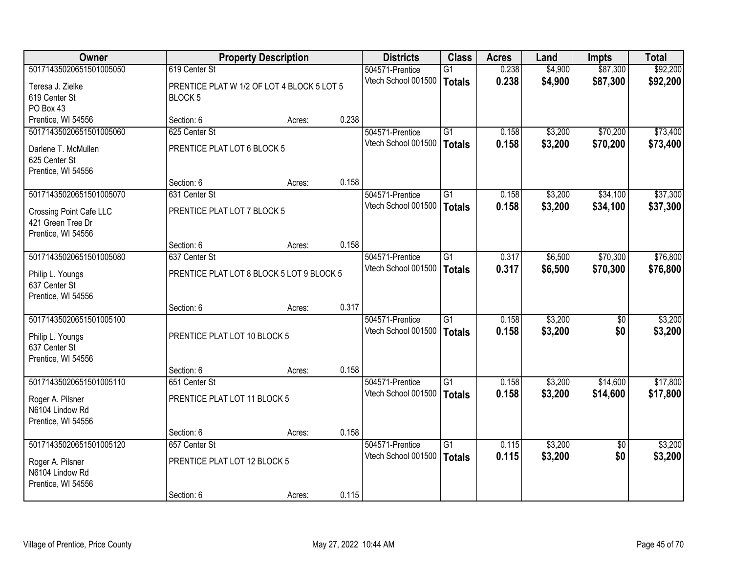| Owner                   |                                            | <b>Property Description</b> |       | <b>Districts</b>    | <b>Class</b>    | <b>Acres</b> | Land    | <b>Impts</b>    | <b>Total</b> |
|-------------------------|--------------------------------------------|-----------------------------|-------|---------------------|-----------------|--------------|---------|-----------------|--------------|
| 50171435020651501005050 | 619 Center St                              |                             |       | 504571-Prentice     | $\overline{G1}$ | 0.238        | \$4,900 | \$87,300        | \$92,200     |
| Teresa J. Zielke        | PRENTICE PLAT W 1/2 OF LOT 4 BLOCK 5 LOT 5 |                             |       | Vtech School 001500 | <b>Totals</b>   | 0.238        | \$4,900 | \$87,300        | \$92,200     |
| 619 Center St           | BLOCK <sub>5</sub>                         |                             |       |                     |                 |              |         |                 |              |
| PO Box 43               |                                            |                             |       |                     |                 |              |         |                 |              |
| Prentice, WI 54556      | Section: 6                                 | Acres:                      | 0.238 |                     |                 |              |         |                 |              |
| 50171435020651501005060 | 625 Center St                              |                             |       | 504571-Prentice     | G1              | 0.158        | \$3,200 | \$70,200        | \$73,400     |
| Darlene T. McMullen     | PRENTICE PLAT LOT 6 BLOCK 5                |                             |       | Vtech School 001500 | <b>Totals</b>   | 0.158        | \$3,200 | \$70,200        | \$73,400     |
| 625 Center St           |                                            |                             |       |                     |                 |              |         |                 |              |
| Prentice, WI 54556      |                                            |                             |       |                     |                 |              |         |                 |              |
|                         | Section: 6                                 | Acres:                      | 0.158 |                     |                 |              |         |                 |              |
| 50171435020651501005070 | 631 Center St                              |                             |       | 504571-Prentice     | $\overline{G1}$ | 0.158        | \$3,200 | \$34,100        | \$37,300     |
| Crossing Point Cafe LLC | PRENTICE PLAT LOT 7 BLOCK 5                |                             |       | Vtech School 001500 | <b>Totals</b>   | 0.158        | \$3,200 | \$34,100        | \$37,300     |
| 421 Green Tree Dr       |                                            |                             |       |                     |                 |              |         |                 |              |
| Prentice, WI 54556      |                                            |                             |       |                     |                 |              |         |                 |              |
|                         | Section: 6                                 | Acres:                      | 0.158 |                     |                 |              |         |                 |              |
| 50171435020651501005080 | 637 Center St                              |                             |       | 504571-Prentice     | $\overline{G1}$ | 0.317        | \$6,500 | \$70,300        | \$76,800     |
| Philip L. Youngs        | PRENTICE PLAT LOT 8 BLOCK 5 LOT 9 BLOCK 5  |                             |       | Vtech School 001500 | <b>Totals</b>   | 0.317        | \$6,500 | \$70,300        | \$76,800     |
| 637 Center St           |                                            |                             |       |                     |                 |              |         |                 |              |
| Prentice, WI 54556      |                                            |                             |       |                     |                 |              |         |                 |              |
|                         | Section: 6                                 | Acres:                      | 0.317 |                     |                 |              |         |                 |              |
| 50171435020651501005100 |                                            |                             |       | 504571-Prentice     | $\overline{G1}$ | 0.158        | \$3,200 | $\overline{50}$ | \$3,200      |
| Philip L. Youngs        | PRENTICE PLAT LOT 10 BLOCK 5               |                             |       | Vtech School 001500 | <b>Totals</b>   | 0.158        | \$3,200 | \$0             | \$3,200      |
| 637 Center St           |                                            |                             |       |                     |                 |              |         |                 |              |
| Prentice, WI 54556      |                                            |                             |       |                     |                 |              |         |                 |              |
|                         | Section: 6                                 | Acres:                      | 0.158 |                     |                 |              |         |                 |              |
| 50171435020651501005110 | 651 Center St                              |                             |       | 504571-Prentice     | G1              | 0.158        | \$3,200 | \$14,600        | \$17,800     |
| Roger A. Pilsner        | PRENTICE PLAT LOT 11 BLOCK 5               |                             |       | Vtech School 001500 | <b>Totals</b>   | 0.158        | \$3,200 | \$14,600        | \$17,800     |
| N6104 Lindow Rd         |                                            |                             |       |                     |                 |              |         |                 |              |
| Prentice, WI 54556      |                                            |                             |       |                     |                 |              |         |                 |              |
|                         | Section: 6                                 | Acres:                      | 0.158 |                     |                 |              |         |                 |              |
| 50171435020651501005120 | 657 Center St                              |                             |       | 504571-Prentice     | $\overline{G1}$ | 0.115        | \$3,200 | $\overline{50}$ | \$3,200      |
| Roger A. Pilsner        | PRENTICE PLAT LOT 12 BLOCK 5               |                             |       | Vtech School 001500 | <b>Totals</b>   | 0.115        | \$3,200 | \$0             | \$3,200      |
| N6104 Lindow Rd         |                                            |                             |       |                     |                 |              |         |                 |              |
| Prentice, WI 54556      |                                            |                             |       |                     |                 |              |         |                 |              |
|                         | Section: 6                                 | Acres:                      | 0.115 |                     |                 |              |         |                 |              |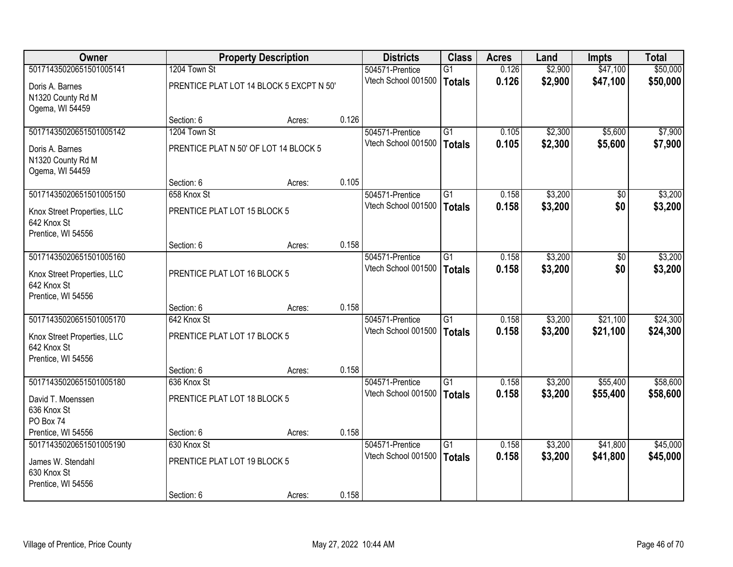| <b>Owner</b>                      |                                          | <b>Property Description</b> |       | <b>Districts</b>                       | <b>Class</b>    | <b>Acres</b>   | Land    | <b>Impts</b> | <b>Total</b> |
|-----------------------------------|------------------------------------------|-----------------------------|-------|----------------------------------------|-----------------|----------------|---------|--------------|--------------|
| 50171435020651501005141           | 1204 Town St                             |                             |       | 504571-Prentice                        | $\overline{G1}$ | 0.126          | \$2,900 | \$47,100     | \$50,000     |
| Doris A. Barnes                   | PRENTICE PLAT LOT 14 BLOCK 5 EXCPT N 50' |                             |       | Vtech School 001500                    | Totals          | 0.126          | \$2,900 | \$47,100     | \$50,000     |
| N1320 County Rd M                 |                                          |                             |       |                                        |                 |                |         |              |              |
| Ogema, WI 54459                   |                                          |                             |       |                                        |                 |                |         |              |              |
|                                   | Section: 6                               | Acres:                      | 0.126 |                                        |                 |                |         |              |              |
| 50171435020651501005142           | 1204 Town St                             |                             |       | 504571-Prentice                        | $\overline{G1}$ | 0.105          | \$2,300 | \$5,600      | \$7,900      |
| Doris A. Barnes                   | PRENTICE PLAT N 50' OF LOT 14 BLOCK 5    |                             |       | Vtech School 001500                    | Totals          | 0.105          | \$2,300 | \$5,600      | \$7,900      |
| N1320 County Rd M                 |                                          |                             |       |                                        |                 |                |         |              |              |
| Ogema, WI 54459                   |                                          |                             |       |                                        |                 |                |         |              |              |
|                                   | Section: 6                               | Acres:                      | 0.105 |                                        |                 |                |         |              |              |
| 50171435020651501005150           | 658 Knox St                              |                             |       | 504571-Prentice                        | $\overline{G1}$ | 0.158          | \$3,200 | \$0          | \$3,200      |
| Knox Street Properties, LLC       | PRENTICE PLAT LOT 15 BLOCK 5             |                             |       | Vtech School 001500                    | <b>Totals</b>   | 0.158          | \$3,200 | \$0          | \$3,200      |
| 642 Knox St                       |                                          |                             |       |                                        |                 |                |         |              |              |
| Prentice, WI 54556                |                                          |                             |       |                                        |                 |                |         |              |              |
| 50171435020651501005160           | Section: 6                               | Acres:                      | 0.158 |                                        |                 |                |         |              |              |
|                                   |                                          |                             |       | 504571-Prentice<br>Vtech School 001500 | $\overline{G1}$ | 0.158<br>0.158 | \$3,200 | \$0<br>\$0   | \$3,200      |
| Knox Street Properties, LLC       | PRENTICE PLAT LOT 16 BLOCK 5             |                             |       |                                        | Totals          |                | \$3,200 |              | \$3,200      |
| 642 Knox St                       |                                          |                             |       |                                        |                 |                |         |              |              |
| Prentice, WI 54556                |                                          |                             |       |                                        |                 |                |         |              |              |
| 50171435020651501005170           | Section: 6<br>642 Knox St                | Acres:                      | 0.158 |                                        | $\overline{G1}$ | 0.158          | \$3,200 | \$21,100     | \$24,300     |
|                                   |                                          |                             |       | 504571-Prentice<br>Vtech School 001500 |                 | 0.158          | \$3,200 | \$21,100     | \$24,300     |
| Knox Street Properties, LLC       | PRENTICE PLAT LOT 17 BLOCK 5             |                             |       |                                        | Totals          |                |         |              |              |
| 642 Knox St                       |                                          |                             |       |                                        |                 |                |         |              |              |
| Prentice, WI 54556                |                                          |                             | 0.158 |                                        |                 |                |         |              |              |
| 50171435020651501005180           | Section: 6<br>636 Knox St                | Acres:                      |       | 504571-Prentice                        | $\overline{G1}$ | 0.158          | \$3,200 | \$55,400     | \$58,600     |
|                                   |                                          |                             |       | Vtech School 001500                    | <b>Totals</b>   | 0.158          | \$3,200 | \$55,400     | \$58,600     |
| David T. Moenssen                 | PRENTICE PLAT LOT 18 BLOCK 5             |                             |       |                                        |                 |                |         |              |              |
| 636 Knox St                       |                                          |                             |       |                                        |                 |                |         |              |              |
| PO Box 74<br>Prentice, WI 54556   | Section: 6                               | Acres:                      | 0.158 |                                        |                 |                |         |              |              |
| 50171435020651501005190           | 630 Knox St                              |                             |       | 504571-Prentice                        | $\overline{G1}$ | 0.158          | \$3,200 | \$41,800     | \$45,000     |
|                                   |                                          |                             |       | Vtech School 001500                    | Totals          | 0.158          | \$3,200 | \$41,800     | \$45,000     |
| James W. Stendahl                 | PRENTICE PLAT LOT 19 BLOCK 5             |                             |       |                                        |                 |                |         |              |              |
| 630 Knox St<br>Prentice, WI 54556 |                                          |                             |       |                                        |                 |                |         |              |              |
|                                   | Section: 6                               | Acres:                      | 0.158 |                                        |                 |                |         |              |              |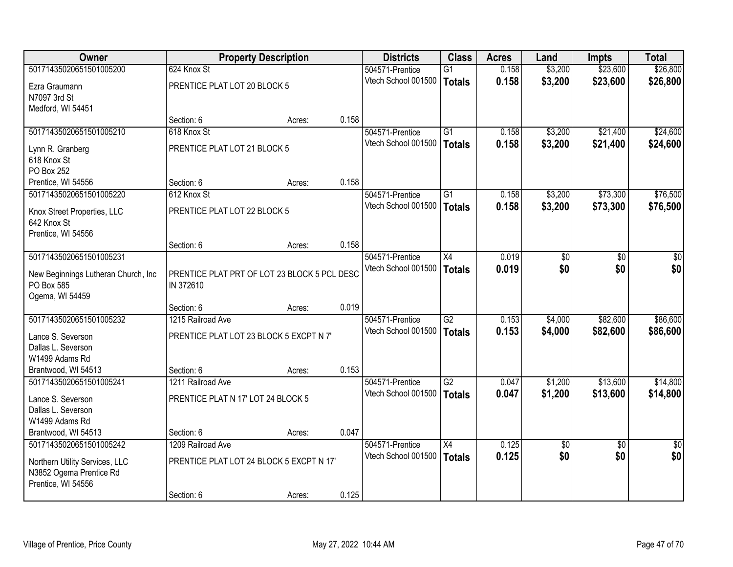| <b>Owner</b>                         |                                              | <b>Property Description</b> |       | <b>Districts</b>    | <b>Class</b>    | <b>Acres</b> | Land            | <b>Impts</b>    | <b>Total</b>    |
|--------------------------------------|----------------------------------------------|-----------------------------|-------|---------------------|-----------------|--------------|-----------------|-----------------|-----------------|
| 50171435020651501005200              | 624 Knox St                                  |                             |       | 504571-Prentice     | $\overline{G1}$ | 0.158        | \$3,200         | \$23,600        | \$26,800        |
| Ezra Graumann                        | PRENTICE PLAT LOT 20 BLOCK 5                 |                             |       | Vtech School 001500 | <b>Totals</b>   | 0.158        | \$3,200         | \$23,600        | \$26,800        |
| N7097 3rd St                         |                                              |                             |       |                     |                 |              |                 |                 |                 |
| Medford, WI 54451                    |                                              |                             |       |                     |                 |              |                 |                 |                 |
|                                      | Section: 6                                   | Acres:                      | 0.158 |                     |                 |              |                 |                 |                 |
| 50171435020651501005210              | 618 Knox St                                  |                             |       | 504571-Prentice     | G1              | 0.158        | \$3,200         | \$21,400        | \$24,600        |
| Lynn R. Granberg                     | PRENTICE PLAT LOT 21 BLOCK 5                 |                             |       | Vtech School 001500 | <b>Totals</b>   | 0.158        | \$3,200         | \$21,400        | \$24,600        |
| 618 Knox St                          |                                              |                             |       |                     |                 |              |                 |                 |                 |
| PO Box 252                           |                                              |                             |       |                     |                 |              |                 |                 |                 |
| Prentice, WI 54556                   | Section: 6                                   | Acres:                      | 0.158 |                     |                 |              |                 |                 |                 |
| 50171435020651501005220              | 612 Knox St                                  |                             |       | 504571-Prentice     | $\overline{G1}$ | 0.158        | \$3,200         | \$73,300        | \$76,500        |
| Knox Street Properties, LLC          | PRENTICE PLAT LOT 22 BLOCK 5                 |                             |       | Vtech School 001500 | <b>Totals</b>   | 0.158        | \$3,200         | \$73,300        | \$76,500        |
| 642 Knox St                          |                                              |                             |       |                     |                 |              |                 |                 |                 |
| Prentice, WI 54556                   |                                              |                             |       |                     |                 |              |                 |                 |                 |
|                                      | Section: 6                                   | Acres:                      | 0.158 |                     |                 |              |                 |                 |                 |
| 50171435020651501005231              |                                              |                             |       | 504571-Prentice     | $\overline{X4}$ | 0.019        | $\overline{50}$ | $\overline{30}$ | $\overline{50}$ |
| New Beginnings Lutheran Church, Inc. | PRENTICE PLAT PRT OF LOT 23 BLOCK 5 PCL DESC |                             |       | Vtech School 001500 | <b>Totals</b>   | 0.019        | \$0             | \$0             | \$0             |
| PO Box 585                           | IN 372610                                    |                             |       |                     |                 |              |                 |                 |                 |
| Ogema, WI 54459                      |                                              |                             |       |                     |                 |              |                 |                 |                 |
|                                      | Section: 6                                   | Acres:                      | 0.019 |                     |                 |              |                 |                 |                 |
| 50171435020651501005232              | 1215 Railroad Ave                            |                             |       | 504571-Prentice     | $\overline{G2}$ | 0.153        | \$4,000         | \$82,600        | \$86,600        |
| Lance S. Severson                    | PRENTICE PLAT LOT 23 BLOCK 5 EXCPT N 7'      |                             |       | Vtech School 001500 | <b>Totals</b>   | 0.153        | \$4,000         | \$82,600        | \$86,600        |
| Dallas L. Severson                   |                                              |                             |       |                     |                 |              |                 |                 |                 |
| W1499 Adams Rd                       |                                              |                             |       |                     |                 |              |                 |                 |                 |
| Brantwood, WI 54513                  | Section: 6                                   | Acres:                      | 0.153 |                     |                 |              |                 |                 |                 |
| 50171435020651501005241              | 1211 Railroad Ave                            |                             |       | 504571-Prentice     | $\overline{G2}$ | 0.047        | \$1,200         | \$13,600        | \$14,800        |
| Lance S. Severson                    | PRENTICE PLAT N 17' LOT 24 BLOCK 5           |                             |       | Vtech School 001500 | <b>Totals</b>   | 0.047        | \$1,200         | \$13,600        | \$14,800        |
| Dallas L. Severson                   |                                              |                             |       |                     |                 |              |                 |                 |                 |
| W1499 Adams Rd                       |                                              |                             |       |                     |                 |              |                 |                 |                 |
| Brantwood, WI 54513                  | Section: 6                                   | Acres:                      | 0.047 |                     |                 |              |                 |                 |                 |
| 50171435020651501005242              | 1209 Railroad Ave                            |                             |       | 504571-Prentice     | $\overline{X4}$ | 0.125        | \$0             | $\overline{50}$ | $\overline{30}$ |
| Northern Utility Services, LLC       | PRENTICE PLAT LOT 24 BLOCK 5 EXCPT N 17'     |                             |       | Vtech School 001500 | <b>Totals</b>   | 0.125        | \$0             | \$0             | \$0             |
| N3852 Ogema Prentice Rd              |                                              |                             |       |                     |                 |              |                 |                 |                 |
| Prentice, WI 54556                   |                                              |                             |       |                     |                 |              |                 |                 |                 |
|                                      | Section: 6                                   | Acres:                      | 0.125 |                     |                 |              |                 |                 |                 |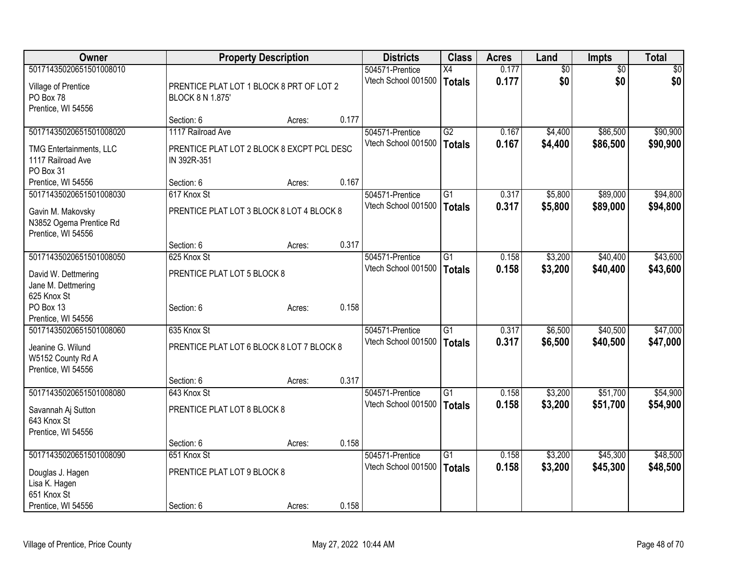| Owner                                                              |                                                                 | <b>Property Description</b> |       | <b>Districts</b>                       | <b>Class</b>                     | <b>Acres</b>   | Land                   | <b>Impts</b>           | <b>Total</b>         |
|--------------------------------------------------------------------|-----------------------------------------------------------------|-----------------------------|-------|----------------------------------------|----------------------------------|----------------|------------------------|------------------------|----------------------|
| 50171435020651501008010<br>Village of Prentice                     | PRENTICE PLAT LOT 1 BLOCK 8 PRT OF LOT 2                        |                             |       | 504571-Prentice<br>Vtech School 001500 | X4<br><b>Totals</b>              | 0.177<br>0.177 | $\overline{50}$<br>\$0 | $\overline{50}$<br>\$0 | $\sqrt{30}$<br>\$0   |
| PO Box 78<br>Prentice, WI 54556                                    | <b>BLOCK 8 N 1.875'</b>                                         |                             |       |                                        |                                  |                |                        |                        |                      |
|                                                                    | Section: 6                                                      | Acres:                      | 0.177 |                                        |                                  |                |                        |                        |                      |
| 50171435020651501008020<br><b>TMG Entertainments, LLC</b>          | 1117 Railroad Ave<br>PRENTICE PLAT LOT 2 BLOCK 8 EXCPT PCL DESC |                             |       | 504571-Prentice<br>Vtech School 001500 | $\overline{G2}$<br><b>Totals</b> | 0.167<br>0.167 | \$4,400<br>\$4,400     | \$86,500<br>\$86,500   | \$90,900<br>\$90,900 |
| 1117 Railroad Ave<br>PO Box 31                                     | IN 392R-351                                                     |                             |       |                                        |                                  |                |                        |                        |                      |
| Prentice, WI 54556                                                 | Section: 6                                                      | Acres:                      | 0.167 |                                        |                                  |                |                        |                        |                      |
| 50171435020651501008030                                            | 617 Knox St                                                     |                             |       | 504571-Prentice                        | $\overline{G1}$                  | 0.317          | \$5,800                | \$89,000               | \$94,800             |
| Gavin M. Makovsky<br>N3852 Ogema Prentice Rd<br>Prentice, WI 54556 | PRENTICE PLAT LOT 3 BLOCK 8 LOT 4 BLOCK 8                       |                             |       | Vtech School 001500                    | <b>Totals</b>                    | 0.317          | \$5,800                | \$89,000               | \$94,800             |
|                                                                    | Section: 6                                                      | Acres:                      | 0.317 |                                        |                                  |                |                        |                        |                      |
| 50171435020651501008050                                            | 625 Knox St                                                     |                             |       | 504571-Prentice                        | $\overline{G1}$                  | 0.158          | \$3,200                | \$40,400               | \$43,600             |
| David W. Dettmering<br>Jane M. Dettmering<br>625 Knox St           | PRENTICE PLAT LOT 5 BLOCK 8                                     |                             |       | Vtech School 001500                    | <b>Totals</b>                    | 0.158          | \$3,200                | \$40,400               | \$43,600             |
| PO Box 13<br>Prentice, WI 54556                                    | Section: 6                                                      | Acres:                      | 0.158 |                                        |                                  |                |                        |                        |                      |
| 50171435020651501008060                                            | 635 Knox St                                                     |                             |       | 504571-Prentice                        | $\overline{G1}$                  | 0.317          | \$6,500                | \$40,500               | \$47,000             |
| Jeanine G. Wilund<br>W5152 County Rd A<br>Prentice, WI 54556       | PRENTICE PLAT LOT 6 BLOCK 8 LOT 7 BLOCK 8                       |                             |       | Vtech School 001500                    | <b>Totals</b>                    | 0.317          | \$6,500                | \$40,500               | \$47,000             |
|                                                                    | Section: 6                                                      | Acres:                      | 0.317 |                                        |                                  |                |                        |                        |                      |
| 50171435020651501008080                                            | 643 Knox St                                                     |                             |       | 504571-Prentice                        | $\overline{G1}$                  | 0.158          | \$3,200                | \$51,700               | \$54,900             |
| Savannah Aj Sutton<br>643 Knox St<br>Prentice, WI 54556            | PRENTICE PLAT LOT 8 BLOCK 8                                     |                             |       | Vtech School 001500                    | <b>Totals</b>                    | 0.158          | \$3,200                | \$51,700               | \$54,900             |
|                                                                    | Section: 6                                                      | Acres:                      | 0.158 |                                        |                                  |                |                        |                        |                      |
| 50171435020651501008090                                            | 651 Knox St                                                     |                             |       | 504571-Prentice                        | $\overline{G1}$                  | 0.158          | \$3,200                | \$45,300               | \$48,500             |
| Douglas J. Hagen<br>Lisa K. Hagen                                  | PRENTICE PLAT LOT 9 BLOCK 8                                     |                             |       | Vtech School 001500                    | <b>Totals</b>                    | 0.158          | \$3,200                | \$45,300               | \$48,500             |
| 651 Knox St<br>Prentice, WI 54556                                  | Section: 6                                                      | Acres:                      | 0.158 |                                        |                                  |                |                        |                        |                      |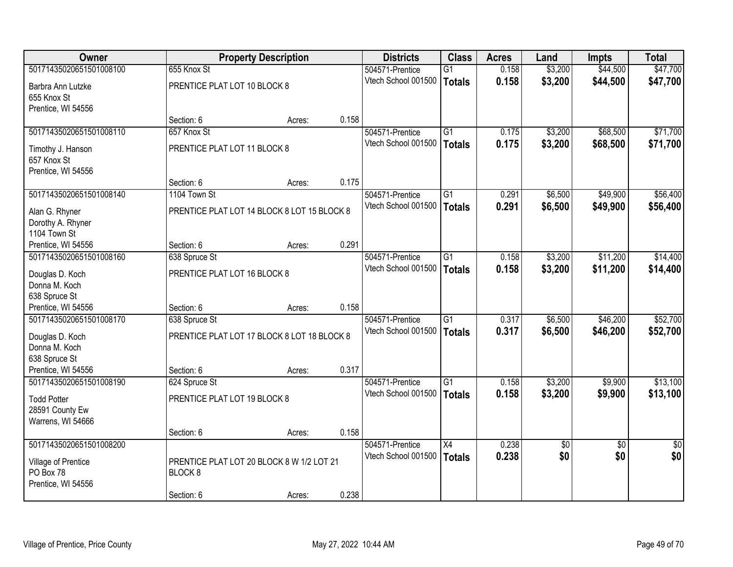| <b>Owner</b>            |                                             | <b>Property Description</b> |       | <b>Districts</b>                       | <b>Class</b>    | <b>Acres</b>   | Land       | <b>Impts</b>           | <b>Total</b>           |
|-------------------------|---------------------------------------------|-----------------------------|-------|----------------------------------------|-----------------|----------------|------------|------------------------|------------------------|
| 50171435020651501008100 | 655 Knox St                                 |                             |       | 504571-Prentice                        | $\overline{G1}$ | 0.158          | \$3,200    | \$44,500               | \$47,700               |
| Barbra Ann Lutzke       | PRENTICE PLAT LOT 10 BLOCK 8                |                             |       | Vtech School 001500                    | <b>Totals</b>   | 0.158          | \$3,200    | \$44,500               | \$47,700               |
| 655 Knox St             |                                             |                             |       |                                        |                 |                |            |                        |                        |
| Prentice, WI 54556      |                                             |                             |       |                                        |                 |                |            |                        |                        |
|                         | Section: 6                                  | Acres:                      | 0.158 |                                        |                 |                |            |                        |                        |
| 50171435020651501008110 | 657 Knox St                                 |                             |       | 504571-Prentice                        | G1              | 0.175          | \$3,200    | \$68,500               | \$71,700               |
| Timothy J. Hanson       | PRENTICE PLAT LOT 11 BLOCK 8                |                             |       | Vtech School 001500                    | <b>Totals</b>   | 0.175          | \$3,200    | \$68,500               | \$71,700               |
| 657 Knox St             |                                             |                             |       |                                        |                 |                |            |                        |                        |
| Prentice, WI 54556      |                                             |                             |       |                                        |                 |                |            |                        |                        |
|                         | Section: 6                                  | Acres:                      | 0.175 |                                        |                 |                |            |                        |                        |
| 50171435020651501008140 | 1104 Town St                                |                             |       | 504571-Prentice                        | $\overline{G1}$ | 0.291          | \$6,500    | \$49,900               | \$56,400               |
| Alan G. Rhyner          | PRENTICE PLAT LOT 14 BLOCK 8 LOT 15 BLOCK 8 |                             |       | Vtech School 001500                    | <b>Totals</b>   | 0.291          | \$6,500    | \$49,900               | \$56,400               |
| Dorothy A. Rhyner       |                                             |                             |       |                                        |                 |                |            |                        |                        |
| 1104 Town St            |                                             |                             |       |                                        |                 |                |            |                        |                        |
| Prentice, WI 54556      | Section: 6                                  | Acres:                      | 0.291 |                                        |                 |                |            |                        |                        |
| 50171435020651501008160 | 638 Spruce St                               |                             |       | 504571-Prentice                        | $\overline{G1}$ | 0.158          | \$3,200    | \$11,200               | \$14,400               |
| Douglas D. Koch         | PRENTICE PLAT LOT 16 BLOCK 8                |                             |       | Vtech School 001500                    | <b>Totals</b>   | 0.158          | \$3,200    | \$11,200               | \$14,400               |
| Donna M. Koch           |                                             |                             |       |                                        |                 |                |            |                        |                        |
| 638 Spruce St           |                                             |                             |       |                                        |                 |                |            |                        |                        |
| Prentice, WI 54556      | Section: 6                                  | Acres:                      | 0.158 |                                        |                 |                |            |                        |                        |
| 50171435020651501008170 | 638 Spruce St                               |                             |       | 504571-Prentice                        | $\overline{G1}$ | 0.317          | \$6,500    | \$46,200               | \$52,700               |
| Douglas D. Koch         | PRENTICE PLAT LOT 17 BLOCK 8 LOT 18 BLOCK 8 |                             |       | Vtech School 001500                    | <b>Totals</b>   | 0.317          | \$6,500    | \$46,200               | \$52,700               |
| Donna M. Koch           |                                             |                             |       |                                        |                 |                |            |                        |                        |
| 638 Spruce St           |                                             |                             |       |                                        |                 |                |            |                        |                        |
| Prentice, WI 54556      | Section: 6                                  | Acres:                      | 0.317 |                                        |                 |                |            |                        |                        |
| 50171435020651501008190 | 624 Spruce St                               |                             |       | 504571-Prentice                        | $\overline{G1}$ | 0.158          | \$3,200    | \$9,900                | \$13,100               |
| <b>Todd Potter</b>      | PRENTICE PLAT LOT 19 BLOCK 8                |                             |       | Vtech School 001500                    | <b>Totals</b>   | 0.158          | \$3,200    | \$9,900                | \$13,100               |
| 28591 County Ew         |                                             |                             |       |                                        |                 |                |            |                        |                        |
| Warrens, WI 54666       |                                             |                             |       |                                        |                 |                |            |                        |                        |
|                         | Section: 6                                  | Acres:                      | 0.158 |                                        |                 |                |            |                        |                        |
| 50171435020651501008200 |                                             |                             |       | 504571-Prentice<br>Vtech School 001500 | $\overline{X4}$ | 0.238<br>0.238 | \$0<br>\$0 | $\overline{30}$<br>\$0 | $\overline{30}$<br>\$0 |
| Village of Prentice     | PRENTICE PLAT LOT 20 BLOCK 8 W 1/2 LOT 21   |                             |       |                                        | <b>Totals</b>   |                |            |                        |                        |
| PO Box 78               | BLOCK <sub>8</sub>                          |                             |       |                                        |                 |                |            |                        |                        |
| Prentice, WI 54556      |                                             |                             |       |                                        |                 |                |            |                        |                        |
|                         | Section: 6                                  | Acres:                      | 0.238 |                                        |                 |                |            |                        |                        |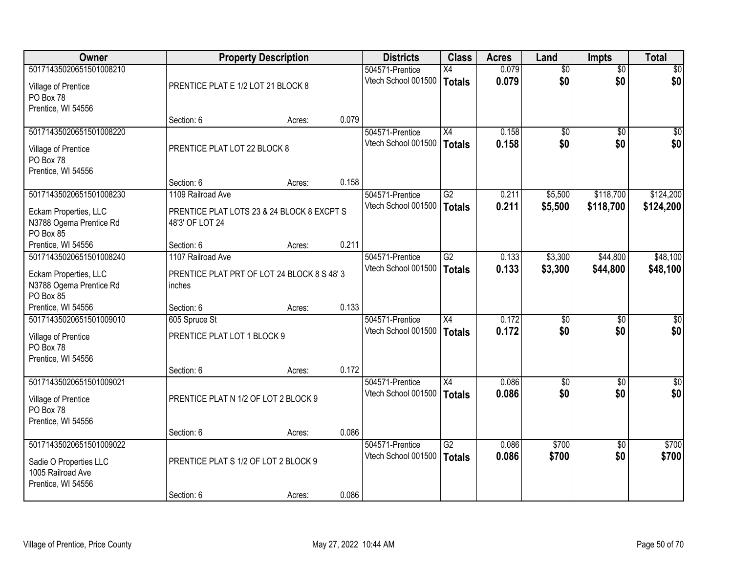| Owner                   |                                            | <b>Property Description</b> |       | <b>Districts</b>    | <b>Class</b>    | <b>Acres</b> | Land            | <b>Impts</b>    | <b>Total</b>    |
|-------------------------|--------------------------------------------|-----------------------------|-------|---------------------|-----------------|--------------|-----------------|-----------------|-----------------|
| 50171435020651501008210 |                                            |                             |       | 504571-Prentice     | $\overline{X4}$ | 0.079        | $\overline{50}$ | $\overline{50}$ | $\overline{30}$ |
| Village of Prentice     | PRENTICE PLAT E 1/2 LOT 21 BLOCK 8         |                             |       | Vtech School 001500 | <b>Totals</b>   | 0.079        | \$0             | \$0             | \$0             |
| PO Box 78               |                                            |                             |       |                     |                 |              |                 |                 |                 |
| Prentice, WI 54556      |                                            |                             |       |                     |                 |              |                 |                 |                 |
|                         | Section: 6                                 | Acres:                      | 0.079 |                     |                 |              |                 |                 |                 |
| 50171435020651501008220 |                                            |                             |       | 504571-Prentice     | X4              | 0.158        | $\overline{50}$ | $\overline{50}$ | $\overline{50}$ |
| Village of Prentice     | PRENTICE PLAT LOT 22 BLOCK 8               |                             |       | Vtech School 001500 | <b>Totals</b>   | 0.158        | \$0             | \$0             | \$0             |
| PO Box 78               |                                            |                             |       |                     |                 |              |                 |                 |                 |
| Prentice, WI 54556      |                                            |                             |       |                     |                 |              |                 |                 |                 |
|                         | Section: 6                                 | Acres:                      | 0.158 |                     |                 |              |                 |                 |                 |
| 50171435020651501008230 | 1109 Railroad Ave                          |                             |       | 504571-Prentice     | G2              | 0.211        | \$5,500         | \$118,700       | \$124,200       |
| Eckam Properties, LLC   | PRENTICE PLAT LOTS 23 & 24 BLOCK 8 EXCPT S |                             |       | Vtech School 001500 | <b>Totals</b>   | 0.211        | \$5,500         | \$118,700       | \$124,200       |
| N3788 Ogema Prentice Rd | 48'3' OF LOT 24                            |                             |       |                     |                 |              |                 |                 |                 |
| PO Box 85               |                                            |                             |       |                     |                 |              |                 |                 |                 |
| Prentice, WI 54556      | Section: 6                                 | Acres:                      | 0.211 |                     |                 |              |                 |                 |                 |
| 50171435020651501008240 | 1107 Railroad Ave                          |                             |       | 504571-Prentice     | $\overline{G2}$ | 0.133        | \$3,300         | \$44,800        | \$48,100        |
| Eckam Properties, LLC   | PRENTICE PLAT PRT OF LOT 24 BLOCK 8 S 48'3 |                             |       | Vtech School 001500 | <b>Totals</b>   | 0.133        | \$3,300         | \$44,800        | \$48,100        |
| N3788 Ogema Prentice Rd | inches                                     |                             |       |                     |                 |              |                 |                 |                 |
| PO Box 85               |                                            |                             |       |                     |                 |              |                 |                 |                 |
| Prentice, WI 54556      | Section: 6                                 | Acres:                      | 0.133 |                     |                 |              |                 |                 |                 |
| 50171435020651501009010 | 605 Spruce St                              |                             |       | 504571-Prentice     | X4              | 0.172        | \$0             | $\overline{50}$ | \$0             |
| Village of Prentice     | PRENTICE PLAT LOT 1 BLOCK 9                |                             |       | Vtech School 001500 | <b>Totals</b>   | 0.172        | \$0             | \$0             | \$0             |
| PO Box 78               |                                            |                             |       |                     |                 |              |                 |                 |                 |
| Prentice, WI 54556      |                                            |                             |       |                     |                 |              |                 |                 |                 |
|                         | Section: 6                                 | Acres:                      | 0.172 |                     |                 |              |                 |                 |                 |
| 50171435020651501009021 |                                            |                             |       | 504571-Prentice     | X4              | 0.086        | $\overline{50}$ | $\overline{50}$ | $\sqrt{50}$     |
| Village of Prentice     | PRENTICE PLAT N 1/2 OF LOT 2 BLOCK 9       |                             |       | Vtech School 001500 | <b>Totals</b>   | 0.086        | \$0             | \$0             | \$0             |
| PO Box 78               |                                            |                             |       |                     |                 |              |                 |                 |                 |
| Prentice, WI 54556      |                                            |                             |       |                     |                 |              |                 |                 |                 |
|                         | Section: 6                                 | Acres:                      | 0.086 |                     |                 |              |                 |                 |                 |
| 50171435020651501009022 |                                            |                             |       | 504571-Prentice     | $\overline{G2}$ | 0.086        | \$700           | $\overline{30}$ | \$700           |
| Sadie O Properties LLC  | PRENTICE PLAT S 1/2 OF LOT 2 BLOCK 9       |                             |       | Vtech School 001500 | <b>Totals</b>   | 0.086        | \$700           | \$0             | \$700           |
| 1005 Railroad Ave       |                                            |                             |       |                     |                 |              |                 |                 |                 |
| Prentice, WI 54556      |                                            |                             |       |                     |                 |              |                 |                 |                 |
|                         | Section: 6                                 | Acres:                      | 0.086 |                     |                 |              |                 |                 |                 |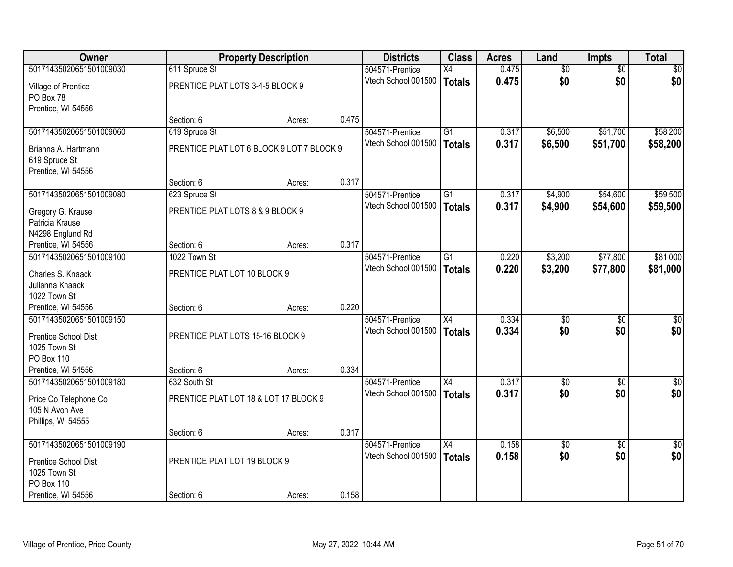| Owner                   |                                           | <b>Property Description</b> |       | <b>Districts</b>    | <b>Class</b>    | <b>Acres</b> | Land            | <b>Impts</b>    | <b>Total</b>  |
|-------------------------|-------------------------------------------|-----------------------------|-------|---------------------|-----------------|--------------|-----------------|-----------------|---------------|
| 50171435020651501009030 | 611 Spruce St                             |                             |       | 504571-Prentice     | $\overline{X4}$ | 0.475        | $\overline{50}$ | $\overline{50}$ | $\sqrt{50}$   |
| Village of Prentice     | PRENTICE PLAT LOTS 3-4-5 BLOCK 9          |                             |       | Vtech School 001500 | Totals          | 0.475        | \$0             | \$0             | \$0           |
| PO Box 78               |                                           |                             |       |                     |                 |              |                 |                 |               |
| Prentice, WI 54556      |                                           |                             |       |                     |                 |              |                 |                 |               |
|                         | Section: 6                                | Acres:                      | 0.475 |                     |                 |              |                 |                 |               |
| 50171435020651501009060 | 619 Spruce St                             |                             |       | 504571-Prentice     | G1              | 0.317        | \$6,500         | \$51,700        | \$58,200      |
| Brianna A. Hartmann     | PRENTICE PLAT LOT 6 BLOCK 9 LOT 7 BLOCK 9 |                             |       | Vtech School 001500 | Totals          | 0.317        | \$6,500         | \$51,700        | \$58,200      |
| 619 Spruce St           |                                           |                             |       |                     |                 |              |                 |                 |               |
| Prentice, WI 54556      |                                           |                             |       |                     |                 |              |                 |                 |               |
|                         | Section: 6                                | Acres:                      | 0.317 |                     |                 |              |                 |                 |               |
| 50171435020651501009080 | 623 Spruce St                             |                             |       | 504571-Prentice     | $\overline{G1}$ | 0.317        | \$4,900         | \$54,600        | \$59,500      |
| Gregory G. Krause       | PRENTICE PLAT LOTS 8 & 9 BLOCK 9          |                             |       | Vtech School 001500 | <b>Totals</b>   | 0.317        | \$4,900         | \$54,600        | \$59,500      |
| Patricia Krause         |                                           |                             |       |                     |                 |              |                 |                 |               |
| N4298 Englund Rd        |                                           |                             |       |                     |                 |              |                 |                 |               |
| Prentice, WI 54556      | Section: 6                                | Acres:                      | 0.317 |                     |                 |              |                 |                 |               |
| 50171435020651501009100 | 1022 Town St                              |                             |       | 504571-Prentice     | $\overline{G1}$ | 0.220        | \$3,200         | \$77,800        | \$81,000      |
| Charles S. Knaack       | PRENTICE PLAT LOT 10 BLOCK 9              |                             |       | Vtech School 001500 | Totals          | 0.220        | \$3,200         | \$77,800        | \$81,000      |
| Julianna Knaack         |                                           |                             |       |                     |                 |              |                 |                 |               |
| 1022 Town St            |                                           |                             |       |                     |                 |              |                 |                 |               |
| Prentice, WI 54556      | Section: 6                                | Acres:                      | 0.220 |                     |                 |              |                 |                 |               |
| 50171435020651501009150 |                                           |                             |       | 504571-Prentice     | $\overline{X4}$ | 0.334        | \$0             | \$0             | \$0           |
| Prentice School Dist    | PRENTICE PLAT LOTS 15-16 BLOCK 9          |                             |       | Vtech School 001500 | Totals          | 0.334        | \$0             | \$0             | \$0           |
| 1025 Town St            |                                           |                             |       |                     |                 |              |                 |                 |               |
| PO Box 110              |                                           |                             |       |                     |                 |              |                 |                 |               |
| Prentice, WI 54556      | Section: 6                                | Acres:                      | 0.334 |                     |                 |              |                 |                 |               |
| 50171435020651501009180 | 632 South St                              |                             |       | 504571-Prentice     | X4              | 0.317        | $\overline{50}$ | $\overline{50}$ | $\sqrt{50}$   |
| Price Co Telephone Co   | PRENTICE PLAT LOT 18 & LOT 17 BLOCK 9     |                             |       | Vtech School 001500 | Totals          | 0.317        | \$0             | \$0             | \$0           |
| 105 N Avon Ave          |                                           |                             |       |                     |                 |              |                 |                 |               |
| Phillips, WI 54555      |                                           |                             |       |                     |                 |              |                 |                 |               |
|                         | Section: 6                                | Acres:                      | 0.317 |                     |                 |              |                 |                 |               |
| 50171435020651501009190 |                                           |                             |       | 504571-Prentice     | $\overline{X4}$ | 0.158        | $\overline{50}$ | $\overline{50}$ | $\frac{1}{2}$ |
| Prentice School Dist    | PRENTICE PLAT LOT 19 BLOCK 9              |                             |       | Vtech School 001500 | Totals          | 0.158        | \$0             | \$0             | \$0           |
| 1025 Town St            |                                           |                             |       |                     |                 |              |                 |                 |               |
| PO Box 110              |                                           |                             |       |                     |                 |              |                 |                 |               |
| Prentice, WI 54556      | Section: 6                                | Acres:                      | 0.158 |                     |                 |              |                 |                 |               |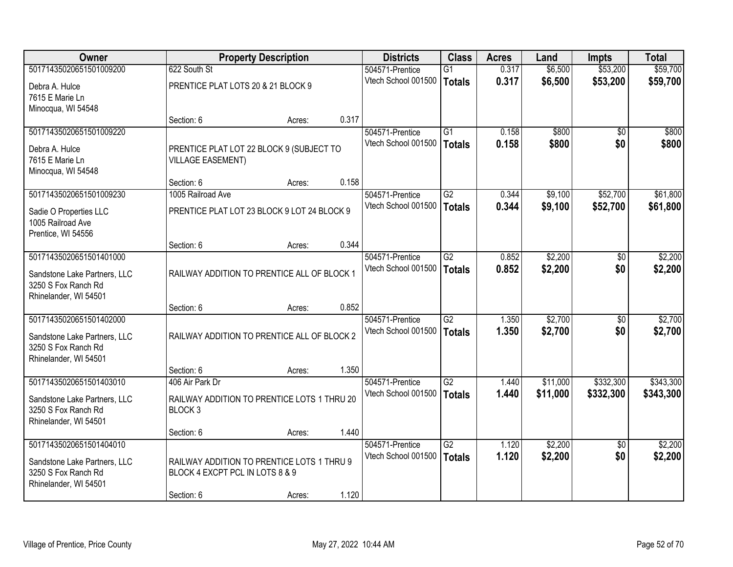| <b>Owner</b>                                        |                                             | <b>Property Description</b> |       | <b>Districts</b>                       | <b>Class</b>    | <b>Acres</b> | Land     | <b>Impts</b>    | <b>Total</b> |
|-----------------------------------------------------|---------------------------------------------|-----------------------------|-------|----------------------------------------|-----------------|--------------|----------|-----------------|--------------|
| 50171435020651501009200                             | 622 South St                                |                             |       | 504571-Prentice                        | $\overline{G1}$ | 0.317        | \$6,500  | \$53,200        | \$59,700     |
| Debra A. Hulce                                      | PRENTICE PLAT LOTS 20 & 21 BLOCK 9          |                             |       | Vtech School 001500                    | <b>Totals</b>   | 0.317        | \$6,500  | \$53,200        | \$59,700     |
| 7615 E Marie Ln                                     |                                             |                             |       |                                        |                 |              |          |                 |              |
| Minocqua, WI 54548                                  |                                             |                             |       |                                        |                 |              |          |                 |              |
|                                                     | Section: 6                                  | Acres:                      | 0.317 |                                        |                 |              |          |                 |              |
| 50171435020651501009220                             |                                             |                             |       | 504571-Prentice                        | $\overline{G1}$ | 0.158        | \$800    | $\overline{50}$ | \$800        |
| Debra A. Hulce                                      | PRENTICE PLAT LOT 22 BLOCK 9 (SUBJECT TO    |                             |       | Vtech School 001500                    | Totals          | 0.158        | \$800    | \$0             | \$800        |
| 7615 E Marie Ln                                     | <b>VILLAGE EASEMENT)</b>                    |                             |       |                                        |                 |              |          |                 |              |
| Minocqua, WI 54548                                  |                                             |                             |       |                                        |                 |              |          |                 |              |
|                                                     | Section: 6                                  | Acres:                      | 0.158 |                                        |                 |              |          |                 |              |
| 50171435020651501009230                             | 1005 Railroad Ave                           |                             |       | 504571-Prentice<br>Vtech School 001500 | G2              | 0.344        | \$9,100  | \$52,700        | \$61,800     |
| Sadie O Properties LLC                              | PRENTICE PLAT LOT 23 BLOCK 9 LOT 24 BLOCK 9 |                             |       |                                        | <b>Totals</b>   | 0.344        | \$9,100  | \$52,700        | \$61,800     |
| 1005 Railroad Ave                                   |                                             |                             |       |                                        |                 |              |          |                 |              |
| Prentice, WI 54556                                  |                                             |                             |       |                                        |                 |              |          |                 |              |
| 50171435020651501401000                             | Section: 6                                  | Acres:                      | 0.344 | 504571-Prentice                        | $\overline{G2}$ | 0.852        | \$2,200  | \$0             | \$2,200      |
|                                                     |                                             |                             |       | Vtech School 001500                    | Totals          | 0.852        | \$2,200  | \$0             | \$2,200      |
| Sandstone Lake Partners, LLC                        | RAILWAY ADDITION TO PRENTICE ALL OF BLOCK 1 |                             |       |                                        |                 |              |          |                 |              |
| 3250 S Fox Ranch Rd<br>Rhinelander, WI 54501        |                                             |                             |       |                                        |                 |              |          |                 |              |
|                                                     | Section: 6                                  | Acres:                      | 0.852 |                                        |                 |              |          |                 |              |
| 50171435020651501402000                             |                                             |                             |       | 504571-Prentice                        | $\overline{G2}$ | 1.350        | \$2,700  | \$0             | \$2,700      |
|                                                     |                                             |                             |       | Vtech School 001500                    | Totals          | 1.350        | \$2,700  | \$0             | \$2,700      |
| Sandstone Lake Partners, LLC<br>3250 S Fox Ranch Rd | RAILWAY ADDITION TO PRENTICE ALL OF BLOCK 2 |                             |       |                                        |                 |              |          |                 |              |
| Rhinelander, WI 54501                               |                                             |                             |       |                                        |                 |              |          |                 |              |
|                                                     | Section: 6                                  | Acres:                      | 1.350 |                                        |                 |              |          |                 |              |
| 50171435020651501403010                             | 406 Air Park Dr                             |                             |       | 504571-Prentice                        | $\overline{G2}$ | 1.440        | \$11,000 | \$332,300       | \$343,300    |
| Sandstone Lake Partners, LLC                        | RAILWAY ADDITION TO PRENTICE LOTS 1 THRU 20 |                             |       | Vtech School 001500                    | <b>Totals</b>   | 1.440        | \$11,000 | \$332,300       | \$343,300    |
| 3250 S Fox Ranch Rd                                 | BLOCK <sub>3</sub>                          |                             |       |                                        |                 |              |          |                 |              |
| Rhinelander, WI 54501                               |                                             |                             |       |                                        |                 |              |          |                 |              |
|                                                     | Section: 6                                  | Acres:                      | 1.440 |                                        |                 |              |          |                 |              |
| 50171435020651501404010                             |                                             |                             |       | 504571-Prentice                        | $\overline{G2}$ | 1.120        | \$2,200  | $\overline{30}$ | \$2,200      |
| Sandstone Lake Partners, LLC                        | RAILWAY ADDITION TO PRENTICE LOTS 1 THRU 9  |                             |       | Vtech School 001500                    | Totals          | 1.120        | \$2,200  | \$0             | \$2,200      |
| 3250 S Fox Ranch Rd                                 | BLOCK 4 EXCPT PCL IN LOTS 8 & 9             |                             |       |                                        |                 |              |          |                 |              |
| Rhinelander, WI 54501                               |                                             |                             |       |                                        |                 |              |          |                 |              |
|                                                     | Section: 6                                  | Acres:                      | 1.120 |                                        |                 |              |          |                 |              |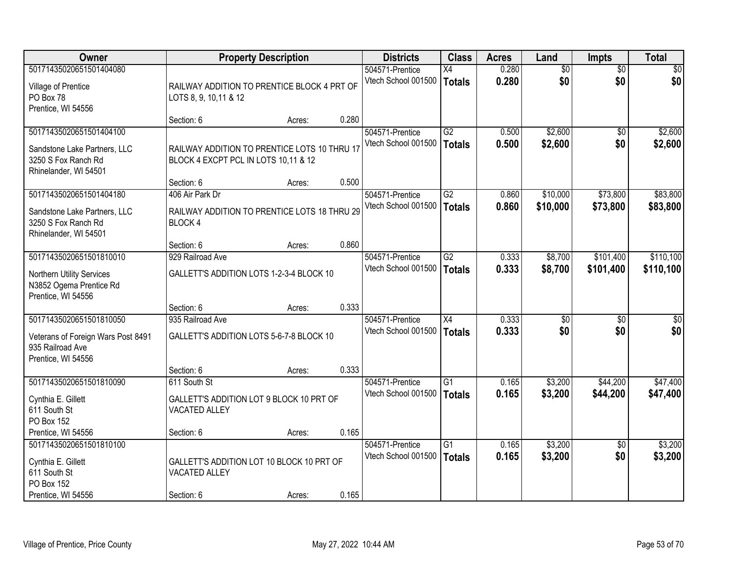| <b>Owner</b>                       |                                              | <b>Property Description</b> |       | <b>Districts</b>    | <b>Class</b>    | <b>Acres</b> | Land            | <b>Impts</b>    | <b>Total</b> |
|------------------------------------|----------------------------------------------|-----------------------------|-------|---------------------|-----------------|--------------|-----------------|-----------------|--------------|
| 50171435020651501404080            |                                              |                             |       | 504571-Prentice     | X4              | 0.280        | $\overline{50}$ | $\overline{50}$ | $\sqrt{50}$  |
| Village of Prentice                | RAILWAY ADDITION TO PRENTICE BLOCK 4 PRT OF  |                             |       | Vtech School 001500 | Totals          | 0.280        | \$0             | \$0             | \$0          |
| PO Box 78                          | LOTS 8, 9, 10, 11 & 12                       |                             |       |                     |                 |              |                 |                 |              |
| Prentice, WI 54556                 |                                              |                             |       |                     |                 |              |                 |                 |              |
|                                    | Section: 6                                   | Acres:                      | 0.280 |                     |                 |              |                 |                 |              |
| 50171435020651501404100            |                                              |                             |       | 504571-Prentice     | G2              | 0.500        | \$2,600         | $\overline{50}$ | \$2,600      |
| Sandstone Lake Partners, LLC       | RAILWAY ADDITION TO PRENTICE LOTS 10 THRU 17 |                             |       | Vtech School 001500 | Totals          | 0.500        | \$2,600         | \$0             | \$2,600      |
| 3250 S Fox Ranch Rd                | BLOCK 4 EXCPT PCL IN LOTS 10,11 & 12         |                             |       |                     |                 |              |                 |                 |              |
| Rhinelander, WI 54501              |                                              |                             |       |                     |                 |              |                 |                 |              |
|                                    | Section: 6                                   | Acres:                      | 0.500 |                     |                 |              |                 |                 |              |
| 50171435020651501404180            | 406 Air Park Dr                              |                             |       | 504571-Prentice     | G2              | 0.860        | \$10,000        | \$73,800        | \$83,800     |
| Sandstone Lake Partners, LLC       | RAILWAY ADDITION TO PRENTICE LOTS 18 THRU 29 |                             |       | Vtech School 001500 | <b>Totals</b>   | 0.860        | \$10,000        | \$73,800        | \$83,800     |
| 3250 S Fox Ranch Rd                | <b>BLOCK4</b>                                |                             |       |                     |                 |              |                 |                 |              |
| Rhinelander, WI 54501              |                                              |                             |       |                     |                 |              |                 |                 |              |
|                                    | Section: 6                                   | Acres:                      | 0.860 |                     |                 |              |                 |                 |              |
| 50171435020651501810010            | 929 Railroad Ave                             |                             |       | 504571-Prentice     | G2              | 0.333        | \$8,700         | \$101,400       | \$110,100    |
| Northern Utility Services          | GALLETT'S ADDITION LOTS 1-2-3-4 BLOCK 10     |                             |       | Vtech School 001500 | <b>Totals</b>   | 0.333        | \$8,700         | \$101,400       | \$110,100    |
| N3852 Ogema Prentice Rd            |                                              |                             |       |                     |                 |              |                 |                 |              |
| Prentice, WI 54556                 |                                              |                             |       |                     |                 |              |                 |                 |              |
|                                    | Section: 6                                   | Acres:                      | 0.333 |                     |                 |              |                 |                 |              |
| 50171435020651501810050            | 935 Railroad Ave                             |                             |       | 504571-Prentice     | $\overline{X4}$ | 0.333        | $\overline{50}$ | $\overline{50}$ | \$0          |
| Veterans of Foreign Wars Post 8491 | GALLETT'S ADDITION LOTS 5-6-7-8 BLOCK 10     |                             |       | Vtech School 001500 | Totals          | 0.333        | \$0             | \$0             | \$0          |
| 935 Railroad Ave                   |                                              |                             |       |                     |                 |              |                 |                 |              |
| Prentice, WI 54556                 |                                              |                             |       |                     |                 |              |                 |                 |              |
|                                    | Section: 6                                   | Acres:                      | 0.333 |                     |                 |              |                 |                 |              |
| 50171435020651501810090            | 611 South St                                 |                             |       | 504571-Prentice     | $\overline{G1}$ | 0.165        | \$3,200         | \$44,200        | \$47,400     |
| Cynthia E. Gillett                 | GALLETT'S ADDITION LOT 9 BLOCK 10 PRT OF     |                             |       | Vtech School 001500 | Totals          | 0.165        | \$3,200         | \$44,200        | \$47,400     |
| 611 South St                       | VACATED ALLEY                                |                             |       |                     |                 |              |                 |                 |              |
| PO Box 152                         |                                              |                             |       |                     |                 |              |                 |                 |              |
| Prentice, WI 54556                 | Section: 6                                   | Acres:                      | 0.165 |                     |                 |              |                 |                 |              |
| 50171435020651501810100            |                                              |                             |       | 504571-Prentice     | G1              | 0.165        | \$3,200         | $\overline{50}$ | \$3,200      |
| Cynthia E. Gillett                 | GALLETT'S ADDITION LOT 10 BLOCK 10 PRT OF    |                             |       | Vtech School 001500 | Totals          | 0.165        | \$3,200         | \$0             | \$3,200      |
| 611 South St                       | VACATED ALLEY                                |                             |       |                     |                 |              |                 |                 |              |
| PO Box 152                         |                                              |                             |       |                     |                 |              |                 |                 |              |
| Prentice, WI 54556                 | Section: 6                                   | Acres:                      | 0.165 |                     |                 |              |                 |                 |              |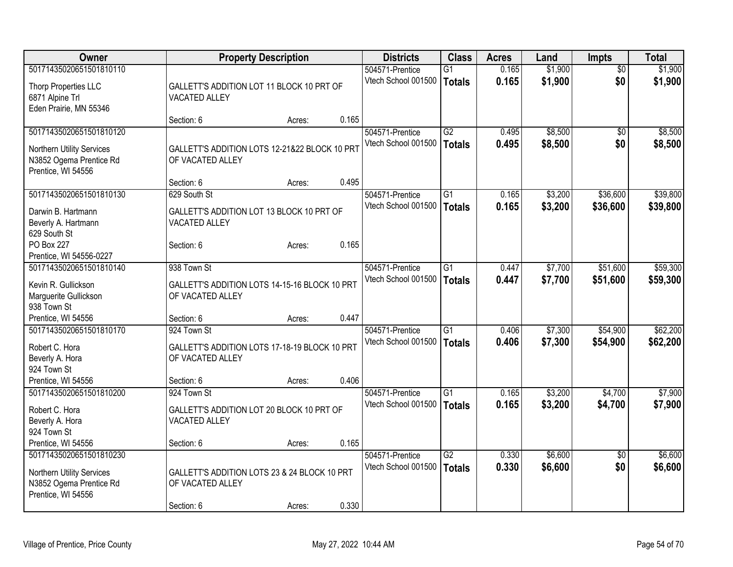| Owner                             | <b>Property Description</b>                   |        |       | <b>Districts</b>    | <b>Class</b>    | <b>Acres</b> | Land    | <b>Impts</b>    | <b>Total</b> |
|-----------------------------------|-----------------------------------------------|--------|-------|---------------------|-----------------|--------------|---------|-----------------|--------------|
| 50171435020651501810110           |                                               |        |       | 504571-Prentice     | $\overline{G1}$ | 0.165        | \$1,900 | $\overline{50}$ | \$1,900      |
| Thorp Properties LLC              | GALLETT'S ADDITION LOT 11 BLOCK 10 PRT OF     |        |       | Vtech School 001500 | <b>Totals</b>   | 0.165        | \$1,900 | \$0             | \$1,900      |
| 6871 Alpine Trl                   | VACATED ALLEY                                 |        |       |                     |                 |              |         |                 |              |
| Eden Prairie, MN 55346            |                                               |        |       |                     |                 |              |         |                 |              |
|                                   | Section: 6                                    | Acres: | 0.165 |                     |                 |              |         |                 |              |
| 50171435020651501810120           |                                               |        |       | 504571-Prentice     | G2              | 0.495        | \$8,500 | $\sqrt{6}$      | \$8,500      |
|                                   |                                               |        |       | Vtech School 001500 | <b>Totals</b>   | 0.495        | \$8,500 | \$0             | \$8,500      |
| Northern Utility Services         | GALLETT'S ADDITION LOTS 12-21&22 BLOCK 10 PRT |        |       |                     |                 |              |         |                 |              |
| N3852 Ogema Prentice Rd           | OF VACATED ALLEY                              |        |       |                     |                 |              |         |                 |              |
| Prentice, WI 54556                | Section: 6                                    | Acres: | 0.495 |                     |                 |              |         |                 |              |
| 50171435020651501810130           | 629 South St                                  |        |       | 504571-Prentice     | $\overline{G1}$ | 0.165        | \$3,200 | \$36,600        | \$39,800     |
|                                   |                                               |        |       | Vtech School 001500 |                 |              |         |                 |              |
| Darwin B. Hartmann                | GALLETT'S ADDITION LOT 13 BLOCK 10 PRT OF     |        |       |                     | <b>Totals</b>   | 0.165        | \$3,200 | \$36,600        | \$39,800     |
| Beverly A. Hartmann               | VACATED ALLEY                                 |        |       |                     |                 |              |         |                 |              |
| 629 South St                      |                                               |        |       |                     |                 |              |         |                 |              |
| PO Box 227                        | Section: 6                                    | Acres: | 0.165 |                     |                 |              |         |                 |              |
| Prentice, WI 54556-0227           |                                               |        |       |                     |                 |              |         |                 |              |
| 50171435020651501810140           | 938 Town St                                   |        |       | 504571-Prentice     | $\overline{G1}$ | 0.447        | \$7,700 | \$51,600        | \$59,300     |
| Kevin R. Gullickson               | GALLETT'S ADDITION LOTS 14-15-16 BLOCK 10 PRT |        |       | Vtech School 001500 | Totals          | 0.447        | \$7,700 | \$51,600        | \$59,300     |
| Marguerite Gullickson             | OF VACATED ALLEY                              |        |       |                     |                 |              |         |                 |              |
| 938 Town St                       |                                               |        |       |                     |                 |              |         |                 |              |
| Prentice, WI 54556                | Section: 6                                    | Acres: | 0.447 |                     |                 |              |         |                 |              |
| 50171435020651501810170           | 924 Town St                                   |        |       | 504571-Prentice     | G1              | 0.406        | \$7,300 | \$54,900        | \$62,200     |
|                                   |                                               |        |       | Vtech School 001500 | <b>Totals</b>   | 0.406        | \$7,300 | \$54,900        | \$62,200     |
| Robert C. Hora                    | GALLETT'S ADDITION LOTS 17-18-19 BLOCK 10 PRT |        |       |                     |                 |              |         |                 |              |
| Beverly A. Hora                   | OF VACATED ALLEY                              |        |       |                     |                 |              |         |                 |              |
| 924 Town St<br>Prentice, WI 54556 | Section: 6                                    |        | 0.406 |                     |                 |              |         |                 |              |
| 50171435020651501810200           | 924 Town St                                   | Acres: |       | 504571-Prentice     | $\overline{G1}$ | 0.165        | \$3,200 | \$4,700         | \$7,900      |
|                                   |                                               |        |       |                     |                 |              |         |                 |              |
| Robert C. Hora                    | GALLETT'S ADDITION LOT 20 BLOCK 10 PRT OF     |        |       | Vtech School 001500 | <b>Totals</b>   | 0.165        | \$3,200 | \$4,700         | \$7,900      |
| Beverly A. Hora                   | VACATED ALLEY                                 |        |       |                     |                 |              |         |                 |              |
| 924 Town St                       |                                               |        |       |                     |                 |              |         |                 |              |
| Prentice, WI 54556                | Section: 6                                    | Acres: | 0.165 |                     |                 |              |         |                 |              |
| 50171435020651501810230           |                                               |        |       | 504571-Prentice     | $\overline{G2}$ | 0.330        | \$6,600 | $\overline{50}$ | \$6,600      |
| Northern Utility Services         | GALLETT'S ADDITION LOTS 23 & 24 BLOCK 10 PRT  |        |       | Vtech School 001500 | <b>Totals</b>   | 0.330        | \$6,600 | \$0             | \$6,600      |
| N3852 Ogema Prentice Rd           | OF VACATED ALLEY                              |        |       |                     |                 |              |         |                 |              |
| Prentice, WI 54556                |                                               |        |       |                     |                 |              |         |                 |              |
|                                   | Section: 6                                    | Acres: | 0.330 |                     |                 |              |         |                 |              |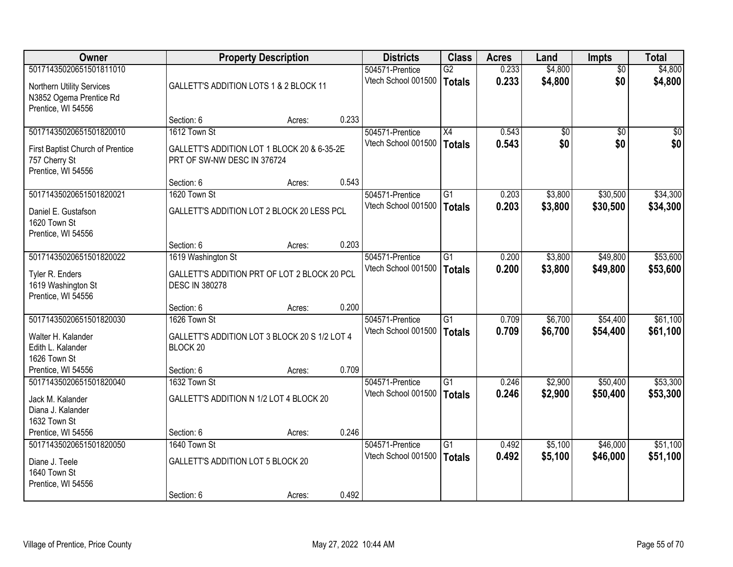| <b>Owner</b>                                                                       |                                                                            | <b>Property Description</b> |       | <b>Districts</b>                       | <b>Class</b>                     | <b>Acres</b>   | Land               | <b>Impts</b>         | <b>Total</b>         |
|------------------------------------------------------------------------------------|----------------------------------------------------------------------------|-----------------------------|-------|----------------------------------------|----------------------------------|----------------|--------------------|----------------------|----------------------|
| 50171435020651501811010                                                            |                                                                            |                             |       | 504571-Prentice                        | $\overline{G2}$                  | 0.233          | \$4,800            | $\overline{50}$      | \$4,800              |
| Northern Utility Services<br>N3852 Ogema Prentice Rd<br>Prentice, WI 54556         | GALLETT'S ADDITION LOTS 1 & 2 BLOCK 11                                     |                             |       | Vtech School 001500                    | Totals                           | 0.233          | \$4,800            | \$0                  | \$4,800              |
|                                                                                    | Section: 6                                                                 | Acres:                      | 0.233 |                                        |                                  |                |                    |                      |                      |
| 50171435020651501820010                                                            | 1612 Town St                                                               |                             |       | 504571-Prentice                        | $\overline{X4}$                  | 0.543          | $\overline{50}$    | $\overline{30}$      | $\overline{50}$      |
| First Baptist Church of Prentice<br>757 Cherry St<br>Prentice, WI 54556            | GALLETT'S ADDITION LOT 1 BLOCK 20 & 6-35-2E<br>PRT OF SW-NW DESC IN 376724 |                             |       | Vtech School 001500                    | Totals                           | 0.543          | \$0                | \$0                  | \$0                  |
|                                                                                    | Section: 6                                                                 | Acres:                      | 0.543 |                                        |                                  |                |                    |                      |                      |
| 50171435020651501820021                                                            | 1620 Town St                                                               |                             |       | 504571-Prentice                        | $\overline{G1}$                  | 0.203          | \$3,800            | \$30,500             | \$34,300             |
| Daniel E. Gustafson<br>1620 Town St<br>Prentice, WI 54556                          | GALLETT'S ADDITION LOT 2 BLOCK 20 LESS PCL                                 |                             |       | Vtech School 001500                    | <b>Totals</b>                    | 0.203          | \$3,800            | \$30,500             | \$34,300             |
|                                                                                    | Section: 6                                                                 | Acres:                      | 0.203 |                                        |                                  |                |                    |                      |                      |
| 50171435020651501820022                                                            | 1619 Washington St                                                         |                             |       | 504571-Prentice                        | G1                               | 0.200          | \$3,800            | \$49,800             | \$53,600             |
| Tyler R. Enders<br>1619 Washington St<br>Prentice, WI 54556                        | GALLETT'S ADDITION PRT OF LOT 2 BLOCK 20 PCL<br><b>DESC IN 380278</b>      |                             |       | Vtech School 001500                    | Totals                           | 0.200          | \$3,800            | \$49,800             | \$53,600             |
|                                                                                    | Section: 6                                                                 | Acres:                      | 0.200 |                                        |                                  |                |                    |                      |                      |
| 50171435020651501820030<br>Walter H. Kalander<br>Edith L. Kalander<br>1626 Town St | 1626 Town St<br>GALLETT'S ADDITION LOT 3 BLOCK 20 S 1/2 LOT 4<br>BLOCK 20  |                             |       | 504571-Prentice<br>Vtech School 001500 | $\overline{G1}$<br><b>Totals</b> | 0.709<br>0.709 | \$6,700<br>\$6,700 | \$54,400<br>\$54,400 | \$61,100<br>\$61,100 |
| Prentice, WI 54556                                                                 | Section: 6                                                                 | Acres:                      | 0.709 |                                        |                                  |                |                    |                      |                      |
| 50171435020651501820040<br>Jack M. Kalander<br>Diana J. Kalander<br>1632 Town St   | 1632 Town St<br>GALLETT'S ADDITION N 1/2 LOT 4 BLOCK 20                    |                             |       | 504571-Prentice<br>Vtech School 001500 | $\overline{G1}$<br><b>Totals</b> | 0.246<br>0.246 | \$2,900<br>\$2,900 | \$50,400<br>\$50,400 | \$53,300<br>\$53,300 |
| Prentice, WI 54556                                                                 | Section: 6                                                                 | Acres:                      | 0.246 |                                        |                                  |                |                    |                      |                      |
| 50171435020651501820050                                                            | 1640 Town St                                                               |                             |       | 504571-Prentice                        | $\overline{G1}$                  | 0.492          | \$5,100            | \$46,000             | \$51,100             |
| Diane J. Teele<br>1640 Town St<br>Prentice, WI 54556                               | <b>GALLETT'S ADDITION LOT 5 BLOCK 20</b>                                   |                             |       | Vtech School 001500                    | <b>Totals</b>                    | 0.492          | \$5,100            | \$46,000             | \$51,100             |
|                                                                                    | Section: 6                                                                 | Acres:                      | 0.492 |                                        |                                  |                |                    |                      |                      |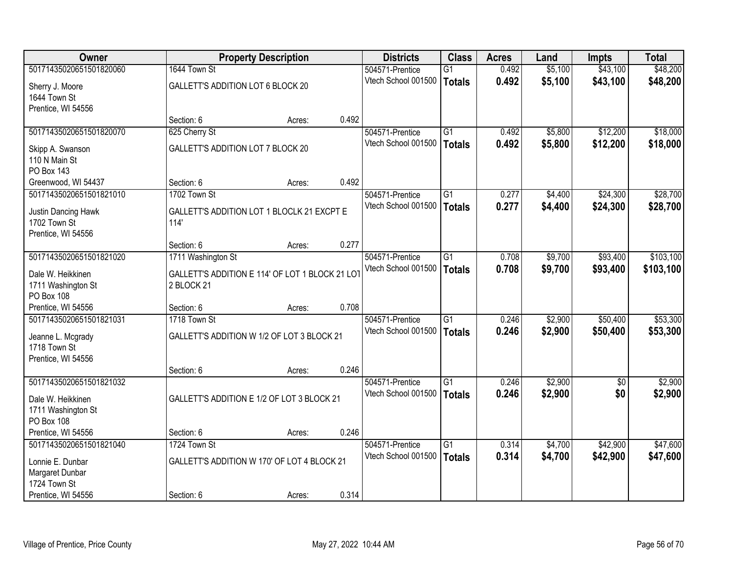| Owner                   |                                                 | <b>Property Description</b> |       | <b>Districts</b>                       | <b>Class</b>    | <b>Acres</b>   | Land    | <b>Impts</b> | <b>Total</b> |
|-------------------------|-------------------------------------------------|-----------------------------|-------|----------------------------------------|-----------------|----------------|---------|--------------|--------------|
| 50171435020651501820060 | 1644 Town St                                    |                             |       | 504571-Prentice                        | $\overline{G1}$ | 0.492          | \$5,100 | \$43,100     | \$48,200     |
| Sherry J. Moore         | GALLETT'S ADDITION LOT 6 BLOCK 20               |                             |       | Vtech School 001500                    | <b>Totals</b>   | 0.492          | \$5,100 | \$43,100     | \$48,200     |
| 1644 Town St            |                                                 |                             |       |                                        |                 |                |         |              |              |
| Prentice, WI 54556      |                                                 |                             |       |                                        |                 |                |         |              |              |
|                         | Section: 6                                      | Acres:                      | 0.492 |                                        |                 |                |         |              |              |
| 50171435020651501820070 | 625 Cherry St                                   |                             |       | 504571-Prentice                        | $\overline{G1}$ | 0.492          | \$5,800 | \$12,200     | \$18,000     |
| Skipp A. Swanson        | GALLETT'S ADDITION LOT 7 BLOCK 20               |                             |       | Vtech School 001500                    | <b>Totals</b>   | 0.492          | \$5,800 | \$12,200     | \$18,000     |
| 110 N Main St           |                                                 |                             |       |                                        |                 |                |         |              |              |
| <b>PO Box 143</b>       |                                                 |                             |       |                                        |                 |                |         |              |              |
| Greenwood, WI 54437     | Section: 6                                      | Acres:                      | 0.492 |                                        |                 |                |         |              |              |
| 50171435020651501821010 | 1702 Town St                                    |                             |       | 504571-Prentice                        | $\overline{G1}$ | 0.277          | \$4,400 | \$24,300     | \$28,700     |
| Justin Dancing Hawk     | GALLETT'S ADDITION LOT 1 BLOCLK 21 EXCPT E      |                             |       | Vtech School 001500                    | <b>Totals</b>   | 0.277          | \$4,400 | \$24,300     | \$28,700     |
| 1702 Town St            | 114'                                            |                             |       |                                        |                 |                |         |              |              |
| Prentice, WI 54556      |                                                 |                             |       |                                        |                 |                |         |              |              |
|                         | Section: 6                                      | Acres:                      | 0.277 |                                        |                 |                |         |              |              |
| 50171435020651501821020 | 1711 Washington St                              |                             |       | 504571-Prentice                        | $\overline{G1}$ | 0.708          | \$9,700 | \$93,400     | \$103,100    |
| Dale W. Heikkinen       | GALLETT'S ADDITION E 114' OF LOT 1 BLOCK 21 LOT |                             |       | Vtech School 001500                    | <b>Totals</b>   | 0.708          | \$9,700 | \$93,400     | \$103,100    |
| 1711 Washington St      | 2 BLOCK 21                                      |                             |       |                                        |                 |                |         |              |              |
| PO Box 108              |                                                 |                             |       |                                        |                 |                |         |              |              |
| Prentice, WI 54556      | Section: 6                                      | Acres:                      | 0.708 |                                        |                 |                |         |              |              |
| 50171435020651501821031 | 1718 Town St                                    |                             |       | 504571-Prentice                        | $\overline{G1}$ | 0.246          | \$2,900 | \$50,400     | \$53,300     |
| Jeanne L. Mcgrady       | GALLETT'S ADDITION W 1/2 OF LOT 3 BLOCK 21      |                             |       | Vtech School 001500                    | <b>Totals</b>   | 0.246          | \$2,900 | \$50,400     | \$53,300     |
| 1718 Town St            |                                                 |                             |       |                                        |                 |                |         |              |              |
| Prentice, WI 54556      |                                                 |                             |       |                                        |                 |                |         |              |              |
|                         | Section: 6                                      | Acres:                      | 0.246 |                                        |                 |                |         |              |              |
| 50171435020651501821032 |                                                 |                             |       | 504571-Prentice                        | $\overline{G1}$ | 0.246          | \$2,900 | $\sqrt{6}$   | \$2,900      |
| Dale W. Heikkinen       | GALLETT'S ADDITION E 1/2 OF LOT 3 BLOCK 21      |                             |       | Vtech School 001500                    | <b>Totals</b>   | 0.246          | \$2,900 | \$0          | \$2,900      |
| 1711 Washington St      |                                                 |                             |       |                                        |                 |                |         |              |              |
| PO Box 108              |                                                 |                             |       |                                        |                 |                |         |              |              |
| Prentice, WI 54556      | Section: 6<br>1724 Town St                      | Acres:                      | 0.246 |                                        |                 |                |         |              |              |
| 50171435020651501821040 |                                                 |                             |       | 504571-Prentice<br>Vtech School 001500 | $\overline{G1}$ | 0.314<br>0.314 | \$4,700 | \$42,900     | \$47,600     |
| Lonnie E. Dunbar        | GALLETT'S ADDITION W 170' OF LOT 4 BLOCK 21     |                             |       |                                        | <b>Totals</b>   |                | \$4,700 | \$42,900     | \$47,600     |
| Margaret Dunbar         |                                                 |                             |       |                                        |                 |                |         |              |              |
| 1724 Town St            |                                                 |                             |       |                                        |                 |                |         |              |              |
| Prentice, WI 54556      | Section: 6                                      | Acres:                      | 0.314 |                                        |                 |                |         |              |              |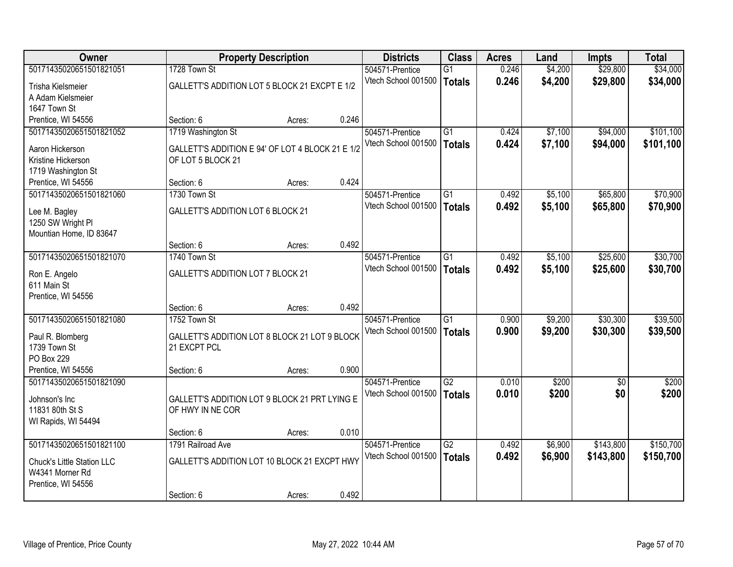| Owner                                         |                                                  | <b>Property Description</b> |       | <b>Districts</b>    | <b>Class</b>    | <b>Acres</b> | Land    | Impts      | <b>Total</b> |
|-----------------------------------------------|--------------------------------------------------|-----------------------------|-------|---------------------|-----------------|--------------|---------|------------|--------------|
| 50171435020651501821051                       | 1728 Town St                                     |                             |       | 504571-Prentice     | $\overline{G1}$ | 0.246        | \$4,200 | \$29,800   | \$34,000     |
| Trisha Kielsmeier                             | GALLETT'S ADDITION LOT 5 BLOCK 21 EXCPT E 1/2    |                             |       | Vtech School 001500 | <b>Totals</b>   | 0.246        | \$4,200 | \$29,800   | \$34,000     |
| A Adam Kielsmeier                             |                                                  |                             |       |                     |                 |              |         |            |              |
| 1647 Town St                                  |                                                  |                             |       |                     |                 |              |         |            |              |
| Prentice, WI 54556                            | Section: 6                                       | Acres:                      | 0.246 |                     |                 |              |         |            |              |
| 50171435020651501821052                       | 1719 Washington St                               |                             |       | 504571-Prentice     | $\overline{G1}$ | 0.424        | \$7,100 | \$94,000   | \$101,100    |
| Aaron Hickerson                               | GALLETT'S ADDITION E 94' OF LOT 4 BLOCK 21 E 1/2 |                             |       | Vtech School 001500 | <b>Totals</b>   | 0.424        | \$7,100 | \$94,000   | \$101,100    |
| Kristine Hickerson                            | OF LOT 5 BLOCK 21                                |                             |       |                     |                 |              |         |            |              |
| 1719 Washington St                            |                                                  |                             |       |                     |                 |              |         |            |              |
| Prentice, WI 54556                            | Section: 6                                       | Acres:                      | 0.424 |                     |                 |              |         |            |              |
| 50171435020651501821060                       | 1730 Town St                                     |                             |       | 504571-Prentice     | $\overline{G1}$ | 0.492        | \$5,100 | \$65,800   | \$70,900     |
| Lee M. Bagley                                 | GALLETT'S ADDITION LOT 6 BLOCK 21                |                             |       | Vtech School 001500 | <b>Totals</b>   | 0.492        | \$5,100 | \$65,800   | \$70,900     |
| 1250 SW Wright PI                             |                                                  |                             |       |                     |                 |              |         |            |              |
| Mountian Home, ID 83647                       |                                                  |                             |       |                     |                 |              |         |            |              |
|                                               | Section: 6                                       | Acres:                      | 0.492 |                     |                 |              |         |            |              |
| 50171435020651501821070                       | 1740 Town St                                     |                             |       | 504571-Prentice     | $\overline{G1}$ | 0.492        | \$5,100 | \$25,600   | \$30,700     |
| Ron E. Angelo                                 | GALLETT'S ADDITION LOT 7 BLOCK 21                |                             |       | Vtech School 001500 | <b>Totals</b>   | 0.492        | \$5,100 | \$25,600   | \$30,700     |
| 611 Main St                                   |                                                  |                             |       |                     |                 |              |         |            |              |
| Prentice, WI 54556                            |                                                  |                             |       |                     |                 |              |         |            |              |
|                                               | Section: 6                                       | Acres:                      | 0.492 |                     |                 |              |         |            |              |
| 50171435020651501821080                       | 1752 Town St                                     |                             |       | 504571-Prentice     | $\overline{G1}$ | 0.900        | \$9,200 | \$30,300   | \$39,500     |
| Paul R. Blomberg                              | GALLETT'S ADDITION LOT 8 BLOCK 21 LOT 9 BLOCK    |                             |       | Vtech School 001500 | <b>Totals</b>   | 0.900        | \$9,200 | \$30,300   | \$39,500     |
| 1739 Town St                                  | 21 EXCPT PCL                                     |                             |       |                     |                 |              |         |            |              |
| PO Box 229                                    |                                                  |                             |       |                     |                 |              |         |            |              |
| Prentice, WI 54556                            | Section: 6                                       | Acres:                      | 0.900 |                     |                 |              |         |            |              |
| 50171435020651501821090                       |                                                  |                             |       | 504571-Prentice     | G2              | 0.010        | \$200   | $\sqrt{6}$ | \$200        |
| Johnson's Inc                                 | GALLETT'S ADDITION LOT 9 BLOCK 21 PRT LYING E    |                             |       | Vtech School 001500 | <b>Totals</b>   | 0.010        | \$200   | \$0        | \$200        |
| 11831 80th St S                               | OF HWY IN NE COR                                 |                             |       |                     |                 |              |         |            |              |
| WI Rapids, WI 54494                           |                                                  |                             |       |                     |                 |              |         |            |              |
|                                               | Section: 6                                       | Acres:                      | 0.010 |                     |                 |              |         |            |              |
| 50171435020651501821100                       | 1791 Railroad Ave                                |                             |       | 504571-Prentice     | $\overline{G2}$ | 0.492        | \$6,900 | \$143,800  | \$150,700    |
|                                               | GALLETT'S ADDITION LOT 10 BLOCK 21 EXCPT HWY     |                             |       | Vtech School 001500 | <b>Totals</b>   | 0.492        | \$6,900 | \$143,800  | \$150,700    |
| Chuck's Little Station LLC<br>W4341 Morner Rd |                                                  |                             |       |                     |                 |              |         |            |              |
| Prentice, WI 54556                            |                                                  |                             |       |                     |                 |              |         |            |              |
|                                               | Section: 6                                       | Acres:                      | 0.492 |                     |                 |              |         |            |              |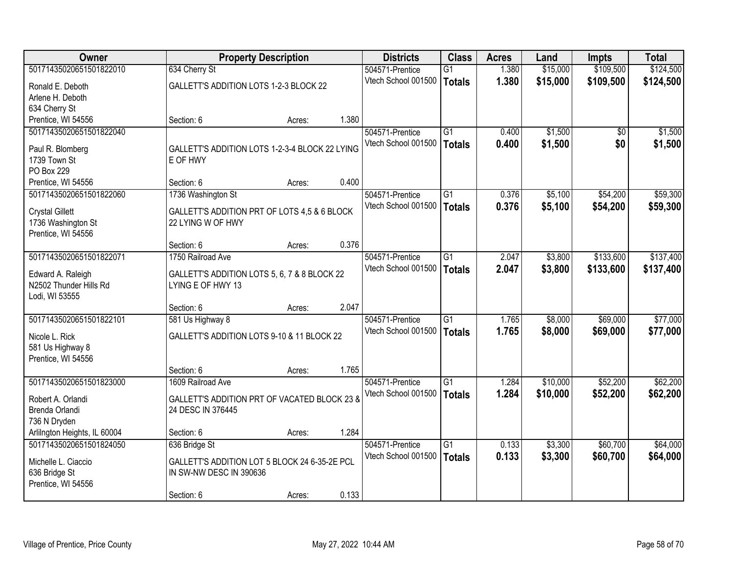| <b>Owner</b>                 |                                                | <b>Property Description</b> |       | <b>Districts</b>    | <b>Class</b>    | <b>Acres</b> | Land     | <b>Impts</b> | <b>Total</b> |
|------------------------------|------------------------------------------------|-----------------------------|-------|---------------------|-----------------|--------------|----------|--------------|--------------|
| 50171435020651501822010      | 634 Cherry St                                  |                             |       | 504571-Prentice     | $\overline{G1}$ | 1.380        | \$15,000 | \$109,500    | \$124,500    |
| Ronald E. Deboth             | GALLETT'S ADDITION LOTS 1-2-3 BLOCK 22         |                             |       | Vtech School 001500 | <b>Totals</b>   | 1.380        | \$15,000 | \$109,500    | \$124,500    |
| Arlene H. Deboth             |                                                |                             |       |                     |                 |              |          |              |              |
| 634 Cherry St                |                                                |                             |       |                     |                 |              |          |              |              |
| Prentice, WI 54556           | Section: 6                                     | Acres:                      | 1.380 |                     |                 |              |          |              |              |
| 50171435020651501822040      |                                                |                             |       | 504571-Prentice     | $\overline{G1}$ | 0.400        | \$1,500  | $\sqrt{$0}$  | \$1,500      |
| Paul R. Blomberg             | GALLETT'S ADDITION LOTS 1-2-3-4 BLOCK 22 LYING |                             |       | Vtech School 001500 | <b>Totals</b>   | 0.400        | \$1,500  | \$0          | \$1,500      |
| 1739 Town St                 | E OF HWY                                       |                             |       |                     |                 |              |          |              |              |
| <b>PO Box 229</b>            |                                                |                             |       |                     |                 |              |          |              |              |
| Prentice, WI 54556           | Section: 6                                     | Acres:                      | 0.400 |                     |                 |              |          |              |              |
| 50171435020651501822060      | 1736 Washington St                             |                             |       | 504571-Prentice     | $\overline{G1}$ | 0.376        | \$5,100  | \$54,200     | \$59,300     |
| <b>Crystal Gillett</b>       | GALLETT'S ADDITION PRT OF LOTS 4,5 & 6 BLOCK   |                             |       | Vtech School 001500 | <b>Totals</b>   | 0.376        | \$5,100  | \$54,200     | \$59,300     |
| 1736 Washington St           | 22 LYING W OF HWY                              |                             |       |                     |                 |              |          |              |              |
| Prentice, WI 54556           |                                                |                             |       |                     |                 |              |          |              |              |
|                              | Section: 6                                     | Acres:                      | 0.376 |                     |                 |              |          |              |              |
| 50171435020651501822071      | 1750 Railroad Ave                              |                             |       | 504571-Prentice     | G1              | 2.047        | \$3,800  | \$133,600    | \$137,400    |
| Edward A. Raleigh            | GALLETT'S ADDITION LOTS 5, 6, 7 & 8 BLOCK 22   |                             |       | Vtech School 001500 | <b>Totals</b>   | 2.047        | \$3,800  | \$133,600    | \$137,400    |
| N2502 Thunder Hills Rd       | LYING E OF HWY 13                              |                             |       |                     |                 |              |          |              |              |
| Lodi, WI 53555               |                                                |                             |       |                     |                 |              |          |              |              |
|                              | Section: 6                                     | Acres:                      | 2.047 |                     |                 |              |          |              |              |
| 50171435020651501822101      | 581 Us Highway 8                               |                             |       | 504571-Prentice     | $\overline{G1}$ | 1.765        | \$8,000  | \$69,000     | \$77,000     |
| Nicole L. Rick               | GALLETT'S ADDITION LOTS 9-10 & 11 BLOCK 22     |                             |       | Vtech School 001500 | <b>Totals</b>   | 1.765        | \$8,000  | \$69,000     | \$77,000     |
| 581 Us Highway 8             |                                                |                             |       |                     |                 |              |          |              |              |
| Prentice, WI 54556           |                                                |                             |       |                     |                 |              |          |              |              |
|                              | Section: 6                                     | Acres:                      | 1.765 |                     |                 |              |          |              |              |
| 50171435020651501823000      | 1609 Railroad Ave                              |                             |       | 504571-Prentice     | $\overline{G1}$ | 1.284        | \$10,000 | \$52,200     | \$62,200     |
| Robert A. Orlandi            | GALLETT'S ADDITION PRT OF VACATED BLOCK 23 &   |                             |       | Vtech School 001500 | <b>Totals</b>   | 1.284        | \$10,000 | \$52,200     | \$62,200     |
| Brenda Orlandi               | 24 DESC IN 376445                              |                             |       |                     |                 |              |          |              |              |
| 736 N Dryden                 |                                                |                             |       |                     |                 |              |          |              |              |
| Arlilngton Heights, IL 60004 | Section: 6                                     | Acres:                      | 1.284 |                     |                 |              |          |              |              |
| 50171435020651501824050      | 636 Bridge St                                  |                             |       | 504571-Prentice     | $\overline{G1}$ | 0.133        | \$3,300  | \$60,700     | \$64,000     |
| Michelle L. Ciaccio          | GALLETT'S ADDITION LOT 5 BLOCK 24 6-35-2E PCL  |                             |       | Vtech School 001500 | <b>Totals</b>   | 0.133        | \$3,300  | \$60,700     | \$64,000     |
| 636 Bridge St                | IN SW-NW DESC IN 390636                        |                             |       |                     |                 |              |          |              |              |
| Prentice, WI 54556           |                                                |                             |       |                     |                 |              |          |              |              |
|                              | Section: 6                                     | Acres:                      | 0.133 |                     |                 |              |          |              |              |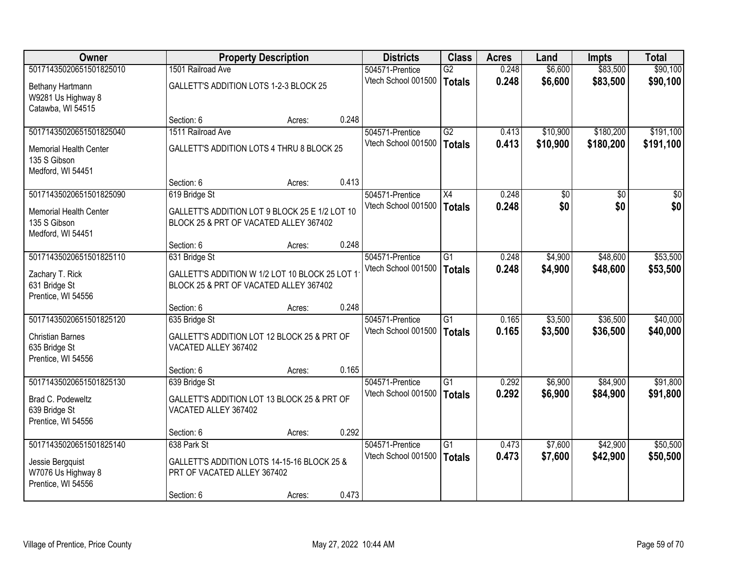| Owner                                                                                     |                                                                                           | <b>Property Description</b> |       | <b>Districts</b>                       | <b>Class</b>                     | <b>Acres</b>   | Land               | <b>Impts</b>         | <b>Total</b>         |
|-------------------------------------------------------------------------------------------|-------------------------------------------------------------------------------------------|-----------------------------|-------|----------------------------------------|----------------------------------|----------------|--------------------|----------------------|----------------------|
| 50171435020651501825010                                                                   | 1501 Railroad Ave                                                                         |                             |       | 504571-Prentice                        | $\overline{G2}$                  | 0.248          | \$6,600            | \$83,500             | \$90,100             |
| Bethany Hartmann<br>W9281 Us Highway 8<br>Catawba, WI 54515                               | GALLETT'S ADDITION LOTS 1-2-3 BLOCK 25                                                    |                             |       | Vtech School 001500                    | <b>Totals</b>                    | 0.248          | \$6,600            | \$83,500             | \$90,100             |
|                                                                                           | Section: 6                                                                                | Acres:                      | 0.248 |                                        |                                  |                |                    |                      |                      |
| 50171435020651501825040                                                                   | 1511 Railroad Ave                                                                         |                             |       | 504571-Prentice                        | G2                               | 0.413          | \$10,900           | \$180,200            | \$191,100            |
| <b>Memorial Health Center</b><br>135 S Gibson<br>Medford, WI 54451                        | GALLETT'S ADDITION LOTS 4 THRU 8 BLOCK 25                                                 |                             |       | Vtech School 001500                    | <b>Totals</b>                    | 0.413          | \$10,900           | \$180,200            | \$191,100            |
|                                                                                           | Section: 6                                                                                | Acres:                      | 0.413 |                                        |                                  |                |                    |                      |                      |
| 50171435020651501825090                                                                   | 619 Bridge St                                                                             |                             |       | 504571-Prentice                        | X4                               | 0.248          | $\overline{50}$    | \$0                  | $\overline{30}$      |
| <b>Memorial Health Center</b><br>135 S Gibson<br>Medford, WI 54451                        | GALLETT'S ADDITION LOT 9 BLOCK 25 E 1/2 LOT 10<br>BLOCK 25 & PRT OF VACATED ALLEY 367402  |                             |       | Vtech School 001500                    | <b>Totals</b>                    | 0.248          | \$0                | \$0                  | \$0                  |
|                                                                                           | Section: 6                                                                                | Acres:                      | 0.248 |                                        |                                  |                |                    |                      |                      |
| 50171435020651501825110                                                                   | 631 Bridge St                                                                             |                             |       | 504571-Prentice                        | $\overline{G1}$                  | 0.248          | \$4,900            | \$48,600             | \$53,500             |
| Zachary T. Rick<br>631 Bridge St<br>Prentice, WI 54556                                    | GALLETT'S ADDITION W 1/2 LOT 10 BLOCK 25 LOT 1<br>BLOCK 25 & PRT OF VACATED ALLEY 367402  |                             |       | Vtech School 001500                    | Totals                           | 0.248          | \$4,900            | \$48,600             | \$53,500             |
|                                                                                           | Section: 6                                                                                | Acres:                      | 0.248 |                                        |                                  |                |                    |                      |                      |
| 50171435020651501825120<br><b>Christian Barnes</b><br>635 Bridge St<br>Prentice, WI 54556 | 635 Bridge St<br>GALLETT'S ADDITION LOT 12 BLOCK 25 & PRT OF<br>VACATED ALLEY 367402      |                             |       | 504571-Prentice<br>Vtech School 001500 | $\overline{G1}$<br><b>Totals</b> | 0.165<br>0.165 | \$3,500<br>\$3,500 | \$36,500<br>\$36,500 | \$40,000<br>\$40,000 |
|                                                                                           | Section: 6                                                                                | Acres:                      | 0.165 |                                        |                                  |                |                    |                      |                      |
| 50171435020651501825130<br>Brad C. Podeweltz<br>639 Bridge St<br>Prentice, WI 54556       | 639 Bridge St<br>GALLETT'S ADDITION LOT 13 BLOCK 25 & PRT OF<br>VACATED ALLEY 367402      |                             |       | 504571-Prentice<br>Vtech School 001500 | $\overline{G1}$<br>Totals        | 0.292<br>0.292 | \$6,900<br>\$6,900 | \$84,900<br>\$84,900 | \$91,800<br>\$91,800 |
|                                                                                           | Section: 6                                                                                | Acres:                      | 0.292 |                                        |                                  |                |                    |                      |                      |
| 50171435020651501825140<br>Jessie Bergquist<br>W7076 Us Highway 8<br>Prentice, WI 54556   | 638 Park St<br>GALLETT'S ADDITION LOTS 14-15-16 BLOCK 25 &<br>PRT OF VACATED ALLEY 367402 |                             |       | 504571-Prentice<br>Vtech School 001500 | $\overline{G1}$<br>Totals        | 0.473<br>0.473 | \$7,600<br>\$7,600 | \$42,900<br>\$42,900 | \$50,500<br>\$50,500 |
|                                                                                           | Section: 6                                                                                | Acres:                      | 0.473 |                                        |                                  |                |                    |                      |                      |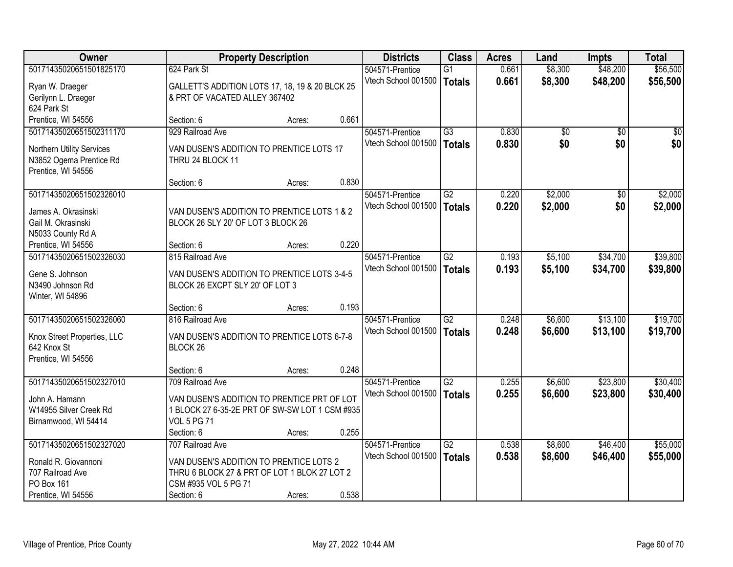| <b>Owner</b>                |                                                 | <b>Property Description</b> |       | <b>Districts</b>    | <b>Class</b>    | <b>Acres</b> | Land    | <b>Impts</b>    | <b>Total</b>   |
|-----------------------------|-------------------------------------------------|-----------------------------|-------|---------------------|-----------------|--------------|---------|-----------------|----------------|
| 50171435020651501825170     | 624 Park St                                     |                             |       | 504571-Prentice     | $\overline{G1}$ | 0.661        | \$8,300 | \$48,200        | \$56,500       |
| Ryan W. Draeger             | GALLETT'S ADDITION LOTS 17, 18, 19 & 20 BLCK 25 |                             |       | Vtech School 001500 | Totals          | 0.661        | \$8,300 | \$48,200        | \$56,500       |
| Gerilynn L. Draeger         | & PRT OF VACATED ALLEY 367402                   |                             |       |                     |                 |              |         |                 |                |
| 624 Park St                 |                                                 |                             |       |                     |                 |              |         |                 |                |
| Prentice, WI 54556          | Section: 6                                      | Acres:                      | 0.661 |                     |                 |              |         |                 |                |
| 50171435020651502311170     | 929 Railroad Ave                                |                             |       | 504571-Prentice     | $\overline{G3}$ | 0.830        | \$0     | $\overline{50}$ | $\frac{1}{20}$ |
| Northern Utility Services   | VAN DUSEN'S ADDITION TO PRENTICE LOTS 17        |                             |       | Vtech School 001500 | Totals          | 0.830        | \$0     | \$0             | \$0            |
| N3852 Ogema Prentice Rd     | THRU 24 BLOCK 11                                |                             |       |                     |                 |              |         |                 |                |
| Prentice, WI 54556          |                                                 |                             |       |                     |                 |              |         |                 |                |
|                             | Section: 6                                      | Acres:                      | 0.830 |                     |                 |              |         |                 |                |
| 50171435020651502326010     |                                                 |                             |       | 504571-Prentice     | G2              | 0.220        | \$2,000 | \$0             | \$2,000        |
| James A. Okrasinski         | VAN DUSEN'S ADDITION TO PRENTICE LOTS 1 & 2     |                             |       | Vtech School 001500 | Totals          | 0.220        | \$2,000 | \$0             | \$2,000        |
| Gail M. Okrasinski          | BLOCK 26 SLY 20' OF LOT 3 BLOCK 26              |                             |       |                     |                 |              |         |                 |                |
| N5033 County Rd A           |                                                 |                             |       |                     |                 |              |         |                 |                |
| Prentice, WI 54556          | Section: 6                                      | Acres:                      | 0.220 |                     |                 |              |         |                 |                |
| 50171435020651502326030     | 815 Railroad Ave                                |                             |       | 504571-Prentice     | $\overline{G2}$ | 0.193        | \$5,100 | \$34,700        | \$39,800       |
| Gene S. Johnson             | VAN DUSEN'S ADDITION TO PRENTICE LOTS 3-4-5     |                             |       | Vtech School 001500 | <b>Totals</b>   | 0.193        | \$5,100 | \$34,700        | \$39,800       |
| N3490 Johnson Rd            | BLOCK 26 EXCPT SLY 20' OF LOT 3                 |                             |       |                     |                 |              |         |                 |                |
| Winter, WI 54896            |                                                 |                             |       |                     |                 |              |         |                 |                |
|                             | Section: 6                                      | Acres:                      | 0.193 |                     |                 |              |         |                 |                |
| 50171435020651502326060     | 816 Railroad Ave                                |                             |       | 504571-Prentice     | $\overline{G2}$ | 0.248        | \$6,600 | \$13,100        | \$19,700       |
| Knox Street Properties, LLC | VAN DUSEN'S ADDITION TO PRENTICE LOTS 6-7-8     |                             |       | Vtech School 001500 | Totals          | 0.248        | \$6,600 | \$13,100        | \$19,700       |
| 642 Knox St                 | BLOCK <sub>26</sub>                             |                             |       |                     |                 |              |         |                 |                |
| Prentice, WI 54556          |                                                 |                             |       |                     |                 |              |         |                 |                |
|                             | Section: 6                                      | Acres:                      | 0.248 |                     |                 |              |         |                 |                |
| 50171435020651502327010     | 709 Railroad Ave                                |                             |       | 504571-Prentice     | $\overline{G2}$ | 0.255        | \$6,600 | \$23,800        | \$30,400       |
| John A. Hamann              | VAN DUSEN'S ADDITION TO PRENTICE PRT OF LOT     |                             |       | Vtech School 001500 | Totals          | 0.255        | \$6,600 | \$23,800        | \$30,400       |
| W14955 Silver Creek Rd      | 1 BLOCK 27 6-35-2E PRT OF SW-SW LOT 1 CSM #935  |                             |       |                     |                 |              |         |                 |                |
| Birnamwood, WI 54414        | <b>VOL 5 PG 71</b>                              |                             |       |                     |                 |              |         |                 |                |
|                             | Section: 6                                      | Acres:                      | 0.255 |                     |                 |              |         |                 |                |
| 50171435020651502327020     | 707 Railroad Ave                                |                             |       | 504571-Prentice     | $\overline{G2}$ | 0.538        | \$8,600 | \$46,400        | \$55,000       |
| Ronald R. Giovannoni        | VAN DUSEN'S ADDITION TO PRENTICE LOTS 2         |                             |       | Vtech School 001500 | Totals          | 0.538        | \$8,600 | \$46,400        | \$55,000       |
| 707 Railroad Ave            | THRU 6 BLOCK 27 & PRT OF LOT 1 BLOK 27 LOT 2    |                             |       |                     |                 |              |         |                 |                |
| PO Box 161                  | CSM #935 VOL 5 PG 71                            |                             |       |                     |                 |              |         |                 |                |
| Prentice, WI 54556          | Section: 6                                      | Acres:                      | 0.538 |                     |                 |              |         |                 |                |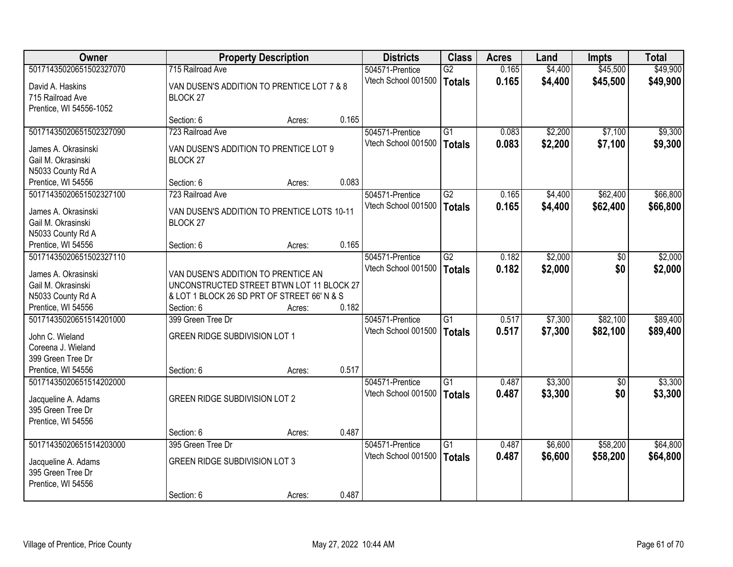| <b>Owner</b>            |                                             | <b>Property Description</b> |       | <b>Districts</b>    | <b>Class</b>    | <b>Acres</b> | Land    | Impts           | <b>Total</b> |
|-------------------------|---------------------------------------------|-----------------------------|-------|---------------------|-----------------|--------------|---------|-----------------|--------------|
| 50171435020651502327070 | 715 Railroad Ave                            |                             |       | 504571-Prentice     | $\overline{G2}$ | 0.165        | \$4,400 | \$45,500        | \$49,900     |
| David A. Haskins        | VAN DUSEN'S ADDITION TO PRENTICE LOT 7 & 8  |                             |       | Vtech School 001500 | <b>Totals</b>   | 0.165        | \$4,400 | \$45,500        | \$49,900     |
| 715 Railroad Ave        | BLOCK <sub>27</sub>                         |                             |       |                     |                 |              |         |                 |              |
| Prentice, WI 54556-1052 |                                             |                             |       |                     |                 |              |         |                 |              |
|                         | Section: 6                                  | Acres:                      | 0.165 |                     |                 |              |         |                 |              |
| 50171435020651502327090 | 723 Railroad Ave                            |                             |       | 504571-Prentice     | $\overline{G1}$ | 0.083        | \$2,200 | \$7,100         | \$9,300      |
| James A. Okrasinski     | VAN DUSEN'S ADDITION TO PRENTICE LOT 9      |                             |       | Vtech School 001500 | <b>Totals</b>   | 0.083        | \$2,200 | \$7,100         | \$9,300      |
| Gail M. Okrasinski      | BLOCK <sub>27</sub>                         |                             |       |                     |                 |              |         |                 |              |
| N5033 County Rd A       |                                             |                             |       |                     |                 |              |         |                 |              |
| Prentice, WI 54556      | Section: 6                                  | Acres:                      | 0.083 |                     |                 |              |         |                 |              |
| 50171435020651502327100 | 723 Railroad Ave                            |                             |       | 504571-Prentice     | G2              | 0.165        | \$4,400 | \$62,400        | \$66,800     |
| James A. Okrasinski     | VAN DUSEN'S ADDITION TO PRENTICE LOTS 10-11 |                             |       | Vtech School 001500 | <b>Totals</b>   | 0.165        | \$4,400 | \$62,400        | \$66,800     |
| Gail M. Okrasinski      | BLOCK <sub>27</sub>                         |                             |       |                     |                 |              |         |                 |              |
| N5033 County Rd A       |                                             |                             |       |                     |                 |              |         |                 |              |
| Prentice, WI 54556      | Section: 6                                  | Acres:                      | 0.165 |                     |                 |              |         |                 |              |
| 50171435020651502327110 |                                             |                             |       | 504571-Prentice     | $\overline{G2}$ | 0.182        | \$2,000 | $\overline{30}$ | \$2,000      |
|                         |                                             |                             |       | Vtech School 001500 | <b>Totals</b>   | 0.182        | \$2,000 | \$0             | \$2,000      |
| James A. Okrasinski     | VAN DUSEN'S ADDITION TO PRENTICE AN         |                             |       |                     |                 |              |         |                 |              |
| Gail M. Okrasinski      | UNCONSTRUCTED STREET BTWN LOT 11 BLOCK 27   |                             |       |                     |                 |              |         |                 |              |
| N5033 County Rd A       | & LOT 1 BLOCK 26 SD PRT OF STREET 66' N & S |                             |       |                     |                 |              |         |                 |              |
| Prentice, WI 54556      | Section: 6                                  | Acres:                      | 0.182 |                     |                 |              |         |                 |              |
| 50171435020651514201000 | 399 Green Tree Dr                           |                             |       | 504571-Prentice     | $\overline{G1}$ | 0.517        | \$7,300 | \$82,100        | \$89,400     |
| John C. Wieland         | <b>GREEN RIDGE SUBDIVISION LOT 1</b>        |                             |       | Vtech School 001500 | <b>Totals</b>   | 0.517        | \$7,300 | \$82,100        | \$89,400     |
| Coreena J. Wieland      |                                             |                             |       |                     |                 |              |         |                 |              |
| 399 Green Tree Dr       |                                             |                             |       |                     |                 |              |         |                 |              |
| Prentice, WI 54556      | Section: 6                                  | Acres:                      | 0.517 |                     |                 |              |         |                 |              |
| 50171435020651514202000 |                                             |                             |       | 504571-Prentice     | G1              | 0.487        | \$3,300 | $\sqrt{6}$      | \$3,300      |
| Jacqueline A. Adams     | <b>GREEN RIDGE SUBDIVISION LOT 2</b>        |                             |       | Vtech School 001500 | <b>Totals</b>   | 0.487        | \$3,300 | \$0             | \$3,300      |
| 395 Green Tree Dr       |                                             |                             |       |                     |                 |              |         |                 |              |
| Prentice, WI 54556      |                                             |                             |       |                     |                 |              |         |                 |              |
|                         | Section: 6                                  | Acres:                      | 0.487 |                     |                 |              |         |                 |              |
| 50171435020651514203000 | 395 Green Tree Dr                           |                             |       | 504571-Prentice     | $\overline{G1}$ | 0.487        | \$6,600 | \$58,200        | \$64,800     |
| Jacqueline A. Adams     | <b>GREEN RIDGE SUBDIVISION LOT 3</b>        |                             |       | Vtech School 001500 | <b>Totals</b>   | 0.487        | \$6,600 | \$58,200        | \$64,800     |
| 395 Green Tree Dr       |                                             |                             |       |                     |                 |              |         |                 |              |
| Prentice, WI 54556      |                                             |                             |       |                     |                 |              |         |                 |              |
|                         | Section: 6                                  | Acres:                      | 0.487 |                     |                 |              |         |                 |              |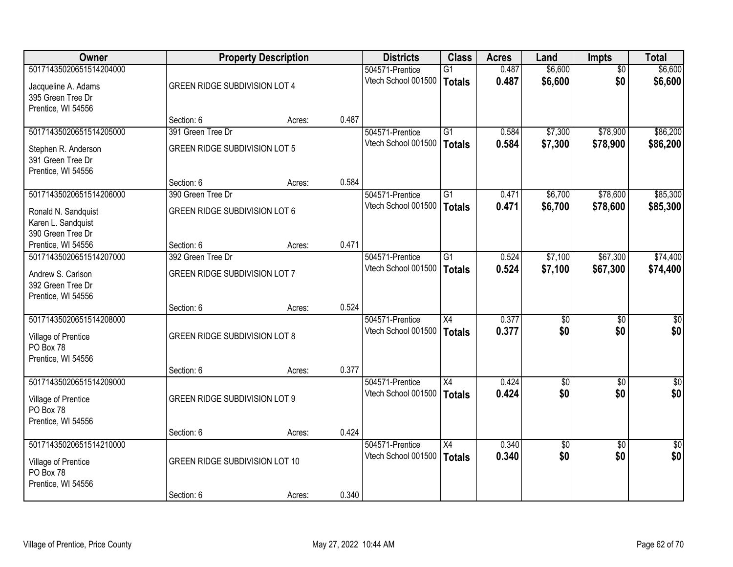| <b>Owner</b>            |                                       | <b>Property Description</b> |       | <b>Districts</b>    | <b>Class</b>    | <b>Acres</b> | Land            | <b>Impts</b>    | <b>Total</b>    |
|-------------------------|---------------------------------------|-----------------------------|-------|---------------------|-----------------|--------------|-----------------|-----------------|-----------------|
| 50171435020651514204000 |                                       |                             |       | 504571-Prentice     | G1              | 0.487        | \$6,600         | $\overline{50}$ | \$6,600         |
| Jacqueline A. Adams     | GREEN RIDGE SUBDIVISION LOT 4         |                             |       | Vtech School 001500 | Totals          | 0.487        | \$6,600         | \$0             | \$6,600         |
| 395 Green Tree Dr       |                                       |                             |       |                     |                 |              |                 |                 |                 |
| Prentice, WI 54556      |                                       |                             |       |                     |                 |              |                 |                 |                 |
|                         | Section: 6                            | Acres:                      | 0.487 |                     |                 |              |                 |                 |                 |
| 50171435020651514205000 | 391 Green Tree Dr                     |                             |       | 504571-Prentice     | $\overline{G1}$ | 0.584        | \$7,300         | \$78,900        | \$86,200        |
| Stephen R. Anderson     | <b>GREEN RIDGE SUBDIVISION LOT 5</b>  |                             |       | Vtech School 001500 | Totals          | 0.584        | \$7,300         | \$78,900        | \$86,200        |
| 391 Green Tree Dr       |                                       |                             |       |                     |                 |              |                 |                 |                 |
| Prentice, WI 54556      |                                       |                             |       |                     |                 |              |                 |                 |                 |
|                         | Section: 6                            | Acres:                      | 0.584 |                     |                 |              |                 |                 |                 |
| 50171435020651514206000 | 390 Green Tree Dr                     |                             |       | 504571-Prentice     | $\overline{G1}$ | 0.471        | \$6,700         | \$78,600        | \$85,300        |
| Ronald N. Sandquist     | GREEN RIDGE SUBDIVISION LOT 6         |                             |       | Vtech School 001500 | <b>Totals</b>   | 0.471        | \$6,700         | \$78,600        | \$85,300        |
| Karen L. Sandquist      |                                       |                             |       |                     |                 |              |                 |                 |                 |
| 390 Green Tree Dr       |                                       |                             |       |                     |                 |              |                 |                 |                 |
| Prentice, WI 54556      | Section: 6                            | Acres:                      | 0.471 |                     |                 |              |                 |                 |                 |
| 50171435020651514207000 | 392 Green Tree Dr                     |                             |       | 504571-Prentice     | $\overline{G1}$ | 0.524        | \$7,100         | \$67,300        | \$74,400        |
| Andrew S. Carlson       | <b>GREEN RIDGE SUBDIVISION LOT 7</b>  |                             |       | Vtech School 001500 | Totals          | 0.524        | \$7,100         | \$67,300        | \$74,400        |
| 392 Green Tree Dr       |                                       |                             |       |                     |                 |              |                 |                 |                 |
| Prentice, WI 54556      |                                       |                             |       |                     |                 |              |                 |                 |                 |
|                         | Section: 6                            | Acres:                      | 0.524 |                     |                 |              |                 |                 |                 |
| 50171435020651514208000 |                                       |                             |       | 504571-Prentice     | $\overline{X4}$ | 0.377        | \$0             | \$0             | $\sqrt{50}$     |
| Village of Prentice     | <b>GREEN RIDGE SUBDIVISION LOT 8</b>  |                             |       | Vtech School 001500 | <b>Totals</b>   | 0.377        | \$0             | \$0             | \$0             |
| PO Box 78               |                                       |                             |       |                     |                 |              |                 |                 |                 |
| Prentice, WI 54556      |                                       |                             |       |                     |                 |              |                 |                 |                 |
|                         | Section: 6                            | Acres:                      | 0.377 |                     |                 |              |                 |                 |                 |
| 50171435020651514209000 |                                       |                             |       | 504571-Prentice     | $\overline{X4}$ | 0.424        | $\overline{50}$ | \$0             | $\sqrt{50}$     |
| Village of Prentice     | <b>GREEN RIDGE SUBDIVISION LOT 9</b>  |                             |       | Vtech School 001500 | <b>Totals</b>   | 0.424        | \$0             | \$0             | \$0             |
| PO Box 78               |                                       |                             |       |                     |                 |              |                 |                 |                 |
| Prentice, WI 54556      |                                       |                             |       |                     |                 |              |                 |                 |                 |
|                         | Section: 6                            | Acres:                      | 0.424 |                     |                 |              |                 |                 |                 |
| 50171435020651514210000 |                                       |                             |       | 504571-Prentice     | $\overline{X4}$ | 0.340        | $\overline{60}$ | $\overline{30}$ | $\overline{50}$ |
| Village of Prentice     | <b>GREEN RIDGE SUBDIVISION LOT 10</b> |                             |       | Vtech School 001500 | Totals          | 0.340        | \$0             | \$0             | \$0             |
| PO Box 78               |                                       |                             |       |                     |                 |              |                 |                 |                 |
| Prentice, WI 54556      |                                       |                             |       |                     |                 |              |                 |                 |                 |
|                         | Section: 6                            | Acres:                      | 0.340 |                     |                 |              |                 |                 |                 |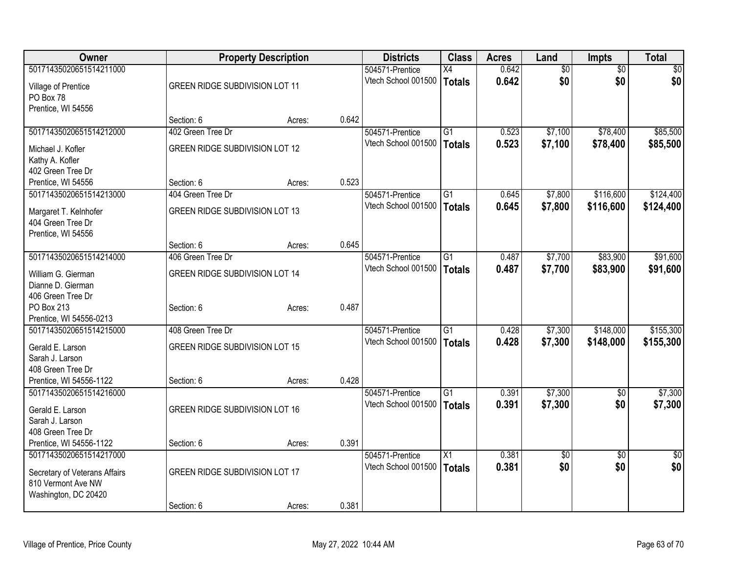| Owner                         |                                       | <b>Property Description</b> |       | <b>Districts</b>    | <b>Class</b>    | <b>Acres</b> | Land            | <b>Impts</b>    | <b>Total</b>    |
|-------------------------------|---------------------------------------|-----------------------------|-------|---------------------|-----------------|--------------|-----------------|-----------------|-----------------|
| 50171435020651514211000       |                                       |                             |       | 504571-Prentice     | $\overline{X4}$ | 0.642        | $\overline{50}$ | $\overline{50}$ | $\sqrt{50}$     |
| Village of Prentice           | <b>GREEN RIDGE SUBDIVISION LOT 11</b> |                             |       | Vtech School 001500 | <b>Totals</b>   | 0.642        | \$0             | \$0             | \$0             |
| PO Box 78                     |                                       |                             |       |                     |                 |              |                 |                 |                 |
| Prentice, WI 54556            |                                       |                             |       |                     |                 |              |                 |                 |                 |
|                               | Section: 6                            | Acres:                      | 0.642 |                     |                 |              |                 |                 |                 |
| 50171435020651514212000       | 402 Green Tree Dr                     |                             |       | 504571-Prentice     | $\overline{G1}$ | 0.523        | \$7,100         | \$78,400        | \$85,500        |
| Michael J. Kofler             | <b>GREEN RIDGE SUBDIVISION LOT 12</b> |                             |       | Vtech School 001500 | <b>Totals</b>   | 0.523        | \$7,100         | \$78,400        | \$85,500        |
| Kathy A. Kofler               |                                       |                             |       |                     |                 |              |                 |                 |                 |
| 402 Green Tree Dr             |                                       |                             |       |                     |                 |              |                 |                 |                 |
| Prentice, WI 54556            | Section: 6                            | Acres:                      | 0.523 |                     |                 |              |                 |                 |                 |
| 50171435020651514213000       | 404 Green Tree Dr                     |                             |       | 504571-Prentice     | $\overline{G1}$ | 0.645        | \$7,800         | \$116,600       | \$124,400       |
|                               |                                       |                             |       | Vtech School 001500 | <b>Totals</b>   | 0.645        | \$7,800         | \$116,600       | \$124,400       |
| Margaret T. Kelnhofer         | <b>GREEN RIDGE SUBDIVISION LOT 13</b> |                             |       |                     |                 |              |                 |                 |                 |
| 404 Green Tree Dr             |                                       |                             |       |                     |                 |              |                 |                 |                 |
| Prentice, WI 54556            |                                       |                             | 0.645 |                     |                 |              |                 |                 |                 |
| 50171435020651514214000       | Section: 6<br>406 Green Tree Dr       | Acres:                      |       |                     | $\overline{G1}$ | 0.487        |                 | \$83,900        | \$91,600        |
|                               |                                       |                             |       | 504571-Prentice     |                 |              | \$7,700         |                 |                 |
| William G. Gierman            | <b>GREEN RIDGE SUBDIVISION LOT 14</b> |                             |       | Vtech School 001500 | <b>Totals</b>   | 0.487        | \$7,700         | \$83,900        | \$91,600        |
| Dianne D. Gierman             |                                       |                             |       |                     |                 |              |                 |                 |                 |
| 406 Green Tree Dr             |                                       |                             |       |                     |                 |              |                 |                 |                 |
| PO Box 213                    | Section: 6                            | Acres:                      | 0.487 |                     |                 |              |                 |                 |                 |
| Prentice, WI 54556-0213       |                                       |                             |       |                     |                 |              |                 |                 |                 |
| 50171435020651514215000       | 408 Green Tree Dr                     |                             |       | 504571-Prentice     | G1              | 0.428        | \$7,300         | \$148,000       | \$155,300       |
| Gerald E. Larson              | <b>GREEN RIDGE SUBDIVISION LOT 15</b> |                             |       | Vtech School 001500 | <b>Totals</b>   | 0.428        | \$7,300         | \$148,000       | \$155,300       |
| Sarah J. Larson               |                                       |                             |       |                     |                 |              |                 |                 |                 |
| 408 Green Tree Dr             |                                       |                             |       |                     |                 |              |                 |                 |                 |
| Prentice, WI 54556-1122       | Section: 6                            | Acres:                      | 0.428 |                     |                 |              |                 |                 |                 |
| 50171435020651514216000       |                                       |                             |       | 504571-Prentice     | $\overline{G1}$ | 0.391        | \$7,300         | $\overline{50}$ | \$7,300         |
| Gerald E. Larson              | <b>GREEN RIDGE SUBDIVISION LOT 16</b> |                             |       | Vtech School 001500 | <b>Totals</b>   | 0.391        | \$7,300         | \$0             | \$7,300         |
| Sarah J. Larson               |                                       |                             |       |                     |                 |              |                 |                 |                 |
| 408 Green Tree Dr             |                                       |                             |       |                     |                 |              |                 |                 |                 |
| Prentice, WI 54556-1122       | Section: 6                            | Acres:                      | 0.391 |                     |                 |              |                 |                 |                 |
| 50171435020651514217000       |                                       |                             |       | 504571-Prentice     | $\overline{X1}$ | 0.381        | $\overline{30}$ | $\overline{50}$ | $\overline{50}$ |
|                               |                                       |                             |       | Vtech School 001500 | <b>Totals</b>   | 0.381        | \$0             | \$0             | \$0             |
| Secretary of Veterans Affairs | <b>GREEN RIDGE SUBDIVISION LOT 17</b> |                             |       |                     |                 |              |                 |                 |                 |
| 810 Vermont Ave NW            |                                       |                             |       |                     |                 |              |                 |                 |                 |
| Washington, DC 20420          |                                       |                             |       |                     |                 |              |                 |                 |                 |
|                               | Section: 6                            | Acres:                      | 0.381 |                     |                 |              |                 |                 |                 |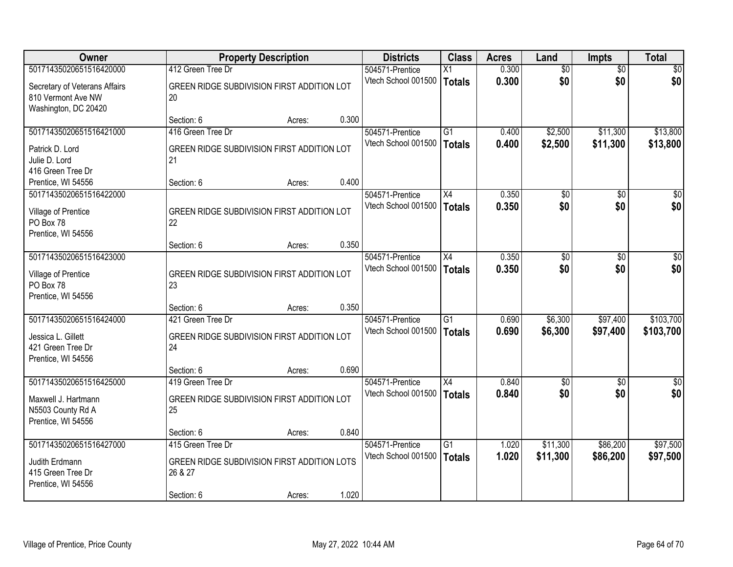| Owner                                                                                    |                                                                       | <b>Property Description</b> |       | <b>Districts</b>                       | <b>Class</b>              | <b>Acres</b>   | Land               | <b>Impts</b>         | <b>Total</b>           |
|------------------------------------------------------------------------------------------|-----------------------------------------------------------------------|-----------------------------|-------|----------------------------------------|---------------------------|----------------|--------------------|----------------------|------------------------|
| 50171435020651516420000                                                                  | 412 Green Tree Dr                                                     |                             |       | 504571-Prentice                        | X1                        | 0.300          | $\overline{50}$    | $\overline{50}$      | $\overline{30}$        |
| Secretary of Veterans Affairs<br>810 Vermont Ave NW<br>Washington, DC 20420              | GREEN RIDGE SUBDIVISION FIRST ADDITION LOT<br>20                      |                             |       | Vtech School 001500                    | Totals                    | 0.300          | \$0                | \$0                  | \$0                    |
|                                                                                          | Section: 6                                                            | Acres:                      | 0.300 |                                        |                           |                |                    |                      |                        |
| 50171435020651516421000                                                                  | 416 Green Tree Dr                                                     |                             |       | 504571-Prentice                        | G1                        | 0.400          | \$2,500            | \$11,300             | \$13,800               |
| Patrick D. Lord<br>Julie D. Lord<br>416 Green Tree Dr                                    | GREEN RIDGE SUBDIVISION FIRST ADDITION LOT<br>21                      |                             |       | Vtech School 001500                    | Totals                    | 0.400          | \$2,500            | \$11,300             | \$13,800               |
| Prentice, WI 54556                                                                       | Section: 6                                                            | Acres:                      | 0.400 |                                        |                           |                |                    |                      |                        |
| 50171435020651516422000                                                                  |                                                                       |                             |       | 504571-Prentice                        | X4                        | 0.350          | $\overline{50}$    | \$0                  | $\overline{\$0}$       |
| Village of Prentice<br>PO Box 78<br>Prentice, WI 54556                                   | GREEN RIDGE SUBDIVISION FIRST ADDITION LOT<br>22                      |                             |       | Vtech School 001500                    | <b>Totals</b>             | 0.350          | \$0                | \$0                  | \$0                    |
|                                                                                          | Section: 6                                                            | Acres:                      | 0.350 |                                        |                           |                |                    |                      |                        |
| 50171435020651516423000                                                                  |                                                                       |                             |       | 504571-Prentice                        | $\overline{X4}$           | 0.350          | $\overline{30}$    | $\overline{30}$      | $\overline{30}$        |
| Village of Prentice<br>PO Box 78<br>Prentice, WI 54556                                   | GREEN RIDGE SUBDIVISION FIRST ADDITION LOT<br>23                      |                             |       | Vtech School 001500                    | Totals                    | 0.350          | \$0                | \$0                  | \$0                    |
|                                                                                          | Section: 6                                                            | Acres:                      | 0.350 |                                        |                           |                |                    |                      |                        |
| 50171435020651516424000<br>Jessica L. Gillett<br>421 Green Tree Dr<br>Prentice, WI 54556 | 421 Green Tree Dr<br>GREEN RIDGE SUBDIVISION FIRST ADDITION LOT<br>24 |                             |       | 504571-Prentice<br>Vtech School 001500 | $\overline{G1}$<br>Totals | 0.690<br>0.690 | \$6,300<br>\$6,300 | \$97,400<br>\$97,400 | \$103,700<br>\$103,700 |
|                                                                                          | Section: 6                                                            | Acres:                      | 0.690 |                                        |                           |                |                    |                      |                        |
| 50171435020651516425000                                                                  | 419 Green Tree Dr                                                     |                             |       | 504571-Prentice                        | X4                        | 0.840          | $\overline{50}$    | $\overline{50}$      | $\overline{50}$        |
| Maxwell J. Hartmann<br>N5503 County Rd A<br>Prentice, WI 54556                           | GREEN RIDGE SUBDIVISION FIRST ADDITION LOT<br>25                      |                             |       | Vtech School 001500                    | Totals                    | 0.840          | \$0                | \$0                  | \$0                    |
|                                                                                          | Section: 6                                                            | Acres:                      | 0.840 |                                        |                           |                |                    |                      |                        |
| 50171435020651516427000                                                                  | 415 Green Tree Dr                                                     |                             |       | 504571-Prentice                        | $\overline{G1}$           | 1.020          | \$11,300           | \$86,200             | \$97,500               |
| Judith Erdmann<br>415 Green Tree Dr<br>Prentice, WI 54556                                | GREEN RIDGE SUBDIVISION FIRST ADDITION LOTS<br>26 & 27                |                             |       | Vtech School 001500                    | Totals                    | 1.020          | \$11,300           | \$86,200             | \$97,500               |
|                                                                                          | Section: 6                                                            | Acres:                      | 1.020 |                                        |                           |                |                    |                      |                        |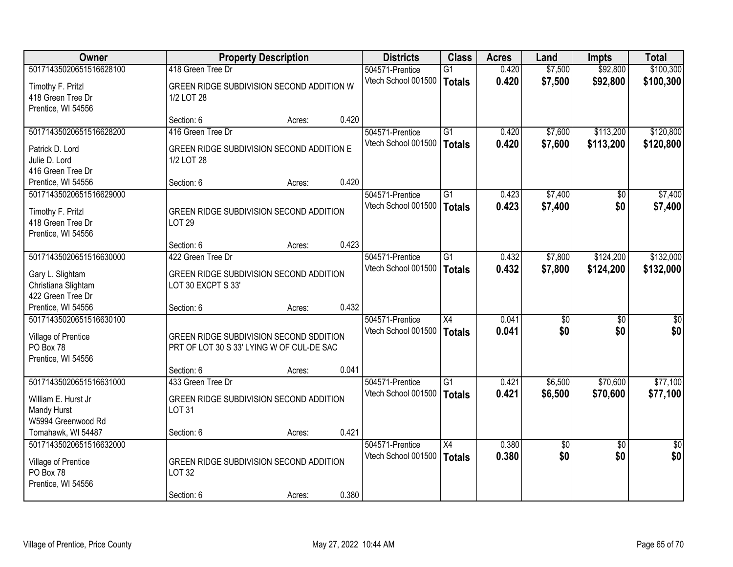| <b>Owner</b>                                                                        | <b>Property Description</b>                                                          |        |       | <b>Districts</b>                       | <b>Class</b>                     | <b>Acres</b>   | Land               | <b>Impts</b>           | <b>Total</b>           |
|-------------------------------------------------------------------------------------|--------------------------------------------------------------------------------------|--------|-------|----------------------------------------|----------------------------------|----------------|--------------------|------------------------|------------------------|
| 50171435020651516628100                                                             | 418 Green Tree Dr                                                                    |        |       | 504571-Prentice                        | $\overline{G1}$                  | 0.420          | \$7,500            | \$92,800               | \$100,300              |
| Timothy F. Pritzl<br>418 Green Tree Dr<br>Prentice, WI 54556                        | GREEN RIDGE SUBDIVISION SECOND ADDITION W<br>1/2 LOT 28                              |        |       | Vtech School 001500                    | <b>Totals</b>                    | 0.420          | \$7,500            | \$92,800               | \$100,300              |
|                                                                                     | Section: 6                                                                           | Acres: | 0.420 |                                        |                                  |                |                    |                        |                        |
| 50171435020651516628200<br>Patrick D. Lord<br>Julie D. Lord                         | 416 Green Tree Dr<br>GREEN RIDGE SUBDIVISION SECOND ADDITION E<br>1/2 LOT 28         |        |       | 504571-Prentice<br>Vtech School 001500 | G1<br><b>Totals</b>              | 0.420<br>0.420 | \$7,600<br>\$7,600 | \$113,200<br>\$113,200 | \$120,800<br>\$120,800 |
| 416 Green Tree Dr<br>Prentice, WI 54556                                             | Section: 6                                                                           | Acres: | 0.420 |                                        |                                  |                |                    |                        |                        |
| 50171435020651516629000                                                             |                                                                                      |        |       | 504571-Prentice                        | G1                               | 0.423          | \$7,400            | \$0                    | \$7,400                |
| Timothy F. Pritzl<br>418 Green Tree Dr<br>Prentice, WI 54556                        | GREEN RIDGE SUBDIVISION SECOND ADDITION<br><b>LOT 29</b>                             |        |       | Vtech School 001500                    | <b>Totals</b>                    | 0.423          | \$7,400            | \$0                    | \$7,400                |
|                                                                                     | Section: 6                                                                           | Acres: | 0.423 |                                        |                                  |                |                    |                        |                        |
| 50171435020651516630000                                                             | 422 Green Tree Dr                                                                    |        |       | 504571-Prentice                        | $\overline{G1}$                  | 0.432          | \$7,800            | \$124,200              | \$132,000              |
| Gary L. Slightam<br>Christiana Slightam<br>422 Green Tree Dr                        | GREEN RIDGE SUBDIVISION SECOND ADDITION<br>LOT 30 EXCPT S 33'                        |        |       | Vtech School 001500                    | <b>Totals</b>                    | 0.432          | \$7,800            | \$124,200              | \$132,000              |
| Prentice, WI 54556                                                                  | Section: 6                                                                           | Acres: | 0.432 |                                        |                                  |                |                    |                        |                        |
| 50171435020651516630100<br>Village of Prentice<br>PO Box 78<br>Prentice, WI 54556   | GREEN RIDGE SUBDIVISION SECOND SDDITION<br>PRT OF LOT 30 S 33' LYING W OF CUL-DE SAC |        |       | 504571-Prentice<br>Vtech School 001500 | $\overline{X4}$<br><b>Totals</b> | 0.041<br>0.041 | \$0<br>\$0         | $\overline{50}$<br>\$0 | \$0<br>\$0             |
|                                                                                     | Section: 6                                                                           | Acres: | 0.041 |                                        |                                  |                |                    |                        |                        |
| 50171435020651516631000<br>William E. Hurst Jr<br>Mandy Hurst<br>W5994 Greenwood Rd | 433 Green Tree Dr<br>GREEN RIDGE SUBDIVISION SECOND ADDITION<br><b>LOT 31</b>        |        |       | 504571-Prentice<br>Vtech School 001500 | $\overline{G1}$<br><b>Totals</b> | 0.421<br>0.421 | \$6,500<br>\$6,500 | \$70,600<br>\$70,600   | \$77,100<br>\$77,100   |
| Tomahawk, WI 54487                                                                  | Section: 6                                                                           | Acres: | 0.421 |                                        |                                  |                |                    |                        |                        |
| 50171435020651516632000<br>Village of Prentice<br>PO Box 78<br>Prentice, WI 54556   | GREEN RIDGE SUBDIVISION SECOND ADDITION<br><b>LOT 32</b><br>Section: 6               | Acres: | 0.380 | 504571-Prentice<br>Vtech School 001500 | $\overline{X4}$<br><b>Totals</b> | 0.380<br>0.380 | \$0<br>\$0         | $\overline{30}$<br>\$0 | $\overline{30}$<br>\$0 |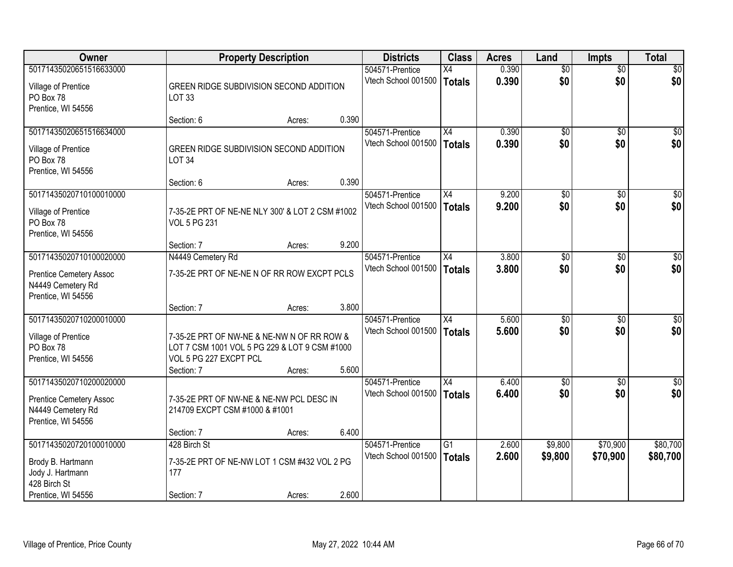| Owner                                                                     |                                                                                                                                     | <b>Property Description</b> |       | <b>Districts</b>    | <b>Class</b>    | <b>Acres</b> | Land            | <b>Impts</b>    | <b>Total</b>     |
|---------------------------------------------------------------------------|-------------------------------------------------------------------------------------------------------------------------------------|-----------------------------|-------|---------------------|-----------------|--------------|-----------------|-----------------|------------------|
| 50171435020651516633000                                                   |                                                                                                                                     |                             |       | 504571-Prentice     | X4              | 0.390        | $\overline{50}$ | $\overline{50}$ | \$0              |
| Village of Prentice<br>PO Box 78<br>Prentice, WI 54556                    | GREEN RIDGE SUBDIVISION SECOND ADDITION<br><b>LOT 33</b>                                                                            |                             |       | Vtech School 001500 | Totals          | 0.390        | \$0             | \$0             | \$0              |
|                                                                           | Section: 6                                                                                                                          | Acres:                      | 0.390 |                     |                 |              |                 |                 |                  |
| 50171435020651516634000                                                   |                                                                                                                                     |                             |       | 504571-Prentice     | X4              | 0.390        | $\overline{50}$ | $\overline{50}$ | \$0              |
| Village of Prentice<br>PO Box 78<br>Prentice, WI 54556                    | GREEN RIDGE SUBDIVISION SECOND ADDITION<br><b>LOT 34</b>                                                                            |                             |       | Vtech School 001500 | Totals          | 0.390        | \$0             | \$0             | \$0              |
|                                                                           | Section: 6                                                                                                                          | Acres:                      | 0.390 |                     |                 |              |                 |                 |                  |
| 50171435020710100010000                                                   |                                                                                                                                     |                             |       | 504571-Prentice     | X4              | 9.200        | \$0             | \$0             | $\overline{50}$  |
| Village of Prentice<br>PO Box 78<br>Prentice, WI 54556                    | 7-35-2E PRT OF NE-NE NLY 300' & LOT 2 CSM #1002<br><b>VOL 5 PG 231</b>                                                              |                             |       | Vtech School 001500 | <b>Totals</b>   | 9.200        | \$0             | \$0             | \$0              |
|                                                                           | Section: 7                                                                                                                          | Acres:                      | 9.200 |                     |                 |              |                 |                 |                  |
| 50171435020710100020000                                                   | N4449 Cemetery Rd                                                                                                                   |                             |       | 504571-Prentice     | X4              | 3.800        | \$0             | $\sqrt{6}$      | \$0              |
| <b>Prentice Cemetery Assoc</b><br>N4449 Cemetery Rd<br>Prentice, WI 54556 | 7-35-2E PRT OF NE-NE N OF RR ROW EXCPT PCLS                                                                                         |                             |       | Vtech School 001500 | Totals          | 3.800        | \$0             | \$0             | \$0              |
|                                                                           | Section: 7                                                                                                                          | Acres:                      | 3.800 |                     |                 |              |                 |                 |                  |
| 50171435020710200010000                                                   |                                                                                                                                     |                             |       | 504571-Prentice     | $\overline{X4}$ | 5.600        | $\overline{50}$ | $\overline{50}$ | $\overline{50}$  |
| Village of Prentice<br>PO Box 78<br>Prentice, WI 54556                    | 7-35-2E PRT OF NW-NE & NE-NW N OF RR ROW &<br>LOT 7 CSM 1001 VOL 5 PG 229 & LOT 9 CSM #1000<br>VOL 5 PG 227 EXCPT PCL<br>Section: 7 | Acres:                      | 5.600 | Vtech School 001500 | Totals          | 5.600        | \$0             | \$0             | \$0              |
| 50171435020710200020000                                                   |                                                                                                                                     |                             |       | 504571-Prentice     | $\overline{X4}$ | 6.400        | $\overline{50}$ | $\overline{30}$ | $\overline{\$0}$ |
| <b>Prentice Cemetery Assoc</b><br>N4449 Cemetery Rd<br>Prentice, WI 54556 | 7-35-2E PRT OF NW-NE & NE-NW PCL DESC IN<br>214709 EXCPT CSM #1000 & #1001                                                          |                             |       | Vtech School 001500 | Totals          | 6.400        | \$0             | \$0             | \$0              |
|                                                                           | Section: 7                                                                                                                          | Acres:                      | 6.400 |                     |                 |              |                 |                 |                  |
| 50171435020720100010000                                                   | 428 Birch St                                                                                                                        |                             |       | 504571-Prentice     | G1              | 2.600        | \$9,800         | \$70,900        | \$80,700         |
| Brody B. Hartmann<br>Jody J. Hartmann<br>428 Birch St                     | 7-35-2E PRT OF NE-NW LOT 1 CSM #432 VOL 2 PG<br>177                                                                                 |                             |       | Vtech School 001500 | Totals          | 2.600        | \$9,800         | \$70,900        | \$80,700         |
| Prentice, WI 54556                                                        | Section: 7                                                                                                                          | Acres:                      | 2.600 |                     |                 |              |                 |                 |                  |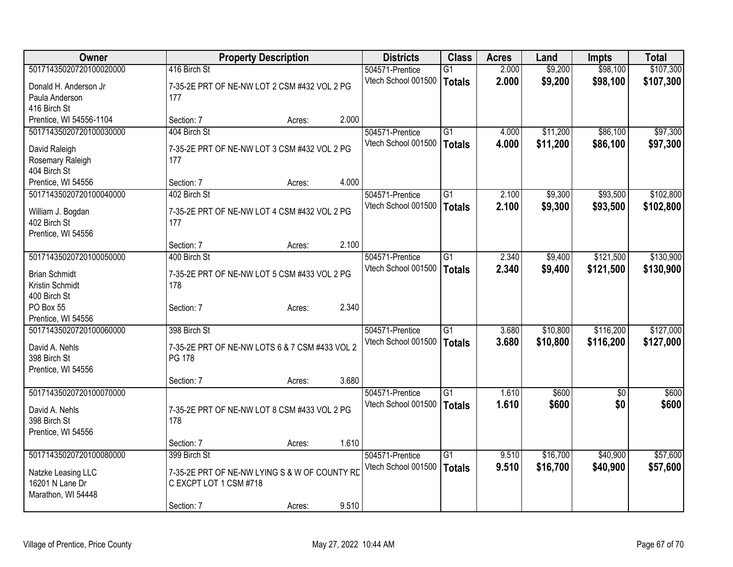| Owner                   |                                                | <b>Property Description</b> |       | <b>Districts</b>    | <b>Class</b>    | <b>Acres</b> | Land     | <b>Impts</b>    | <b>Total</b> |
|-------------------------|------------------------------------------------|-----------------------------|-------|---------------------|-----------------|--------------|----------|-----------------|--------------|
| 50171435020720100020000 | 416 Birch St                                   |                             |       | 504571-Prentice     | $\overline{G1}$ | 2.000        | \$9,200  | \$98,100        | \$107,300    |
| Donald H. Anderson Jr   | 7-35-2E PRT OF NE-NW LOT 2 CSM #432 VOL 2 PG   |                             |       | Vtech School 001500 | <b>Totals</b>   | 2.000        | \$9,200  | \$98,100        | \$107,300    |
| Paula Anderson          | 177                                            |                             |       |                     |                 |              |          |                 |              |
| 416 Birch St            |                                                |                             |       |                     |                 |              |          |                 |              |
| Prentice, WI 54556-1104 | Section: 7                                     | Acres:                      | 2.000 |                     |                 |              |          |                 |              |
| 50171435020720100030000 | 404 Birch St                                   |                             |       | 504571-Prentice     | $\overline{G1}$ | 4.000        | \$11,200 | \$86,100        | \$97,300     |
| David Raleigh           | 7-35-2E PRT OF NE-NW LOT 3 CSM #432 VOL 2 PG   |                             |       | Vtech School 001500 | <b>Totals</b>   | 4.000        | \$11,200 | \$86,100        | \$97,300     |
| Rosemary Raleigh        | 177                                            |                             |       |                     |                 |              |          |                 |              |
| 404 Birch St            |                                                |                             |       |                     |                 |              |          |                 |              |
| Prentice, WI 54556      | Section: 7                                     | Acres:                      | 4.000 |                     |                 |              |          |                 |              |
| 50171435020720100040000 | 402 Birch St                                   |                             |       | 504571-Prentice     | G1              | 2.100        | \$9,300  | \$93,500        | \$102,800    |
| William J. Bogdan       | 7-35-2E PRT OF NE-NW LOT 4 CSM #432 VOL 2 PG   |                             |       | Vtech School 001500 | <b>Totals</b>   | 2.100        | \$9,300  | \$93,500        | \$102,800    |
| 402 Birch St            | 177                                            |                             |       |                     |                 |              |          |                 |              |
| Prentice, WI 54556      |                                                |                             |       |                     |                 |              |          |                 |              |
|                         | Section: 7                                     | Acres:                      | 2.100 |                     |                 |              |          |                 |              |
| 50171435020720100050000 | 400 Birch St                                   |                             |       | 504571-Prentice     | $\overline{G1}$ | 2.340        | \$9,400  | \$121,500       | \$130,900    |
| <b>Brian Schmidt</b>    | 7-35-2E PRT OF NE-NW LOT 5 CSM #433 VOL 2 PG   |                             |       | Vtech School 001500 | <b>Totals</b>   | 2.340        | \$9,400  | \$121,500       | \$130,900    |
| Kristin Schmidt         | 178                                            |                             |       |                     |                 |              |          |                 |              |
| 400 Birch St            |                                                |                             |       |                     |                 |              |          |                 |              |
| PO Box 55               | Section: 7                                     | Acres:                      | 2.340 |                     |                 |              |          |                 |              |
| Prentice, WI 54556      |                                                |                             |       |                     |                 |              |          |                 |              |
| 50171435020720100060000 | 398 Birch St                                   |                             |       | 504571-Prentice     | $\overline{G1}$ | 3.680        | \$10,800 | \$116,200       | \$127,000    |
| David A. Nehls          | 7-35-2E PRT OF NE-NW LOTS 6 & 7 CSM #433 VOL 2 |                             |       | Vtech School 001500 | <b>Totals</b>   | 3.680        | \$10,800 | \$116,200       | \$127,000    |
| 398 Birch St            | PG 178                                         |                             |       |                     |                 |              |          |                 |              |
| Prentice, WI 54556      |                                                |                             |       |                     |                 |              |          |                 |              |
|                         | Section: 7                                     | Acres:                      | 3.680 |                     |                 |              |          |                 |              |
| 50171435020720100070000 |                                                |                             |       | 504571-Prentice     | $\overline{G1}$ | 1.610        | \$600    | $\overline{50}$ | \$600        |
| David A. Nehls          | 7-35-2E PRT OF NE-NW LOT 8 CSM #433 VOL 2 PG   |                             |       | Vtech School 001500 | <b>Totals</b>   | 1.610        | \$600    | \$0             | \$600        |
| 398 Birch St            | 178                                            |                             |       |                     |                 |              |          |                 |              |
| Prentice, WI 54556      |                                                |                             |       |                     |                 |              |          |                 |              |
|                         | Section: 7                                     | Acres:                      | 1.610 |                     |                 |              |          |                 |              |
| 50171435020720100080000 | 399 Birch St                                   |                             |       | 504571-Prentice     | $\overline{G1}$ | 9.510        | \$16,700 | \$40,900        | \$57,600     |
| Natzke Leasing LLC      | 7-35-2E PRT OF NE-NW LYING S & W OF COUNTY RD  |                             |       | Vtech School 001500 | <b>Totals</b>   | 9.510        | \$16,700 | \$40,900        | \$57,600     |
| 16201 N Lane Dr         | C EXCPT LOT 1 CSM #718                         |                             |       |                     |                 |              |          |                 |              |
| Marathon, WI 54448      |                                                |                             |       |                     |                 |              |          |                 |              |
|                         | Section: 7                                     | Acres:                      | 9.510 |                     |                 |              |          |                 |              |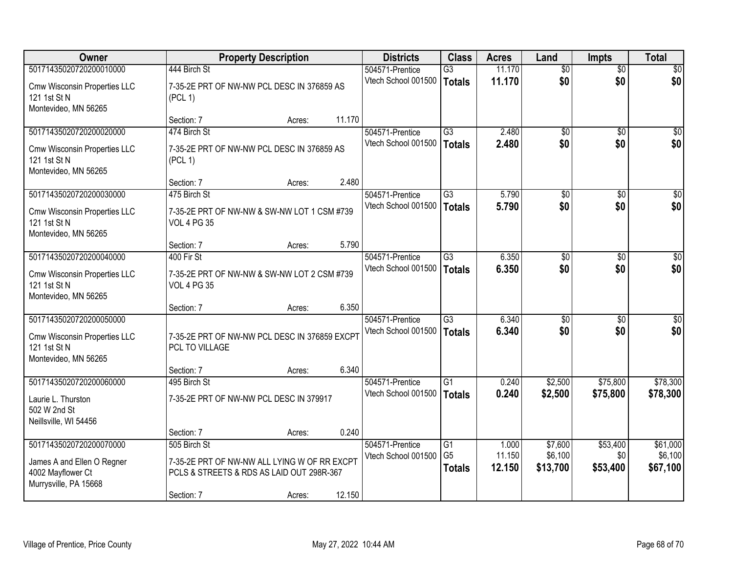| <b>Owner</b>                                                                                        | <b>Property Description</b>                                                                               |                  | <b>Districts</b>                       | <b>Class</b>                                       | <b>Acres</b>              | Land                           | <b>Impts</b>                | <b>Total</b>                    |
|-----------------------------------------------------------------------------------------------------|-----------------------------------------------------------------------------------------------------------|------------------|----------------------------------------|----------------------------------------------------|---------------------------|--------------------------------|-----------------------------|---------------------------------|
| 50171435020720200010000                                                                             | 444 Birch St                                                                                              |                  | 504571-Prentice                        | $\overline{G3}$                                    | 11.170                    | $\overline{50}$                | $\overline{50}$             | \$0                             |
| Cmw Wisconsin Properties LLC<br>121 1st St N<br>Montevideo, MN 56265                                | 7-35-2E PRT OF NW-NW PCL DESC IN 376859 AS<br>(PCL 1)                                                     |                  | Vtech School 001500                    | <b>Totals</b>                                      | 11.170                    | \$0                            | \$0                         | \$0                             |
|                                                                                                     | Section: 7                                                                                                | 11.170<br>Acres: |                                        |                                                    |                           |                                |                             |                                 |
| 50171435020720200020000                                                                             | 474 Birch St                                                                                              |                  | 504571-Prentice                        | $\overline{G3}$                                    | 2.480                     | $\overline{50}$                | $\overline{50}$             | $\overline{30}$                 |
| Cmw Wisconsin Properties LLC<br>121 1st St N<br>Montevideo, MN 56265                                | 7-35-2E PRT OF NW-NW PCL DESC IN 376859 AS<br>(PCL 1)                                                     |                  | Vtech School 001500                    | <b>Totals</b>                                      | 2.480                     | \$0                            | \$0                         | \$0                             |
|                                                                                                     | Section: 7                                                                                                | 2.480<br>Acres:  |                                        |                                                    |                           |                                |                             |                                 |
| 50171435020720200030000                                                                             | 475 Birch St                                                                                              |                  | 504571-Prentice                        | $\overline{G3}$                                    | 5.790                     | $\overline{50}$                | \$0                         | $\overline{50}$                 |
| Cmw Wisconsin Properties LLC<br>121 1st St N<br>Montevideo, MN 56265                                | 7-35-2E PRT OF NW-NW & SW-NW LOT 1 CSM #739<br><b>VOL 4 PG 35</b>                                         |                  | Vtech School 001500                    | Totals                                             | 5.790                     | \$0                            | \$0                         | \$0                             |
|                                                                                                     | Section: 7                                                                                                | 5.790<br>Acres:  |                                        |                                                    |                           |                                |                             |                                 |
| 50171435020720200040000                                                                             | 400 Fir St                                                                                                |                  | 504571-Prentice                        | $\overline{G3}$                                    | 6.350                     | $\overline{50}$                | \$0                         | $\sqrt{50}$                     |
| Cmw Wisconsin Properties LLC<br>121 1st St N<br>Montevideo, MN 56265                                | 7-35-2E PRT OF NW-NW & SW-NW LOT 2 CSM #739<br><b>VOL 4 PG 35</b>                                         |                  | Vtech School 001500                    | <b>Totals</b>                                      | 6.350                     | \$0                            | \$0                         | \$0                             |
|                                                                                                     | Section: 7                                                                                                | 6.350<br>Acres:  |                                        |                                                    |                           |                                |                             |                                 |
| 50171435020720200050000<br>Cmw Wisconsin Properties LLC<br>121 1st St N<br>Montevideo, MN 56265     | 7-35-2E PRT OF NW-NW PCL DESC IN 376859 EXCPT<br>PCL TO VILLAGE                                           |                  | 504571-Prentice<br>Vtech School 001500 | $\overline{G3}$<br><b>Totals</b>                   | 6.340<br>6.340            | \$0<br>\$0                     | \$0<br>\$0                  | \$0<br>\$0                      |
|                                                                                                     | Section: 7                                                                                                | 6.340<br>Acres:  |                                        |                                                    |                           |                                |                             |                                 |
| 50171435020720200060000<br>Laurie L. Thurston<br>502 W 2nd St<br>Neillsville, WI 54456              | 495 Birch St<br>7-35-2E PRT OF NW-NW PCL DESC IN 379917                                                   |                  | 504571-Prentice<br>Vtech School 001500 | G1<br><b>Totals</b>                                | 0.240<br>0.240            | \$2,500<br>\$2,500             | \$75,800<br>\$75,800        | \$78,300<br>\$78,300            |
|                                                                                                     | Section: 7                                                                                                | 0.240<br>Acres:  |                                        |                                                    |                           |                                |                             |                                 |
| 50171435020720200070000<br>James A and Ellen O Regner<br>4002 Mayflower Ct<br>Murrysville, PA 15668 | 505 Birch St<br>7-35-2E PRT OF NW-NW ALL LYING W OF RR EXCPT<br>PCLS & STREETS & RDS AS LAID OUT 298R-367 |                  | 504571-Prentice<br>Vtech School 001500 | $\overline{G1}$<br>G <sub>5</sub><br><b>Totals</b> | 1.000<br>11.150<br>12.150 | \$7,600<br>\$6,100<br>\$13,700 | \$53,400<br>\$0<br>\$53,400 | \$61,000<br>\$6,100<br>\$67,100 |
|                                                                                                     | Section: 7                                                                                                | 12.150<br>Acres: |                                        |                                                    |                           |                                |                             |                                 |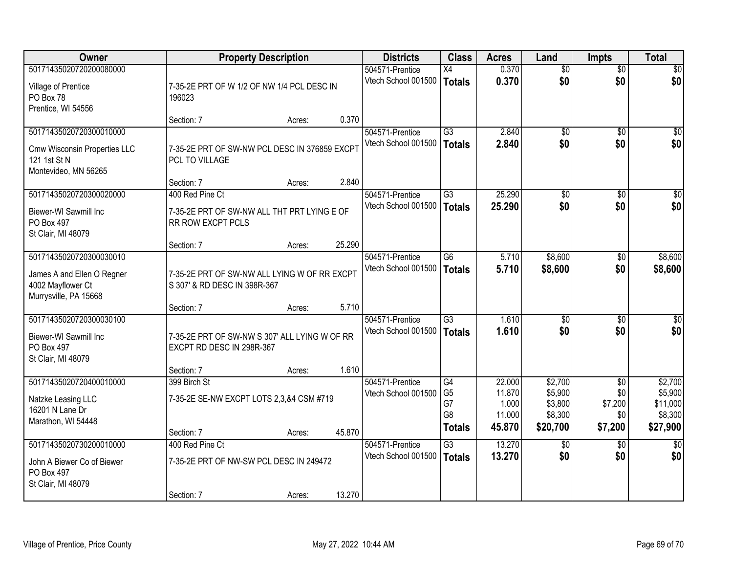| Owner                                                                                               |                                                                                     | <b>Property Description</b> |        | <b>Districts</b>                       | <b>Class</b>                                                  | <b>Acres</b>                                  | Land                                                 | <b>Impts</b>                                        | <b>Total</b>                                          |
|-----------------------------------------------------------------------------------------------------|-------------------------------------------------------------------------------------|-----------------------------|--------|----------------------------------------|---------------------------------------------------------------|-----------------------------------------------|------------------------------------------------------|-----------------------------------------------------|-------------------------------------------------------|
| 50171435020720200080000<br>Village of Prentice<br>PO Box 78<br>Prentice, WI 54556                   | 7-35-2E PRT OF W 1/2 OF NW 1/4 PCL DESC IN<br>196023                                |                             |        | 504571-Prentice<br>Vtech School 001500 | X4<br><b>Totals</b>                                           | 0.370<br>0.370                                | $\overline{50}$<br>\$0                               | $\overline{50}$<br>\$0                              | $\sqrt{50}$<br>\$0                                    |
|                                                                                                     | Section: 7                                                                          | Acres:                      | 0.370  |                                        |                                                               |                                               |                                                      |                                                     |                                                       |
| 50171435020720300010000<br>Cmw Wisconsin Properties LLC<br>121 1st St N<br>Montevideo, MN 56265     | 7-35-2E PRT OF SW-NW PCL DESC IN 376859 EXCPT<br>PCL TO VILLAGE                     |                             |        | 504571-Prentice<br>Vtech School 001500 | $\overline{G3}$<br><b>Totals</b>                              | 2.840<br>2.840                                | $\overline{50}$<br>\$0                               | $\overline{50}$<br>\$0                              | $\sqrt{50}$<br>\$0                                    |
|                                                                                                     | Section: 7                                                                          | Acres:                      | 2.840  |                                        |                                                               |                                               |                                                      |                                                     |                                                       |
| 50171435020720300020000<br>Biewer-WI Sawmill Inc<br>PO Box 497<br>St Clair, MI 48079                | 400 Red Pine Ct<br>7-35-2E PRT OF SW-NW ALL THT PRT LYING E OF<br>RR ROW EXCPT PCLS |                             |        | 504571-Prentice<br>Vtech School 001500 | $\overline{G3}$<br><b>Totals</b>                              | 25.290<br>25.290                              | \$0<br>\$0                                           | \$0<br>\$0                                          | $\overline{30}$<br>\$0                                |
|                                                                                                     | Section: 7                                                                          | Acres:                      | 25.290 |                                        |                                                               |                                               |                                                      |                                                     |                                                       |
| 50171435020720300030010<br>James A and Ellen O Regner<br>4002 Mayflower Ct<br>Murrysville, PA 15668 | 7-35-2E PRT OF SW-NW ALL LYING W OF RR EXCPT<br>S 307' & RD DESC IN 398R-367        |                             |        | 504571-Prentice<br>Vtech School 001500 | $\overline{G6}$<br><b>Totals</b>                              | 5.710<br>5.710                                | \$8,600<br>\$8,600                                   | \$0<br>\$0                                          | \$8,600<br>\$8,600                                    |
|                                                                                                     | Section: 7                                                                          | Acres:                      | 5.710  |                                        |                                                               |                                               |                                                      |                                                     |                                                       |
| 50171435020720300030100<br>Biewer-WI Sawmill Inc<br>PO Box 497<br>St Clair, MI 48079                | 7-35-2E PRT OF SW-NW S 307' ALL LYING W OF RR<br>EXCPT RD DESC IN 298R-367          |                             |        | 504571-Prentice<br>Vtech School 001500 | $\overline{G3}$<br><b>Totals</b>                              | 1.610<br>1.610                                | $\overline{50}$<br>\$0                               | \$0<br>\$0                                          | $\overline{\$0}$<br>\$0                               |
|                                                                                                     | Section: 7                                                                          | Acres:                      | 1.610  |                                        |                                                               |                                               |                                                      |                                                     |                                                       |
| 50171435020720400010000<br>Natzke Leasing LLC<br>16201 N Lane Dr<br>Marathon, WI 54448              | 399 Birch St<br>7-35-2E SE-NW EXCPT LOTS 2,3,&4 CSM #719<br>Section: 7              | Acres:                      | 45.870 | 504571-Prentice<br>Vtech School 001500 | G4<br>G <sub>5</sub><br>G7<br>G <sub>8</sub><br><b>Totals</b> | 22.000<br>11.870<br>1.000<br>11.000<br>45.870 | \$2,700<br>\$5,900<br>\$3,800<br>\$8,300<br>\$20,700 | $\overline{50}$<br>\$0<br>\$7,200<br>\$0<br>\$7,200 | \$2,700<br>\$5,900<br>\$11,000<br>\$8,300<br>\$27,900 |
| 50171435020730200010000                                                                             | 400 Red Pine Ct                                                                     |                             |        | 504571-Prentice                        | $\overline{G3}$                                               | 13.270                                        | $\overline{50}$                                      | $\overline{30}$                                     | $\overline{50}$                                       |
| John A Biewer Co of Biewer<br>PO Box 497<br>St Clair, MI 48079                                      | 7-35-2E PRT OF NW-SW PCL DESC IN 249472<br>Section: 7                               | Acres:                      | 13.270 | Vtech School 001500                    | <b>Totals</b>                                                 | 13.270                                        | \$0                                                  | \$0                                                 | \$0                                                   |